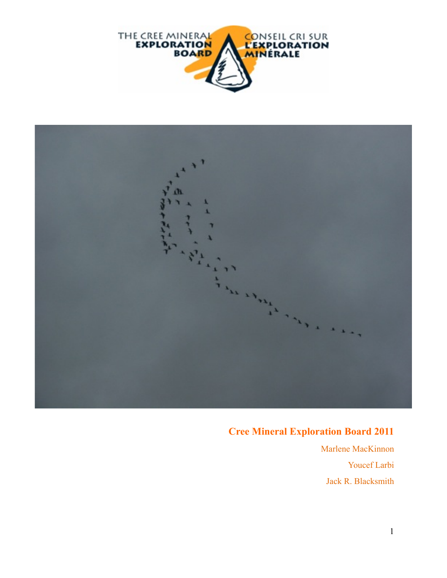



## **Cree Mineral Exploration Board 2011**

 Marlene MacKinnon Youcef Larbi Jack R. Blacksmith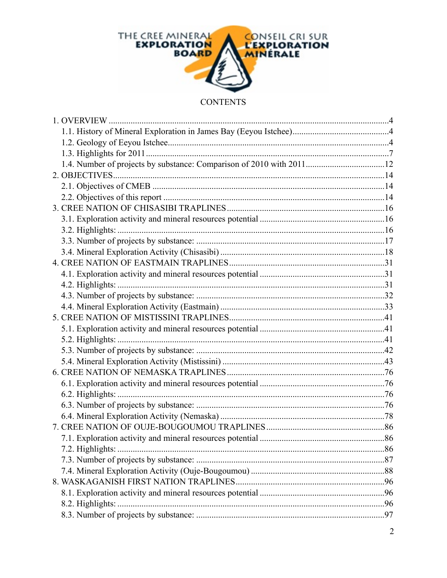

#### **CONTENTS**

| 1.4. Number of projects by substance: Comparison of 2010 with 201112 |  |
|----------------------------------------------------------------------|--|
|                                                                      |  |
|                                                                      |  |
|                                                                      |  |
|                                                                      |  |
|                                                                      |  |
|                                                                      |  |
|                                                                      |  |
|                                                                      |  |
|                                                                      |  |
|                                                                      |  |
| 4.2. Highlights:                                                     |  |
|                                                                      |  |
|                                                                      |  |
|                                                                      |  |
|                                                                      |  |
|                                                                      |  |
|                                                                      |  |
|                                                                      |  |
|                                                                      |  |
|                                                                      |  |
|                                                                      |  |
|                                                                      |  |
|                                                                      |  |
|                                                                      |  |
|                                                                      |  |
| 7.2. Highlights:                                                     |  |
|                                                                      |  |
|                                                                      |  |
|                                                                      |  |
|                                                                      |  |
| 8.2. Highlights:                                                     |  |
|                                                                      |  |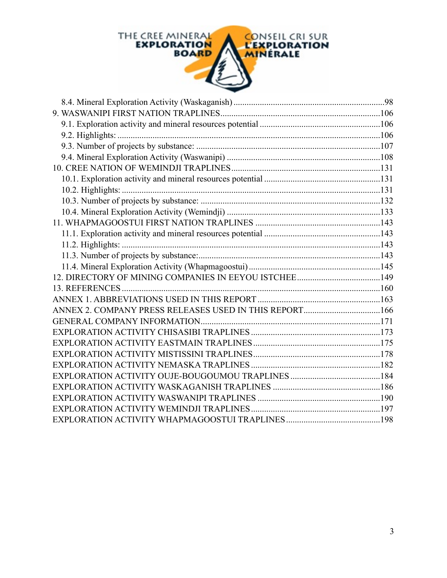

| ANNEX 2. COMPANY PRESS RELEASES USED IN THIS REPORT166 |  |
|--------------------------------------------------------|--|
|                                                        |  |
|                                                        |  |
|                                                        |  |
|                                                        |  |
|                                                        |  |
|                                                        |  |
|                                                        |  |
|                                                        |  |
|                                                        |  |
|                                                        |  |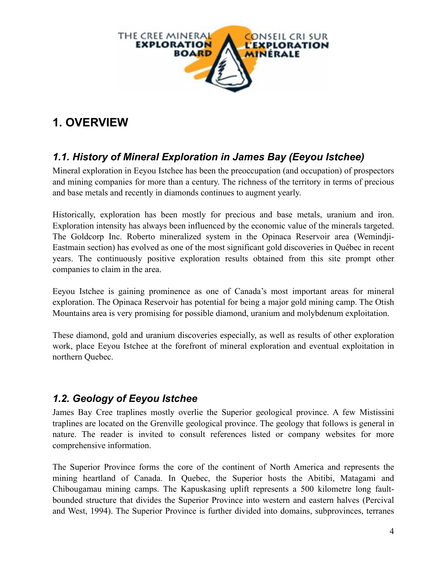

# **1. OVERVIEW**

## *1.1. History of Mineral Exploration in James Bay (Eeyou Istchee)*

Mineral exploration in Eeyou Istchee has been the preoccupation (and occupation) of prospectors and mining companies for more than a century. The richness of the territory in terms of precious and base metals and recently in diamonds continues to augment yearly.

Historically, exploration has been mostly for precious and base metals, uranium and iron. Exploration intensity has always been influenced by the economic value of the minerals targeted. The Goldcorp Inc. Roberto mineralized system in the Opinaca Reservoir area (Wemindji-Eastmain section) has evolved as one of the most significant gold discoveries in Québec in recent years. The continuously positive exploration results obtained from this site prompt other companies to claim in the area.

Eeyou Istchee is gaining prominence as one of Canada's most important areas for mineral exploration. The Opinaca Reservoir has potential for being a major gold mining camp. The Otish Mountains area is very promising for possible diamond, uranium and molybdenum exploitation.

These diamond, gold and uranium discoveries especially, as well as results of other exploration work, place Eeyou Istchee at the forefront of mineral exploration and eventual exploitation in northern Quebec.

### *1.2. Geology of Eeyou Istchee*

James Bay Cree traplines mostly overlie the Superior geological province. A few Mistissini traplines are located on the Grenville geological province. The geology that follows is general in nature. The reader is invited to consult references listed or company websites for more comprehensive information.

The Superior Province forms the core of the continent of North America and represents the mining heartland of Canada. In Quebec, the Superior hosts the Abitibi, Matagami and Chibougamau mining camps. The Kapuskasing uplift represents a 500 kilometre long faultbounded structure that divides the Superior Province into western and eastern halves (Percival and West, 1994). The Superior Province is further divided into domains, subprovinces, terranes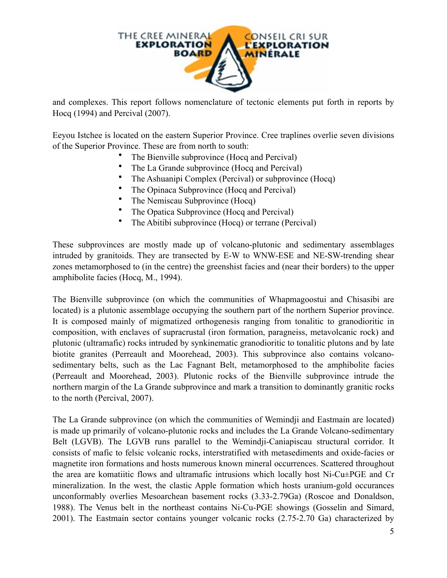

and complexes. This report follows nomenclature of tectonic elements put forth in reports by Hocq (1994) and Percival (2007).

Eeyou Istchee is located on the eastern Superior Province. Cree traplines overlie seven divisions of the Superior Province. These are from north to south:

- The Bienville subprovince (Hocq and Percival)
- The La Grande subprovince (Hocq and Percival)
- The Ashuanipi Complex (Percival) or subprovince (Hocq)
- The Opinaca Subprovince (Hocq and Percival)
- The Nemiscau Subprovince (Hocq)
- The Opatica Subprovince (Hocq and Percival)
- The Abitibi subprovince (Hocq) or terrane (Percival)

These subprovinces are mostly made up of volcano-plutonic and sedimentary assemblages intruded by granitoids. They are transected by E-W to WNW-ESE and NE-SW-trending shear zones metamorphosed to (in the centre) the greenshist facies and (near their borders) to the upper amphibolite facies (Hocq, M., 1994).

The Bienville subprovince (on which the communities of Whapmagoostui and Chisasibi are located) is a plutonic assemblage occupying the southern part of the northern Superior province. It is composed mainly of migmatized orthogenesis ranging from tonalitic to granodioritic in composition, with enclaves of supracrustal (iron formation, paragneiss, metavolcanic rock) and plutonic (ultramafic) rocks intruded by synkinematic granodioritic to tonalitic plutons and by late biotite granites (Perreault and Moorehead, 2003). This subprovince also contains volcanosedimentary belts, such as the Lac Fagnant Belt, metamorphosed to the amphibolite facies (Perreault and Moorehead, 2003). Plutonic rocks of the Bienville subprovince intrude the northern margin of the La Grande subprovince and mark a transition to dominantly granitic rocks to the north (Percival, 2007).

The La Grande subprovince (on which the communities of Wemindji and Eastmain are located) is made up primarily of volcano-plutonic rocks and includes the La Grande Volcano-sedimentary Belt (LGVB). The LGVB runs parallel to the Wemindji-Caniapiscau structural corridor. It consists of mafic to felsic volcanic rocks, interstratified with metasediments and oxide-facies or magnetite iron formations and hosts numerous known mineral occurrences. Scattered throughout the area are komatiitic flows and ultramafic intrusions which locally host Ni-Cu±PGE and Cr mineralization. In the west, the clastic Apple formation which hosts uranium-gold occurances unconformably overlies Mesoarchean basement rocks (3.33-2.79Ga) (Roscoe and Donaldson, 1988). The Venus belt in the northeast contains Ni-Cu-PGE showings (Gosselin and Simard, 2001). The Eastmain sector contains younger volcanic rocks (2.75-2.70 Ga) characterized by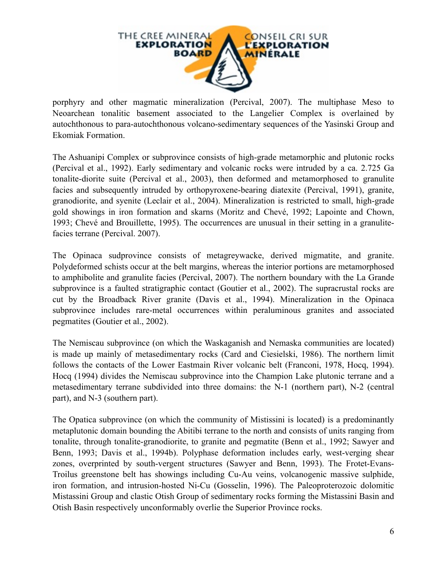

porphyry and other magmatic mineralization (Percival, 2007). The multiphase Meso to Neoarchean tonalitic basement associated to the Langelier Complex is overlained by autochthonous to para-autochthonous volcano-sedimentary sequences of the Yasinski Group and Ekomiak Formation.

The Ashuanipi Complex or subprovince consists of high-grade metamorphic and plutonic rocks (Percival et al., 1992). Early sedimentary and volcanic rocks were intruded by a ca. 2.725 Ga tonalite-diorite suite (Percival et al., 2003), then deformed and metamorphosed to granulite facies and subsequently intruded by orthopyroxene-bearing diatexite (Percival, 1991), granite, granodiorite, and syenite (Leclair et al., 2004). Mineralization is restricted to small, high-grade gold showings in iron formation and skarns (Moritz and Chevé, 1992; Lapointe and Chown, 1993; Chevé and Brouillette, 1995). The occurrences are unusual in their setting in a granulitefacies terrane (Percival. 2007).

The Opinaca sudprovince consists of metagreywacke, derived migmatite, and granite. Polydeformed schists occur at the belt margins, whereas the interior portions are metamorphosed to amphibolite and granulite facies (Percival, 2007). The northern boundary with the La Grande subprovince is a faulted stratigraphic contact (Goutier et al., 2002). The supracrustal rocks are cut by the Broadback River granite (Davis et al., 1994). Mineralization in the Opinaca subprovince includes rare-metal occurrences within peraluminous granites and associated pegmatites (Goutier et al., 2002).

The Nemiscau subprovince (on which the Waskaganish and Nemaska communities are located) is made up mainly of metasedimentary rocks (Card and Ciesielski, 1986). The northern limit follows the contacts of the Lower Eastmain River volcanic belt (Franconi, 1978, Hocq, 1994). Hocq (1994) divides the Nemiscau subprovince into the Champion Lake plutonic terrane and a metasedimentary terrane subdivided into three domains: the N-1 (northern part), N-2 (central part), and N-3 (southern part).

The Opatica subprovince (on which the community of Mistissini is located) is a predominantly metaplutonic domain bounding the Abitibi terrane to the north and consists of units ranging from tonalite, through tonalite-granodiorite, to granite and pegmatite (Benn et al., 1992; Sawyer and Benn, 1993; Davis et al., 1994b). Polyphase deformation includes early, west-verging shear zones, overprinted by south-vergent structures (Sawyer and Benn, 1993). The Frotet-Evans-Troilus greenstone belt has showings including Cu-Au veins, volcanogenic massive sulphide, iron formation, and intrusion-hosted Ni-Cu (Gosselin, 1996). The Paleoproterozoic dolomitic Mistassini Group and clastic Otish Group of sedimentary rocks forming the Mistassini Basin and Otish Basin respectively unconformably overlie the Superior Province rocks.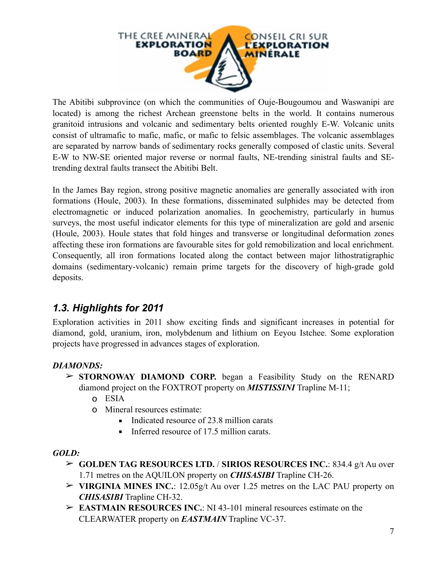

The Abitibi subprovince (on which the communities of Ouje-Bougoumou and Waswanipi are located) is among the richest Archean greenstone belts in the world. It contains numerous granitoid intrusions and volcanic and sedimentary belts oriented roughly E-W. Volcanic units consist of ultramafic to mafic, mafic, or mafic to felsic assemblages. The volcanic assemblages are separated by narrow bands of sedimentary rocks generally composed of clastic units. Several E-W to NW-SE oriented major reverse or normal faults, NE-trending sinistral faults and SEtrending dextral faults transect the Abitibi Belt.

In the James Bay region, strong positive magnetic anomalies are generally associated with iron formations (Houle, 2003). In these formations, disseminated sulphides may be detected from electromagnetic or induced polarization anomalies. In geochemistry, particularly in humus surveys, the most useful indicator elements for this type of mineralization are gold and arsenic (Houle, 2003). Houle states that fold hinges and transverse or longitudinal deformation zones affecting these iron formations are favourable sites for gold remobilization and local enrichment. Consequently, all iron formations located along the contact between major lithostratigraphic domains (sedimentary-volcanic) remain prime targets for the discovery of high-grade gold deposits.

### *1.3. Highlights for 2011*

Exploration activities in 2011 show exciting finds and significant increases in potential for diamond, gold, uranium, iron, molybdenum and lithium on Eeyou Istchee. Some exploration projects have progressed in advances stages of exploration.

#### *DIAMONDS:*

- ➢ **STORNOWAY DIAMOND CORP.** began a Feasibility Study on the RENARD diamond project on the FOXTROT property on *MISTISSINI* Trapline M-11;
	- o ESIA
	- o Mineral resources estimate:
		- Indicated resource of 23.8 million carats
		- **•** Inferred resource of 17.5 million carats.

#### *GOLD:*

- ➢ **GOLDEN TAG RESOURCES LTD.** / **SIRIOS RESOURCES INC.**: 834.4 g/t Au over 1.71 metres on the AQUILON property on *CHISASIBI* Trapline CH-26.
- ➢ **VIRGINIA MINES INC.**: 12.05g/t Au over 1.25 metres on the LAC PAU property on *CHISASIBI* Trapline CH-32.
- ➢ **EASTMAIN RESOURCES INC.**: NI 43-101 mineral resources estimate on the CLEARWATER property on *EASTMAIN* Trapline VC-37.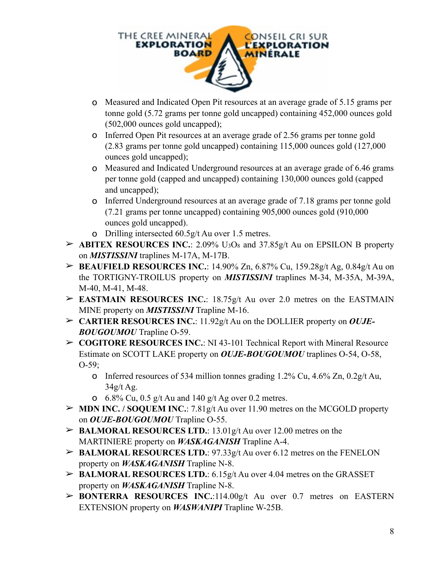

- o Measured and Indicated Open Pit resources at an average grade of 5.15 grams per tonne gold (5.72 grams per tonne gold uncapped) containing 452,000 ounces gold (502,000 ounces gold uncapped);
- o Inferred Open Pit resources at an average grade of 2.56 grams per tonne gold (2.83 grams per tonne gold uncapped) containing 115,000 ounces gold (127,000 ounces gold uncapped);
- o Measured and Indicated Underground resources at an average grade of 6.46 grams per tonne gold (capped and uncapped) containing 130,000 ounces gold (capped and uncapped);
- o Inferred Underground resources at an average grade of 7.18 grams per tonne gold (7.21 grams per tonne uncapped) containing 905,000 ounces gold (910,000 ounces gold uncapped).
- o Drilling intersected 60.5g/t Au over 1.5 metres.
- $\triangleright$  **ABITEX RESOURCES INC.**: 2.09% U<sub>3</sub>O<sub>8</sub> and 37.85g/t Au on EPSILON B property on *MISTISSINI* traplines M-17A, M-17B.
- ➢ **BEAUFIELD RESOURCES INC.**: 14.90% Zn, 6.87% Cu, 159.28g/t Ag, 0.84g/t Au on the TORTIGNY-TROILUS property on *MISTISSINI* traplines M-34, M-35A, M-39A, M-40, M-41, M-48.
- ➢ **EASTMAIN RESOURCES INC.**: 18.75g/t Au over 2.0 metres on the EASTMAIN MINE property on *MISTISSINI* Trapline M-16.
- ➢ **CARTIER RESOURCES INC.**: 11.92g/t Au on the DOLLIER property on *OUJE-BOUGOUMOU* Trapline O-59.
- ➢ **COGITORE RESOURCES INC.**: NI 43-101 Technical Report with Mineral Resource Estimate on SCOTT LAKE property on *OUJE-BOUGOUMOU* traplines O-54, O-58,  $O-59$ ;
	- o Inferred resources of 534 million tonnes grading 1.2% Cu, 4.6% Zn, 0.2g/t Au,  $34g/t$  Ag.
	- **o** 6.8% Cu, 0.5 g/t Au and 140 g/t Ag over 0.2 metres.
- ➢ **MDN INC. / SOQUEM INC.**: 7.81g/t Au over 11.90 metres on the MCGOLD property on *OUJE-BOUGOUMOU* Trapline O-55.
- ➢ **BALMORAL RESOURCES LTD.**: 13.01g/t Au over 12.00 metres on the MARTINIERE property on *WASKAGANISH* Trapline A-4.
- ➢ **BALMORAL RESOURCES LTD.**: 97.33g/t Au over 6.12 metres on the FENELON property on *WASKAGANISH* Trapline N-8.
- ➢ **BALMORAL RESOURCES LTD.**: 6.15g/t Au over 4.04 metres on the GRASSET property on *WASKAGANISH* Trapline N-8.
- ➢ **BONTERRA RESOURCES INC.**:114.00g/t Au over 0.7 metres on EASTERN EXTENSION property on *WASWANIPI* Trapline W-25B.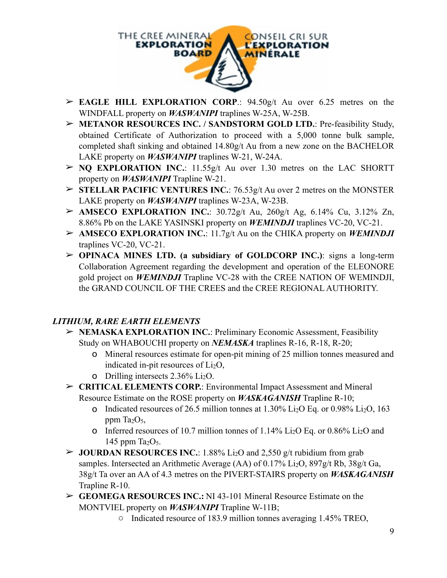

- ➢ **EAGLE HILL EXPLORATION CORP**.: 94.50g/t Au over 6.25 metres on the WINDFALL property on *WASWANIPI* traplines W-25A, W-25B.
- ➢ **METANOR RESOURCES INC. / SANDSTORM GOLD LTD.**: Pre-feasibility Study, obtained Certificate of Authorization to proceed with a 5,000 tonne bulk sample, completed shaft sinking and obtained 14.80g/t Au from a new zone on the BACHELOR LAKE property on *WASWANIPI* traplines W-21, W-24A.
- ➢ **NQ EXPLORATION INC.**: 11.55g/t Au over 1.30 metres on the LAC SHORTT property on *WASWANIPI* Trapline W-21.
- ➢ **STELLAR PACIFIC VENTURES INC.**: 76.53g/t Au over 2 metres on the MONSTER LAKE property on *WASWANIPI* traplines W-23A, W-23B.
- ➢ **AMSECO EXPLORATION INC.**: 30.72g/t Au, 260g/t Ag, 6.14% Cu, 3.12% Zn, 8.86% Pb on the LAKE YASINSKI property on *WEMINDJI* traplines VC-20, VC-21.
- ➢ **AMSECO EXPLORATION INC.**: 11.7g/t Au on the CHIKA property on *WEMINDJI* traplines VC-20, VC-21.
- ➢ **OPINACA MINES LTD. (a subsidiary of GOLDCORP INC.)**: signs a long-term Collaboration Agreement regarding the development and operation of the ELEONORE gold project on *WEMINDJI* Trapline VC-28 with the CREE NATION OF WEMINDJI, the GRAND COUNCIL OF THE CREES and the CREE REGIONAL AUTHORITY.

#### *LITHIUM, RARE EARTH ELEMENTS*

- ➢ **NEMASKA EXPLORATION INC.**: Preliminary Economic Assessment, Feasibility Study on WHABOUCHI property on *NEMASKA* traplines R-16, R-18, R-20;
	- o Mineral resources estimate for open-pit mining of 25 million tonnes measured and indicated in-pit resources of  $Li<sub>2</sub>O$ ,
	- o Drilling intersects  $2.36\%$  Li<sub>2</sub>O.
- ➢ **CRITICAL ELEMENTS CORP.**: Environmental Impact Assessment and Mineral Resource Estimate on the ROSE property on *WASKAGANISH* Trapline R-10;
	- o Indicated resources of 26.5 million tonnes at  $1.30\%$  Li<sub>2</sub>O Eq. or 0.98% Li<sub>2</sub>O, 163 ppm Ta<sub>2</sub>O<sub>5</sub>,
	- **o** Inferred resources of 10.7 million tonnes of 1.14% Li<sub>2</sub>O Eq. or 0.86% Li<sub>2</sub>O and 145 ppm  $Ta_2O_5$ .
- $\triangleright$  **JOURDAN RESOURCES INC.**: 1.88% Li<sub>2</sub>O and 2,550 g/t rubidium from grab samples. Intersected an Arithmetic Average (AA) of 0.17% Li<sub>2</sub>O, 897g/t Rb, 38g/t Ga, 38g/t Ta over an AA of 4.3 metres on the PIVERT-STAIRS property on *WASKAGANISH*  Trapline R-10.
- ➢ **GEOMEGA RESOURCES INC.:** NI 43-101 Mineral Resource Estimate on the MONTVIEL property on *WASWANIPI* Trapline W-11B;
	- o Indicated resource of 183.9 million tonnes averaging 1.45% TREO,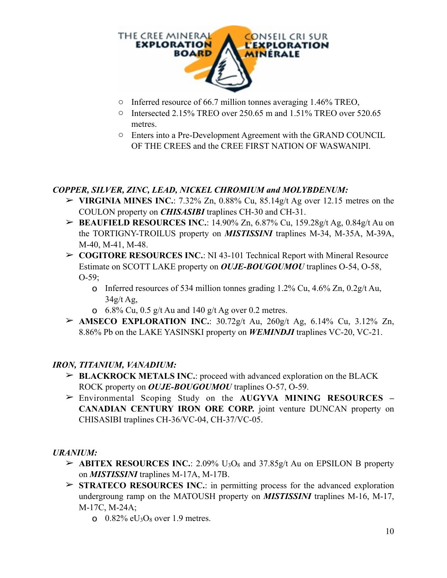

- o Inferred resource of 66.7 million tonnes averaging 1.46% TREO,
- o Intersected 2.15% TREO over 250.65 m and 1.51% TREO over 520.65 metres.
- o Enters into a Pre-Development Agreement with the GRAND COUNCIL OF THE CREES and the CREE FIRST NATION OF WASWANIPI.

#### *COPPER, SILVER, ZINC, LEAD, NICKEL CHROMIUM and MOLYBDENUM:*

- ➢ **VIRGINIA MINES INC.**: 7.32% Zn, 0.88% Cu, 85.14g/t Ag over 12.15 metres on the COULON property on *CHISASIBI* traplines CH-30 and CH-31.
- ➢ **BEAUFIELD RESOURCES INC.**: 14.90% Zn, 6.87% Cu, 159.28g/t Ag, 0.84g/t Au on the TORTIGNY-TROILUS property on *MISTISSINI* traplines M-34, M-35A, M-39A, M-40, M-41, M-48.
- ➢ **COGITORE RESOURCES INC.**: NI 43-101 Technical Report with Mineral Resource Estimate on SCOTT LAKE property on *OUJE-BOUGOUMOU* traplines O-54, O-58,  $O-59$ ;
	- o Inferred resources of 534 million tonnes grading  $1.2\%$  Cu,  $4.6\%$  Zn,  $0.2$ g/t Au,  $34g/t$  Ag,
	- **o** 6.8% Cu,  $0.5 \frac{\mathrm{g}}{\mathrm{t}}$  Au and 140  $\frac{\mathrm{g}}{\mathrm{t}}$  Ag over 0.2 metres.
- ➢ **AMSECO EXPLORATION INC.**: 30.72g/t Au, 260g/t Ag, 6.14% Cu, 3.12% Zn, 8.86% Pb on the LAKE YASINSKI property on *WEMINDJI* traplines VC-20, VC-21.

#### *IRON, TITANIUM, VANADIUM:*

- ➢ **BLACKROCK METALS INC.**: proceed with advanced exploration on the BLACK ROCK property on *OUJE-BOUGOUMOU* traplines O-57, O-59.
- ➢ Environmental Scoping Study on the **AUGYVA MINING RESOURCES CANADIAN CENTURY IRON ORE CORP.** joint venture DUNCAN property on CHISASIBI traplines CH-36/VC-04, CH-37/VC-05.

#### *URANIUM:*

- $\triangleright$  **ABITEX RESOURCES INC.**: 2.09% U<sub>3</sub>O<sub>8</sub> and 37.85g/t Au on EPSILON B property on *MISTISSINI* traplines M-17A, M-17B.
- ➢ **STRATECO RESOURCES INC.**: in permitting process for the advanced exploration undergroung ramp on the MATOUSH property on *MISTISSINI* traplines M-16, M-17, M-17C, M-24A;
	- o  $0.82\%$  eU<sub>3</sub>O<sub>8</sub> over 1.9 metres.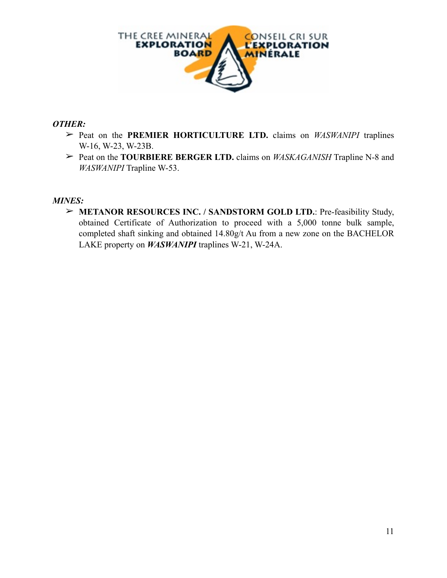

#### *OTHER:*

- ➢ Peat on the **PREMIER HORTICULTURE LTD.** claims on *WASWANIPI* traplines W-16, W-23, W-23B.
- ➢ Peat on the **TOURBIERE BERGER LTD.** claims on *WASKAGANISH* Trapline N-8 and *WASWANIPI* Trapline W-53.

#### *MINES:*

➢ **METANOR RESOURCES INC. / SANDSTORM GOLD LTD.**: Pre-feasibility Study, obtained Certificate of Authorization to proceed with a 5,000 tonne bulk sample, completed shaft sinking and obtained 14.80g/t Au from a new zone on the BACHELOR LAKE property on *WASWANIPI* traplines W-21, W-24A.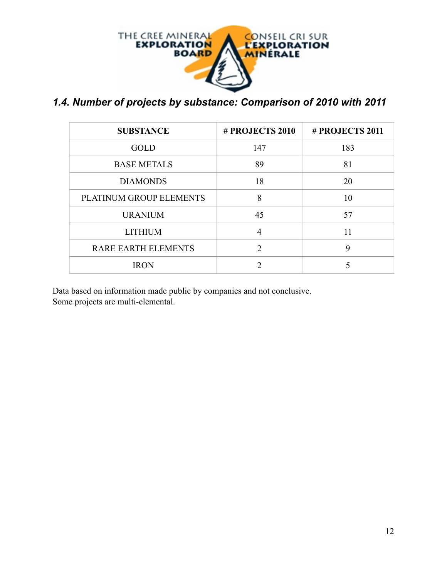

*1.4. Number of projects by substance: Comparison of 2010 with 2011* 

| <b>SUBSTANCE</b>           | # PROJECTS 2010 | # PROJECTS 2011 |
|----------------------------|-----------------|-----------------|
| <b>GOLD</b>                | 147             | 183             |
| <b>BASE METALS</b>         | 89              | 81              |
| <b>DIAMONDS</b>            | 18              | 20              |
| PLATINUM GROUP ELEMENTS    | 8               | 10              |
| <b>URANIUM</b>             | 45              | 57              |
| <b>LITHIUM</b>             | 4               | 11              |
| <b>RARE EARTH ELEMENTS</b> | $\mathcal{D}$   | 9               |
| <b>IRON</b>                | ∍               |                 |

Data based on information made public by companies and not conclusive. Some projects are multi-elemental.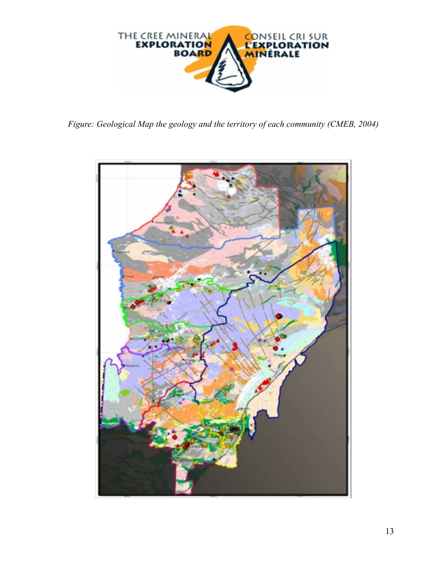

*Figure: Geological Map the geology and the territory of each community (CMEB, 2004)*

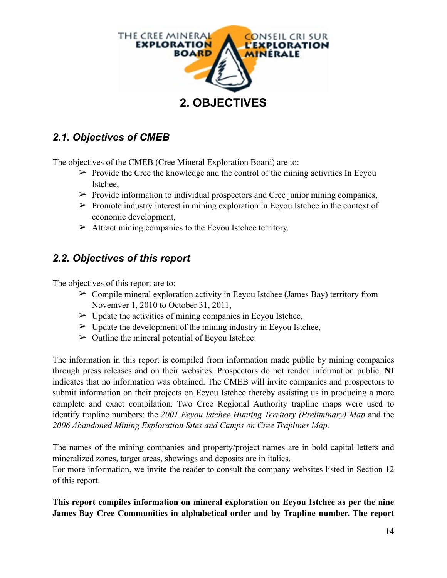

## *2.1. Objectives of CMEB*

The objectives of the CMEB (Cree Mineral Exploration Board) are to:

- $\triangleright$  Provide the Cree the knowledge and the control of the mining activities In Eeyou Istchee,
- $\triangleright$  Provide information to individual prospectors and Cree junior mining companies,
- $\triangleright$  Promote industry interest in mining exploration in Eeyou Istchee in the context of economic development,
- $\triangleright$  Attract mining companies to the Eeyou Istchee territory.

#### *2.2. Objectives of this report*

The objectives of this report are to:

- $\triangleright$  Compile mineral exploration activity in Eeyou Istchee (James Bay) territory from Novemver 1, 2010 to October 31, 2011,
- $\triangleright$  Update the activities of mining companies in Eeyou Istchee,
- $\triangleright$  Update the development of the mining industry in Eeyou Istchee,
- $\triangleright$  Outline the mineral potential of Eeyou Istchee.

The information in this report is compiled from information made public by mining companies through press releases and on their websites. Prospectors do not render information public. **NI** indicates that no information was obtained. The CMEB will invite companies and prospectors to submit information on their projects on Eeyou Istchee thereby assisting us in producing a more complete and exact compilation. Two Cree Regional Authority trapline maps were used to identify trapline numbers: the *2001 Eeyou Istchee Hunting Territory (Preliminary) Map* and the *2006 Abandoned Mining Exploration Sites and Camps on Cree Traplines Map.*

The names of the mining companies and property/project names are in bold capital letters and mineralized zones, target areas, showings and deposits are in italics.

For more information, we invite the reader to consult the company websites listed in Section 12 of this report.

**This report compiles information on mineral exploration on Eeyou Istchee as per the nine James Bay Cree Communities in alphabetical order and by Trapline number. The report**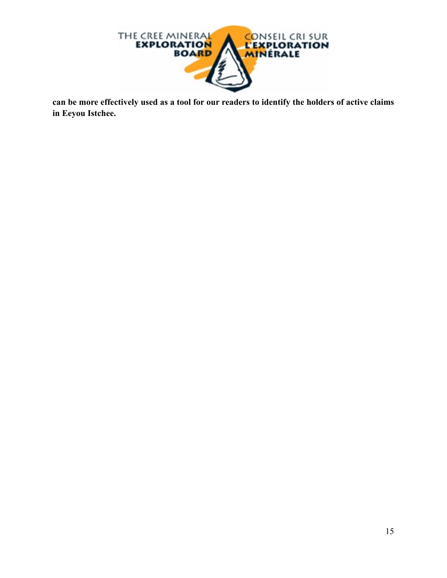

**can be more effectively used as a tool for our readers to identify the holders of active claims in Eeyou Istchee.**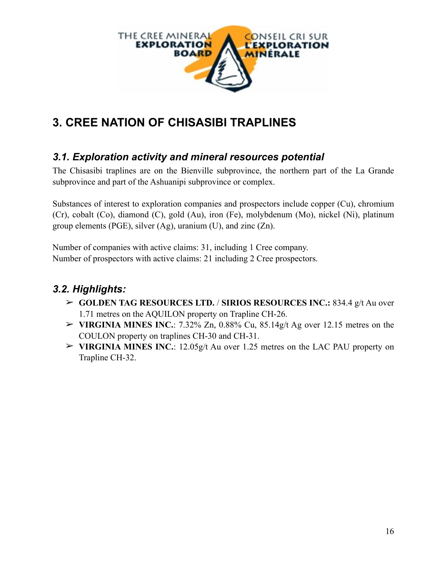

# **3. CREE NATION OF CHISASIBI TRAPLINES**

### *3.1. Exploration activity and mineral resources potential*

The Chisasibi traplines are on the Bienville subprovince, the northern part of the La Grande subprovince and part of the Ashuanipi subprovince or complex.

Substances of interest to exploration companies and prospectors include copper (Cu), chromium (Cr), cobalt (Co), diamond (C), gold (Au), iron (Fe), molybdenum (Mo), nickel (Ni), platinum group elements (PGE), silver (Ag), uranium (U), and zinc (Zn).

Number of companies with active claims: 31, including 1 Cree company. Number of prospectors with active claims: 21 including 2 Cree prospectors.

## *3.2. Highlights:*

- ➢ **GOLDEN TAG RESOURCES LTD.** / **SIRIOS RESOURCES INC.:** 834.4 g/t Au over 1.71 metres on the AQUILON property on Trapline CH-26.
- $\triangleright$  **VIRGINIA MINES INC.**: 7.32% Zn, 0.88% Cu, 85.14g/t Ag over 12.15 metres on the COULON property on traplines CH-30 and CH-31.
- ➢ **VIRGINIA MINES INC.**: 12.05g/t Au over 1.25 metres on the LAC PAU property on Trapline CH-32.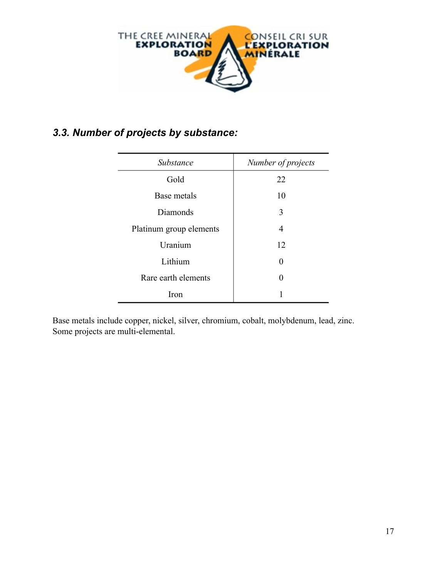

## *3.3. Number of projects by substance:*

| Substance               | Number of projects |
|-------------------------|--------------------|
| Gold                    | 22                 |
| Base metals             | 10                 |
| Diamonds                | 3                  |
| Platinum group elements | 4                  |
| Uranium                 | 12                 |
| Lithium                 | 0                  |
| Rare earth elements     | 0                  |
| Iron                    |                    |

Base metals include copper, nickel, silver, chromium, cobalt, molybdenum, lead, zinc. Some projects are multi-elemental.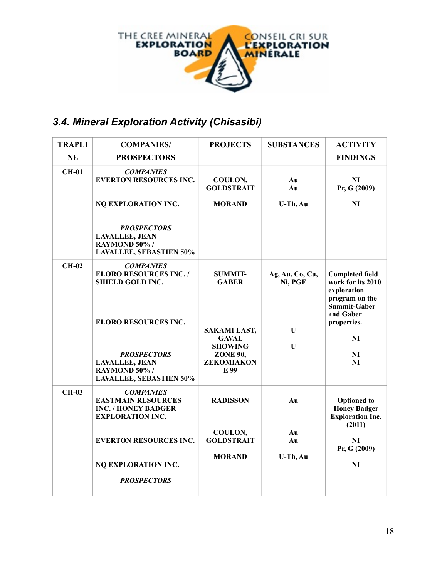

# *3.4. Mineral Exploration Activity (Chisasibi)*

| <b>TRAPLI</b> | <b>COMPANIES/</b>                                                                                                             | <b>PROJECTS</b>                                                                                | <b>SUBSTANCES</b>          | <b>ACTIVITY</b>                                                                          |
|---------------|-------------------------------------------------------------------------------------------------------------------------------|------------------------------------------------------------------------------------------------|----------------------------|------------------------------------------------------------------------------------------|
| <b>NE</b>     | <b>PROSPECTORS</b>                                                                                                            |                                                                                                |                            | <b>FINDINGS</b>                                                                          |
| <b>CH-01</b>  | <b>COMPANIES</b><br><b>EVERTON RESOURCES INC.</b>                                                                             | COULON,<br><b>GOLDSTRAIT</b>                                                                   | Au<br>Au                   | NI<br>Pr, G (2009)                                                                       |
|               | NQ EXPLORATION INC.                                                                                                           | <b>MORAND</b>                                                                                  | U-Th, Au                   | N <sub>I</sub>                                                                           |
|               | <b>PROSPECTORS</b><br><b>LAVALLEE, JEAN</b><br>RAYMOND 50% /<br><b>LAVALLEE, SEBASTIEN 50%</b>                                |                                                                                                |                            |                                                                                          |
| $CH-02$       | <b>COMPANIES</b><br><b>ELORO RESOURCES INC./</b><br><b>SHIELD GOLD INC.</b>                                                   | <b>SUMMIT-</b><br><b>GABER</b>                                                                 | Ag, Au, Co, Cu,<br>Ni, PGE | <b>Completed field</b><br>work for its 2010<br>exploration                               |
|               | <b>ELORO RESOURCES INC.</b><br><b>PROSPECTORS</b><br><b>LAVALLEE, JEAN</b><br>RAYMOND 50% /<br><b>LAVALLEE, SEBASTIEN 50%</b> | <b>SAKAMI EAST,</b><br><b>GAVAL</b><br><b>SHOWING</b><br><b>ZONE 90,</b><br>ZEKOMIAKON<br>E 99 | U<br>$\mathbf U$           | program on the<br>Summit-Gaber<br>and Gaber<br>properties.<br>NI<br>N <sub>I</sub><br>NI |
| <b>CH-03</b>  | <b>COMPANIES</b><br><b>EASTMAIN RESOURCES</b><br><b>INC. / HONEY BADGER</b><br><b>EXPLORATION INC.</b>                        | <b>RADISSON</b>                                                                                | Au                         | <b>Optioned</b> to<br><b>Honey Badger</b><br><b>Exploration Inc.</b><br>(2011)           |
|               | <b>EVERTON RESOURCES INC.</b>                                                                                                 | COULON,<br><b>GOLDSTRAIT</b><br><b>MORAND</b>                                                  | Au<br>Au<br>U-Th, Au       | <b>NI</b><br>Pr, G (2009)                                                                |
|               | NQ EXPLORATION INC.<br><b>PROSPECTORS</b>                                                                                     |                                                                                                |                            | N <sub>I</sub>                                                                           |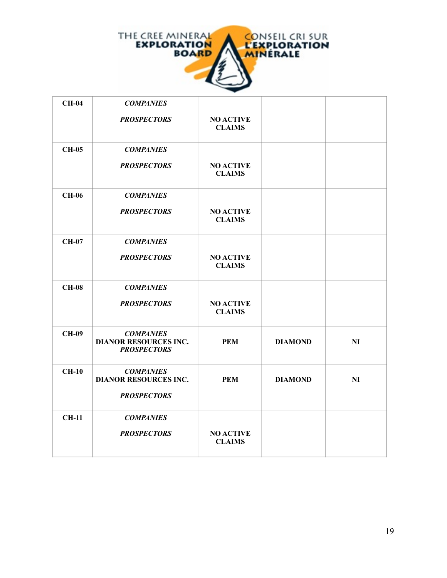

| <b>CH-04</b> | <b>COMPANIES</b>                                                       |                                   |                |                |
|--------------|------------------------------------------------------------------------|-----------------------------------|----------------|----------------|
|              | <b>PROSPECTORS</b>                                                     | <b>NO ACTIVE</b><br><b>CLAIMS</b> |                |                |
| <b>CH-05</b> | <b>COMPANIES</b>                                                       |                                   |                |                |
|              | <b>PROSPECTORS</b>                                                     | <b>NO ACTIVE</b><br><b>CLAIMS</b> |                |                |
| <b>CH-06</b> | <b>COMPANIES</b>                                                       |                                   |                |                |
|              | <b>PROSPECTORS</b>                                                     | <b>NO ACTIVE</b><br><b>CLAIMS</b> |                |                |
| <b>CH-07</b> | <b>COMPANIES</b>                                                       |                                   |                |                |
|              | <b>PROSPECTORS</b>                                                     | <b>NO ACTIVE</b><br><b>CLAIMS</b> |                |                |
| <b>CH-08</b> | <b>COMPANIES</b>                                                       |                                   |                |                |
|              | <b>PROSPECTORS</b>                                                     | <b>NO ACTIVE</b><br><b>CLAIMS</b> |                |                |
| <b>CH-09</b> | <b>COMPANIES</b><br><b>DIANOR RESOURCES INC.</b><br><b>PROSPECTORS</b> | <b>PEM</b>                        | <b>DIAMOND</b> | N <sub>I</sub> |
| $CH-10$      | <b>COMPANIES</b><br><b>DIANOR RESOURCES INC.</b>                       | <b>PEM</b>                        | <b>DIAMOND</b> | NI             |
|              | <b>PROSPECTORS</b>                                                     |                                   |                |                |
| <b>CH-11</b> | <b>COMPANIES</b>                                                       |                                   |                |                |
|              | <b>PROSPECTORS</b>                                                     | <b>NO ACTIVE</b><br><b>CLAIMS</b> |                |                |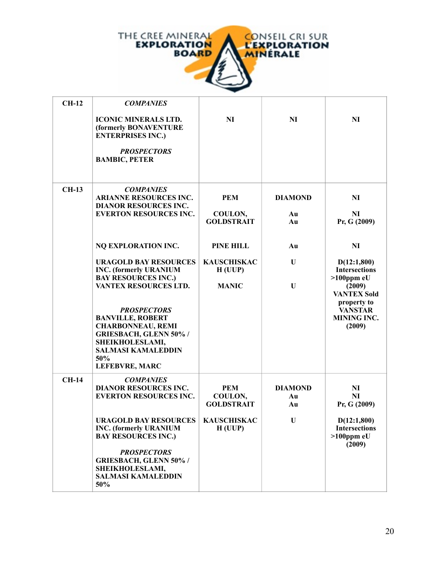

| <b>CH-12</b> | <b>COMPANIES</b>                                                                                                                                                                                                    |                                            |                            |                                                                                               |
|--------------|---------------------------------------------------------------------------------------------------------------------------------------------------------------------------------------------------------------------|--------------------------------------------|----------------------------|-----------------------------------------------------------------------------------------------|
|              | <b>ICONIC MINERALS LTD.</b><br>(formerly BONAVENTURE<br><b>ENTERPRISES INC.)</b><br><b>PROSPECTORS</b><br><b>BAMBIC, PETER</b>                                                                                      | N <sub>I</sub>                             | <b>NI</b>                  | NI                                                                                            |
| <b>CH-13</b> | <b>COMPANIES</b><br><b>ARIANNE RESOURCES INC.</b><br><b>DIANOR RESOURCES INC.</b><br><b>EVERTON RESOURCES INC.</b>                                                                                                  | <b>PEM</b><br>COULON,<br><b>GOLDSTRAIT</b> | <b>DIAMOND</b><br>Au<br>Au | NI<br>NI<br>Pr, G (2009)                                                                      |
|              | NQ EXPLORATION INC.                                                                                                                                                                                                 | PINE HILL                                  | Au                         | N <sub>I</sub>                                                                                |
|              | <b>URAGOLD BAY RESOURCES</b><br><b>INC.</b> (formerly URANIUM<br><b>BAY RESOURCES INC.)</b>                                                                                                                         | <b>KAUSCHISKAC</b><br>H(UUP)               | U                          | D(12:1,800)<br><b>Intersections</b><br>$>100$ ppm eU                                          |
|              | VANTEX RESOURCES LTD.<br><b>PROSPECTORS</b><br><b>BANVILLE, ROBERT</b><br><b>CHARBONNEAU, REMI</b><br><b>GRIESBACH, GLENN 50% /</b><br>SHEIKHOLESLAMI,<br><b>SALMASI KAMALEDDIN</b><br>50%<br><b>LEFEBVRE, MARC</b> | <b>MANIC</b>                               | U                          | (2009)<br><b>VANTEX Sold</b><br>property to<br><b>VANSTAR</b><br><b>MINING INC.</b><br>(2009) |
| <b>CH-14</b> | <b>COMPANIES</b><br><b>DIANOR RESOURCES INC.</b><br><b>EVERTON RESOURCES INC.</b>                                                                                                                                   | <b>PEM</b><br>COULON,<br><b>GOLDSTRAIT</b> | <b>DIAMOND</b><br>Au<br>Au | NI<br>NI<br>Pr, G (2009)                                                                      |
|              | <b>URAGOLD BAY RESOURCES</b><br><b>INC.</b> (formerly URANIUM<br><b>BAY RESOURCES INC.)</b><br><b>PROSPECTORS</b><br><b>GRIESBACH, GLENN 50% /</b><br>SHEIKHOLESLAMI,<br><b>SALMASI KAMALEDDIN</b><br>50%           | <b>KAUSCHISKAC</b><br>H(UUP)               | U                          | D(12:1,800)<br><b>Intersections</b><br>$>100$ ppm eU<br>(2009)                                |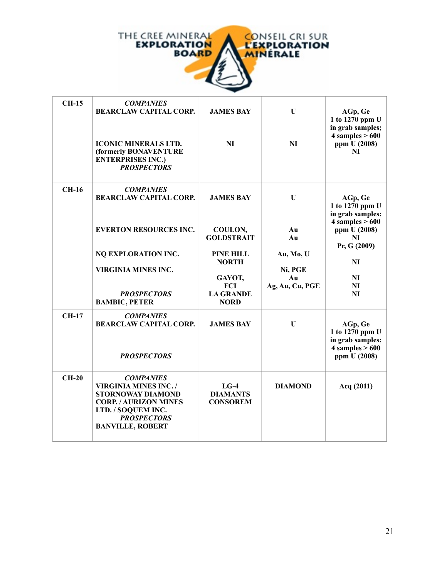

| <b>CH-15</b> | <b>COMPANIES</b><br><b>BEARCLAW CAPITAL CORP.</b><br><b>ICONIC MINERALS LTD.</b><br>(formerly BONAVENTURE<br><b>ENTERPRISES INC.)</b><br><b>PROSPECTORS</b>                           | <b>JAMES BAY</b><br>N <sub>I</sub>                                                                                                              | $\mathbf U$<br>N <sub>I</sub>                                  | AGp, Ge<br>1 to 1270 ppm U<br>in grab samples;<br>$4$ samples $> 600$<br>ppm U (2008)<br>NI                                                                                    |
|--------------|---------------------------------------------------------------------------------------------------------------------------------------------------------------------------------------|-------------------------------------------------------------------------------------------------------------------------------------------------|----------------------------------------------------------------|--------------------------------------------------------------------------------------------------------------------------------------------------------------------------------|
| $CH-16$      | <b>COMPANIES</b><br><b>BEARCLAW CAPITAL CORP.</b><br><b>EVERTON RESOURCES INC.</b><br>NQ EXPLORATION INC.<br><b>VIRGINIA MINES INC.</b><br><b>PROSPECTORS</b><br><b>BAMBIC, PETER</b> | <b>JAMES BAY</b><br>COULON,<br><b>GOLDSTRAIT</b><br><b>PINE HILL</b><br><b>NORTH</b><br>GAYOT,<br><b>FCI</b><br><b>LA GRANDE</b><br><b>NORD</b> | U<br>Au<br>Au<br>Au, Mo, U<br>Ni, PGE<br>Au<br>Ag, Au, Cu, PGE | AGp, Ge<br>1 to 1270 ppm U<br>in grab samples;<br>$4$ samples $> 600$<br>ppm U (2008)<br>N <sub>I</sub><br>Pr, G (2009)<br>N <sub>I</sub><br><b>NI</b><br>NI<br>N <sub>I</sub> |
| <b>CH-17</b> | <b>COMPANIES</b><br><b>BEARCLAW CAPITAL CORP.</b><br><b>PROSPECTORS</b>                                                                                                               | <b>JAMES BAY</b>                                                                                                                                | U                                                              | AGp, Ge<br>1 to $1270$ ppm U<br>in grab samples;<br>$4$ samples $> 600$<br>ppm U (2008)                                                                                        |
| $CH-20$      | <b>COMPANIES</b><br><b>VIRGINIA MINES INC./</b><br>STORNOWAY DIAMOND<br><b>CORP. / AURIZON MINES</b><br>LTD. / SOQUEM INC.<br><b>PROSPECTORS</b><br><b>BANVILLE, ROBERT</b>           | $LG-4$<br><b>DIAMANTS</b><br><b>CONSOREM</b>                                                                                                    | <b>DIAMOND</b>                                                 | Acq (2011)                                                                                                                                                                     |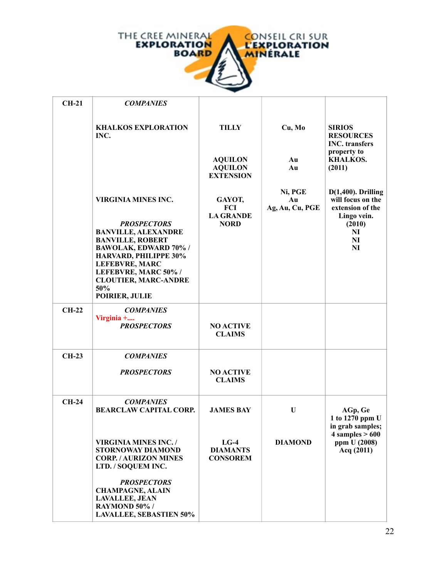

| $CH-21$      | <b>COMPANIES</b>                                                                                                                                                                                                                                                     |                                                                      |                                  |                                                                                                                  |
|--------------|----------------------------------------------------------------------------------------------------------------------------------------------------------------------------------------------------------------------------------------------------------------------|----------------------------------------------------------------------|----------------------------------|------------------------------------------------------------------------------------------------------------------|
|              | <b>KHALKOS EXPLORATION</b><br>INC.                                                                                                                                                                                                                                   | <b>TILLY</b><br><b>AQUILON</b><br><b>AQUILON</b><br><b>EXTENSION</b> | Cu, Mo<br>Au<br>Au               | <b>SIRIOS</b><br><b>RESOURCES</b><br><b>INC.</b> transfers<br>property to<br><b>KHALKOS.</b><br>(2011)           |
|              | <b>VIRGINIA MINES INC.</b><br><b>PROSPECTORS</b><br><b>BANVILLE, ALEXANDRE</b><br><b>BANVILLE, ROBERT</b><br>BAWOLAK, EDWARD 70% /<br>HARVARD, PHILIPPE 30%<br><b>LEFEBVRE, MARC</b><br>LEFEBVRE, MARC 50% /<br><b>CLOUTIER, MARC-ANDRE</b><br>50%<br>POIRIER, JULIE | GAYOT,<br>FCI<br><b>LA GRANDE</b><br><b>NORD</b>                     | Ni, PGE<br>Au<br>Ag, Au, Cu, PGE | $D(1,400)$ . Drilling<br>will focus on the<br>extension of the<br>Lingo vein.<br>(2010)<br>NI<br>NI<br><b>NI</b> |
| $CH-22$      | <b>COMPANIES</b><br>Virginia +<br><b>PROSPECTORS</b>                                                                                                                                                                                                                 | <b>NO ACTIVE</b><br><b>CLAIMS</b>                                    |                                  |                                                                                                                  |
| <b>CH-23</b> | <b>COMPANIES</b>                                                                                                                                                                                                                                                     |                                                                      |                                  |                                                                                                                  |
|              | <b>PROSPECTORS</b>                                                                                                                                                                                                                                                   | <b>NO ACTIVE</b><br><b>CLAIMS</b>                                    |                                  |                                                                                                                  |
| $CH-24$      | <b>COMPANIES</b><br><b>BEARCLAW CAPITAL CORP.</b>                                                                                                                                                                                                                    | <b>JAMES BAY</b>                                                     | U                                | AGp, Ge<br>1 to 1270 ppm U<br>in grab samples;                                                                   |
|              | <b>VIRGINIA MINES INC. /</b><br><b>STORNOWAY DIAMOND</b><br><b>CORP. / AURIZON MINES</b><br>LTD. / SOQUEM INC.                                                                                                                                                       | $LG-4$<br><b>DIAMANTS</b><br><b>CONSOREM</b>                         | <b>DIAMOND</b>                   | $4$ samples $> 600$<br>ppm U (2008)<br>Acq (2011)                                                                |
|              | <b>PROSPECTORS</b><br><b>CHAMPAGNE, ALAIN</b><br><b>LAVALLEE, JEAN</b><br>RAYMOND 50% /<br><b>LAVALLEE, SEBASTIEN 50%</b>                                                                                                                                            |                                                                      |                                  |                                                                                                                  |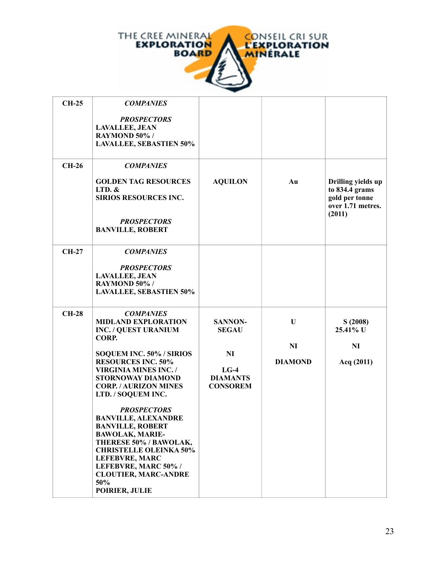

| <b>CH-25</b> | <b>COMPANIES</b>                                                                                                                                                                                                                                                          |                                                    |                             |                                                                                       |
|--------------|---------------------------------------------------------------------------------------------------------------------------------------------------------------------------------------------------------------------------------------------------------------------------|----------------------------------------------------|-----------------------------|---------------------------------------------------------------------------------------|
|              | <b>PROSPECTORS</b><br><b>LAVALLEE, JEAN</b><br>RAYMOND 50% /<br><b>LAVALLEE, SEBASTIEN 50%</b>                                                                                                                                                                            |                                                    |                             |                                                                                       |
| $CH-26$      | <b>COMPANIES</b>                                                                                                                                                                                                                                                          |                                                    |                             |                                                                                       |
|              | <b>GOLDEN TAG RESOURCES</b><br>$LTD.$ &<br>SIRIOS RESOURCES INC.                                                                                                                                                                                                          | <b>AQUILON</b>                                     | Au                          | Drilling yields up<br>to 834.4 grams<br>gold per tonne<br>over 1.71 metres.<br>(2011) |
|              | <b>PROSPECTORS</b><br><b>BANVILLE, ROBERT</b>                                                                                                                                                                                                                             |                                                    |                             |                                                                                       |
| <b>CH-27</b> | <b>COMPANIES</b>                                                                                                                                                                                                                                                          |                                                    |                             |                                                                                       |
|              | <b>PROSPECTORS</b><br><b>LAVALLEE, JEAN</b><br>RAYMOND 50% /<br><b>LAVALLEE, SEBASTIEN 50%</b>                                                                                                                                                                            |                                                    |                             |                                                                                       |
| $CH-28$      | <b>COMPANIES</b><br><b>MIDLAND EXPLORATION</b><br><b>INC. / QUEST URANIUM</b><br>CORP.                                                                                                                                                                                    | <b>SANNON-</b><br><b>SEGAU</b>                     | U                           | S(2008)<br>25.41% U                                                                   |
|              | SOQUEM INC. 50% / SIRIOS<br><b>RESOURCES INC. 50%</b><br><b>VIRGINIA MINES INC. /</b><br><b>STORNOWAY DIAMOND</b><br><b>CORP. / AURIZON MINES</b><br>LTD. / SOQUEM INC.                                                                                                   | NI<br>$LG-4$<br><b>DIAMANTS</b><br><b>CONSOREM</b> | <b>NI</b><br><b>DIAMOND</b> | NI<br>Acq (2011)                                                                      |
|              | <b>PROSPECTORS</b><br><b>BANVILLE, ALEXANDRE</b><br><b>BANVILLE, ROBERT</b><br><b>BAWOLAK, MARIE-</b><br>THERESE 50% / BAWOLAK,<br><b>CHRISTELLE OLEINKA 50%</b><br><b>LEFEBVRE, MARC</b><br>LEFEBVRE, MARC 50% /<br><b>CLOUTIER, MARC-ANDRE</b><br>50%<br>POIRIER, JULIE |                                                    |                             |                                                                                       |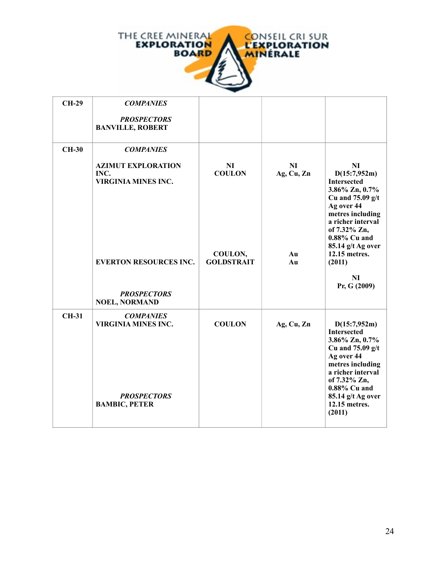

| <b>CH-29</b> | <b>COMPANIES</b>                                                                                                       |                                                     |                              |                                                                                                                                                                                                                                               |
|--------------|------------------------------------------------------------------------------------------------------------------------|-----------------------------------------------------|------------------------------|-----------------------------------------------------------------------------------------------------------------------------------------------------------------------------------------------------------------------------------------------|
|              | <b>PROSPECTORS</b><br><b>BANVILLE, ROBERT</b>                                                                          |                                                     |                              |                                                                                                                                                                                                                                               |
| <b>CH-30</b> | <b>COMPANIES</b>                                                                                                       |                                                     |                              |                                                                                                                                                                                                                                               |
|              | <b>AZIMUT EXPLORATION</b><br>INC.<br><b>VIRGINIA MINES INC.</b><br><b>EVERTON RESOURCES INC.</b><br><b>PROSPECTORS</b> | NI<br><b>COULON</b><br>COULON,<br><b>GOLDSTRAIT</b> | NI<br>Ag, Cu, Zn<br>Au<br>Au | NI<br>D(15:7,952m)<br><b>Intersected</b><br>3.86% Zn, 0.7%<br>Cu and $75.09$ g/t<br>Ag over 44<br>metres including<br>a richer interval<br>of 7.32% Zn,<br>0.88% Cu and<br>85.14 g/t Ag over<br>12.15 metres.<br>(2011)<br>NI<br>Pr, G (2009) |
|              | <b>NOEL, NORMAND</b>                                                                                                   |                                                     |                              |                                                                                                                                                                                                                                               |
| <b>CH-31</b> | <b>COMPANIES</b><br><b>VIRGINIA MINES INC.</b><br><b>PROSPECTORS</b><br><b>BAMBIC, PETER</b>                           | <b>COULON</b>                                       | Ag, Cu, Zn                   | D(15:7,952m)<br><b>Intersected</b><br>3.86% Zn, 0.7%<br>Cu and $75.09$ g/t<br>Ag over 44<br>metres including<br>a richer interval<br>of 7.32% Zn,<br>0.88% Cu and<br>85.14 g/t Ag over<br>12.15 metres.<br>(2011)                             |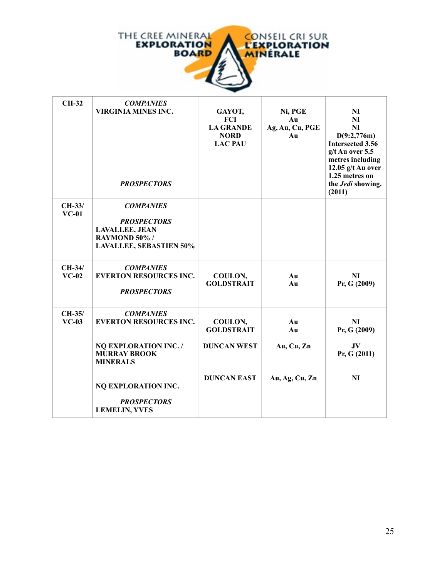

| <b>CH-32</b>        | <b>COMPANIES</b><br><b>VIRGINIA MINES INC.</b><br><b>PROSPECTORS</b>                                               | GAYOT,<br>FCI<br><b>LA GRANDE</b><br><b>NORD</b><br><b>LAC PAU</b> | Ni, PGE<br>Au<br>Ag, Au, Cu, PGE<br>Au | NI<br>NI<br><b>NI</b><br>D(9:2,776m)<br><b>Intersected 3.56</b><br>$g/t$ Au over 5.5<br>metres including<br>12.05 $g/t$ Au over<br>1.25 metres on<br>the Jedi showing.<br>(2011) |
|---------------------|--------------------------------------------------------------------------------------------------------------------|--------------------------------------------------------------------|----------------------------------------|----------------------------------------------------------------------------------------------------------------------------------------------------------------------------------|
| $CH-33/$<br>$VC-01$ | <b>COMPANIES</b><br><b>PROSPECTORS</b><br><b>LAVALLEE, JEAN</b><br>RAYMOND 50% /<br><b>LAVALLEE, SEBASTIEN 50%</b> |                                                                    |                                        |                                                                                                                                                                                  |
| $CH-34/$<br>$VC-02$ | <b>COMPANIES</b><br><b>EVERTON RESOURCES INC.</b><br><b>PROSPECTORS</b>                                            | COULON,<br><b>GOLDSTRAIT</b>                                       | Au<br>Au                               | N <sub>I</sub><br>Pr, G (2009)                                                                                                                                                   |
| CH-35/<br>$VC-03$   | <b>COMPANIES</b><br><b>EVERTON RESOURCES INC.</b><br><b>NO EXPLORATION INC. /</b>                                  | COULON,<br><b>GOLDSTRAIT</b><br><b>DUNCAN WEST</b>                 | Au<br>Au<br>Au, Cu, Zn                 | NI<br>Pr, G (2009)<br>JV                                                                                                                                                         |
|                     | <b>MURRAY BROOK</b><br><b>MINERALS</b><br>NQ EXPLORATION INC.                                                      | <b>DUNCAN EAST</b>                                                 | Au, Ag, Cu, Zn                         | Pr, G (2011)<br>NI                                                                                                                                                               |
|                     | <b>PROSPECTORS</b><br><b>LEMELIN, YVES</b>                                                                         |                                                                    |                                        |                                                                                                                                                                                  |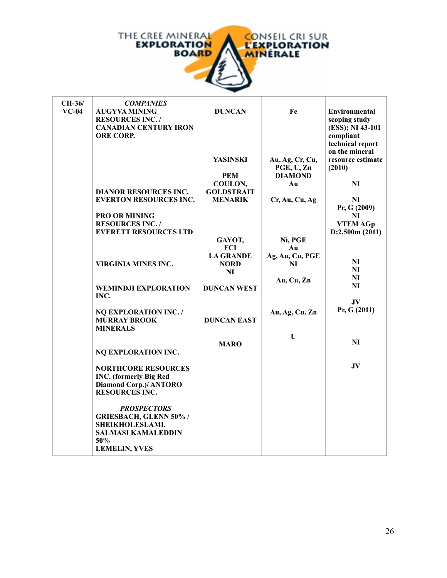

| CH-36/  | <b>COMPANIES</b>                                    |                    |                 |                                    |
|---------|-----------------------------------------------------|--------------------|-----------------|------------------------------------|
| $VC-04$ | <b>AUGYVA MINING</b>                                | <b>DUNCAN</b>      | Fe              | <b>Environmental</b>               |
|         | <b>RESOURCES INC. /</b>                             |                    |                 | scoping study                      |
|         | <b>CANADIAN CENTURY IRON</b>                        |                    |                 | (ESS); NI 43-101                   |
|         | <b>ORE CORP.</b>                                    |                    |                 | compliant                          |
|         |                                                     |                    |                 | technical report<br>on the mineral |
|         |                                                     | YASINSKI           | Au, Ag, Cr, Cu, | resource estimate                  |
|         |                                                     |                    | PGE, U, Zn      | (2010)                             |
|         |                                                     | <b>PEM</b>         | <b>DIAMOND</b>  |                                    |
|         |                                                     | COULON,            | Au              | NI                                 |
|         | <b>DIANOR RESOURCES INC.</b>                        | <b>GOLDSTRAIT</b>  |                 |                                    |
|         | <b>EVERTON RESOURCES INC.</b>                       | <b>MENARIK</b>     | Cr, Au, Cu, Ag  | NI                                 |
|         |                                                     |                    |                 | Pr, G (2009)                       |
|         | <b>PRO OR MINING</b>                                |                    |                 | N <sub>I</sub>                     |
|         | <b>RESOURCES INC. /</b>                             |                    |                 | <b>VTEM AGp</b>                    |
|         | <b>EVERETT RESOURCES LTD</b>                        | GAYOT,             | Ni, PGE         | D:2,500m(2011)                     |
|         |                                                     | <b>FCI</b>         | Au              |                                    |
|         |                                                     | <b>LA GRANDE</b>   | Ag, Au, Cu, PGE |                                    |
|         | <b>VIRGINIA MINES INC.</b>                          | <b>NORD</b>        | NI              | N <sub>I</sub>                     |
|         |                                                     | NI                 |                 | NI                                 |
|         |                                                     |                    | Au, Cu, Zn      | NI                                 |
|         | <b>WEMINDJI EXPLORATION</b>                         | <b>DUNCAN WEST</b> |                 | N <sub>I</sub>                     |
|         | INC.                                                |                    |                 | JV.                                |
|         |                                                     |                    |                 | Pr, G (2011)                       |
|         | <b>NQ EXPLORATION INC. /</b><br><b>MURRAY BROOK</b> | <b>DUNCAN EAST</b> | Au, Ag, Cu, Zn  |                                    |
|         | <b>MINERALS</b>                                     |                    |                 |                                    |
|         |                                                     |                    | $\mathbf U$     |                                    |
|         |                                                     | <b>MARO</b>        |                 | NI                                 |
|         | NQ EXPLORATION INC.                                 |                    |                 |                                    |
|         |                                                     |                    |                 |                                    |
|         | <b>NORTHCORE RESOURCES</b>                          |                    |                 | JV                                 |
|         | <b>INC.</b> (formerly Big Red                       |                    |                 |                                    |
|         | Diamond Corp.)/ ANTORO                              |                    |                 |                                    |
|         | <b>RESOURCES INC.</b>                               |                    |                 |                                    |
|         | <b>PROSPECTORS</b>                                  |                    |                 |                                    |
|         | <b>GRIESBACH, GLENN 50% /</b>                       |                    |                 |                                    |
|         | SHEIKHOLESLAMI,                                     |                    |                 |                                    |
|         | <b>SALMASI KAMALEDDIN</b>                           |                    |                 |                                    |
|         | 50%                                                 |                    |                 |                                    |
|         | <b>LEMELIN, YVES</b>                                |                    |                 |                                    |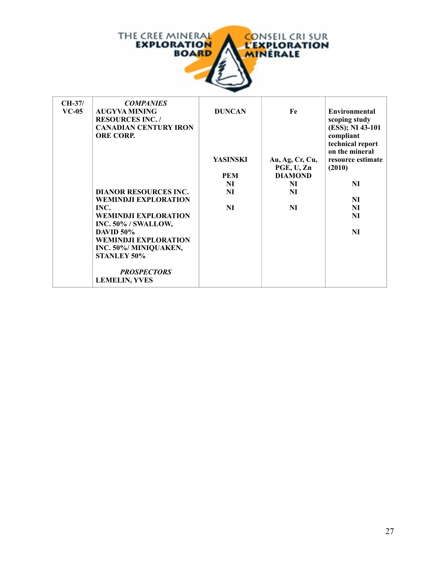

f.

| $CH-37/$ | <b>COMPANIES</b>             |                 |                 |                   |
|----------|------------------------------|-----------------|-----------------|-------------------|
| $VC-05$  | <b>AUGYVA MINING</b>         | <b>DUNCAN</b>   | Fe              | Environmental     |
|          | <b>RESOURCES INC. /</b>      |                 |                 | scoping study     |
|          | <b>CANADIAN CENTURY IRON</b> |                 |                 | (ESS); NI 43-101  |
|          | <b>ORE CORP.</b>             |                 |                 | compliant         |
|          |                              |                 |                 | technical report  |
|          |                              |                 |                 | on the mineral    |
|          |                              | <b>YASINSKI</b> | Au, Ag, Cr, Cu, | resource estimate |
|          |                              |                 | PGE, U, Zn      | (2010)            |
|          |                              | PEM             | <b>DIAMOND</b>  |                   |
|          |                              | NI              | NI              | NI                |
|          | <b>DIANOR RESOURCES INC.</b> | NI              | NI              |                   |
|          | <b>WEMINDJI EXPLORATION</b>  |                 |                 | NI                |
|          | INC.                         | NI              | NI              | NI                |
|          | <b>WEMINDJI EXPLORATION</b>  |                 |                 | NI                |
|          | INC. 50% / SWALLOW,          |                 |                 |                   |
|          | <b>DAVID 50%</b>             |                 |                 | NI                |
|          | <b>WEMINDJI EXPLORATION</b>  |                 |                 |                   |
|          | INC. 50%/ MINIQUAKEN,        |                 |                 |                   |
|          | <b>STANLEY 50%</b>           |                 |                 |                   |
|          | <b>PROSPECTORS</b>           |                 |                 |                   |
|          | <b>LEMELIN, YVES</b>         |                 |                 |                   |
|          |                              |                 |                 |                   |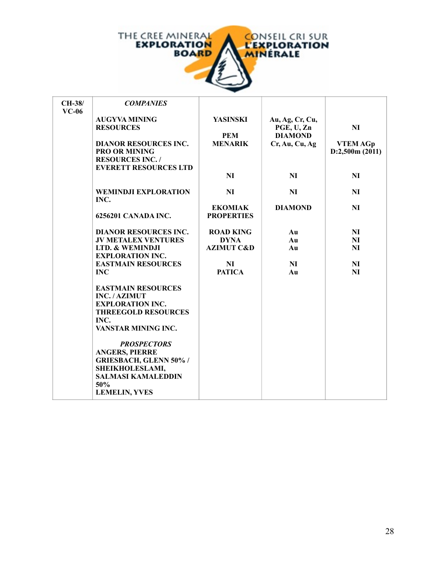

| CH-38/  | <b>COMPANIES</b>                         |                       |                               |                 |
|---------|------------------------------------------|-----------------------|-------------------------------|-----------------|
| $VC-06$ |                                          |                       |                               |                 |
|         | <b>AUGYVA MINING</b><br><b>RESOURCES</b> | <b>YASINSKI</b>       | Au, Ag, Cr, Cu,<br>PGE, U, Zn | NI              |
|         |                                          | <b>PEM</b>            | <b>DIAMOND</b>                |                 |
|         | <b>DIANOR RESOURCES INC.</b>             | <b>MENARIK</b>        | Cr, Au, Cu, Ag                | <b>VTEM AGp</b> |
|         | <b>PRO OR MINING</b>                     |                       |                               | D:2,500m(2011)  |
|         | <b>RESOURCES INC. /</b>                  |                       |                               |                 |
|         | <b>EVERETT RESOURCES LTD</b>             |                       |                               |                 |
|         |                                          | <b>NI</b>             | <b>NI</b>                     | <b>NI</b>       |
|         | <b>WEMINDJI EXPLORATION</b>              | <b>NI</b>             | <b>NI</b>                     | NI              |
|         | INC.                                     |                       |                               |                 |
|         |                                          | <b>EKOMIAK</b>        | <b>DIAMOND</b>                | NI              |
|         | 6256201 CANADA INC.                      | <b>PROPERTIES</b>     |                               |                 |
|         | <b>DIANOR RESOURCES INC.</b>             | <b>ROAD KING</b>      | Au                            | NI              |
|         | <b>JV METALEX VENTURES</b>               | <b>DYNA</b>           | Au                            | NI              |
|         | LTD. & WEMINDJI                          | <b>AZIMUT C&amp;D</b> | Au                            | NI              |
|         | <b>EXPLORATION INC.</b>                  |                       |                               |                 |
|         | <b>EASTMAIN RESOURCES</b>                | NI                    | <b>NI</b>                     | NI              |
|         | <b>INC</b>                               | <b>PATICA</b>         | Au                            | NI              |
|         | <b>EASTMAIN RESOURCES</b>                |                       |                               |                 |
|         | <b>INC./AZIMUT</b>                       |                       |                               |                 |
|         | <b>EXPLORATION INC.</b>                  |                       |                               |                 |
|         | <b>THREEGOLD RESOURCES</b>               |                       |                               |                 |
|         | INC.                                     |                       |                               |                 |
|         | VANSTAR MINING INC.                      |                       |                               |                 |
|         | <b>PROSPECTORS</b>                       |                       |                               |                 |
|         | <b>ANGERS, PIERRE</b>                    |                       |                               |                 |
|         | <b>GRIESBACH, GLENN 50% /</b>            |                       |                               |                 |
|         | SHEIKHOLESLAMI,                          |                       |                               |                 |
|         | <b>SALMASI KAMALEDDIN</b>                |                       |                               |                 |
|         | 50%<br><b>LEMELIN, YVES</b>              |                       |                               |                 |
|         |                                          |                       |                               |                 |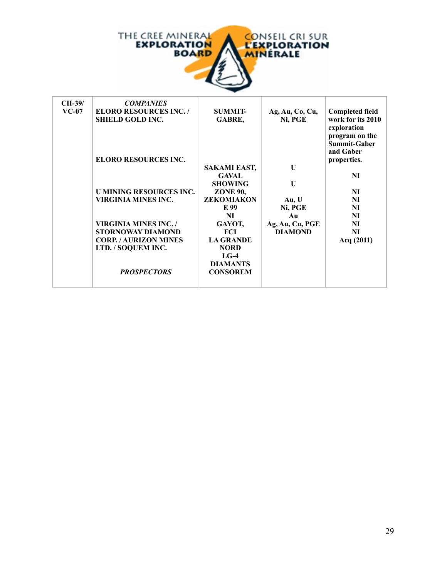

| $CH-39/$ | <b>COMPANIES</b>               |                   |                 |                        |
|----------|--------------------------------|-------------------|-----------------|------------------------|
| $VC-07$  | <b>ELORO RESOURCES INC. /</b>  | <b>SUMMIT-</b>    | Ag, Au, Co, Cu, | <b>Completed field</b> |
|          | <b>SHIELD GOLD INC.</b>        | GABRE,            | Ni, PGE         | work for its 2010      |
|          |                                |                   |                 | exploration            |
|          |                                |                   |                 | program on the         |
|          |                                |                   |                 | <b>Summit-Gaber</b>    |
|          |                                |                   |                 | and Gaber              |
|          | <b>ELORO RESOURCES INC.</b>    |                   |                 | properties.            |
|          |                                | SAKAMI EAST,      | U               |                        |
|          |                                | <b>GAVAL</b>      |                 | NI                     |
|          |                                | <b>SHOWING</b>    | $\mathbf{U}$    |                        |
|          | <b>U MINING RESOURCES INC.</b> | <b>ZONE 90,</b>   |                 | NI                     |
|          | <b>VIRGINIA MINES INC.</b>     | <b>ZEKOMIAKON</b> | Au, U           | <b>NI</b>              |
|          |                                | E 99              | Ni, PGE         | NI                     |
|          |                                | NI                | Au              | NI                     |
|          | <b>VIRGINIA MINES INC. /</b>   | GAYOT,            | Ag, Au, Cu, PGE | NI                     |
|          | <b>STORNOWAY DIAMOND</b>       | <b>FCI</b>        | <b>DIAMOND</b>  | <b>NI</b>              |
|          | <b>CORP. / AURIZON MINES</b>   | <b>LA GRANDE</b>  |                 | Acq $(2011)$           |
|          | LTD. / SOQUEM INC.             | <b>NORD</b>       |                 |                        |
|          |                                | $LG-4$            |                 |                        |
|          |                                | <b>DIAMANTS</b>   |                 |                        |
|          | <b>PROSPECTORS</b>             | <b>CONSOREM</b>   |                 |                        |
|          |                                |                   |                 |                        |
|          |                                |                   |                 |                        |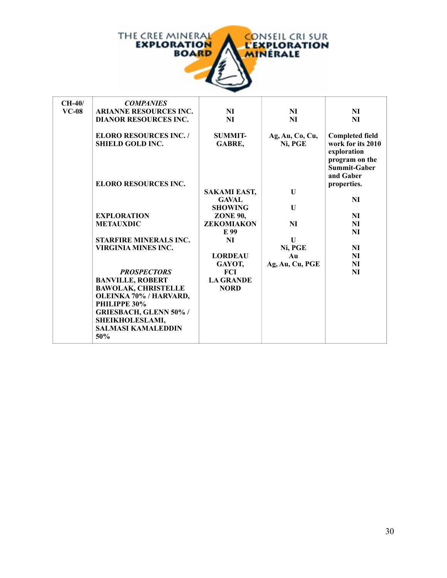

| $CH-40/$<br>$VC-08$ | <b>COMPANIES</b><br><b>ARIANNE RESOURCES INC.</b><br><b>DIANOR RESOURCES INC.</b><br><b>ELORO RESOURCES INC./</b> | NI<br>NI<br><b>SUMMIT-</b>                            | NI<br>NI<br>Ag, Au, Co, Cu,  | NI<br>NI<br><b>Completed field</b>                                                     |
|---------------------|-------------------------------------------------------------------------------------------------------------------|-------------------------------------------------------|------------------------------|----------------------------------------------------------------------------------------|
|                     | <b>SHIELD GOLD INC.</b>                                                                                           | GABRE,                                                | Ni, PGE                      | work for its 2010<br>exploration<br>program on the<br><b>Summit-Gaber</b><br>and Gaber |
|                     | <b>ELORO RESOURCES INC.</b>                                                                                       | <b>SAKAMI EAST,</b><br><b>GAVAL</b><br><b>SHOWING</b> | $\mathbf{U}$<br>$\mathbf{U}$ | properties.<br>NI                                                                      |
|                     | <b>EXPLORATION</b>                                                                                                | <b>ZONE 90,</b>                                       |                              | NI                                                                                     |
|                     | <b>METAUXDIC</b>                                                                                                  | <b>ZEKOMIAKON</b>                                     | <b>NI</b>                    | NI                                                                                     |
|                     |                                                                                                                   | E 99                                                  |                              | NI                                                                                     |
|                     | STARFIRE MINERALS INC.                                                                                            | NI                                                    | $\mathbf{U}$                 |                                                                                        |
|                     | <b>VIRGINIA MINES INC.</b>                                                                                        |                                                       | Ni, PGE                      | NI                                                                                     |
|                     |                                                                                                                   | <b>LORDEAU</b>                                        | Au                           | NI                                                                                     |
|                     |                                                                                                                   | GAYOT,                                                | Ag, Au, Cu, PGE              | NI                                                                                     |
|                     | <b>PROSPECTORS</b>                                                                                                | <b>FCI</b>                                            |                              | NI                                                                                     |
|                     | <b>BANVILLE, ROBERT</b>                                                                                           | <b>LA GRANDE</b>                                      |                              |                                                                                        |
|                     | <b>BAWOLAK, CHRISTELLE</b>                                                                                        | <b>NORD</b>                                           |                              |                                                                                        |
|                     | OLEINKA 70% / HARVARD,                                                                                            |                                                       |                              |                                                                                        |
|                     | PHILIPPE 30%                                                                                                      |                                                       |                              |                                                                                        |
|                     | <b>GRIESBACH, GLENN 50% /</b><br>SHEIKHOLESLAMI,                                                                  |                                                       |                              |                                                                                        |
|                     | <b>SALMASI KAMALEDDIN</b>                                                                                         |                                                       |                              |                                                                                        |
|                     | 50%                                                                                                               |                                                       |                              |                                                                                        |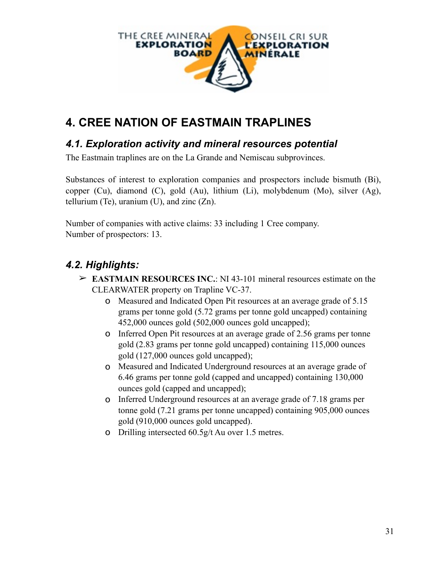

# **4. CREE NATION OF EASTMAIN TRAPLINES**

### *4.1. Exploration activity and mineral resources potential*

The Eastmain traplines are on the La Grande and Nemiscau subprovinces.

Substances of interest to exploration companies and prospectors include bismuth (Bi), copper (Cu), diamond (C), gold (Au), lithium (Li), molybdenum (Mo), silver (Ag), tellurium (Te), uranium (U), and zinc  $(Zn)$ .

Number of companies with active claims: 33 including 1 Cree company. Number of prospectors: 13.

## *4.2. Highlights:*

- ➢ **EASTMAIN RESOURCES INC.**: NI 43-101 mineral resources estimate on the CLEARWATER property on Trapline VC-37.
	- o Measured and Indicated Open Pit resources at an average grade of 5.15 grams per tonne gold (5.72 grams per tonne gold uncapped) containing 452,000 ounces gold (502,000 ounces gold uncapped);
	- o Inferred Open Pit resources at an average grade of 2.56 grams per tonne gold (2.83 grams per tonne gold uncapped) containing 115,000 ounces gold (127,000 ounces gold uncapped);
	- o Measured and Indicated Underground resources at an average grade of 6.46 grams per tonne gold (capped and uncapped) containing 130,000 ounces gold (capped and uncapped);
	- o Inferred Underground resources at an average grade of 7.18 grams per tonne gold (7.21 grams per tonne uncapped) containing 905,000 ounces gold (910,000 ounces gold uncapped).
	- o Drilling intersected 60.5g/t Au over 1.5 metres.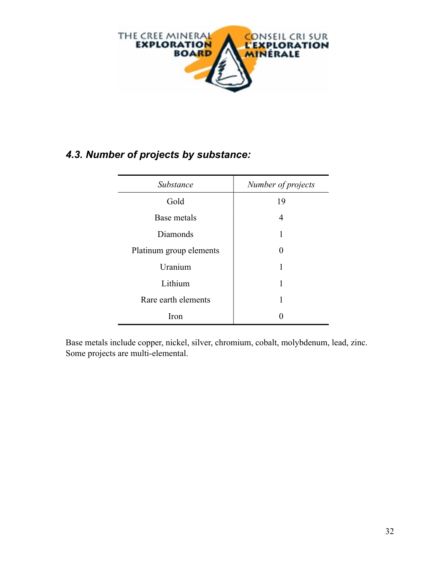

## *4.3. Number of projects by substance:*

| Substance               | Number of projects |
|-------------------------|--------------------|
| Gold                    | 19                 |
| Base metals             | 4                  |
| Diamonds                |                    |
| Platinum group elements | 0                  |
| Uranium                 |                    |
| Lithium                 |                    |
| Rare earth elements     |                    |
| Iron                    |                    |

Base metals include copper, nickel, silver, chromium, cobalt, molybdenum, lead, zinc. Some projects are multi-elemental.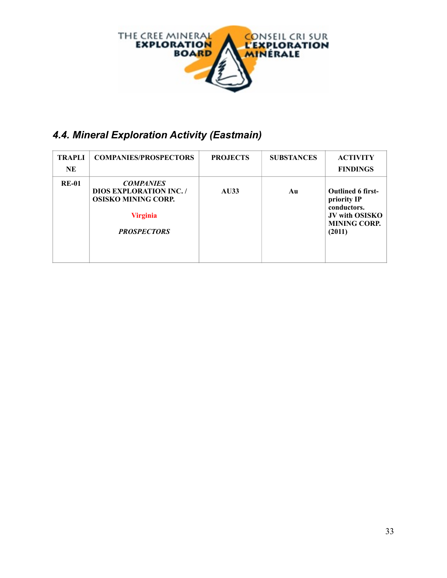

# *4.4. Mineral Exploration Activity (Eastmain)*

| <b>TRAPLI</b><br><b>NE</b> | <b>COMPANIES/PROSPECTORS</b>                                                                                              | <b>PROJECTS</b> | <b>SUBSTANCES</b> | <b>ACTIVITY</b><br><b>FINDINGS</b>                                                                               |
|----------------------------|---------------------------------------------------------------------------------------------------------------------------|-----------------|-------------------|------------------------------------------------------------------------------------------------------------------|
| <b>RE-01</b>               | <b>COMPANIES</b><br><b>DIOS EXPLORATION INC.</b> /<br><b>OSISKO MINING CORP.</b><br><b>Virginia</b><br><b>PROSPECTORS</b> | AU33            | Au                | <b>Outlined 6 first-</b><br>priority IP<br>conductors.<br><b>JV with OSISKO</b><br><b>MINING CORP.</b><br>(2011) |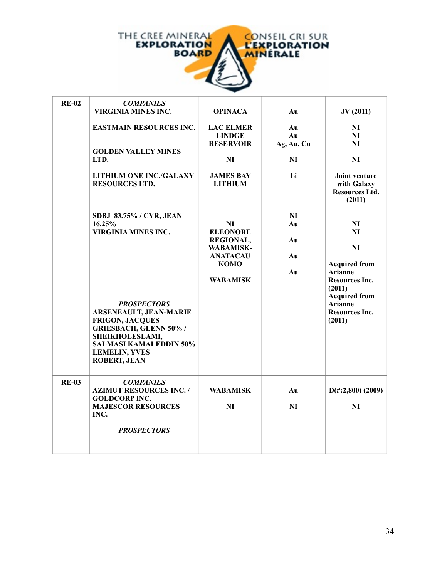

| <b>RE-02</b> | <b>COMPANIES</b><br><b>VIRGINIA MINES INC.</b>                                                                                                                                                                                                                                       | <b>OPINACA</b>                                                                                                     | Au                           | JV(2011)                                                                                                                                                                 |
|--------------|--------------------------------------------------------------------------------------------------------------------------------------------------------------------------------------------------------------------------------------------------------------------------------------|--------------------------------------------------------------------------------------------------------------------|------------------------------|--------------------------------------------------------------------------------------------------------------------------------------------------------------------------|
|              | <b>EASTMAIN RESOURCES INC.</b><br><b>GOLDEN VALLEY MINES</b><br>LTD.                                                                                                                                                                                                                 | <b>LAC ELMER</b><br><b>LINDGE</b><br><b>RESERVOIR</b><br>NI                                                        | Au<br>Au<br>Ag, Au, Cu<br>NI | NI<br>NI<br>N <sub>I</sub><br>NI                                                                                                                                         |
|              | <b>LITHIUM ONE INC./GALAXY</b><br><b>RESOURCES LTD.</b>                                                                                                                                                                                                                              | <b>JAMES BAY</b><br><b>LITHIUM</b>                                                                                 | Li                           | Joint venture<br>with Galaxy<br><b>Resources Ltd.</b><br>(2011)                                                                                                          |
|              | SDBJ 83.75% / CYR, JEAN<br>16.25%<br><b>VIRGINIA MINES INC.</b><br><b>PROSPECTORS</b><br><b>ARSENEAULT, JEAN-MARIE</b><br><b>FRIGON, JACQUES</b><br><b>GRIESBACH, GLENN 50% /</b><br>SHEIKHOLESLAMI,<br><b>SALMASI KAMALEDDIN 50%</b><br><b>LEMELIN, YVES</b><br><b>ROBERT, JEAN</b> | NI<br><b>ELEONORE</b><br><b>REGIONAL,</b><br><b>WABAMISK-</b><br><b>ANATACAU</b><br><b>KOMO</b><br><b>WABAMISK</b> | NI<br>Au<br>Au<br>Au<br>Au   | NI<br>NI<br>NI<br><b>Acquired from</b><br><b>Arianne</b><br><b>Resources Inc.</b><br>(2011)<br><b>Acquired from</b><br><b>Arianne</b><br><b>Resources Inc.</b><br>(2011) |
| <b>RE-03</b> | <b>COMPANIES</b><br><b>AZIMUT RESOURCES INC. /</b><br><b>GOLDCORP INC.</b><br><b>MAJESCOR RESOURCES</b><br>INC.                                                                                                                                                                      | <b>WABAMISK</b><br>NI                                                                                              | Au<br>NI                     | $D(\text{\#}:2,800)$ (2009)<br>NI                                                                                                                                        |
|              | <b>PROSPECTORS</b>                                                                                                                                                                                                                                                                   |                                                                                                                    |                              |                                                                                                                                                                          |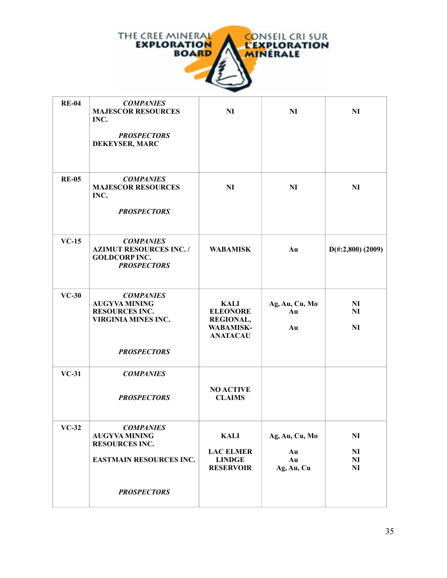

| <b>RE-04</b> | <b>COMPANIES</b><br><b>MAJESCOR RESOURCES</b><br>INC.<br><b>PROSPECTORS</b><br>DEKEYSER, MARC                         | N <sub>I</sub>                                                                            | N <sub>I</sub>                           | N <sub>I</sub>                                                       |
|--------------|-----------------------------------------------------------------------------------------------------------------------|-------------------------------------------------------------------------------------------|------------------------------------------|----------------------------------------------------------------------|
| <b>RE-05</b> | <b>COMPANIES</b><br><b>MAJESCOR RESOURCES</b><br>INC.<br><b>PROSPECTORS</b>                                           | NI                                                                                        | N <sub>I</sub>                           | N <sub>I</sub>                                                       |
| $VC-15$      | <b>COMPANIES</b><br><b>AZIMUT RESOURCES INC. /</b><br><b>GOLDCORP INC.</b><br><b>PROSPECTORS</b>                      | <b>WABAMISK</b>                                                                           | Au                                       | $D(\text{\#}:2,800)$ (2009)                                          |
| $VC-30$      | <b>COMPANIES</b><br><b>AUGYVA MINING</b><br><b>RESOURCES INC.</b><br><b>VIRGINIA MINES INC.</b><br><b>PROSPECTORS</b> | <b>KALI</b><br><b>ELEONORE</b><br><b>REGIONAL,</b><br><b>WABAMISK-</b><br><b>ANATACAU</b> | Ag, Au, Cu, Mo<br>Au<br>Au               | N <sub>I</sub><br><b>NI</b><br>NI                                    |
| $VC-31$      | <b>COMPANIES</b><br><b>PROSPECTORS</b>                                                                                | <b>NO ACTIVE</b><br><b>CLAIMS</b>                                                         |                                          |                                                                      |
| $VC-32$      | <b>COMPANIES</b><br><b>AUGYVA MINING</b><br><b>RESOURCES INC.</b><br><b>EASTMAIN RESOURCES INC.</b>                   | <b>KALI</b><br><b>LAC ELMER</b><br><b>LINDGE</b><br><b>RESERVOIR</b>                      | Ag, Au, Cu, Mo<br>Au<br>Au<br>Ag, Au, Cu | N <sub>I</sub><br>N <sub>I</sub><br>N <sub>I</sub><br>N <sub>I</sub> |
|              | <b>PROSPECTORS</b>                                                                                                    |                                                                                           |                                          |                                                                      |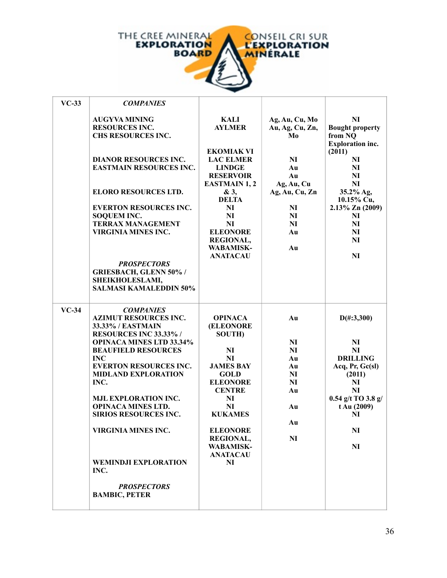

| $VC-33$ | <b>COMPANIES</b>                                                                                                                                                                                                                                                                                                                                                                                               |                                                                                                                                                                                                                                                    |                                                                                          |                                                                                                                                                                               |
|---------|----------------------------------------------------------------------------------------------------------------------------------------------------------------------------------------------------------------------------------------------------------------------------------------------------------------------------------------------------------------------------------------------------------------|----------------------------------------------------------------------------------------------------------------------------------------------------------------------------------------------------------------------------------------------------|------------------------------------------------------------------------------------------|-------------------------------------------------------------------------------------------------------------------------------------------------------------------------------|
|         | <b>AUGYVA MINING</b><br><b>RESOURCES INC.</b><br>CHS RESOURCES INC.                                                                                                                                                                                                                                                                                                                                            | KALI<br><b>AYLMER</b>                                                                                                                                                                                                                              | Ag, Au, Cu, Mo<br>Au, Ag, Cu, Zn,<br>Mo                                                  | NI<br><b>Bought property</b><br>from NO<br><b>Exploration inc.</b>                                                                                                            |
|         | <b>DIANOR RESOURCES INC.</b><br><b>EASTMAIN RESOURCES INC.</b>                                                                                                                                                                                                                                                                                                                                                 | <b>EKOMIAK VI</b><br><b>LAC ELMER</b><br><b>LINDGE</b><br><b>RESERVOIR</b><br><b>EASTMAIN 1, 2</b>                                                                                                                                                 | NI<br>Au<br>Au<br>Ag, Au, Cu                                                             | (2011)<br>NI<br>NI<br>NI<br><b>NI</b>                                                                                                                                         |
|         | <b>ELORO RESOURCES LTD.</b><br><b>EVERTON RESOURCES INC.</b><br><b>SOQUEM INC.</b><br><b>TERRAX MANAGEMENT</b><br><b>VIRGINIA MINES INC.</b><br><b>PROSPECTORS</b><br><b>GRIESBACH, GLENN 50% /</b><br>SHEIKHOLESLAMI,                                                                                                                                                                                         | & 3,<br><b>DELTA</b><br><b>NI</b><br>NI<br>NI<br><b>ELEONORE</b><br><b>REGIONAL,</b><br><b>WABAMISK-</b><br><b>ANATACAU</b>                                                                                                                        | Ag, Au, Cu, Zn<br>NI<br><b>NI</b><br>NI<br>Au<br>Au                                      | 35.2% Ag,<br>10.15% Cu,<br>$2.13\%$ Zn (2009)<br>NI<br>NI<br>NI<br>NI<br>NI                                                                                                   |
|         | <b>SALMASI KAMALEDDIN 50%</b>                                                                                                                                                                                                                                                                                                                                                                                  |                                                                                                                                                                                                                                                    |                                                                                          |                                                                                                                                                                               |
| $VC-34$ | <b>COMPANIES</b><br><b>AZIMUT RESOURCES INC.</b><br>33.33% / EASTMAIN<br>RESOURCES INC 33.33% /<br><b>OPINACA MINES LTD 33.34%</b><br><b>BEAUFIELD RESOURCES</b><br><b>INC</b><br><b>EVERTON RESOURCES INC.</b><br><b>MIDLAND EXPLORATION</b><br>INC.<br><b>MJL EXPLORATION INC.</b><br><b>OPINACA MINES LTD.</b><br><b>SIRIOS RESOURCES INC.</b><br><b>VIRGINIA MINES INC.</b><br><b>WEMINDJI EXPLORATION</b> | <b>OPINACA</b><br><b>(ELEONORE)</b><br><b>SOUTH)</b><br>NI<br>NI<br><b>JAMES BAY</b><br><b>GOLD</b><br><b>ELEONORE</b><br><b>CENTRE</b><br>NI<br>NI<br><b>KUKAMES</b><br><b>ELEONORE</b><br>REGIONAL,<br><b>WABAMISK-</b><br><b>ANATACAU</b><br>NI | Au<br><b>NI</b><br><b>NI</b><br>Au<br>Au<br>NI<br>NI<br>Au<br>Au<br>Au<br>N <sub>I</sub> | $D(\text{\#}:3,300)$<br>NI<br>NI<br><b>DRILLING</b><br>Acq, Pr, Gc(sl)<br>(2011)<br>NI<br>NI<br>$0.54$ g/t TO 3.8 g/<br>t Au (2009)<br>NI<br>N <sub>I</sub><br>N <sub>I</sub> |
|         | INC.<br><b>PROSPECTORS</b><br><b>BAMBIC, PETER</b>                                                                                                                                                                                                                                                                                                                                                             |                                                                                                                                                                                                                                                    |                                                                                          |                                                                                                                                                                               |

 $\overline{\phantom{a}}$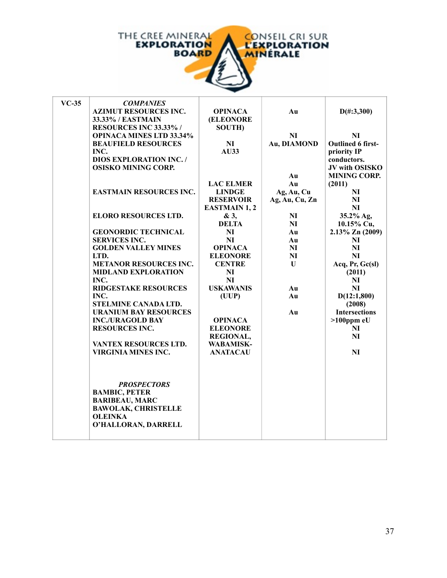

| $VC-35$ | <b>COMPANIES</b>                |                      |                |                      |
|---------|---------------------------------|----------------------|----------------|----------------------|
|         | <b>AZIMUT RESOURCES INC.</b>    | <b>OPINACA</b>       | Au             | $D(\text{\#}:3,300)$ |
|         | 33.33% / EASTMAIN               | (ELEONORE            |                |                      |
|         | RESOURCES INC 33.33% /          | <b>SOUTH</b> )       |                |                      |
|         | <b>OPINACA MINES LTD 33.34%</b> |                      | N <sub>I</sub> | NI                   |
|         | <b>BEAUFIELD RESOURCES</b>      | NI                   | Au, DIAMOND    | Outlined 6 first-    |
|         | INC.                            | AU33                 |                | priority IP          |
|         | <b>DIOS EXPLORATION INC./</b>   |                      |                | conductors.          |
|         | <b>OSISKO MINING CORP.</b>      |                      |                | JV with OSISKO       |
|         |                                 |                      | Au             | <b>MINING CORP.</b>  |
|         |                                 | <b>LAC ELMER</b>     | Au             | (2011)               |
|         | <b>EASTMAIN RESOURCES INC.</b>  | <b>LINDGE</b>        | Ag, Au, Cu     | NI                   |
|         |                                 | <b>RESERVOIR</b>     | Ag, Au, Cu, Zn | NI                   |
|         |                                 | <b>EASTMAIN 1, 2</b> |                | NI                   |
|         | <b>ELORO RESOURCES LTD.</b>     | & 3,                 | NI             | 35.2% Ag,            |
|         |                                 | <b>DELTA</b>         | NI             | 10.15% Cu,           |
|         | <b>GEONORDIC TECHNICAL</b>      | NI                   | Au             | $2.13\%$ Zn (2009)   |
|         | <b>SERVICES INC.</b>            | <b>NI</b>            | Au             | NI                   |
|         | <b>GOLDEN VALLEY MINES</b>      | <b>OPINACA</b>       | NI             | NI                   |
|         | LTD.                            | <b>ELEONORE</b>      | NI             | NI                   |
|         | <b>METANOR RESOURCES INC.</b>   | <b>CENTRE</b>        | U              | Acq, Pr, Gc(sl)      |
|         | <b>MIDLAND EXPLORATION</b>      | NI                   |                | (2011)               |
|         | INC.                            | <b>NI</b>            |                | $N_{\rm I}$          |
|         | <b>RIDGESTAKE RESOURCES</b>     | <b>USKAWANIS</b>     | Au             | NI                   |
|         | INC.                            | (UUP)                | Au             | D(12:1,800)          |
|         | STELMINE CANADA LTD.            |                      |                | (2008)               |
|         | <b>URANIUM BAY RESOURCES</b>    |                      | Au             | <b>Intersections</b> |
|         | <b>INC./URAGOLD BAY</b>         | <b>OPINACA</b>       |                | $>100$ ppm eU        |
|         | <b>RESOURCES INC.</b>           | <b>ELEONORE</b>      |                | NI                   |
|         |                                 | <b>REGIONAL,</b>     |                | NI                   |
|         | VANTEX RESOURCES LTD.           | <b>WABAMISK-</b>     |                |                      |
|         | <b>VIRGINIA MINES INC.</b>      | <b>ANATACAU</b>      |                | NI                   |
|         |                                 |                      |                |                      |
|         |                                 |                      |                |                      |
|         |                                 |                      |                |                      |
|         | <b>PROSPECTORS</b>              |                      |                |                      |
|         | <b>BAMBIC, PETER</b>            |                      |                |                      |
|         | <b>BARIBEAU, MARC</b>           |                      |                |                      |
|         | <b>BAWOLAK, CHRISTELLE</b>      |                      |                |                      |
|         | <b>OLEINKA</b>                  |                      |                |                      |
|         | O'HALLORAN, DARRELL             |                      |                |                      |
|         |                                 |                      |                |                      |
|         |                                 |                      |                |                      |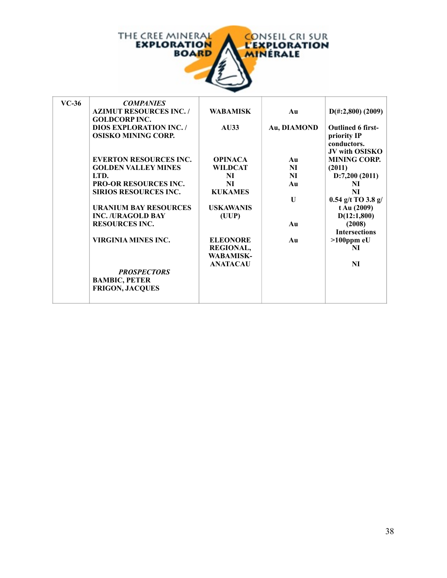

| $VC-36$ | <b>COMPANIES</b>                                      |                  |              |                             |
|---------|-------------------------------------------------------|------------------|--------------|-----------------------------|
|         | <b>AZIMUT RESOURCES INC. /</b><br><b>GOLDCORPINC.</b> | <b>WABAMISK</b>  | Au           | $D(\text{\#}:2,800)$ (2009) |
|         | <b>DIOS EXPLORATION INC. /</b>                        | AU33             | Au, DIAMOND  | <b>Outlined 6 first-</b>    |
|         | <b>OSISKO MINING CORP.</b>                            |                  |              | priority IP                 |
|         |                                                       |                  |              | conductors.                 |
|         |                                                       |                  |              | <b>JV with OSISKO</b>       |
|         | <b>EVERTON RESOURCES INC.</b>                         | <b>OPINACA</b>   | Au           | <b>MINING CORP.</b>         |
|         |                                                       |                  |              |                             |
|         | <b>GOLDEN VALLEY MINES</b>                            | <b>WILDCAT</b>   | NI           | (2011)                      |
|         | LTD.                                                  | NI               | NI           | D:7,200(2011)               |
|         | <b>PRO-OR RESOURCES INC.</b>                          | NI               | Au           | NI                          |
|         | <b>SIRIOS RESOURCES INC.</b>                          | <b>KUKAMES</b>   |              | NI                          |
|         |                                                       |                  | $\mathbf{U}$ | $0.54$ g/t TO 3.8 g/        |
|         | <b>URANIUM BAY RESOURCES</b>                          | <b>USKAWANIS</b> |              | t Au (2009)                 |
|         | <b>INC./URAGOLD BAY</b>                               | (UUP)            |              | D(12:1,800)                 |
|         | <b>RESOURCES INC.</b>                                 |                  | Au           | (2008)                      |
|         |                                                       |                  |              | <b>Intersections</b>        |
|         | VIRGINIA MINES INC.                                   | <b>ELEONORE</b>  | Au           | $>100$ ppm eU               |
|         |                                                       | <b>REGIONAL,</b> |              | NI                          |
|         |                                                       | <b>WABAMISK-</b> |              |                             |
|         |                                                       | <b>ANATACAU</b>  |              | NI                          |
|         | <b>PROSPECTORS</b>                                    |                  |              |                             |
|         | <b>BAMBIC, PETER</b>                                  |                  |              |                             |
|         |                                                       |                  |              |                             |
|         | <b>FRIGON, JACQUES</b>                                |                  |              |                             |
|         |                                                       |                  |              |                             |

h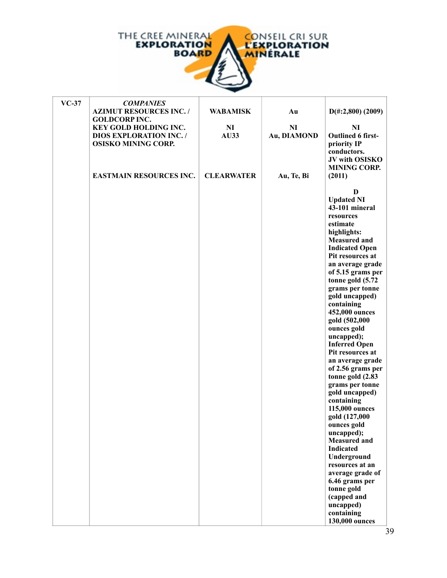

h

| $VC-37$ | <b>COMPANIES</b>               |                   |                |                                           |
|---------|--------------------------------|-------------------|----------------|-------------------------------------------|
|         | <b>AZIMUT RESOURCES INC./</b>  | <b>WABAMISK</b>   | Au             | $D(\text{\#}:2,800)$ (2009)               |
|         | <b>GOLDCORP INC.</b>           |                   |                |                                           |
|         | KEY GOLD HOLDING INC.          | N <sub>I</sub>    | N <sub>I</sub> | <b>NI</b>                                 |
|         | <b>DIOS EXPLORATION INC. /</b> | AU33              | Au, DIAMOND    | <b>Outlined 6 first-</b>                  |
|         | <b>OSISKO MINING CORP.</b>     |                   |                | priority IP<br>conductors.                |
|         |                                |                   |                | JV with OSISKO                            |
|         |                                |                   |                | <b>MINING CORP.</b>                       |
|         | <b>EASTMAIN RESOURCES INC.</b> | <b>CLEARWATER</b> | Au, Te, Bi     | (2011)                                    |
|         |                                |                   |                |                                           |
|         |                                |                   |                | D                                         |
|         |                                |                   |                | <b>Updated NI</b>                         |
|         |                                |                   |                | 43-101 mineral                            |
|         |                                |                   |                | resources                                 |
|         |                                |                   |                | estimate                                  |
|         |                                |                   |                | highlights:                               |
|         |                                |                   |                | <b>Measured and</b>                       |
|         |                                |                   |                | <b>Indicated Open</b><br>Pit resources at |
|         |                                |                   |                | an average grade                          |
|         |                                |                   |                | of 5.15 grams per                         |
|         |                                |                   |                | tonne gold (5.72                          |
|         |                                |                   |                | grams per tonne                           |
|         |                                |                   |                | gold uncapped)                            |
|         |                                |                   |                | containing                                |
|         |                                |                   |                | 452,000 ounces                            |
|         |                                |                   |                | gold (502,000                             |
|         |                                |                   |                | ounces gold                               |
|         |                                |                   |                | uncapped);                                |
|         |                                |                   |                | <b>Inferred Open</b><br>Pit resources at  |
|         |                                |                   |                | an average grade                          |
|         |                                |                   |                | of 2.56 grams per                         |
|         |                                |                   |                | tonne gold (2.83                          |
|         |                                |                   |                | grams per tonne                           |
|         |                                |                   |                | gold uncapped)                            |
|         |                                |                   |                | containing                                |
|         |                                |                   |                | 115,000 ounces                            |
|         |                                |                   |                | gold (127,000                             |
|         |                                |                   |                | ounces gold                               |
|         |                                |                   |                | uncapped);                                |
|         |                                |                   |                | <b>Measured</b> and<br><b>Indicated</b>   |
|         |                                |                   |                | Underground                               |
|         |                                |                   |                | resources at an                           |
|         |                                |                   |                | average grade of                          |
|         |                                |                   |                | 6.46 grams per                            |
|         |                                |                   |                | tonne gold                                |
|         |                                |                   |                | (capped and                               |
|         |                                |                   |                | uncapped)                                 |
|         |                                |                   |                | containing                                |
|         |                                |                   |                | 130,000 ounces                            |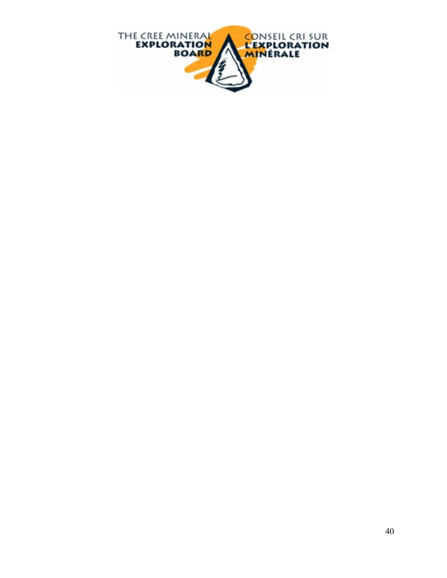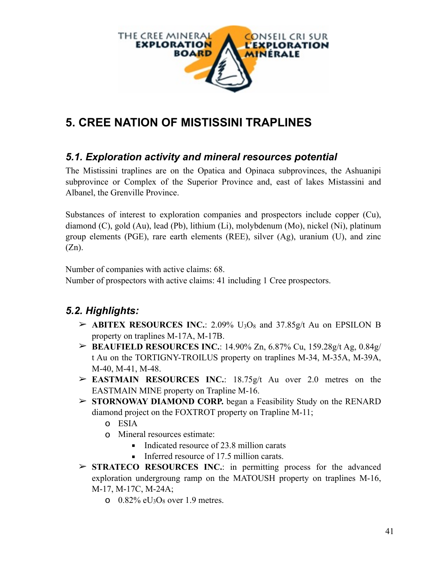

# **5. CREE NATION OF MISTISSINI TRAPLINES**

#### *5.1. Exploration activity and mineral resources potential*

The Mistissini traplines are on the Opatica and Opinaca subprovinces, the Ashuanipi subprovince or Complex of the Superior Province and, east of lakes Mistassini and Albanel, the Grenville Province.

Substances of interest to exploration companies and prospectors include copper (Cu), diamond (C), gold (Au), lead (Pb), lithium (Li), molybdenum (Mo), nickel (Ni), platinum group elements (PGE), rare earth elements (REE), silver (Ag), uranium (U), and zinc  $(Zn)$ .

Number of companies with active claims: 68.

Number of prospectors with active claims: 41 including 1 Cree prospectors.

## *5.2. Highlights:*

- $\triangleright$  **ABITEX RESOURCES INC.**: 2.09% U<sub>3</sub>O<sub>8</sub> and 37.85g/t Au on EPSILON B property on traplines M-17A, M-17B.
- ➢ **BEAUFIELD RESOURCES INC.**: 14.90% Zn, 6.87% Cu, 159.28g/t Ag, 0.84g/ t Au on the TORTIGNY-TROILUS property on traplines M-34, M-35A, M-39A, M-40, M-41, M-48.
- ➢ **EASTMAIN RESOURCES INC.**: 18.75g/t Au over 2.0 metres on the EASTMAIN MINE property on Trapline M-16.
- ➢ **STORNOWAY DIAMOND CORP.** began a Feasibility Study on the RENARD diamond project on the FOXTROT property on Trapline M-11;
	- o ESIA
	- o Mineral resources estimate:
		- Indicated resource of 23.8 million carats
		- **Inferred resource of 17.5 million carats.**
- ➢ **STRATECO RESOURCES INC.**: in permitting process for the advanced exploration undergroung ramp on the MATOUSH property on traplines M-16, M-17, M-17C, M-24A;
	- o  $0.82\%$  eU<sub>3</sub>O<sub>8</sub> over 1.9 metres.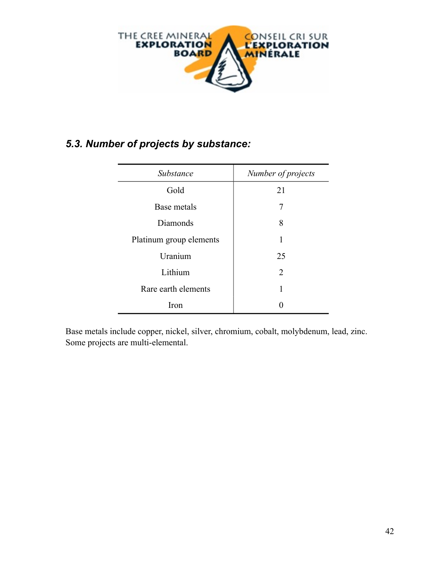

### *5.3. Number of projects by substance:*

| Substance               | Number of projects          |
|-------------------------|-----------------------------|
| Gold                    | 21                          |
| Base metals             | 7                           |
| Diamonds                | 8                           |
| Platinum group elements | 1                           |
| Uranium                 | 25                          |
| Lithium                 | $\mathcal{D}_{\mathcal{L}}$ |
| Rare earth elements     |                             |
| Iron                    |                             |

Base metals include copper, nickel, silver, chromium, cobalt, molybdenum, lead, zinc. Some projects are multi-elemental.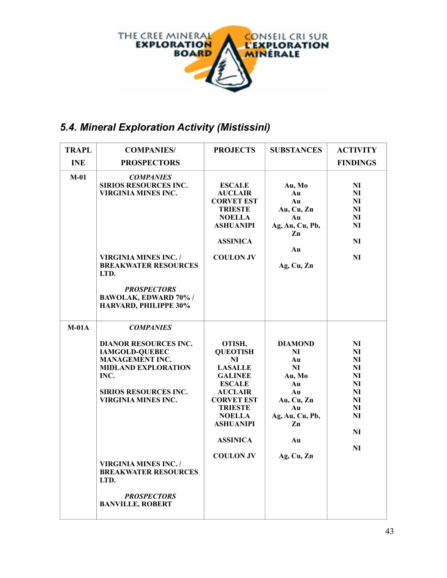

## *5.4. Mineral Exploration Activity (Mistissini)*

| <b>TRAPL</b> | <b>COMPANIES/</b>                                                                                                                                                                                                                                                                                                               | <b>PROJECTS</b>                                                                                                                                                                                                           | <b>SUBSTANCES</b>                                                                                                              | <b>ACTIVITY</b>                                                                                                 |
|--------------|---------------------------------------------------------------------------------------------------------------------------------------------------------------------------------------------------------------------------------------------------------------------------------------------------------------------------------|---------------------------------------------------------------------------------------------------------------------------------------------------------------------------------------------------------------------------|--------------------------------------------------------------------------------------------------------------------------------|-----------------------------------------------------------------------------------------------------------------|
| <b>INE</b>   | <b>PROSPECTORS</b>                                                                                                                                                                                                                                                                                                              |                                                                                                                                                                                                                           |                                                                                                                                | <b>FINDINGS</b>                                                                                                 |
| $M-01$       | <b>COMPANIES</b><br>SIRIOS RESOURCES INC.<br>VIRGINIA MINES INC.<br>VIRGINIA MINES INC. /<br><b>BREAKWATER RESOURCES</b><br>LTD.<br><b>PROSPECTORS</b><br>BAWOLAK, EDWARD 70% /<br>HARVARD, PHILIPPE 30%                                                                                                                        | <b>ESCALE</b><br><b>AUCLAIR</b><br><b>CORVET EST</b><br><b>TRIESTE</b><br><b>NOELLA</b><br><b>ASHUANIPI</b><br><b>ASSINICA</b><br><b>COULON JV</b>                                                                        | Au, Mo<br>Au<br>Au<br>Au, Cu, Zn<br>Au<br>Ag, Au, Cu, Pb,<br>Zn<br>Au<br>Ag, Cu, Zn                                            | N <sub>I</sub><br>NI<br>N <sub>I</sub><br><b>NI</b><br>N <sub>I</sub><br>N <sub>I</sub><br>NI<br>NI             |
| $M-01A$      | <b>COMPANIES</b><br><b>DIANOR RESOURCES INC.</b><br><b>IAMGOLD-QUEBEC</b><br><b>MANAGEMENT INC.</b><br><b>MIDLAND EXPLORATION</b><br>INC.<br><b>SIRIOS RESOURCES INC.</b><br><b>VIRGINIA MINES INC.</b><br><b>VIRGINIA MINES INC. /</b><br><b>BREAKWATER RESOURCES</b><br>LTD.<br><b>PROSPECTORS</b><br><b>BANVILLE, ROBERT</b> | OTISH,<br><b>QUEOTISH</b><br>NI<br><b>LASALLE</b><br><b>GALINEE</b><br><b>ESCALE</b><br><b>AUCLAIR</b><br><b>CORVET EST</b><br><b>TRIESTE</b><br><b>NOELLA</b><br><b>ASHUANIPI</b><br><b>ASSINICA</b><br><b>COULON JV</b> | <b>DIAMOND</b><br>NI<br>Au<br><b>NI</b><br>Au, Mo<br>Au<br>Au<br>Au, Cu, Zn<br>Au<br>Ag, Au, Cu, Pb,<br>Zn<br>Au<br>Ag, Cu, Zn | N <sub>I</sub><br>NI<br>NI<br>N <sub>I</sub><br>NI<br>NI<br>NI<br>N <sub>I</sub><br>NI<br><b>NI</b><br>NI<br>NI |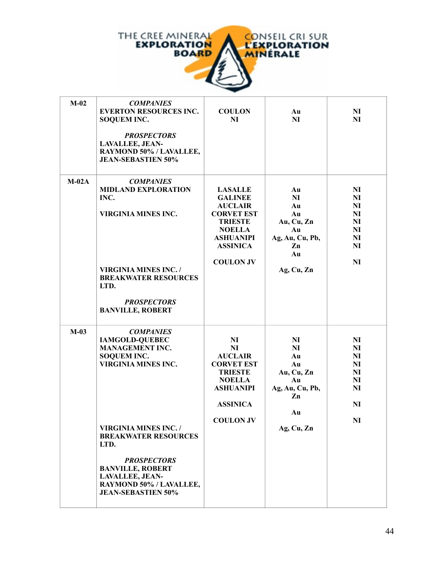

| $M-02$  | <b>COMPANIES</b><br><b>EVERTON RESOURCES INC.</b><br><b>SOQUEM INC.</b><br><b>PROSPECTORS</b><br><b>LAVALLEE, JEAN-</b><br>RAYMOND 50% / LAVALLEE,<br><b>JEAN-SEBASTIEN 50%</b>                                                                                                                                                   | <b>COULON</b><br>NI                                                                                                                                                   | Au<br>NI                                                                                          | N <sub>I</sub><br>NI                                                                                                  |
|---------|-----------------------------------------------------------------------------------------------------------------------------------------------------------------------------------------------------------------------------------------------------------------------------------------------------------------------------------|-----------------------------------------------------------------------------------------------------------------------------------------------------------------------|---------------------------------------------------------------------------------------------------|-----------------------------------------------------------------------------------------------------------------------|
| $M-02A$ | <b>COMPANIES</b><br><b>MIDLAND EXPLORATION</b><br>INC.<br><b>VIRGINIA MINES INC.</b><br><b>VIRGINIA MINES INC. /</b><br><b>BREAKWATER RESOURCES</b><br>LTD.<br><b>PROSPECTORS</b><br><b>BANVILLE, ROBERT</b>                                                                                                                      | <b>LASALLE</b><br><b>GALINEE</b><br><b>AUCLAIR</b><br><b>CORVET EST</b><br><b>TRIESTE</b><br><b>NOELLA</b><br><b>ASHUANIPI</b><br><b>ASSINICA</b><br><b>COULON JV</b> | Au<br>N <sub>I</sub><br>Au<br>Au<br>Au, Cu, Zn<br>Au<br>Ag, Au, Cu, Pb,<br>Zn<br>Au<br>Ag, Cu, Zn | N <sub>I</sub><br>NI<br><b>NI</b><br>N <sub>I</sub><br>N <sub>I</sub><br>N <sub>I</sub><br>N <sub>I</sub><br>NI<br>NI |
| $M-03$  | <b>COMPANIES</b><br><b>IAMGOLD-QUEBEC</b><br><b>MANAGEMENT INC.</b><br><b>SOQUEM INC.</b><br><b>VIRGINIA MINES INC.</b><br><b>VIRGINIA MINES INC. /</b><br><b>BREAKWATER RESOURCES</b><br>LTD.<br><b>PROSPECTORS</b><br><b>BANVILLE, ROBERT</b><br><b>LAVALLEE, JEAN-</b><br>RAYMOND 50% / LAVALLEE,<br><b>JEAN-SEBASTIEN 50%</b> | N <sub>I</sub><br><b>NI</b><br><b>AUCLAIR</b><br><b>CORVET EST</b><br><b>TRIESTE</b><br><b>NOELLA</b><br><b>ASHUANIPI</b><br><b>ASSINICA</b><br><b>COULON JV</b>      | N <sub>I</sub><br>NI<br>Au<br>Au<br>Au, Cu, Zn<br>Au<br>Ag, Au, Cu, Pb,<br>Zn<br>Au<br>Ag, Cu, Zn | N <sub>I</sub><br>NI<br>N <sub>I</sub><br>N <sub>I</sub><br>N <sub>I</sub><br>NI<br>NI<br>NI<br><b>NI</b>             |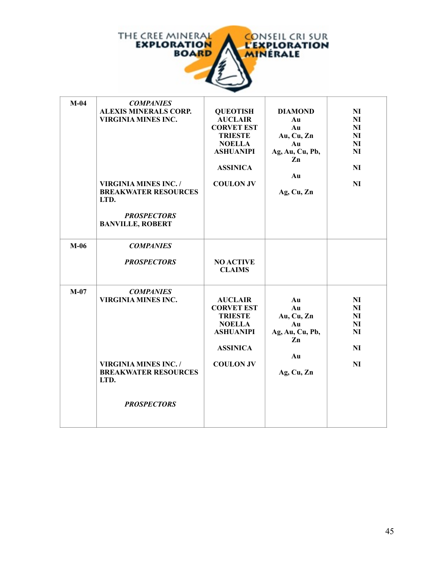

| $M-04$ | <b>COMPANIES</b>                    |                   |                 |                |
|--------|-------------------------------------|-------------------|-----------------|----------------|
|        | <b>ALEXIS MINERALS CORP.</b>        | <b>QUEOTISH</b>   | <b>DIAMOND</b>  | NI             |
|        | <b>VIRGINIA MINES INC.</b>          | <b>AUCLAIR</b>    | Au              | NI             |
|        |                                     | <b>CORVET EST</b> | Au              | N <sub>I</sub> |
|        |                                     | <b>TRIESTE</b>    | Au, Cu, Zn      | N <sub>I</sub> |
|        |                                     | <b>NOELLA</b>     | Au              | N <sub>I</sub> |
|        |                                     | <b>ASHUANIPI</b>  | Ag, Au, Cu, Pb, | NI             |
|        |                                     |                   | Zn              |                |
|        |                                     | <b>ASSINICA</b>   |                 | NI             |
|        |                                     |                   | Au              |                |
|        | <b>VIRGINIA MINES INC. /</b>        | <b>COULON JV</b>  |                 | NI             |
|        | <b>BREAKWATER RESOURCES</b><br>LTD. |                   | Ag, Cu, Zn      |                |
|        | <b>PROSPECTORS</b>                  |                   |                 |                |
|        | <b>BANVILLE, ROBERT</b>             |                   |                 |                |
|        |                                     |                   |                 |                |
|        |                                     |                   |                 |                |
| $M-06$ | <b>COMPANIES</b>                    |                   |                 |                |
|        |                                     |                   |                 |                |
|        | <b>PROSPECTORS</b>                  | <b>NO ACTIVE</b>  |                 |                |
|        |                                     | <b>CLAIMS</b>     |                 |                |
|        |                                     |                   |                 |                |
| $M-07$ | <b>COMPANIES</b>                    |                   |                 |                |
|        | <b>VIRGINIA MINES INC.</b>          | <b>AUCLAIR</b>    | Au              | NI             |
|        |                                     | <b>CORVET EST</b> | Au              | NI             |
|        |                                     | <b>TRIESTE</b>    | Au, Cu, Zn      | NI             |
|        |                                     | <b>NOELLA</b>     | Au              | NI             |
|        |                                     | <b>ASHUANIPI</b>  | Ag, Au, Cu, Pb, | NI             |
|        |                                     |                   | Zn              |                |
|        |                                     | <b>ASSINICA</b>   |                 | NI             |
|        |                                     |                   | Au              |                |
|        | <b>VIRGINIA MINES INC. /</b>        | <b>COULON JV</b>  |                 | NI             |
|        | <b>BREAKWATER RESOURCES</b>         |                   | Ag, Cu, Zn      |                |
|        | LTD.                                |                   |                 |                |
|        |                                     |                   |                 |                |
|        |                                     |                   |                 |                |
|        | <b>PROSPECTORS</b>                  |                   |                 |                |
|        |                                     |                   |                 |                |
|        |                                     |                   |                 |                |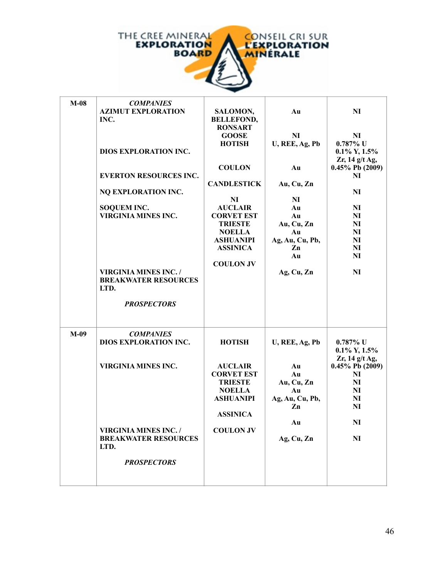

| $M-08$ | <b>COMPANIES</b><br><b>AZIMUT EXPLORATION</b><br>INC.<br>DIOS EXPLORATION INC.<br><b>EVERTON RESOURCES INC.</b><br>NQ EXPLORATION INC.<br><b>SOQUEM INC.</b><br><b>VIRGINIA MINES INC.</b><br><b>VIRGINIA MINES INC./</b><br><b>BREAKWATER RESOURCES</b><br>LTD.<br><b>PROSPECTORS</b> | SALOMON,<br><b>BELLEFOND,</b><br><b>RONSART</b><br><b>GOOSE</b><br><b>HOTISH</b><br><b>COULON</b><br><b>CANDLESTICK</b><br>NI<br><b>AUCLAIR</b><br><b>CORVET EST</b><br><b>TRIESTE</b><br><b>NOELLA</b><br><b>ASHUANIPI</b><br><b>ASSINICA</b><br><b>COULON JV</b> | Au<br><b>NI</b><br>U, REE, Ag, Pb<br>Au<br>Au, Cu, Zn<br>NI<br>Au<br>Au<br>Au, Cu, Zn<br>Au<br>Ag, Au, Cu, Pb,<br>Zn<br>Au<br>Ag, Cu, Zn | NI<br>N <sub>I</sub><br>$0.787\%$ U<br>$0.1\%$ Y, $1.5\%$<br>$Zr$ , 14 g/t Ag,<br>$0.45\%$ Pb (2009)<br>NI<br>NI<br>NI<br>N <sub>I</sub><br>N <sub>I</sub><br>N <sub>I</sub><br>N <sub>I</sub><br>N <sub>I</sub><br><b>NI</b><br>NI |
|--------|----------------------------------------------------------------------------------------------------------------------------------------------------------------------------------------------------------------------------------------------------------------------------------------|--------------------------------------------------------------------------------------------------------------------------------------------------------------------------------------------------------------------------------------------------------------------|------------------------------------------------------------------------------------------------------------------------------------------|-------------------------------------------------------------------------------------------------------------------------------------------------------------------------------------------------------------------------------------|
| $M-09$ | <b>COMPANIES</b><br>DIOS EXPLORATION INC.<br><b>VIRGINIA MINES INC.</b><br><b>VIRGINIA MINES INC. /</b><br><b>BREAKWATER RESOURCES</b><br>LTD.<br><b>PROSPECTORS</b>                                                                                                                   | <b>HOTISH</b><br><b>AUCLAIR</b><br><b>CORVET EST</b><br><b>TRIESTE</b><br><b>NOELLA</b><br><b>ASHUANIPI</b><br><b>ASSINICA</b><br><b>COULON JV</b>                                                                                                                 | U, REE, Ag, Pb<br>Au<br>Au<br>Au, Cu, Zn<br>Au<br>Ag, Au, Cu, Pb,<br>Zn<br>Au<br>Ag, Cu, Zn                                              | $0.787\%$ U<br>$0.1\%$ Y, $1.5\%$<br>Zr, 14 g/t Ag,<br>0.45% Pb (2009)<br>NI<br>NI<br>NI<br>N <sub>I</sub><br>NI<br>N <sub>I</sub><br>N <sub>I</sub>                                                                                |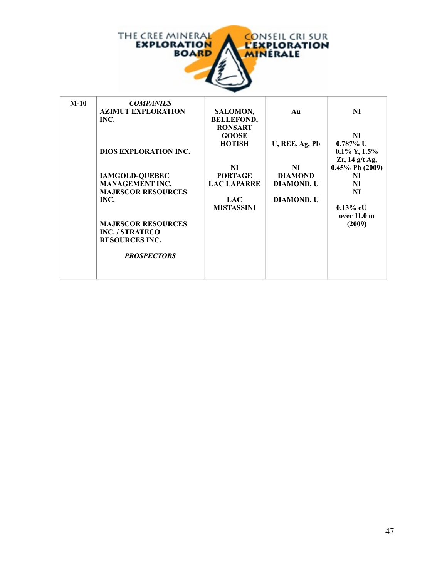

| $M-10$ | <b>COMPANIES</b><br><b>AZIMUT EXPLORATION</b><br>INC.<br><b>DIOS EXPLORATION INC.</b><br><b>IAMGOLD-QUEBEC</b><br><b>MANAGEMENT INC.</b><br><b>MAJESCOR RESOURCES</b><br>INC.<br><b>MAJESCOR RESOURCES</b> | <b>SALOMON,</b><br><b>BELLEFOND,</b><br><b>RONSART</b><br><b>GOOSE</b><br><b>HOTISH</b><br>NI<br><b>PORTAGE</b><br><b>LAC LAPARRE</b><br><b>LAC</b><br><b>MISTASSINI</b> | Au<br>U, REE, Ag, Pb<br>NI<br><b>DIAMOND</b><br><b>DIAMOND, U</b><br><b>DIAMOND, U</b> | NI<br>NI<br>$0.787\%$ U<br>$0.1\%$ Y, $1.5\%$<br>$Zr$ , 14 g/t Ag,<br>$0.45\%$ Pb (2009)<br>NI<br>NI<br>NI<br>$0.13\%$ eU<br>over $11.0 \text{ m}$<br>(2009) |
|--------|------------------------------------------------------------------------------------------------------------------------------------------------------------------------------------------------------------|--------------------------------------------------------------------------------------------------------------------------------------------------------------------------|----------------------------------------------------------------------------------------|--------------------------------------------------------------------------------------------------------------------------------------------------------------|
|        | INC. / STRATECO<br><b>RESOURCES INC.</b><br><b>PROSPECTORS</b>                                                                                                                                             |                                                                                                                                                                          |                                                                                        |                                                                                                                                                              |
|        |                                                                                                                                                                                                            |                                                                                                                                                                          |                                                                                        |                                                                                                                                                              |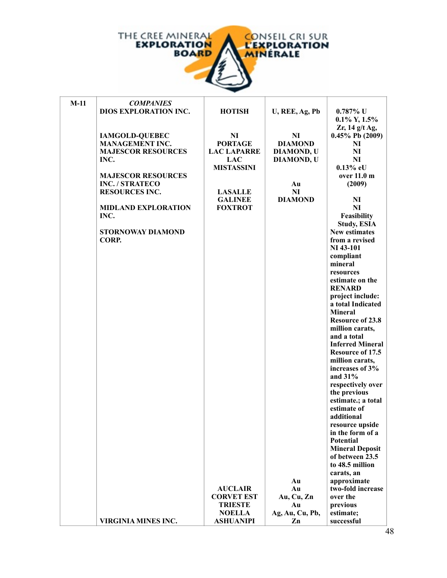

| $M-11$ | <b>COMPANIES</b>           |                    |                   |                         |
|--------|----------------------------|--------------------|-------------------|-------------------------|
|        | DIOS EXPLORATION INC.      | <b>HOTISH</b>      | U, REE, Ag, Pb    | $0.787\%$ U             |
|        |                            |                    |                   | $0.1\%$ Y, $1.5\%$      |
|        |                            |                    |                   | $Zr$ , 14 g/t Ag,       |
|        | <b>IAMGOLD-QUEBEC</b>      | N <sub>I</sub>     | N <sub>I</sub>    | $0.45\%$ Pb (2009)      |
|        | <b>MANAGEMENT INC.</b>     | <b>PORTAGE</b>     | <b>DIAMOND</b>    | NI                      |
|        | <b>MAJESCOR RESOURCES</b>  | <b>LAC LAPARRE</b> |                   | NI                      |
|        |                            |                    | <b>DIAMOND, U</b> |                         |
|        | INC.                       | <b>LAC</b>         | <b>DIAMOND, U</b> | N <sub>I</sub>          |
|        |                            | <b>MISTASSINI</b>  |                   | $0.13%$ eU              |
|        | <b>MAJESCOR RESOURCES</b>  |                    |                   | over 11.0 m             |
|        | <b>INC. / STRATECO</b>     |                    | Au                | (2009)                  |
|        | <b>RESOURCES INC.</b>      | <b>LASALLE</b>     | NI                |                         |
|        |                            | <b>GALINEE</b>     | <b>DIAMOND</b>    | NI                      |
|        | <b>MIDLAND EXPLORATION</b> | <b>FOXTROT</b>     |                   | <b>NI</b>               |
|        | INC.                       |                    |                   | Feasibility             |
|        |                            |                    |                   | <b>Study, ESIA</b>      |
|        | <b>STORNOWAY DIAMOND</b>   |                    |                   | <b>New estimates</b>    |
|        | CORP.                      |                    |                   | from a revised          |
|        |                            |                    |                   | <b>NI</b> 43-101        |
|        |                            |                    |                   | compliant               |
|        |                            |                    |                   | mineral                 |
|        |                            |                    |                   | resources               |
|        |                            |                    |                   | estimate on the         |
|        |                            |                    |                   | <b>RENARD</b>           |
|        |                            |                    |                   | project include:        |
|        |                            |                    |                   | a total Indicated       |
|        |                            |                    |                   | <b>Mineral</b>          |
|        |                            |                    |                   | <b>Resource of 23.8</b> |
|        |                            |                    |                   | million carats,         |
|        |                            |                    |                   |                         |
|        |                            |                    |                   | and a total             |
|        |                            |                    |                   | <b>Inferred Mineral</b> |
|        |                            |                    |                   | <b>Resource of 17.5</b> |
|        |                            |                    |                   | million carats,         |
|        |                            |                    |                   | increases of 3%         |
|        |                            |                    |                   | and $31\%$              |
|        |                            |                    |                   | respectively over       |
|        |                            |                    |                   | the previous            |
|        |                            |                    |                   | estimate.; a total      |
|        |                            |                    |                   | estimate of             |
|        |                            |                    |                   | additional              |
|        |                            |                    |                   | resource upside         |
|        |                            |                    |                   | in the form of a        |
|        |                            |                    |                   | <b>Potential</b>        |
|        |                            |                    |                   | <b>Mineral Deposit</b>  |
|        |                            |                    |                   | of between 23.5         |
|        |                            |                    |                   | to 48.5 million         |
|        |                            |                    |                   | carats, an              |
|        |                            |                    | Au                | approximate             |
|        |                            | <b>AUCLAIR</b>     | Au                | two-fold increase       |
|        |                            | <b>CORVET EST</b>  | Au, Cu, Zn        | over the                |
|        |                            | <b>TRIESTE</b>     | Au                | previous                |
|        |                            | <b>NOELLA</b>      | Ag, Au, Cu, Pb,   | estimate;               |
|        | VIRGINIA MINES INC.        | <b>ASHUANIPI</b>   | Zn                | successful              |
|        |                            |                    |                   |                         |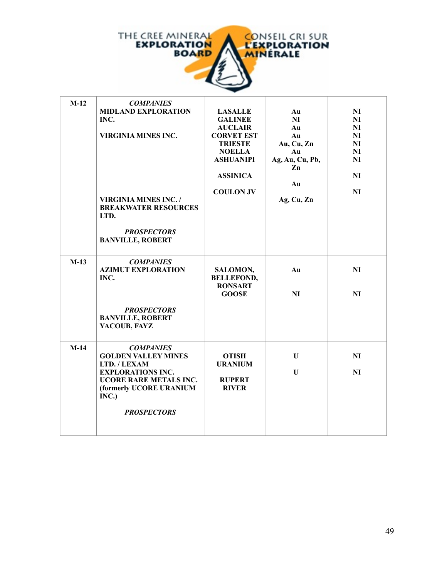

| $M-12$ | <b>COMPANIES</b>             |                                |                 |                |
|--------|------------------------------|--------------------------------|-----------------|----------------|
|        | <b>MIDLAND EXPLORATION</b>   | <b>LASALLE</b>                 | Au              | NI             |
|        | INC.                         | <b>GALINEE</b>                 | N <sub>I</sub>  | NI             |
|        |                              | <b>AUCLAIR</b>                 | Au              | NI             |
|        | <b>VIRGINIA MINES INC.</b>   | <b>CORVET EST</b>              | Au              | N <sub>I</sub> |
|        |                              | <b>TRIESTE</b>                 | Au, Cu, Zn      | N <sub>I</sub> |
|        |                              | <b>NOELLA</b>                  | Au              | NI             |
|        |                              | <b>ASHUANIPI</b>               | Ag, Au, Cu, Pb, | NI             |
|        |                              |                                | Zn              |                |
|        |                              | <b>ASSINICA</b>                |                 | <b>NI</b>      |
|        |                              |                                | Au              |                |
|        |                              | <b>COULON JV</b>               |                 | NI             |
|        | <b>VIRGINIA MINES INC. /</b> |                                | Ag, Cu, Zn      |                |
|        | <b>BREAKWATER RESOURCES</b>  |                                |                 |                |
|        | LTD.                         |                                |                 |                |
|        |                              |                                |                 |                |
|        | <b>PROSPECTORS</b>           |                                |                 |                |
|        | <b>BANVILLE, ROBERT</b>      |                                |                 |                |
|        |                              |                                |                 |                |
|        |                              |                                |                 |                |
| $M-13$ | <b>COMPANIES</b>             |                                |                 |                |
|        | <b>AZIMUT EXPLORATION</b>    | SALOMON,                       | Au              | NI             |
|        | INC.                         | <b>BELLEFOND,</b>              |                 |                |
|        |                              | <b>RONSART</b><br><b>GOOSE</b> | NI              | NI             |
|        |                              |                                |                 |                |
|        | <b>PROSPECTORS</b>           |                                |                 |                |
|        | <b>BANVILLE, ROBERT</b>      |                                |                 |                |
|        | YACOUB, FAYZ                 |                                |                 |                |
|        |                              |                                |                 |                |
|        |                              |                                |                 |                |
| $M-14$ | <b>COMPANIES</b>             |                                |                 |                |
|        | <b>GOLDEN VALLEY MINES</b>   | <b>OTISH</b>                   | U               | NI             |
|        | LTD. / LEXAM                 | <b>URANIUM</b>                 |                 |                |
|        | <b>EXPLORATIONS INC.</b>     |                                | U               | NI             |
|        | UCORE RARE METALS INC.       | <b>RUPERT</b>                  |                 |                |
|        | (formerly UCORE URANIUM      | <b>RIVER</b>                   |                 |                |
|        | INC.)                        |                                |                 |                |
|        |                              |                                |                 |                |
|        | <b>PROSPECTORS</b>           |                                |                 |                |
|        |                              |                                |                 |                |
|        |                              |                                |                 |                |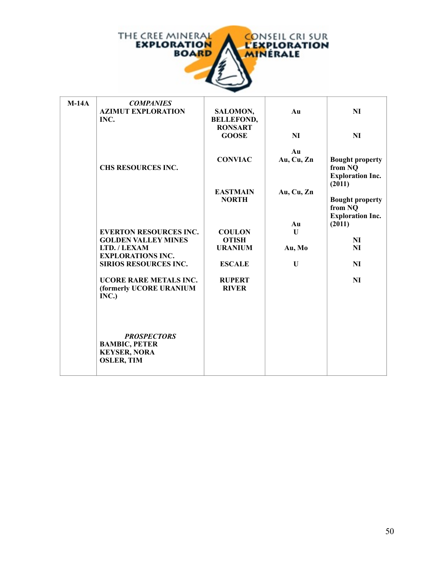

| $M-14A$ | <b>COMPANIES</b><br><b>AZIMUT EXPLORATION</b><br>INC.                                  | SALOMON,<br><b>BELLEFOND,</b><br><b>RONSART</b> | Au               | NI                                                                     |
|---------|----------------------------------------------------------------------------------------|-------------------------------------------------|------------------|------------------------------------------------------------------------|
|         |                                                                                        | <b>GOOSE</b>                                    | <b>NI</b>        | <b>NI</b>                                                              |
|         | CHS RESOURCES INC.                                                                     | <b>CONVIAC</b>                                  | Au<br>Au, Cu, Zn | <b>Bought property</b><br>from NQ<br><b>Exploration Inc.</b><br>(2011) |
|         |                                                                                        | <b>EASTMAIN</b><br><b>NORTH</b>                 | Au, Cu, Zn       | <b>Bought property</b><br>from NQ                                      |
|         |                                                                                        |                                                 | Au               | <b>Exploration Inc.</b><br>(2011)                                      |
|         | <b>EVERTON RESOURCES INC.</b><br><b>GOLDEN VALLEY MINES</b>                            | <b>COULON</b><br><b>OTISH</b>                   | $\mathbf{U}$     | <b>NI</b>                                                              |
|         | LTD. / LEXAM                                                                           | <b>URANIUM</b>                                  | Au, Mo           | NI                                                                     |
|         | <b>EXPLORATIONS INC.</b>                                                               |                                                 |                  |                                                                        |
|         | <b>SIRIOS RESOURCES INC.</b>                                                           | <b>ESCALE</b>                                   | U                | <b>NI</b>                                                              |
|         | <b>UCORE RARE METALS INC.</b><br>(formerly UCORE URANIUM<br>INC.)                      | <b>RUPERT</b><br><b>RIVER</b>                   |                  | <b>NI</b>                                                              |
|         | <b>PROSPECTORS</b><br><b>BAMBIC, PETER</b><br><b>KEYSER, NORA</b><br><b>OSLER, TIM</b> |                                                 |                  |                                                                        |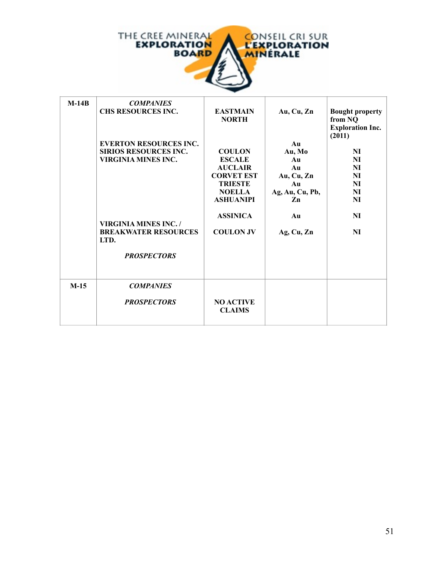

| $M-14B$ | <b>COMPANIES</b><br><b>CHS RESOURCES INC.</b>              | <b>EASTMAIN</b><br><b>NORTH</b>   | Au, Cu, Zn      | <b>Bought property</b><br>from NQ<br><b>Exploration Inc.</b><br>(2011) |
|---------|------------------------------------------------------------|-----------------------------------|-----------------|------------------------------------------------------------------------|
|         | <b>EVERTON RESOURCES INC.</b>                              |                                   | Au              |                                                                        |
|         | <b>SIRIOS RESOURCES INC.</b><br><b>VIRGINIA MINES INC.</b> | <b>COULON</b><br><b>ESCALE</b>    | Au, Mo<br>Au    | NI<br>NI                                                               |
|         |                                                            | <b>AUCLAIR</b>                    | Au              | NI                                                                     |
|         |                                                            | <b>CORVET EST</b>                 | Au, Cu, Zn      | NI                                                                     |
|         |                                                            | <b>TRIESTE</b>                    | Au              | NI                                                                     |
|         |                                                            | <b>NOELLA</b>                     | Ag, Au, Cu, Pb, | NI                                                                     |
|         |                                                            | <b>ASHUANIPI</b>                  | Zn              | NI                                                                     |
|         | <b>VIRGINIA MINES INC. /</b>                               | <b>ASSINICA</b>                   | Au              | NI                                                                     |
|         | <b>BREAKWATER RESOURCES</b><br>LTD.                        | <b>COULON JV</b>                  | Ag, Cu, Zn      | NI                                                                     |
|         | <b>PROSPECTORS</b>                                         |                                   |                 |                                                                        |
| $M-15$  | <b>COMPANIES</b>                                           |                                   |                 |                                                                        |
|         | <b>PROSPECTORS</b>                                         | <b>NO ACTIVE</b><br><b>CLAIMS</b> |                 |                                                                        |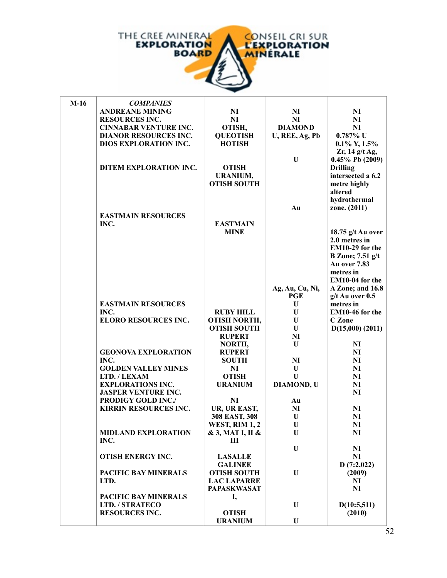

| $M-16$ | <b>COMPANIES</b>             |                       |                   |                         |
|--------|------------------------------|-----------------------|-------------------|-------------------------|
|        | <b>ANDREANE MINING</b>       | N <sub>I</sub>        | N <sub>I</sub>    | N <sub>I</sub>          |
|        | <b>RESOURCES INC.</b>        | NI                    | NI                | NI                      |
|        | <b>CINNABAR VENTURE INC.</b> | OTISH,                | <b>DIAMOND</b>    | NI                      |
|        | <b>DIANOR RESOURCES INC.</b> | <b>QUEOTISH</b>       | U, REE, Ag, Pb    | $0.787\%$ U             |
|        | <b>DIOS EXPLORATION INC.</b> | <b>HOTISH</b>         |                   | $0.1\%$ Y, $1.5\%$      |
|        |                              |                       |                   | $Zr$ , 14 g/t Ag,       |
|        |                              |                       | $\mathbf{U}$      | $0.45\%$ Pb (2009)      |
|        | DITEM EXPLORATION INC.       | <b>OTISH</b>          |                   | <b>Drilling</b>         |
|        |                              | <b>URANIUM,</b>       |                   | intersected a 6.2       |
|        |                              | <b>OTISH SOUTH</b>    |                   | metre highly            |
|        |                              |                       |                   | altered                 |
|        |                              |                       |                   | hydrothermal            |
|        |                              |                       | Au                | zone. (2011)            |
|        | <b>EASTMAIN RESOURCES</b>    |                       |                   |                         |
|        | INC.                         | <b>EASTMAIN</b>       |                   |                         |
|        |                              | <b>MINE</b>           |                   | 18.75 $g/t$ Au over     |
|        |                              |                       |                   | 2.0 metres in           |
|        |                              |                       |                   | EM10-29 for the         |
|        |                              |                       |                   | <b>B</b> Zone; 7.51 g/t |
|        |                              |                       |                   | <b>Au over 7.83</b>     |
|        |                              |                       |                   | metres in               |
|        |                              |                       |                   | EM10-04 for the         |
|        |                              |                       | Ag, Au, Cu, Ni,   | A Zone; and 16.8        |
|        |                              |                       | <b>PGE</b>        | $g/t$ Au over $0.5$     |
|        | <b>EASTMAIN RESOURCES</b>    |                       | $\mathbf{U}$      | metres in               |
|        | INC.                         | <b>RUBY HILL</b>      | U                 | EM10-46 for the         |
|        | <b>ELORO RESOURCES INC.</b>  | <b>OTISH NORTH,</b>   | U                 | C Zone                  |
|        |                              | <b>OTISH SOUTH</b>    | U                 | $D(15,000)$ (2011)      |
|        |                              | <b>RUPERT</b>         | <b>NI</b>         |                         |
|        |                              | NORTH,                | U                 | NI                      |
|        | <b>GEONOVA EXPLORATION</b>   | <b>RUPERT</b>         |                   | N <sub>I</sub>          |
|        | INC.                         | <b>SOUTH</b>          | NI                | NI                      |
|        | <b>GOLDEN VALLEY MINES</b>   | N <sub>I</sub>        | U                 | N <sub>I</sub>          |
|        | LTD./LEXAM                   | <b>OTISH</b>          | U                 | NI                      |
|        | <b>EXPLORATIONS INC.</b>     | <b>URANIUM</b>        | <b>DIAMOND, U</b> | <b>NI</b>               |
|        | <b>JASPER VENTURE INC.</b>   |                       |                   | NI                      |
|        | <b>PRODIGY GOLD INC./</b>    | N <sub>I</sub>        | Au                |                         |
|        | <b>KIRRIN RESOURCES INC.</b> | UR, UR EAST,          | NI                | NI                      |
|        |                              | 308 EAST, 308         | U                 | NI                      |
|        |                              | <b>WEST, RIM 1, 2</b> | $\mathbf U$       | N <sub>I</sub>          |
|        | <b>MIDLAND EXPLORATION</b>   | & 3, MAT I, II &      | U                 | NI                      |
|        | INC.                         | Ш                     |                   |                         |
|        |                              |                       | U                 | N <sub>I</sub>          |
|        | <b>OTISH ENERGY INC.</b>     | <b>LASALLE</b>        |                   | NI                      |
|        |                              | <b>GALINEE</b>        |                   | D(7:2,022)              |
|        | PACIFIC BAY MINERALS         | <b>OTISH SOUTH</b>    | U                 | (2009)                  |
|        | LTD.                         | <b>LAC LAPARRE</b>    |                   | N <sub>I</sub>          |
|        |                              | <b>PAPASKWASAT</b>    |                   | N <sub>I</sub>          |
|        | <b>PACIFIC BAY MINERALS</b>  | I,                    |                   |                         |
|        | <b>LTD. / STRATECO</b>       |                       | U                 | D(10:5,511)             |
|        | <b>RESOURCES INC.</b>        | <b>OTISH</b>          |                   | (2010)                  |
|        |                              | <b>URANIUM</b>        | U                 |                         |
|        |                              |                       |                   |                         |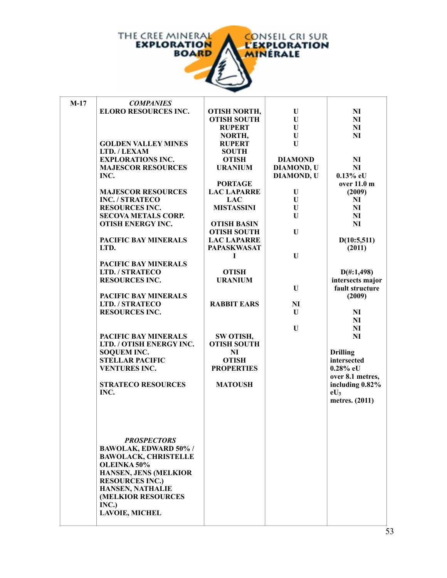

| $M-17$ | <b>COMPANIES</b>            |                     |                   |                      |
|--------|-----------------------------|---------------------|-------------------|----------------------|
|        | <b>ELORO RESOURCES INC.</b> | <b>OTISH NORTH,</b> | U                 | NI                   |
|        |                             | <b>OTISH SOUTH</b>  | U                 | N <sub>I</sub>       |
|        |                             | <b>RUPERT</b>       | U                 | N <sub>I</sub>       |
|        |                             | NORTH,              | U                 | NI                   |
|        | <b>GOLDEN VALLEY MINES</b>  | <b>RUPERT</b>       | U                 |                      |
|        | LTD. / LEXAM                | <b>SOUTH</b>        |                   |                      |
|        | <b>EXPLORATIONS INC.</b>    | <b>OTISH</b>        | <b>DIAMOND</b>    | N <sub>I</sub>       |
|        | <b>MAJESCOR RESOURCES</b>   | <b>URANIUM</b>      | <b>DIAMOND, U</b> | N <sub>I</sub>       |
|        | INC.                        |                     | <b>DIAMOND, U</b> | $0.13\%$ eU          |
|        |                             | <b>PORTAGE</b>      |                   | over 11.0 m          |
|        | <b>MAJESCOR RESOURCES</b>   | <b>LAC LAPARRE</b>  | U                 | (2009)               |
|        | <b>INC. / STRATECO</b>      | <b>LAC</b>          | U                 | NI                   |
|        | <b>RESOURCES INC.</b>       | <b>MISTASSINI</b>   | U                 | N <sub>I</sub>       |
|        | <b>SECOVA METALS CORP.</b>  |                     | U                 | N <sub>I</sub>       |
|        | <b>OTISH ENERGY INC.</b>    | <b>OTISH BASIN</b>  |                   | NI                   |
|        |                             | <b>OTISH SOUTH</b>  | U                 |                      |
|        | PACIFIC BAY MINERALS        | <b>LAC LAPARRE</b>  |                   | D(10:5,511)          |
|        | LTD.                        | <b>PAPASKWASAT</b>  |                   | (2011)               |
|        |                             | -1                  | U                 |                      |
|        | PACIFIC BAY MINERALS        |                     |                   |                      |
|        | LTD. / STRATECO             | <b>OTISH</b>        |                   | $D(\text{\#}:1,498)$ |
|        | <b>RESOURCES INC.</b>       | <b>URANIUM</b>      |                   | intersects major     |
|        |                             |                     | U                 | fault structure      |
|        | PACIFIC BAY MINERALS        |                     |                   | (2009)               |
|        | LTD. / STRATECO             | <b>RABBIT EARS</b>  | $\mathbf{N}$      |                      |
|        | <b>RESOURCES INC.</b>       |                     | U                 | NI                   |
|        |                             |                     |                   | N <sub>I</sub>       |
|        |                             |                     | U                 | N <sub>I</sub>       |
|        | <b>PACIFIC BAY MINERALS</b> | SW OTISH,           |                   | <b>NI</b>            |
|        | LTD. / OTISH ENERGY INC.    | <b>OTISH SOUTH</b>  |                   |                      |
|        | <b>SOQUEM INC.</b>          | NI                  |                   | <b>Drilling</b>      |
|        | <b>STELLAR PACIFIC</b>      | <b>OTISH</b>        |                   | intersected          |
|        | <b>VENTURES INC.</b>        | <b>PROPERTIES</b>   |                   | $0.28\%$ eU          |
|        |                             |                     |                   | over 8.1 metres,     |
|        | <b>STRATECO RESOURCES</b>   | <b>MATOUSH</b>      |                   | including 0.82%      |
|        | INC.                        |                     |                   | $eU_3$               |
|        |                             |                     |                   | metres. (2011)       |
|        |                             |                     |                   |                      |
|        |                             |                     |                   |                      |
|        |                             |                     |                   |                      |
|        |                             |                     |                   |                      |
|        | <b>PROSPECTORS</b>          |                     |                   |                      |
|        | <b>BAWOLAK, EDWARD 50%/</b> |                     |                   |                      |
|        | <b>BAWOLACK, CHRISTELLE</b> |                     |                   |                      |
|        | OLEINKA 50%                 |                     |                   |                      |
|        | HANSEN, JENS (MELKIOR       |                     |                   |                      |
|        | <b>RESOURCES INC.)</b>      |                     |                   |                      |
|        | HANSEN, NATHALIE            |                     |                   |                      |
|        | (MELKIOR RESOURCES          |                     |                   |                      |
|        | INC.)                       |                     |                   |                      |
|        | <b>LAVOIE, MICHEL</b>       |                     |                   |                      |
|        |                             |                     |                   |                      |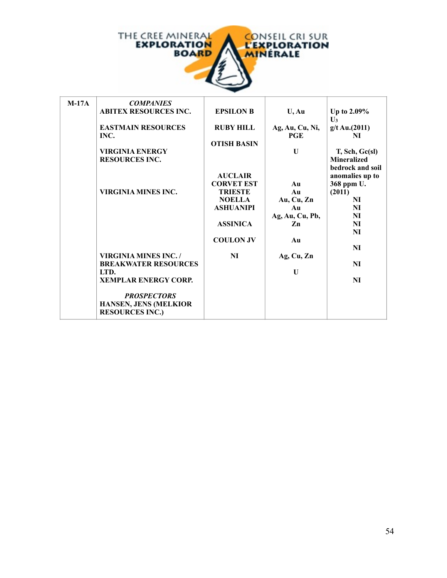

| $M-17A$ | <b>COMPANIES</b>             |                    |                       |                    |
|---------|------------------------------|--------------------|-----------------------|--------------------|
|         | <b>ABITEX RESOURCES INC.</b> | <b>EPSILON B</b>   | $U$ , Au              | Up to $2.09\%$     |
|         |                              |                    |                       | $\mathbf{U}_3$     |
|         | <b>EASTMAIN RESOURCES</b>    | <b>RUBY HILL</b>   | Ag, Au, Cu, Ni,       | g/t Au.(2011)      |
|         | INC.                         |                    | <b>PGE</b>            | NI                 |
|         |                              | <b>OTISH BASIN</b> |                       |                    |
|         | <b>VIRGINIA ENERGY</b>       |                    | $\mathbf{U}$          | T, Sch, Gc(s)      |
|         | <b>RESOURCES INC.</b>        |                    |                       | <b>Mineralized</b> |
|         |                              |                    |                       | bedrock and soil   |
|         |                              | <b>AUCLAIR</b>     |                       | anomalies up to    |
|         |                              | <b>CORVET EST</b>  | Au                    | 368 ppm U.         |
|         | <b>VIRGINIA MINES INC.</b>   | <b>TRIESTE</b>     | Au                    | (2011)             |
|         |                              | <b>NOELLA</b>      | Au, Cu, Zn            | NI                 |
|         |                              | <b>ASHUANIPI</b>   | A <sub>II</sub>       | NI                 |
|         |                              |                    | Ag, Au, Cu, Pb,<br>Zn | NI                 |
|         |                              | <b>ASSINICA</b>    |                       | NI<br>NI           |
|         |                              |                    |                       |                    |
|         |                              | <b>COULON JV</b>   | Au                    | NI                 |
|         | <b>VIRGINIA MINES INC. /</b> | NI                 |                       |                    |
|         | <b>BREAKWATER RESOURCES</b>  |                    | Ag, Cu, Zn            | NI                 |
|         | LTD.                         |                    | $\mathbf{U}$          |                    |
|         | <b>XEMPLAR ENERGY CORP.</b>  |                    |                       | N <sub>I</sub>     |
|         |                              |                    |                       |                    |
|         | <b>PROSPECTORS</b>           |                    |                       |                    |
|         | HANSEN, JENS (MELKIOR        |                    |                       |                    |
|         | <b>RESOURCES INC.)</b>       |                    |                       |                    |
|         |                              |                    |                       |                    |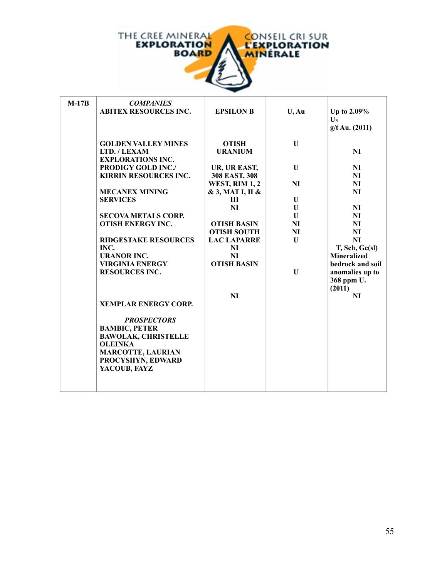

| $M-17B$ | <b>COMPANIES</b><br><b>ABITEX RESOURCES INC.</b> | <b>EPSILON B</b>      | $U$ , Au     | Up to $2.09\%$<br>$U_3$<br>$g/t$ Au. (2011) |
|---------|--------------------------------------------------|-----------------------|--------------|---------------------------------------------|
|         | <b>GOLDEN VALLEY MINES</b>                       | <b>OTISH</b>          | $\mathbf{U}$ |                                             |
|         | LTD. / LEXAM                                     | <b>URANIUM</b>        |              | NI                                          |
|         | <b>EXPLORATIONS INC.</b>                         |                       |              |                                             |
|         | PRODIGY GOLD INC./                               | UR, UR EAST,          | $\mathbf U$  | N <sub>I</sub>                              |
|         | <b>KIRRIN RESOURCES INC.</b>                     | 308 EAST, 308         |              | NI                                          |
|         |                                                  | <b>WEST, RIM 1, 2</b> | <b>NI</b>    | NI                                          |
|         | <b>MECANEX MINING</b>                            | & 3, MAT I, II &      |              | <b>NI</b>                                   |
|         | <b>SERVICES</b>                                  | $\mathbf{H}$          | U            |                                             |
|         |                                                  | NI                    | U            | NI                                          |
|         | <b>SECOVA METALS CORP.</b>                       |                       | U            | NI                                          |
|         | <b>OTISH ENERGY INC.</b>                         | <b>OTISH BASIN</b>    | <b>NI</b>    | N <sub>I</sub>                              |
|         |                                                  | <b>OTISH SOUTH</b>    | <b>NI</b>    | NI                                          |
|         | <b>RIDGESTAKE RESOURCES</b>                      | <b>LAC LAPARRE</b>    | U            | NI                                          |
|         | INC.                                             | NI                    |              | T, Sch, Gc(sl)                              |
|         | <b>URANOR INC.</b>                               | NI                    |              | <b>Mineralized</b>                          |
|         | <b>VIRGINIA ENERGY</b>                           | <b>OTISH BASIN</b>    |              | bedrock and soil                            |
|         | <b>RESOURCES INC.</b>                            |                       | $\mathbf{U}$ | anomalies up to                             |
|         |                                                  |                       |              | 368 ppm U.                                  |
|         |                                                  |                       |              | (2011)                                      |
|         |                                                  | <b>NI</b>             |              | NI                                          |
|         | <b>XEMPLAR ENERGY CORP.</b>                      |                       |              |                                             |
|         |                                                  |                       |              |                                             |
|         | <b>PROSPECTORS</b>                               |                       |              |                                             |
|         | <b>BAMBIC, PETER</b>                             |                       |              |                                             |
|         | <b>BAWOLAK, CHRISTELLE</b>                       |                       |              |                                             |
|         | <b>OLEINKA</b>                                   |                       |              |                                             |
|         | <b>MARCOTTE, LAURIAN</b>                         |                       |              |                                             |
|         | PROCYSHYN, EDWARD<br>YACOUB, FAYZ                |                       |              |                                             |
|         |                                                  |                       |              |                                             |
|         |                                                  |                       |              |                                             |
|         |                                                  |                       |              |                                             |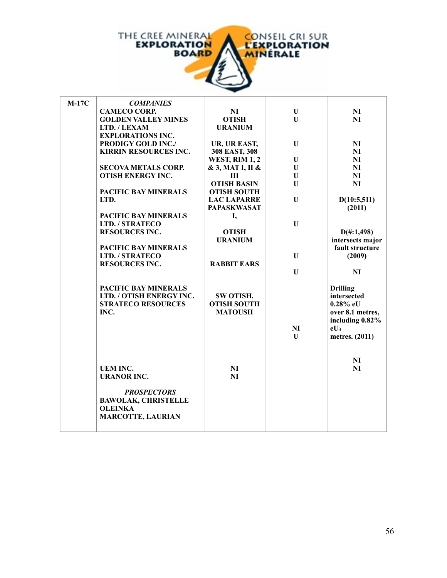

| $M-17C$ | <b>COMPANIES</b>             |                       |              |                      |
|---------|------------------------------|-----------------------|--------------|----------------------|
|         | <b>CAMECO CORP.</b>          | <b>NI</b>             | $\mathbf{U}$ | NI                   |
|         | <b>GOLDEN VALLEY MINES</b>   | <b>OTISH</b>          | U            | N <sub>I</sub>       |
|         | LTD. / LEXAM                 | <b>URANIUM</b>        |              |                      |
|         | <b>EXPLORATIONS INC.</b>     |                       |              |                      |
|         | <b>PRODIGY GOLD INC./</b>    | UR, UR EAST,          | U            | NI                   |
|         | <b>KIRRIN RESOURCES INC.</b> | 308 EAST, 308         |              | N <sub>I</sub>       |
|         |                              | <b>WEST, RIM 1, 2</b> | U            | NI                   |
|         | <b>SECOVA METALS CORP.</b>   | & 3, MAT I, II &      | $\mathbf{U}$ | NI                   |
|         | <b>OTISH ENERGY INC.</b>     | Ш                     | $\mathbf U$  | NI                   |
|         |                              | <b>OTISH BASIN</b>    | U            | N <sub>I</sub>       |
|         | <b>PACIFIC BAY MINERALS</b>  | <b>OTISH SOUTH</b>    |              |                      |
|         | LTD.                         | <b>LAC LAPARRE</b>    | U            | D(10:5,511)          |
|         |                              | <b>PAPASKWASAT</b>    |              | (2011)               |
|         | PACIFIC BAY MINERALS         | I,                    |              |                      |
|         | <b>LTD. / STRATECO</b>       |                       | U            |                      |
|         | <b>RESOURCES INC.</b>        | <b>OTISH</b>          |              | $D(\text{\#}:1,498)$ |
|         |                              | <b>URANIUM</b>        |              | intersects major     |
|         | <b>PACIFIC BAY MINERALS</b>  |                       |              | fault structure      |
|         | LTD. / STRATECO              |                       | $\mathbf{U}$ | (2009)               |
|         | <b>RESOURCES INC.</b>        | <b>RABBIT EARS</b>    |              |                      |
|         |                              |                       | U            | NI                   |
|         |                              |                       |              |                      |
|         | PACIFIC BAY MINERALS         |                       |              | <b>Drilling</b>      |
|         | LTD. / OTISH ENERGY INC.     | SW OTISH,             |              | intersected          |
|         | <b>STRATECO RESOURCES</b>    | <b>OTISH SOUTH</b>    |              | $0.28\%$ eU          |
|         | INC.                         | <b>MATOUSH</b>        |              | over 8.1 metres,     |
|         |                              |                       |              | including 0.82%      |
|         |                              |                       | NI           | $eU_3$               |
|         |                              |                       | U            | metres. (2011)       |
|         |                              |                       |              |                      |
|         |                              |                       |              |                      |
|         | <b>UEM INC.</b>              | <b>NI</b>             |              | NI<br>NI             |
|         | <b>URANOR INC.</b>           | NI                    |              |                      |
|         |                              |                       |              |                      |
|         | <b>PROSPECTORS</b>           |                       |              |                      |
|         | <b>BAWOLAK, CHRISTELLE</b>   |                       |              |                      |
|         | <b>OLEINKA</b>               |                       |              |                      |
|         | <b>MARCOTTE, LAURIAN</b>     |                       |              |                      |
|         |                              |                       |              |                      |
|         |                              |                       |              |                      |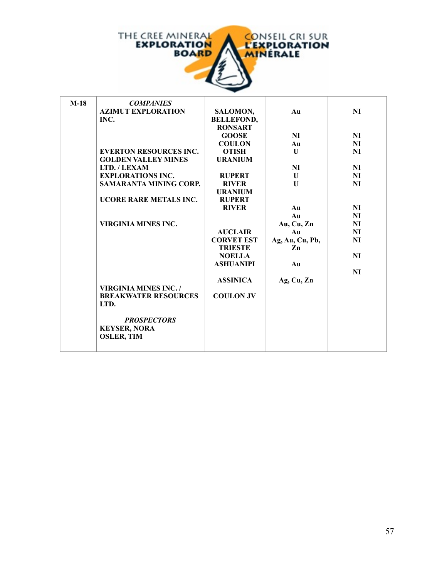

| $M-18$ | <b>COMPANIES</b>              |                   |                 |                |
|--------|-------------------------------|-------------------|-----------------|----------------|
|        | <b>AZIMUT EXPLORATION</b>     | SALOMON,          | Au              | NI             |
|        | INC.                          | <b>BELLEFOND,</b> |                 |                |
|        |                               | <b>RONSART</b>    |                 |                |
|        |                               | <b>GOOSE</b>      | <b>NI</b>       | NI             |
|        |                               | <b>COULON</b>     | Au              | NI             |
|        | <b>EVERTON RESOURCES INC.</b> | <b>OTISH</b>      | U               | NI             |
|        | <b>GOLDEN VALLEY MINES</b>    | <b>URANIUM</b>    |                 |                |
|        | LTD. / LEXAM                  |                   | NI              | NI             |
|        | <b>EXPLORATIONS INC.</b>      | <b>RUPERT</b>     | U               | NI             |
|        | <b>SAMARANTA MINING CORP.</b> | <b>RIVER</b>      | $\mathbf{U}$    | <b>NI</b>      |
|        |                               | <b>URANIUM</b>    |                 |                |
|        | UCORE RARE METALS INC.        | <b>RUPERT</b>     |                 |                |
|        |                               | <b>RIVER</b>      | Au              | NI             |
|        |                               |                   | Au              | NI             |
|        | <b>VIRGINIA MINES INC.</b>    |                   | Au, Cu, Zn      | N <sub>I</sub> |
|        |                               | <b>AUCLAIR</b>    | Au              | NI             |
|        |                               | <b>CORVET EST</b> | Ag, Au, Cu, Pb, | NI             |
|        |                               | <b>TRIESTE</b>    | Zn              |                |
|        |                               | <b>NOELLA</b>     |                 | NI             |
|        |                               | <b>ASHUANIPI</b>  | Au              |                |
|        |                               |                   |                 | <b>NI</b>      |
|        |                               | <b>ASSINICA</b>   | Ag, Cu, Zn      |                |
|        | <b>VIRGINIA MINES INC. /</b>  |                   |                 |                |
|        | <b>BREAKWATER RESOURCES</b>   | <b>COULON JV</b>  |                 |                |
|        | LTD.                          |                   |                 |                |
|        |                               |                   |                 |                |
|        | <b>PROSPECTORS</b>            |                   |                 |                |
|        | <b>KEYSER, NORA</b>           |                   |                 |                |
|        | <b>OSLER, TIM</b>             |                   |                 |                |
|        |                               |                   |                 |                |
|        |                               |                   |                 |                |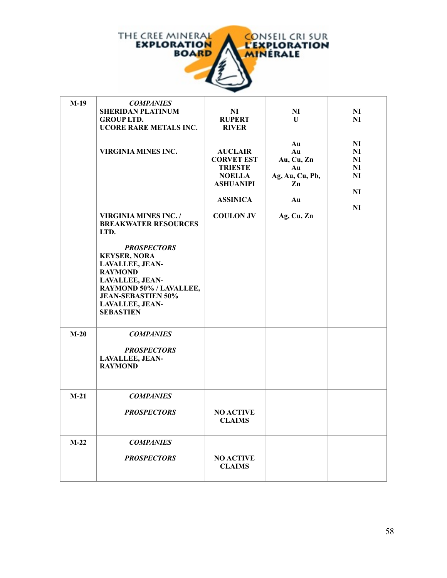

| $M-19$ | <b>COMPANIES</b>             |                   |                 |                |
|--------|------------------------------|-------------------|-----------------|----------------|
|        | <b>SHERIDAN PLATINUM</b>     | NI                | N <sub>I</sub>  | N <sub>I</sub> |
|        | <b>GROUP LTD.</b>            | <b>RUPERT</b>     | U               | NI             |
|        | UCORE RARE METALS INC.       | <b>RIVER</b>      |                 |                |
|        |                              |                   |                 |                |
|        |                              |                   | Au              | N <sub>I</sub> |
|        | <b>VIRGINIA MINES INC.</b>   | <b>AUCLAIR</b>    | Au              | N <sub>I</sub> |
|        |                              | <b>CORVET EST</b> | Au, Cu, Zn      | N <sub>I</sub> |
|        |                              | <b>TRIESTE</b>    | Au              | N <sub>I</sub> |
|        |                              | <b>NOELLA</b>     | Ag, Au, Cu, Pb, | NI             |
|        |                              | <b>ASHUANIPI</b>  | Zn              |                |
|        |                              |                   |                 | NI             |
|        |                              | <b>ASSINICA</b>   | Au              |                |
|        |                              |                   |                 | NI             |
|        | <b>VIRGINIA MINES INC. /</b> | <b>COULON JV</b>  | Ag, Cu, Zn      |                |
|        | <b>BREAKWATER RESOURCES</b>  |                   |                 |                |
|        | LTD.                         |                   |                 |                |
|        | <b>PROSPECTORS</b>           |                   |                 |                |
|        | <b>KEYSER, NORA</b>          |                   |                 |                |
|        | <b>LAVALLEE, JEAN-</b>       |                   |                 |                |
|        | <b>RAYMOND</b>               |                   |                 |                |
|        | <b>LAVALLEE, JEAN-</b>       |                   |                 |                |
|        | RAYMOND 50% / LAVALLEE,      |                   |                 |                |
|        | <b>JEAN-SEBASTIEN 50%</b>    |                   |                 |                |
|        | <b>LAVALLEE, JEAN-</b>       |                   |                 |                |
|        | <b>SEBASTIEN</b>             |                   |                 |                |
|        |                              |                   |                 |                |
| $M-20$ | <b>COMPANIES</b>             |                   |                 |                |
|        |                              |                   |                 |                |
|        | <b>PROSPECTORS</b>           |                   |                 |                |
|        | <b>LAVALLEE, JEAN-</b>       |                   |                 |                |
|        | <b>RAYMOND</b>               |                   |                 |                |
|        |                              |                   |                 |                |
|        |                              |                   |                 |                |
| $M-21$ | <b>COMPANIES</b>             |                   |                 |                |
|        |                              |                   |                 |                |
|        | <b>PROSPECTORS</b>           | <b>NO ACTIVE</b>  |                 |                |
|        |                              | <b>CLAIMS</b>     |                 |                |
|        |                              |                   |                 |                |
|        |                              |                   |                 |                |
| $M-22$ | <b>COMPANIES</b>             |                   |                 |                |
|        |                              |                   |                 |                |
|        | <b>PROSPECTORS</b>           | <b>NO ACTIVE</b>  |                 |                |
|        |                              | <b>CLAIMS</b>     |                 |                |
|        |                              |                   |                 |                |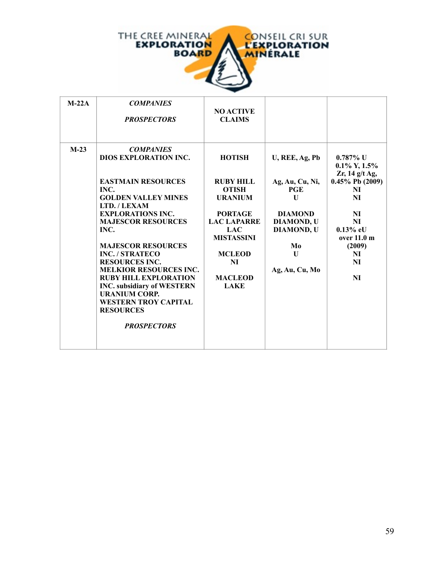

| $M-22A$ | <b>COMPANIES</b><br><b>PROSPECTORS</b>                                                                                                                                                                                                                                                                                                                                                                                                                                             | <b>NO ACTIVE</b><br><b>CLAIMS</b>                                                                                                                                                                      |                                                                                                                                                              |                                                                                                                                                                       |
|---------|------------------------------------------------------------------------------------------------------------------------------------------------------------------------------------------------------------------------------------------------------------------------------------------------------------------------------------------------------------------------------------------------------------------------------------------------------------------------------------|--------------------------------------------------------------------------------------------------------------------------------------------------------------------------------------------------------|--------------------------------------------------------------------------------------------------------------------------------------------------------------|-----------------------------------------------------------------------------------------------------------------------------------------------------------------------|
| $M-23$  | <b>COMPANIES</b><br>DIOS EXPLORATION INC.<br><b>EASTMAIN RESOURCES</b><br>INC.<br><b>GOLDEN VALLEY MINES</b><br>LTD./LEXAM<br><b>EXPLORATIONS INC.</b><br><b>MAJESCOR RESOURCES</b><br>INC.<br><b>MAJESCOR RESOURCES</b><br><b>INC. / STRATECO</b><br><b>RESOURCES INC.</b><br><b>MELKIOR RESOURCES INC.</b><br><b>RUBY HILL EXPLORATION</b><br><b>INC.</b> subsidiary of WESTERN<br><b>URANIUM CORP.</b><br><b>WESTERN TROY CAPITAL</b><br><b>RESOURCES</b><br><b>PROSPECTORS</b> | <b>HOTISH</b><br><b>RUBY HILL</b><br><b>OTISH</b><br><b>URANIUM</b><br><b>PORTAGE</b><br><b>LAC LAPARRE</b><br><b>LAC</b><br><b>MISTASSINI</b><br><b>MCLEOD</b><br>NI<br><b>MACLEOD</b><br><b>LAKE</b> | U, REE, Ag, Pb<br>Ag, Au, Cu, Ni,<br>PGE<br>$\mathbf{U}$<br><b>DIAMOND</b><br><b>DIAMOND, U</b><br><b>DIAMOND, U</b><br>Mo<br>$\mathbf{U}$<br>Ag, Au, Cu, Mo | $0.787\%$ U<br>$0.1\%$ Y, $1.5\%$<br>$Zr$ , 14 g/t Ag,<br>$0.45\%$ Pb (2009)<br>NI<br>NI<br>NI<br>NI<br>$0.13\%$ eU<br>over 11.0 m<br>(2009)<br>NI<br>NI<br><b>NI</b> |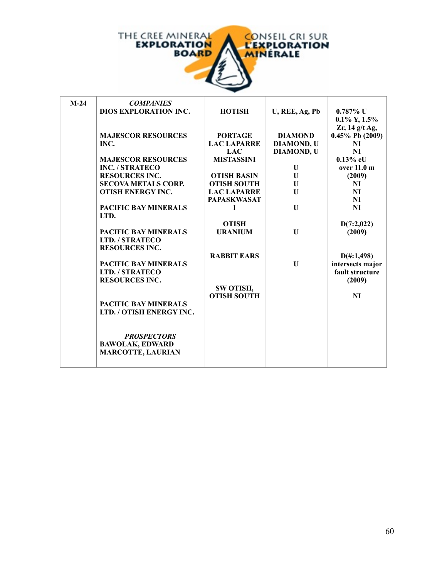

| $M-24$ | <b>COMPANIES</b>             |                    |                   |                      |
|--------|------------------------------|--------------------|-------------------|----------------------|
|        | <b>DIOS EXPLORATION INC.</b> | <b>HOTISH</b>      | U, REE, Ag, Pb    | $0.787\%$ U          |
|        |                              |                    |                   | $0.1\%$ Y, $1.5\%$   |
|        |                              |                    |                   | Zr, $14$ g/t Ag,     |
|        | <b>MAJESCOR RESOURCES</b>    | <b>PORTAGE</b>     | <b>DIAMOND</b>    | $0.45\%$ Pb (2009)   |
|        | INC.                         | <b>LAC LAPARRE</b> | <b>DIAMOND, U</b> | NI                   |
|        |                              | <b>LAC</b>         | <b>DIAMOND, U</b> | <b>NI</b>            |
|        | <b>MAJESCOR RESOURCES</b>    | <b>MISTASSINI</b>  |                   | $0.13\%$ eU          |
|        | <b>INC. / STRATECO</b>       |                    | U                 | over 11.0 m          |
|        | <b>RESOURCES INC.</b>        | <b>OTISH BASIN</b> | U                 | (2009)               |
|        | <b>SECOVA METALS CORP.</b>   | <b>OTISH SOUTH</b> | U                 | NI                   |
|        | <b>OTISH ENERGY INC.</b>     | <b>LAC LAPARRE</b> | $\mathbf{U}$      | N <sub>I</sub>       |
|        |                              | <b>PAPASKWASAT</b> |                   | <b>NI</b>            |
|        | <b>PACIFIC BAY MINERALS</b>  | I                  | $\mathbf{U}$      | <b>NI</b>            |
|        | LTD.                         |                    |                   |                      |
|        |                              | <b>OTISH</b>       |                   | D(7:2,022)           |
|        | <b>PACIFIC BAY MINERALS</b>  | <b>URANIUM</b>     | $\mathbf{U}$      | (2009)               |
|        | LTD. / STRATECO              |                    |                   |                      |
|        | <b>RESOURCES INC.</b>        |                    |                   |                      |
|        |                              | <b>RABBIT EARS</b> |                   | $D(\text{\#}:1,498)$ |
|        | <b>PACIFIC BAY MINERALS</b>  |                    | $\mathbf{U}$      | intersects major     |
|        | LTD. / STRATECO              |                    |                   | fault structure      |
|        | <b>RESOURCES INC.</b>        |                    |                   | (2009)               |
|        |                              | SW OTISH,          |                   |                      |
|        |                              | <b>OTISH SOUTH</b> |                   | NI                   |
|        | PACIFIC BAY MINERALS         |                    |                   |                      |
|        | LTD. / OTISH ENERGY INC.     |                    |                   |                      |
|        |                              |                    |                   |                      |
|        |                              |                    |                   |                      |
|        | <b>PROSPECTORS</b>           |                    |                   |                      |
|        | <b>BAWOLAK, EDWARD</b>       |                    |                   |                      |
|        | <b>MARCOTTE, LAURIAN</b>     |                    |                   |                      |
|        |                              |                    |                   |                      |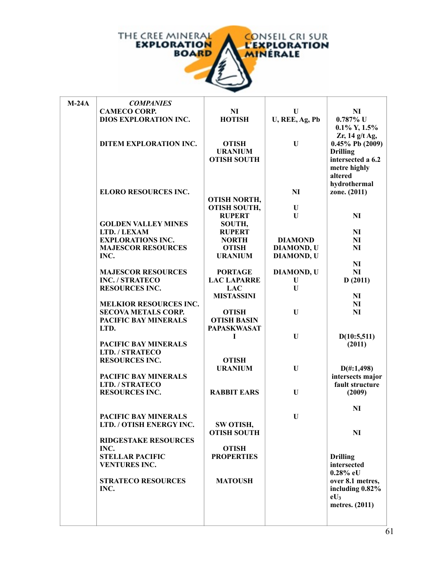

| $M-24A$ | <b>COMPANIES</b>              |                                    |                   |                           |
|---------|-------------------------------|------------------------------------|-------------------|---------------------------|
|         | <b>CAMECO CORP.</b>           | N <sub>I</sub>                     | U                 | NI                        |
|         | <b>DIOS EXPLORATION INC.</b>  | <b>HOTISH</b>                      | U, REE, Ag, Pb    | $0.787\%$ U               |
|         |                               |                                    |                   | $0.1\%$ Y, $1.5\%$        |
|         |                               |                                    |                   | Zr, $14$ g/t Ag,          |
|         | DITEM EXPLORATION INC.        | <b>OTISH</b>                       | U                 | $0.45\%$ Pb (2009)        |
|         |                               | <b>URANIUM</b>                     |                   | <b>Drilling</b>           |
|         |                               | <b>OTISH SOUTH</b>                 |                   | intersected a 6.2         |
|         |                               |                                    |                   | metre highly              |
|         |                               |                                    |                   | altered                   |
|         |                               |                                    |                   | hydrothermal              |
|         | <b>ELORO RESOURCES INC.</b>   |                                    | NI                | zone. (2011)              |
|         |                               | <b>OTISH NORTH,</b>                |                   |                           |
|         |                               | <b>OTISH SOUTH,</b>                | U                 |                           |
|         |                               | <b>RUPERT</b>                      | U                 | NI                        |
|         | <b>GOLDEN VALLEY MINES</b>    | SOUTH,                             |                   |                           |
|         | LTD. / LEXAM                  | <b>RUPERT</b>                      |                   | N <sub>I</sub>            |
|         | <b>EXPLORATIONS INC.</b>      | <b>NORTH</b>                       | <b>DIAMOND</b>    | NI                        |
|         | <b>MAJESCOR RESOURCES</b>     | <b>OTISH</b>                       | <b>DIAMOND, U</b> | NI                        |
|         | INC.                          | <b>URANIUM</b>                     | <b>DIAMOND, U</b> |                           |
|         |                               |                                    |                   | N <sub>I</sub>            |
|         | <b>MAJESCOR RESOURCES</b>     | <b>PORTAGE</b>                     | DIAMOND, U        | NI                        |
|         | <b>INC. / STRATECO</b>        | <b>LAC LAPARRE</b>                 | U                 | D(2011)                   |
|         | <b>RESOURCES INC.</b>         | <b>LAC</b>                         | U                 |                           |
|         | <b>MELKIOR RESOURCES INC.</b> | <b>MISTASSINI</b>                  |                   | NI<br>N <sub>I</sub>      |
|         | <b>SECOVA METALS CORP.</b>    |                                    | U                 | NI                        |
|         | <b>PACIFIC BAY MINERALS</b>   | <b>OTISH</b><br><b>OTISH BASIN</b> |                   |                           |
|         | LTD.                          | <b>PAPASKWASAT</b>                 |                   |                           |
|         |                               | Т                                  | U                 | D(10:5,511)               |
|         | PACIFIC BAY MINERALS          |                                    |                   | (2011)                    |
|         | LTD. / STRATECO               |                                    |                   |                           |
|         | <b>RESOURCES INC.</b>         | <b>OTISH</b>                       |                   |                           |
|         |                               | <b>URANIUM</b>                     | U                 | $D(\text{\#}:1,498)$      |
|         | PACIFIC BAY MINERALS          |                                    |                   | intersects major          |
|         | LTD. / STRATECO               |                                    |                   | fault structure           |
|         | <b>RESOURCES INC.</b>         | <b>RABBIT EARS</b>                 | U                 | (2009)                    |
|         |                               |                                    |                   |                           |
|         |                               |                                    |                   | NI                        |
|         | <b>PACIFIC BAY MINERALS</b>   |                                    | U                 |                           |
|         | LTD. / OTISH ENERGY INC.      | SW OTISH,                          |                   |                           |
|         |                               | <b>OTISH SOUTH</b>                 |                   | NI                        |
|         | <b>RIDGESTAKE RESOURCES</b>   |                                    |                   |                           |
|         | INC.                          | <b>OTISH</b>                       |                   |                           |
|         | <b>STELLAR PACIFIC</b>        | <b>PROPERTIES</b>                  |                   | <b>Drilling</b>           |
|         | <b>VENTURES INC.</b>          |                                    |                   | intersected               |
|         | <b>STRATECO RESOURCES</b>     |                                    |                   | $0.28\%$ eU               |
|         | INC.                          | <b>MATOUSH</b>                     |                   | over 8.1 metres,          |
|         |                               |                                    |                   | including 0.82%<br>$eU_3$ |
|         |                               |                                    |                   | metres. (2011)            |
|         |                               |                                    |                   |                           |
|         |                               |                                    |                   |                           |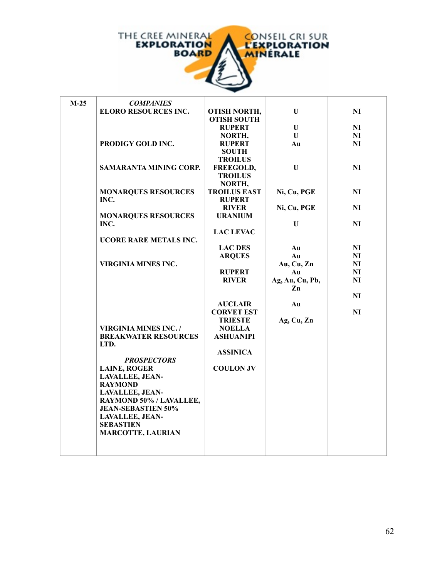

| $M-25$ | <b>COMPANIES</b>              |                     |                 |                |
|--------|-------------------------------|---------------------|-----------------|----------------|
|        | <b>ELORO RESOURCES INC.</b>   | <b>OTISH NORTH,</b> | U               | NI             |
|        |                               | <b>OTISH SOUTH</b>  |                 |                |
|        |                               | <b>RUPERT</b>       | U               | NI             |
|        |                               | NORTH,              | $\mathbf{U}$    | NI             |
|        | PRODIGY GOLD INC.             | <b>RUPERT</b>       | Au              | NI             |
|        |                               | <b>SOUTH</b>        |                 |                |
|        |                               | <b>TROILUS</b>      |                 |                |
|        | <b>SAMARANTA MINING CORP.</b> | FREEGOLD,           | $\mathbf{U}$    | NI             |
|        |                               | <b>TROILUS</b>      |                 |                |
|        |                               | NORTH,              |                 |                |
|        | <b>MONARQUES RESOURCES</b>    | <b>TROILUS EAST</b> | Ni, Cu, PGE     | NI             |
|        | INC.                          | <b>RUPERT</b>       |                 |                |
|        |                               | <b>RIVER</b>        | Ni, Cu, PGE     | NI             |
|        | <b>MONARQUES RESOURCES</b>    | <b>URANIUM</b>      |                 |                |
|        | INC.                          |                     | U               | NI             |
|        |                               | <b>LAC LEVAC</b>    |                 |                |
|        | <b>UCORE RARE METALS INC.</b> |                     |                 |                |
|        |                               | <b>LAC DES</b>      | Au              | N <sub>I</sub> |
|        |                               | <b>ARQUES</b>       | Au              | NI             |
|        | <b>VIRGINIA MINES INC.</b>    |                     | Au, Cu, Zn      | NI             |
|        |                               | <b>RUPERT</b>       | Au              | NI             |
|        |                               | <b>RIVER</b>        | Ag, Au, Cu, Pb, | NI             |
|        |                               |                     | Zn              |                |
|        |                               |                     |                 | NI             |
|        |                               | <b>AUCLAIR</b>      | Au              |                |
|        |                               | <b>CORVET EST</b>   |                 | NI             |
|        |                               | <b>TRIESTE</b>      | Ag, Cu, Zn      |                |
|        | <b>VIRGINIA MINES INC. /</b>  | <b>NOELLA</b>       |                 |                |
|        | <b>BREAKWATER RESOURCES</b>   | <b>ASHUANIPI</b>    |                 |                |
|        | LTD.                          |                     |                 |                |
|        |                               | <b>ASSINICA</b>     |                 |                |
|        | <b>PROSPECTORS</b>            |                     |                 |                |
|        | <b>LAINE, ROGER</b>           | <b>COULON JV</b>    |                 |                |
|        | <b>LAVALLEE, JEAN-</b>        |                     |                 |                |
|        | <b>RAYMOND</b>                |                     |                 |                |
|        | <b>LAVALLEE, JEAN-</b>        |                     |                 |                |
|        | RAYMOND 50% / LAVALLEE,       |                     |                 |                |
|        | <b>JEAN-SEBASTIEN 50%</b>     |                     |                 |                |
|        | <b>LAVALLEE, JEAN-</b>        |                     |                 |                |
|        | <b>SEBASTIEN</b>              |                     |                 |                |
|        | <b>MARCOTTE, LAURIAN</b>      |                     |                 |                |
|        |                               |                     |                 |                |
|        |                               |                     |                 |                |
|        |                               |                     |                 |                |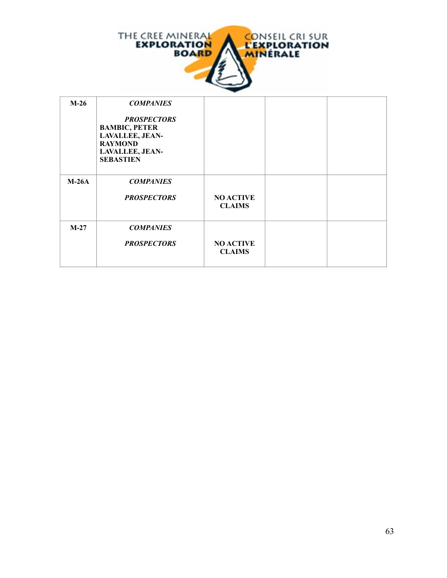

| $M-26$  | <b>COMPANIES</b><br><b>PROSPECTORS</b><br><b>BAMBIC, PETER</b><br>LAVALLEE, JEAN-<br><b>RAYMOND</b><br><b>LAVALLEE, JEAN-</b><br><b>SEBASTIEN</b> |                                   |  |
|---------|---------------------------------------------------------------------------------------------------------------------------------------------------|-----------------------------------|--|
| $M-26A$ | <b>COMPANIES</b><br><b>PROSPECTORS</b>                                                                                                            | <b>NO ACTIVE</b><br><b>CLAIMS</b> |  |
| $M-27$  | <b>COMPANIES</b><br><b>PROSPECTORS</b>                                                                                                            | <b>NO ACTIVE</b><br><b>CLAIMS</b> |  |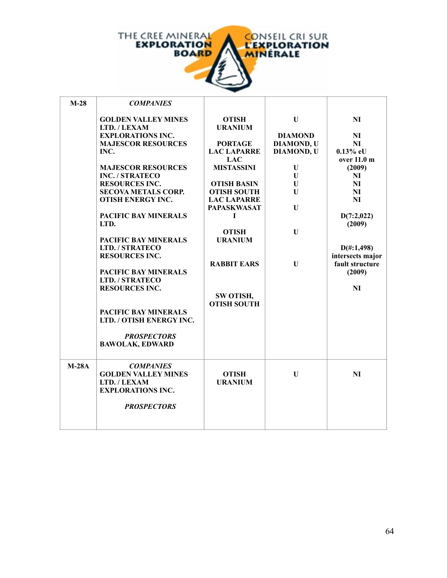

'n

| $M-28$  | <b>COMPANIES</b>                                                                                                                                                                                                                                                                                                                                                                                                                                                                                                                                              |                                                                                                                                                                                                                                                                                                   |                                                                                                                                  |                                                                                                                                                                                                                                 |
|---------|---------------------------------------------------------------------------------------------------------------------------------------------------------------------------------------------------------------------------------------------------------------------------------------------------------------------------------------------------------------------------------------------------------------------------------------------------------------------------------------------------------------------------------------------------------------|---------------------------------------------------------------------------------------------------------------------------------------------------------------------------------------------------------------------------------------------------------------------------------------------------|----------------------------------------------------------------------------------------------------------------------------------|---------------------------------------------------------------------------------------------------------------------------------------------------------------------------------------------------------------------------------|
|         | <b>GOLDEN VALLEY MINES</b><br>LTD. / LEXAM<br><b>EXPLORATIONS INC.</b><br><b>MAJESCOR RESOURCES</b><br>INC.<br><b>MAJESCOR RESOURCES</b><br><b>INC. / STRATECO</b><br><b>RESOURCES INC.</b><br><b>SECOVA METALS CORP.</b><br><b>OTISH ENERGY INC.</b><br><b>PACIFIC BAY MINERALS</b><br>LTD.<br><b>PACIFIC BAY MINERALS</b><br>LTD. / STRATECO<br><b>RESOURCES INC.</b><br><b>PACIFIC BAY MINERALS</b><br>LTD. / STRATECO<br><b>RESOURCES INC.</b><br><b>PACIFIC BAY MINERALS</b><br>LTD. / OTISH ENERGY INC.<br><b>PROSPECTORS</b><br><b>BAWOLAK, EDWARD</b> | <b>OTISH</b><br><b>URANIUM</b><br><b>PORTAGE</b><br><b>LAC LAPARRE</b><br><b>LAC</b><br><b>MISTASSINI</b><br><b>OTISH BASIN</b><br><b>OTISH SOUTH</b><br><b>LAC LAPARRE</b><br><b>PAPASKWASAT</b><br>L<br><b>OTISH</b><br><b>URANIUM</b><br><b>RABBIT EARS</b><br>SW OTISH,<br><b>OTISH SOUTH</b> | $\mathbf{U}$<br><b>DIAMOND</b><br><b>DIAMOND, U</b><br><b>DIAMOND, U</b><br>U<br>U<br>U<br>U<br>U<br>$\mathbf U$<br>$\mathbf{U}$ | <b>NI</b><br><b>NI</b><br><b>NI</b><br>$0.13\%$ eU<br>over 11.0 m<br>(2009)<br>NI<br><b>NI</b><br>NI<br><b>NI</b><br>D(7:2,022)<br>(2009)<br>$D(\text{\#}:1,498)$<br>intersects major<br>fault structure<br>(2009)<br><b>NI</b> |
| $M-28A$ | <b>COMPANIES</b><br><b>GOLDEN VALLEY MINES</b><br>LTD. / LEXAM<br><b>EXPLORATIONS INC.</b><br><b>PROSPECTORS</b>                                                                                                                                                                                                                                                                                                                                                                                                                                              | <b>OTISH</b><br><b>URANIUM</b>                                                                                                                                                                                                                                                                    | $\mathbf{U}$                                                                                                                     | NI                                                                                                                                                                                                                              |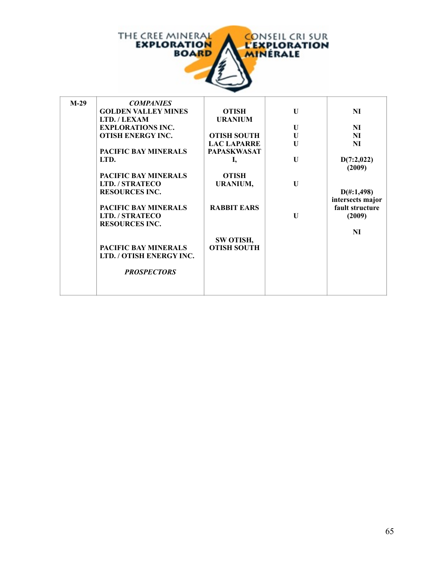

| $M-29$ | <b>COMPANIES</b>            |                    |              |                      |
|--------|-----------------------------|--------------------|--------------|----------------------|
|        | <b>GOLDEN VALLEY MINES</b>  | <b>OTISH</b>       | U            | NI                   |
|        | LTD. / LEXAM                | <b>URANIUM</b>     |              |                      |
|        | <b>EXPLORATIONS INC.</b>    |                    | U            | NI                   |
|        | <b>OTISH ENERGY INC.</b>    | <b>OTISH SOUTH</b> | U            | NI                   |
|        |                             | <b>LAC LAPARRE</b> | U            | NI                   |
|        | <b>PACIFIC BAY MINERALS</b> | <b>PAPASKWASAT</b> |              |                      |
|        | LTD.                        | I,                 | U            | D(7:2,022)           |
|        |                             |                    |              | (2009)               |
|        | <b>PACIFIC BAY MINERALS</b> | <b>OTISH</b>       |              |                      |
|        | <b>LTD. / STRATECO</b>      | URANIUM,           | $\mathbf{U}$ |                      |
|        | <b>RESOURCES INC.</b>       |                    |              | $D(\text{\#}:1,498)$ |
|        |                             |                    |              | intersects major     |
|        | <b>PACIFIC BAY MINERALS</b> | <b>RABBIT EARS</b> |              | fault structure      |
|        | LTD. / STRATECO             |                    | $\mathbf{U}$ | (2009)               |
|        | <b>RESOURCES INC.</b>       |                    |              | <b>NI</b>            |
|        |                             | SW OTISH,          |              |                      |
|        | <b>PACIFIC BAY MINERALS</b> | <b>OTISH SOUTH</b> |              |                      |
|        | LTD. / OTISH ENERGY INC.    |                    |              |                      |
|        |                             |                    |              |                      |
|        | <b>PROSPECTORS</b>          |                    |              |                      |
|        |                             |                    |              |                      |
|        |                             |                    |              |                      |
|        |                             |                    |              |                      |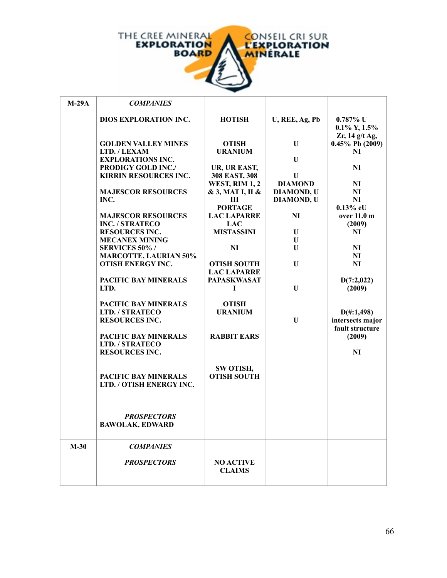

| $M-29A$ | <b>COMPANIES</b>                                          |                               |                   |                                          |
|---------|-----------------------------------------------------------|-------------------------------|-------------------|------------------------------------------|
|         | <b>DIOS EXPLORATION INC.</b>                              | <b>HOTISH</b>                 | U, REE, Ag, Pb    | $0.787\%$ U                              |
|         |                                                           |                               |                   | $0.1\%$ Y, $1.5\%$                       |
|         |                                                           |                               |                   | Zr, 14 g/t Ag,                           |
|         | <b>GOLDEN VALLEY MINES</b>                                | <b>OTISH</b>                  | U                 | $0.45\%$ Pb (2009)                       |
|         | LTD. / LEXAM                                              | <b>URANIUM</b>                |                   | NI                                       |
|         | <b>EXPLORATIONS INC.</b>                                  |                               | U                 |                                          |
|         | <b>PRODIGY GOLD INC./</b><br><b>KIRRIN RESOURCES INC.</b> | UR, UR EAST,<br>308 EAST, 308 | $\mathbf{U}$      | NI                                       |
|         |                                                           | <b>WEST, RIM 1, 2</b>         | <b>DIAMOND</b>    | N <sub>I</sub>                           |
|         | <b>MAJESCOR RESOURCES</b>                                 | & 3, MAT I, II &              | <b>DIAMOND, U</b> | <b>NI</b>                                |
|         | INC.                                                      | Ш                             | <b>DIAMOND, U</b> | <b>NI</b>                                |
|         |                                                           | <b>PORTAGE</b>                |                   | $0.13\%$ eU                              |
|         | <b>MAJESCOR RESOURCES</b>                                 | <b>LAC LAPARRE</b>            | NI                | over 11.0 m                              |
|         | <b>INC. / STRATECO</b>                                    | <b>LAC</b>                    |                   | (2009)                                   |
|         | <b>RESOURCES INC.</b>                                     | <b>MISTASSINI</b>             | U                 | NI                                       |
|         | <b>MECANEX MINING</b><br><b>SERVICES 50%/</b>             | N <sub>I</sub>                | U<br>U            | N <sub>I</sub>                           |
|         | <b>MARCOTTE, LAURIAN 50%</b>                              |                               |                   | N <sub>I</sub>                           |
|         | <b>OTISH ENERGY INC.</b>                                  | <b>OTISH SOUTH</b>            | U                 | NI                                       |
|         |                                                           | <b>LAC LAPARRE</b>            |                   |                                          |
|         | PACIFIC BAY MINERALS                                      | <b>PAPASKWASAT</b>            |                   | D(7:2,022)                               |
|         | LTD.                                                      | I                             | $\mathbf{U}$      | (2009)                                   |
|         |                                                           |                               |                   |                                          |
|         | <b>PACIFIC BAY MINERALS</b>                               | <b>OTISH</b>                  |                   |                                          |
|         | LTD. / STRATECO<br><b>RESOURCES INC.</b>                  | <b>URANIUM</b>                | U                 | $D(\text{\#}:1,498)$<br>intersects major |
|         |                                                           |                               |                   | fault structure                          |
|         | PACIFIC BAY MINERALS                                      | <b>RABBIT EARS</b>            |                   | (2009)                                   |
|         | LTD. / STRATECO                                           |                               |                   |                                          |
|         | <b>RESOURCES INC.</b>                                     |                               |                   | NI                                       |
|         |                                                           |                               |                   |                                          |
|         |                                                           | SW OTISH,                     |                   |                                          |
|         | PACIFIC BAY MINERALS<br>LTD. / OTISH ENERGY INC.          | <b>OTISH SOUTH</b>            |                   |                                          |
|         |                                                           |                               |                   |                                          |
|         |                                                           |                               |                   |                                          |
|         |                                                           |                               |                   |                                          |
|         | <b>PROSPECTORS</b>                                        |                               |                   |                                          |
|         | <b>BAWOLAK, EDWARD</b>                                    |                               |                   |                                          |
|         |                                                           |                               |                   |                                          |
| $M-30$  | <b>COMPANIES</b>                                          |                               |                   |                                          |
|         | <b>PROSPECTORS</b>                                        | <b>NO ACTIVE</b>              |                   |                                          |
|         |                                                           | <b>CLAIMS</b>                 |                   |                                          |
|         |                                                           |                               |                   |                                          |
|         |                                                           |                               |                   |                                          |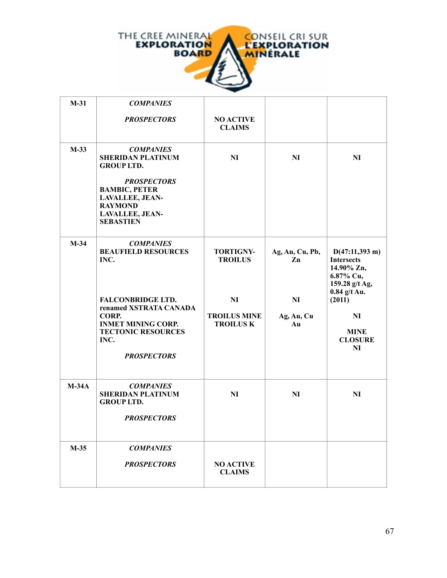

| $M-31$  | <b>COMPANIES</b>                                                                                                                                    |                                                      |                        |                                                                                                              |
|---------|-----------------------------------------------------------------------------------------------------------------------------------------------------|------------------------------------------------------|------------------------|--------------------------------------------------------------------------------------------------------------|
|         | <b>PROSPECTORS</b>                                                                                                                                  | <b>NO ACTIVE</b><br><b>CLAIMS</b>                    |                        |                                                                                                              |
| $M-33$  | <b>COMPANIES</b><br><b>SHERIDAN PLATINUM</b><br><b>GROUP LTD.</b>                                                                                   | NI                                                   | <b>NI</b>              | NI                                                                                                           |
|         | <b>PROSPECTORS</b><br><b>BAMBIC, PETER</b><br>LAVALLEE, JEAN-<br><b>RAYMOND</b><br><b>LAVALLEE, JEAN-</b><br><b>SEBASTIEN</b>                       |                                                      |                        |                                                                                                              |
| $M-34$  | <b>COMPANIES</b><br><b>BEAUFIELD RESOURCES</b><br>INC.                                                                                              | <b>TORTIGNY-</b><br><b>TROILUS</b>                   | Ag, Au, Cu, Pb,<br>Zn  | $D(47:11,393 \text{ m})$<br><b>Intersects</b><br>14.90% Zn,<br>6.87% Cu,<br>159.28 g/t Ag,<br>$0.84$ g/t Au. |
|         | <b>FALCONBRIDGE LTD.</b><br>renamed XSTRATA CANADA<br>CORP.<br><b>INMET MINING CORP.</b><br><b>TECTONIC RESOURCES</b><br>INC.<br><b>PROSPECTORS</b> | <b>NI</b><br><b>TROILUS MINE</b><br><b>TROILUS K</b> | NI<br>Ag, Au, Cu<br>Au | (2011)<br>N <sub>I</sub><br><b>MINE</b><br><b>CLOSURE</b><br>NI                                              |
| $M-34A$ | <b>COMPANIES</b><br><b>SHERIDAN PLATINUM</b><br><b>GROUP LTD.</b><br><b>PROSPECTORS</b>                                                             | NI                                                   | <b>NI</b>              | NI                                                                                                           |
| $M-35$  | <b>COMPANIES</b><br><b>PROSPECTORS</b>                                                                                                              | <b>NO ACTIVE</b><br><b>CLAIMS</b>                    |                        |                                                                                                              |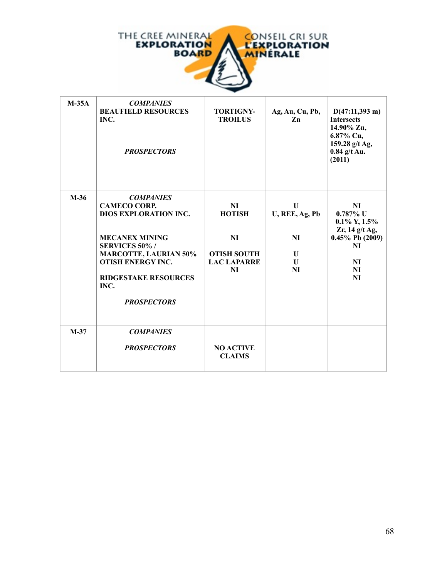

| $M-35A$ | <b>COMPANIES</b><br><b>BEAUFIELD RESOURCES</b><br>INC.<br><b>PROSPECTORS</b>                                                                                                                                                                      | <b>TORTIGNY-</b><br><b>TROILUS</b>                                                      | Ag, Au, Cu, Pb,<br>Zn                            | $D(47:11,393 \text{ m})$<br><b>Intersects</b><br>14.90% Zn,<br>$6.87\%$ Cu,<br>159.28 g/t Ag,<br>$0.84$ g/t Au.<br>(2011)                         |
|---------|---------------------------------------------------------------------------------------------------------------------------------------------------------------------------------------------------------------------------------------------------|-----------------------------------------------------------------------------------------|--------------------------------------------------|---------------------------------------------------------------------------------------------------------------------------------------------------|
| $M-36$  | <b>COMPANIES</b><br><b>CAMECO CORP.</b><br><b>DIOS EXPLORATION INC.</b><br><b>MECANEX MINING</b><br><b>SERVICES 50%/</b><br><b>MARCOTTE, LAURIAN 50%</b><br><b>OTISH ENERGY INC.</b><br><b>RIDGESTAKE RESOURCES</b><br>INC.<br><b>PROSPECTORS</b> | N <sub>I</sub><br><b>HOTISH</b><br>NI<br><b>OTISH SOUTH</b><br><b>LAC LAPARRE</b><br>NI | U<br>U, REE, Ag, Pb<br><b>NI</b><br>U<br>U<br>NI | N <sub>I</sub><br>$0.787\%$ U<br>$0.1\%$ Y, $1.5\%$<br>Zr, $14$ g/t Ag,<br>$0.45\%$ Pb (2009)<br><b>NI</b><br><b>NI</b><br><b>NI</b><br><b>NI</b> |
| $M-37$  | <b>COMPANIES</b><br><b>PROSPECTORS</b>                                                                                                                                                                                                            | <b>NO ACTIVE</b><br><b>CLAIMS</b>                                                       |                                                  |                                                                                                                                                   |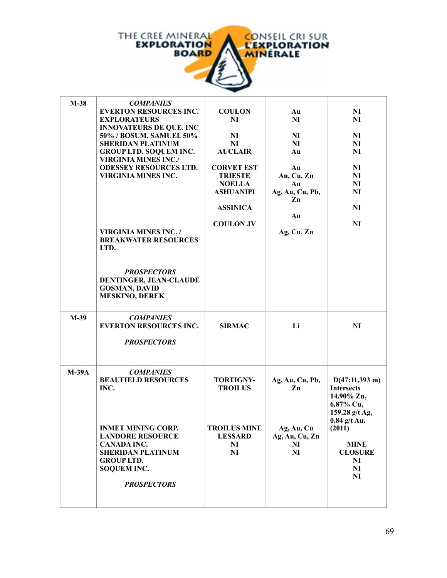

| $M-38$  | <b>COMPANIES</b>                              |                     |                              |                          |
|---------|-----------------------------------------------|---------------------|------------------------------|--------------------------|
|         | <b>EVERTON RESOURCES INC.</b>                 | <b>COULON</b>       | Au                           | NI                       |
|         | <b>EXPLORATEURS</b>                           | NI                  | NI                           | NI                       |
|         | <b>INNOVATEURS DE QUE. INC</b>                |                     |                              |                          |
|         | 50% / BOSUM, SAMUEL 50%                       | NI                  | NI                           | NI                       |
|         | <b>SHERIDAN PLATINUM</b>                      | N <sub>I</sub>      | NI                           | N <sub>I</sub>           |
|         | <b>GROUP LTD. SOQUEM INC.</b>                 | <b>AUCLAIR</b>      | Au                           | NI                       |
|         | <b>VIRGINIA MINES INC./</b>                   |                     |                              |                          |
|         | <b>ODESSEY RESOURCES LTD.</b>                 | <b>CORVET EST</b>   | Au                           | N <sub>I</sub>           |
|         | <b>VIRGINIA MINES INC.</b>                    | <b>TRIESTE</b>      | Au, Cu, Zn                   | N <sub>I</sub>           |
|         |                                               | <b>NOELLA</b>       | Au                           | N <sub>I</sub>           |
|         |                                               | <b>ASHUANIPI</b>    | Ag, Au, Cu, Pb,              | N <sub>I</sub>           |
|         |                                               |                     | Zn                           |                          |
|         |                                               | <b>ASSINICA</b>     |                              | NI                       |
|         |                                               |                     | Au                           |                          |
|         |                                               | <b>COULON JV</b>    |                              | NI                       |
|         | <b>VIRGINIA MINES INC./</b>                   |                     | Ag, Cu, Zn                   |                          |
|         | <b>BREAKWATER RESOURCES</b>                   |                     |                              |                          |
|         | LTD.                                          |                     |                              |                          |
|         |                                               |                     |                              |                          |
|         |                                               |                     |                              |                          |
|         | <b>PROSPECTORS</b>                            |                     |                              |                          |
|         | DENTINGER, JEAN-CLAUDE                        |                     |                              |                          |
|         |                                               |                     |                              |                          |
|         | <b>GOSMAN, DAVID</b><br><b>MESKINO, DEREK</b> |                     |                              |                          |
|         |                                               |                     |                              |                          |
|         |                                               |                     |                              |                          |
| $M-39$  | <b>COMPANIES</b>                              |                     |                              |                          |
|         | <b>EVERTON RESOURCES INC.</b>                 | <b>SIRMAC</b>       | Li                           | NI                       |
|         |                                               |                     |                              |                          |
|         | <b>PROSPECTORS</b>                            |                     |                              |                          |
|         |                                               |                     |                              |                          |
|         |                                               |                     |                              |                          |
| $M-39A$ | <b>COMPANIES</b>                              |                     |                              |                          |
|         | <b>BEAUFIELD RESOURCES</b>                    | <b>TORTIGNY-</b>    | Ag, Au, Cu, Pb,              | $D(47:11,393 \text{ m})$ |
|         | INC.                                          | <b>TROILUS</b>      | Zn                           | <b>Intersects</b>        |
|         |                                               |                     |                              | 14.90% Zn,               |
|         |                                               |                     |                              | 6.87% Cu,                |
|         |                                               |                     |                              | 159.28 g/t Ag,           |
|         |                                               |                     |                              |                          |
|         | <b>INMET MINING CORP.</b>                     | <b>TROILUS MINE</b> |                              | $0.84$ g/t Au.<br>(2011) |
|         |                                               |                     | Ag, Au, Cu<br>Ag, Au, Cu, Zn |                          |
|         | <b>LANDORE RESOURCE</b><br><b>CANADA INC.</b> | <b>LESSARD</b>      |                              |                          |
|         |                                               | NI                  | NI                           | <b>MINE</b>              |
|         | <b>SHERIDAN PLATINUM</b>                      | N <sub>I</sub>      | NI                           | <b>CLOSURE</b>           |
|         | <b>GROUP LTD.</b>                             |                     |                              | NI                       |
|         | <b>SOQUEM INC.</b>                            |                     |                              | N <sub>I</sub>           |
|         |                                               |                     |                              | N <sub>I</sub>           |
|         | <b>PROSPECTORS</b>                            |                     |                              |                          |
|         |                                               |                     |                              |                          |
|         |                                               |                     |                              |                          |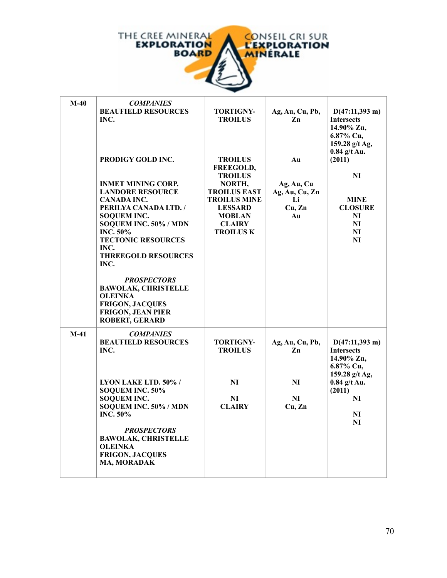

| $M-40$ | <b>COMPANIES</b><br><b>BEAUFIELD RESOURCES</b><br>INC.<br>PRODIGY GOLD INC.<br><b>INMET MINING CORP.</b><br><b>LANDORE RESOURCE</b><br><b>CANADA INC.</b><br>PERILYA CANADA LTD. /<br><b>SOQUEM INC.</b><br>SOQUEM INC. 50% / MDN<br><b>INC. 50%</b><br><b>TECTONIC RESOURCES</b><br>INC.<br><b>THREEGOLD RESOURCES</b><br>INC.<br><b>PROSPECTORS</b><br><b>BAWOLAK, CHRISTELLE</b> | <b>TORTIGNY-</b><br><b>TROILUS</b><br><b>TROILUS</b><br>FREEGOLD,<br><b>TROILUS</b><br>NORTH,<br><b>TROILUS EAST</b><br><b>TROILUS MINE</b><br><b>LESSARD</b><br><b>MOBLAN</b><br><b>CLAIRY</b><br><b>TROILUS K</b> | Ag, Au, Cu, Pb,<br>Zn<br>Au<br>Ag, Au, Cu<br>Ag, Au, Cu, Zn<br>Li<br>Cu, Zn<br>Au | $D(47:11,393 \text{ m})$<br><b>Intersects</b><br>14.90% Zn,<br>6.87% Cu,<br>159.28 g/t Ag,<br>$0.84$ g/t Au.<br>(2011)<br>NI<br><b>MINE</b><br><b>CLOSURE</b><br>NI<br>NI<br>NI<br>NI |
|--------|-------------------------------------------------------------------------------------------------------------------------------------------------------------------------------------------------------------------------------------------------------------------------------------------------------------------------------------------------------------------------------------|---------------------------------------------------------------------------------------------------------------------------------------------------------------------------------------------------------------------|-----------------------------------------------------------------------------------|---------------------------------------------------------------------------------------------------------------------------------------------------------------------------------------|
| $M-41$ | <b>OLEINKA</b><br><b>FRIGON, JACQUES</b><br><b>FRIGON, JEAN PIER</b><br><b>ROBERT, GERARD</b><br><b>COMPANIES</b><br><b>BEAUFIELD RESOURCES</b><br>INC.<br>LYON LAKE LTD. 50% /<br>SOQUEM INC. 50%<br><b>SOQUEM INC.</b><br>SOQUEM INC. 50% / MDN<br><b>INC. 50%</b><br><b>PROSPECTORS</b><br><b>BAWOLAK, CHRISTELLE</b><br><b>OLEINKA</b><br><b>FRIGON, JACQUES</b><br>MA, MORADAK | <b>TORTIGNY-</b><br><b>TROILUS</b><br>NI<br>NI<br><b>CLAIRY</b>                                                                                                                                                     | Ag, Au, Cu, Pb,<br>Zn<br>NI<br>NI<br>Cu, Zn                                       | $D(47:11,393 \text{ m})$<br><b>Intersects</b><br>14.90% Zn,<br>6.87% Cu,<br>159.28 g/t Ag,<br>$0.84$ g/t Au.<br>(2011)<br>NI<br>NI<br>NI                                              |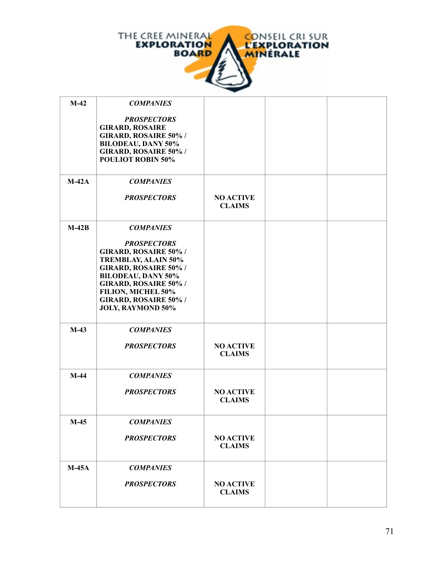

| $M-42$  | <b>COMPANIES</b>                                                                                                                                                                                                                                 |                                   |  |
|---------|--------------------------------------------------------------------------------------------------------------------------------------------------------------------------------------------------------------------------------------------------|-----------------------------------|--|
|         | <b>PROSPECTORS</b><br><b>GIRARD, ROSAIRE</b><br>GIRARD, ROSAIRE 50% /<br><b>BILODEAU, DANY 50%</b><br><b>GIRARD, ROSAIRE 50% /</b><br><b>POULIOT ROBIN 50%</b>                                                                                   |                                   |  |
| $M-42A$ | <b>COMPANIES</b>                                                                                                                                                                                                                                 |                                   |  |
|         | <b>PROSPECTORS</b>                                                                                                                                                                                                                               | <b>NO ACTIVE</b><br><b>CLAIMS</b> |  |
| $M-42B$ | <b>COMPANIES</b><br><b>PROSPECTORS</b><br>GIRARD, ROSAIRE 50% /<br><b>TREMBLAY, ALAIN 50%</b><br>GIRARD, ROSAIRE 50% /<br><b>BILODEAU, DANY 50%</b><br>GIRARD, ROSAIRE 50% /<br>FILION, MICHEL 50%<br>GIRARD, ROSAIRE 50% /<br>JOLY, RAYMOND 50% |                                   |  |
| $M-43$  | <b>COMPANIES</b><br><b>PROSPECTORS</b>                                                                                                                                                                                                           | <b>NO ACTIVE</b><br><b>CLAIMS</b> |  |
| $M-44$  | <b>COMPANIES</b><br><b>PROSPECTORS</b>                                                                                                                                                                                                           | <b>NO ACTIVE</b><br><b>CLAIMS</b> |  |
| $M-45$  | <b>COMPANIES</b><br><b>PROSPECTORS</b>                                                                                                                                                                                                           | <b>NO ACTIVE</b><br><b>CLAIMS</b> |  |
| $M-45A$ | <b>COMPANIES</b><br><b>PROSPECTORS</b>                                                                                                                                                                                                           | <b>NO ACTIVE</b><br><b>CLAIMS</b> |  |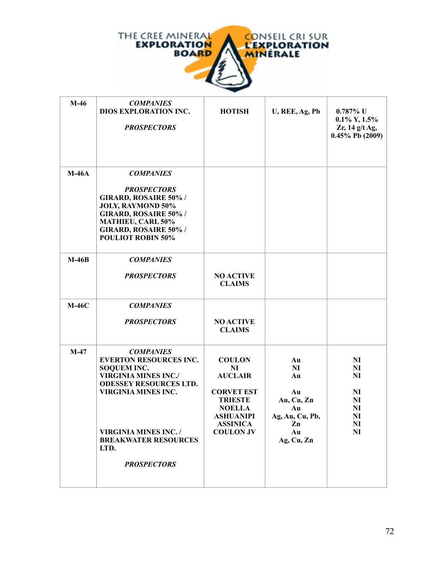

| $M-46$  | <b>COMPANIES</b><br>DIOS EXPLORATION INC.<br><b>PROSPECTORS</b>                                                                                                                                                                                                    | <b>HOTISH</b>                                                                                                                                                        | U, REE, Ag, Pb                                                                        | $0.787\%$ U<br>$0.1\%$ Y, $1.5\%$<br>Zr, 14 g/t Ag,<br>$0.45\%$ Pb (2009)                                                              |
|---------|--------------------------------------------------------------------------------------------------------------------------------------------------------------------------------------------------------------------------------------------------------------------|----------------------------------------------------------------------------------------------------------------------------------------------------------------------|---------------------------------------------------------------------------------------|----------------------------------------------------------------------------------------------------------------------------------------|
| $M-46A$ | <b>COMPANIES</b><br><b>PROSPECTORS</b><br>GIRARD, ROSAIRE 50% /<br><b>JOLY, RAYMOND 50%</b><br><b>GIRARD, ROSAIRE 50%/</b><br>MATHIEU, CARL 50%<br>GIRARD, ROSAIRE 50% /<br><b>POULIOT ROBIN 50%</b>                                                               |                                                                                                                                                                      |                                                                                       |                                                                                                                                        |
| $M-46B$ | <b>COMPANIES</b><br><b>PROSPECTORS</b>                                                                                                                                                                                                                             | <b>NO ACTIVE</b><br><b>CLAIMS</b>                                                                                                                                    |                                                                                       |                                                                                                                                        |
| $M-46C$ | <b>COMPANIES</b><br><b>PROSPECTORS</b>                                                                                                                                                                                                                             | <b>NO ACTIVE</b><br><b>CLAIMS</b>                                                                                                                                    |                                                                                       |                                                                                                                                        |
| $M-47$  | <b>COMPANIES</b><br><b>EVERTON RESOURCES INC.</b><br><b>SOQUEM INC.</b><br><b>VIRGINIA MINES INC./</b><br><b>ODESSEY RESOURCES LTD.</b><br><b>VIRGINIA MINES INC.</b><br><b>VIRGINIA MINES INC. /</b><br><b>BREAKWATER RESOURCES</b><br>LTD.<br><b>PROSPECTORS</b> | <b>COULON</b><br>N <sub>I</sub><br><b>AUCLAIR</b><br><b>CORVET EST</b><br><b>TRIESTE</b><br><b>NOELLA</b><br><b>ASHUANIPI</b><br><b>ASSINICA</b><br><b>COULON JV</b> | Au<br>NI<br>Au<br>Au<br>Au, Cu, Zn<br>Au<br>Ag, Au, Cu, Pb,<br>Zn<br>Au<br>Ag, Cu, Zn | N <sub>I</sub><br>N <sub>I</sub><br>NI<br>N <sub>I</sub><br>NI<br>N <sub>I</sub><br>N <sub>I</sub><br>N <sub>I</sub><br>N <sub>I</sub> |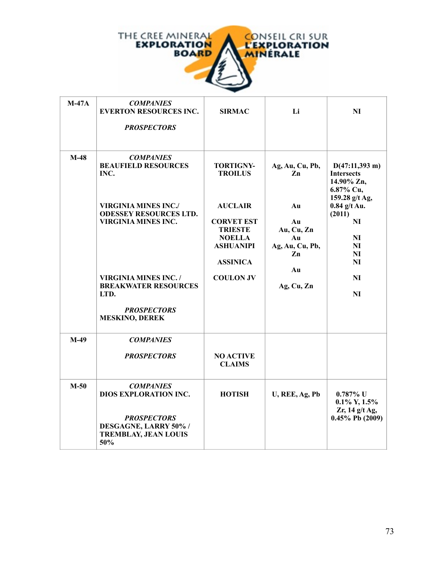

| $M-47A$ | <b>COMPANIES</b><br><b>EVERTON RESOURCES INC.</b><br><b>PROSPECTORS</b>                                           | <b>SIRMAC</b>                                                                                                 | Li                                                          | N <sub>I</sub>                                                                             |
|---------|-------------------------------------------------------------------------------------------------------------------|---------------------------------------------------------------------------------------------------------------|-------------------------------------------------------------|--------------------------------------------------------------------------------------------|
| $M-48$  | <b>COMPANIES</b><br><b>BEAUFIELD RESOURCES</b><br>INC.                                                            | <b>TORTIGNY-</b><br><b>TROILUS</b>                                                                            | Ag, Au, Cu, Pb,<br>Zn                                       | $D(47:11,393 \text{ m})$<br><b>Intersects</b><br>14.90% Zn,<br>6.87% Cu,<br>159.28 g/t Ag, |
|         | <b>VIRGINIA MINES INC./</b><br><b>ODESSEY RESOURCES LTD.</b><br><b>VIRGINIA MINES INC.</b>                        | <b>AUCLAIR</b><br><b>CORVET EST</b><br><b>TRIESTE</b><br><b>NOELLA</b><br><b>ASHUANIPI</b><br><b>ASSINICA</b> | Au<br>Au<br>Au, Cu, Zn<br>Au<br>Ag, Au, Cu, Pb,<br>Zn<br>Au | $0.84$ g/t Au.<br>(2011)<br>NI<br>NI<br>NI<br>N <sub>I</sub><br>NI                         |
|         | <b>VIRGINIA MINES INC./</b><br><b>BREAKWATER RESOURCES</b><br>LTD.<br><b>PROSPECTORS</b><br><b>MESKINO, DEREK</b> | <b>COULON JV</b>                                                                                              | Ag, Cu, Zn                                                  | N <sub>I</sub><br>NI                                                                       |
| $M-49$  | <b>COMPANIES</b>                                                                                                  |                                                                                                               |                                                             |                                                                                            |
|         | <b>PROSPECTORS</b>                                                                                                | <b>NO ACTIVE</b><br><b>CLAIMS</b>                                                                             |                                                             |                                                                                            |
| $M-50$  | <b>COMPANIES</b><br><b>DIOS EXPLORATION INC.</b><br><b>PROSPECTORS</b><br>DESGAGNE, LARRY 50% /                   | <b>HOTISH</b>                                                                                                 | U, REE, Ag, Pb                                              | $0.787\%$ U<br>$0.1\%$ Y, $1.5\%$<br>Zr, 14 g/t Ag,<br>$0.45\%$ Pb $(2009)$                |
|         | <b>TREMBLAY, JEAN LOUIS</b><br>50%                                                                                |                                                                                                               |                                                             |                                                                                            |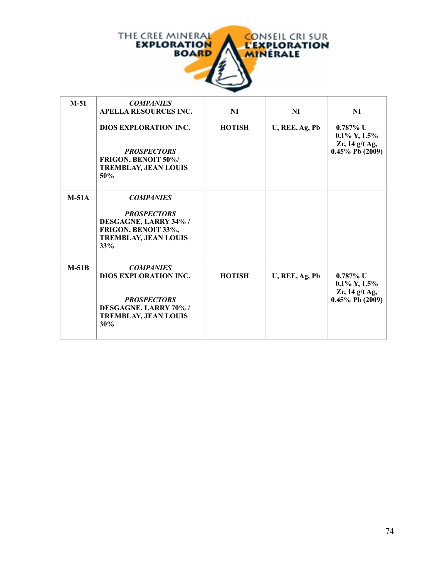

| $M-51$  | <b>COMPANIES</b><br><b>APELLA RESOURCES INC.</b><br><b>DIOS EXPLORATION INC.</b><br><b>PROSPECTORS</b><br>FRIGON, BENOIT 50%/<br><b>TREMBLAY, JEAN LOUIS</b><br>50% | <b>NI</b><br><b>HOTISH</b> | NI<br>U, REE, Ag, Pb | NI<br>$0.787\%$ U<br>$0.1\%$ Y, $1.5\%$<br>$Zr$ , 14 g/t Ag,<br>$0.45\%$ Pb (2009) |
|---------|---------------------------------------------------------------------------------------------------------------------------------------------------------------------|----------------------------|----------------------|------------------------------------------------------------------------------------|
| $M-51A$ | <b>COMPANIES</b><br><b>PROSPECTORS</b><br>DESGAGNE, LARRY 34% /<br>FRIGON, BENOIT 33%,<br><b>TREMBLAY, JEAN LOUIS</b><br>33%                                        |                            |                      |                                                                                    |
| $M-51B$ | <b>COMPANIES</b><br><b>DIOS EXPLORATION INC.</b><br><b>PROSPECTORS</b><br>DESGAGNE, LARRY 70% /<br><b>TREMBLAY, JEAN LOUIS</b><br>30%                               | <b>HOTISH</b>              | U, REE, Ag, Pb       | $0.787\%$ U<br>$0.1\%$ Y, $1.5\%$<br>$Zr$ , 14 g/t Ag,<br>$0.45\%$ Pb (2009)       |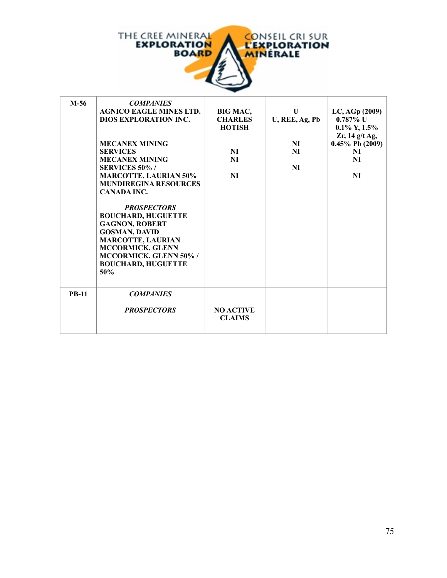

| $M-56$       | <b>COMPANIES</b><br><b>AGNICO EAGLE MINES LTD.</b><br>DIOS EXPLORATION INC.<br><b>MECANEX MINING</b><br><b>SERVICES</b><br><b>MECANEX MINING</b><br><b>SERVICES 50%/</b><br><b>MARCOTTE, LAURIAN 50%</b><br><b>MUNDIREGINA RESOURCES</b><br><b>CANADA INC.</b><br><b>PROSPECTORS</b><br><b>BOUCHARD, HUGUETTE</b><br><b>GAGNON, ROBERT</b><br><b>GOSMAN, DAVID</b><br><b>MARCOTTE, LAURIAN</b><br><b>MCCORMICK, GLENN</b><br>MCCORMICK, GLENN 50% /<br><b>BOUCHARD, HUGUETTE</b><br>50% | BIG MAC,<br><b>CHARLES</b><br><b>HOTISH</b><br>NI<br>NI<br><b>NI</b> | $\mathbf{U}$<br>U, REE, Ag, Pb<br>NI<br>NI<br>NI | LC, AGp (2009)<br>$0.787\%$ U<br>$0.1\%$ Y, $1.5\%$<br>$Zr$ , 14 g/t Ag,<br>$0.45\%$ Pb (2009)<br>NI<br>NI<br>NI |
|--------------|-----------------------------------------------------------------------------------------------------------------------------------------------------------------------------------------------------------------------------------------------------------------------------------------------------------------------------------------------------------------------------------------------------------------------------------------------------------------------------------------|----------------------------------------------------------------------|--------------------------------------------------|------------------------------------------------------------------------------------------------------------------|
| <b>PB-11</b> | <b>COMPANIES</b><br><b>PROSPECTORS</b>                                                                                                                                                                                                                                                                                                                                                                                                                                                  | <b>NO ACTIVE</b><br><b>CLAIMS</b>                                    |                                                  |                                                                                                                  |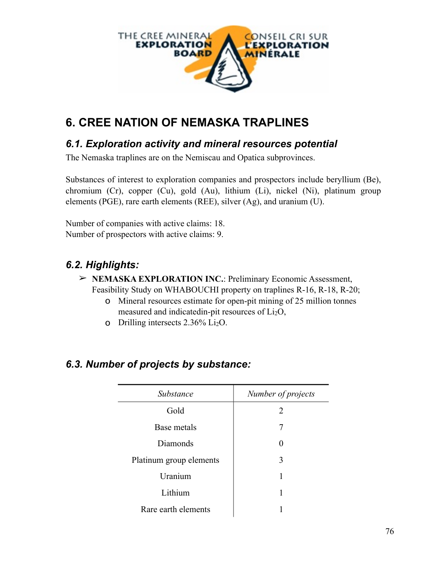

# **6. CREE NATION OF NEMASKA TRAPLINES**

#### *6.1. Exploration activity and mineral resources potential*

The Nemaska traplines are on the Nemiscau and Opatica subprovinces.

Substances of interest to exploration companies and prospectors include beryllium (Be), chromium (Cr), copper (Cu), gold (Au), lithium (Li), nickel (Ni), platinum group elements (PGE), rare earth elements (REE), silver (Ag), and uranium (U).

Number of companies with active claims: 18. Number of prospectors with active claims: 9.

## *6.2. Highlights:*

- ➢ **NEMASKA EXPLORATION INC.**: Preliminary Economic Assessment, Feasibility Study on WHABOUCHI property on traplines R-16, R-18, R-20;
	- o Mineral resources estimate for open-pit mining of 25 million tonnes measured and indicatedin-pit resources of Li2O,
	- o Drilling intersects 2.36% Li2O.

| Substance               | Number of projects |
|-------------------------|--------------------|
| Gold                    | 2                  |
| Base metals             | 7                  |
| Diamonds                | 0                  |
| Platinum group elements | 3                  |
| Uranium                 |                    |
| Lithium                 |                    |
| Rare earth elements     |                    |

### *6.3. Number of projects by substance:*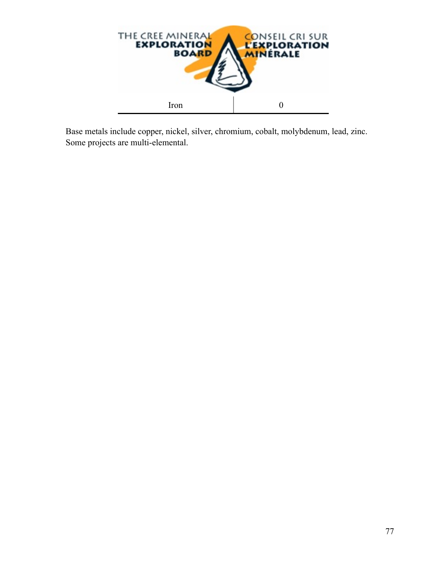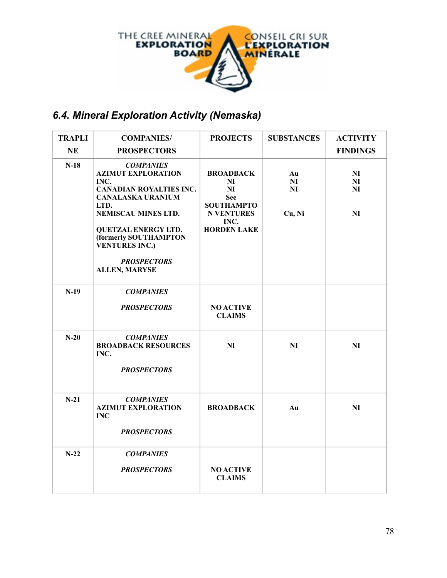

## *6.4. Mineral Exploration Activity (Nemaska)*

| <b>TRAPLI</b> | <b>COMPANIES/</b>                                                                                                                                                                                                                                                         | <b>PROJECTS</b>                                                                                                                | <b>SUBSTANCES</b>                    | <b>ACTIVITY</b>                  |
|---------------|---------------------------------------------------------------------------------------------------------------------------------------------------------------------------------------------------------------------------------------------------------------------------|--------------------------------------------------------------------------------------------------------------------------------|--------------------------------------|----------------------------------|
| <b>NE</b>     | <b>PROSPECTORS</b>                                                                                                                                                                                                                                                        |                                                                                                                                |                                      | <b>FINDINGS</b>                  |
| $N-18$        | <b>COMPANIES</b><br><b>AZIMUT EXPLORATION</b><br>INC.<br><b>CANADIAN ROYALTIES INC.</b><br><b>CANALASKA URANIUM</b><br>LTD.<br>NEMISCAU MINES LTD.<br><b>QUETZAL ENERGY LTD.</b><br>(formerly SOUTHAMPTON<br><b>VENTURES INC.)</b><br><b>PROSPECTORS</b><br>ALLEN, MARYSE | <b>BROADBACK</b><br>N <sub>I</sub><br>NI<br><b>See</b><br><b>SOUTHAMPTO</b><br><b>N VENTURES</b><br>INC.<br><b>HORDEN LAKE</b> | Au<br>N <sub>I</sub><br>NI<br>Cu, Ni | NI<br>N <sub>I</sub><br>NI<br>NI |
| $N-19$        | <b>COMPANIES</b><br><b>PROSPECTORS</b>                                                                                                                                                                                                                                    | <b>NO ACTIVE</b><br><b>CLAIMS</b>                                                                                              |                                      |                                  |
| $N-20$        | <b>COMPANIES</b><br><b>BROADBACK RESOURCES</b><br>INC.<br><b>PROSPECTORS</b>                                                                                                                                                                                              | NI                                                                                                                             | NI                                   | NI                               |
| $N-21$        | <b>COMPANIES</b><br><b>AZIMUT EXPLORATION</b><br><b>INC</b><br><b>PROSPECTORS</b>                                                                                                                                                                                         | <b>BROADBACK</b>                                                                                                               | Au                                   | NI                               |
| $N-22$        | <b>COMPANIES</b><br><b>PROSPECTORS</b>                                                                                                                                                                                                                                    | <b>NO ACTIVE</b><br><b>CLAIMS</b>                                                                                              |                                      |                                  |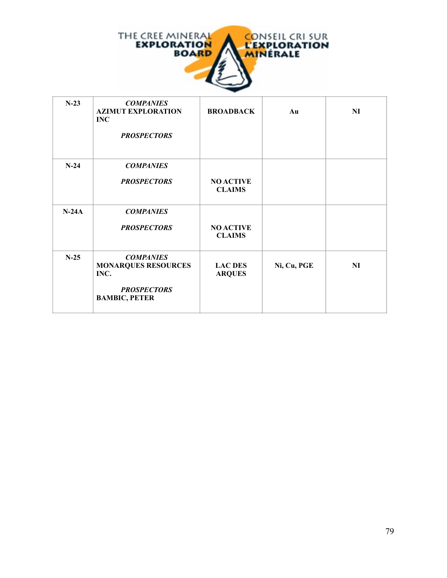

| $N-23$  | <b>COMPANIES</b><br><b>AZIMUT EXPLORATION</b><br><b>INC</b><br><b>PROSPECTORS</b>                    | <b>BROADBACK</b>                  | Au          | N <sub>I</sub> |
|---------|------------------------------------------------------------------------------------------------------|-----------------------------------|-------------|----------------|
| $N-24$  | <b>COMPANIES</b><br><b>PROSPECTORS</b>                                                               | <b>NO ACTIVE</b><br><b>CLAIMS</b> |             |                |
| $N-24A$ | <b>COMPANIES</b><br><b>PROSPECTORS</b>                                                               | <b>NO ACTIVE</b><br><b>CLAIMS</b> |             |                |
| $N-25$  | <b>COMPANIES</b><br><b>MONARQUES RESOURCES</b><br>INC.<br><b>PROSPECTORS</b><br><b>BAMBIC, PETER</b> | <b>LAC DES</b><br><b>ARQUES</b>   | Ni, Cu, PGE | NI             |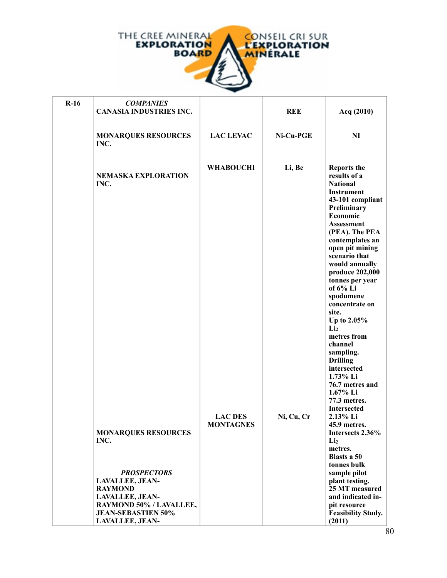

| $R-16$ | <b>COMPANIES</b><br><b>CANASIA INDUSTRIES INC.</b>                                                                                                                                                               |                                    | <b>REE</b> | Acq (2010)                                                                                                                                                                                                                                                                                                                                                                                                                                                                                                |
|--------|------------------------------------------------------------------------------------------------------------------------------------------------------------------------------------------------------------------|------------------------------------|------------|-----------------------------------------------------------------------------------------------------------------------------------------------------------------------------------------------------------------------------------------------------------------------------------------------------------------------------------------------------------------------------------------------------------------------------------------------------------------------------------------------------------|
|        | <b>MONARQUES RESOURCES</b><br>INC.                                                                                                                                                                               | <b>LAC LEVAC</b>                   | Ni-Cu-PGE  | NI                                                                                                                                                                                                                                                                                                                                                                                                                                                                                                        |
|        | <b>NEMASKA EXPLORATION</b><br>INC.                                                                                                                                                                               | <b>WHABOUCHI</b>                   | Li, Be     | <b>Reports the</b><br>results of a<br><b>National</b><br><b>Instrument</b><br>43-101 compliant<br>Preliminary<br>Economic<br><b>Assessment</b><br>(PEA). The PEA<br>contemplates an<br>open pit mining<br>scenario that<br>would annually<br>produce 202,000<br>tonnes per year<br>of 6% Li<br>spodumene<br>concentrate on<br>site.<br>Up to 2.05%<br>Li <sub>2</sub><br>metres from<br>channel<br>sampling.<br><b>Drilling</b><br>intersected<br>1.73% Li<br>76.7 metres and<br>1.67% Li<br>77.3 metres. |
|        | <b>MONARQUES RESOURCES</b><br>INC.<br><b>PROSPECTORS</b><br><b>LAVALLEE, JEAN-</b><br><b>RAYMOND</b><br><b>LAVALLEE, JEAN-</b><br>RAYMOND 50% / LAVALLEE,<br><b>JEAN-SEBASTIEN 50%</b><br><b>LAVALLEE, JEAN-</b> | <b>LAC DES</b><br><b>MONTAGNES</b> | Ni, Cu, Cr | <b>Intersected</b><br>2.13% Li<br>45.9 metres.<br>Intersects 2.36%<br>Li <sub>2</sub><br>metres.<br><b>Blasts a 50</b><br>tonnes bulk<br>sample pilot<br>plant testing.<br>25 MT measured<br>and indicated in-<br>pit resource<br><b>Feasibility Study.</b><br>(2011)                                                                                                                                                                                                                                     |

**SEBASTIEN**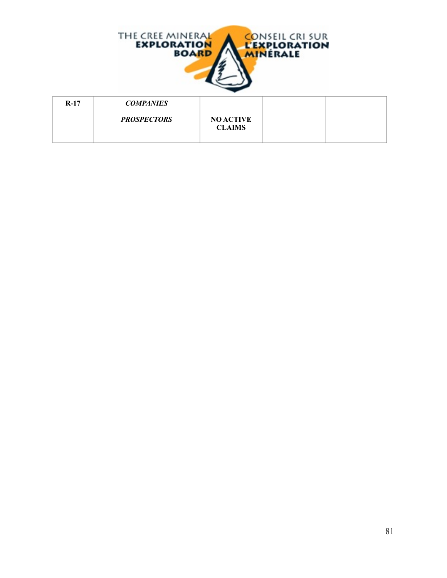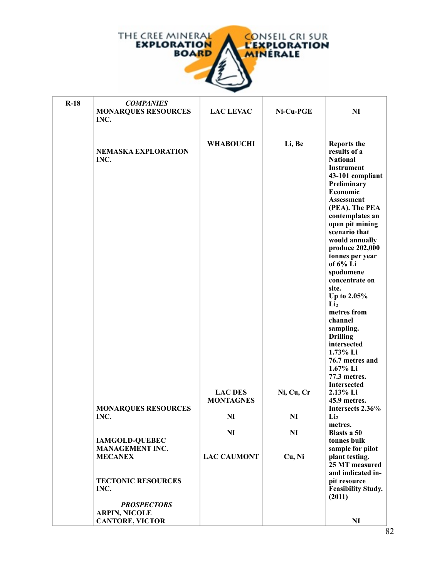

h

| $R-18$ | <b>COMPANIES</b><br><b>MONARQUES RESOURCES</b><br>INC.               | <b>LAC LEVAC</b>                                     | Ni-Cu-PGE               | <b>NI</b>                                                                                                                                                                                                                                                                                                                                                                                                                                                                                                 |
|--------|----------------------------------------------------------------------|------------------------------------------------------|-------------------------|-----------------------------------------------------------------------------------------------------------------------------------------------------------------------------------------------------------------------------------------------------------------------------------------------------------------------------------------------------------------------------------------------------------------------------------------------------------------------------------------------------------|
|        | <b>NEMASKA EXPLORATION</b><br>INC.                                   | <b>WHABOUCHI</b>                                     | Li, Be                  | <b>Reports the</b><br>results of a<br><b>National</b><br><b>Instrument</b><br>43-101 compliant<br>Preliminary<br>Economic<br><b>Assessment</b><br>(PEA). The PEA<br>contemplates an<br>open pit mining<br>scenario that<br>would annually<br>produce 202,000<br>tonnes per year<br>of 6% Li<br>spodumene<br>concentrate on<br>site.<br>Up to 2.05%<br>Li <sub>2</sub><br>metres from<br>channel<br>sampling.<br><b>Drilling</b><br>intersected<br>1.73% Li<br>76.7 metres and<br>1.67% Li<br>77.3 metres. |
|        | <b>MONARQUES RESOURCES</b><br>INC.                                   | <b>LAC DES</b><br><b>MONTAGNES</b><br>N <sub>I</sub> | Ni, Cu, Cr<br><b>NI</b> | <b>Intersected</b><br>2.13% Li<br>45.9 metres.<br>Intersects 2.36%<br>Li <sub>2</sub>                                                                                                                                                                                                                                                                                                                                                                                                                     |
|        | <b>IAMGOLD-QUEBEC</b><br><b>MANAGEMENT INC.</b>                      | N <sub>I</sub>                                       | N <sub>I</sub>          | metres.<br>Blasts a 50<br>tonnes bulk<br>sample for pilot                                                                                                                                                                                                                                                                                                                                                                                                                                                 |
|        | <b>MECANEX</b>                                                       | <b>LAC CAUMONT</b>                                   | Cu, Ni                  | plant testing.<br>25 MT measured<br>and indicated in-                                                                                                                                                                                                                                                                                                                                                                                                                                                     |
|        | <b>TECTONIC RESOURCES</b><br>INC.                                    |                                                      |                         | pit resource<br><b>Feasibility Study.</b><br>(2011)                                                                                                                                                                                                                                                                                                                                                                                                                                                       |
|        | <b>PROSPECTORS</b><br><b>ARPIN, NICOLE</b><br><b>CANTORE, VICTOR</b> |                                                      |                         | NI<br>S                                                                                                                                                                                                                                                                                                                                                                                                                                                                                                   |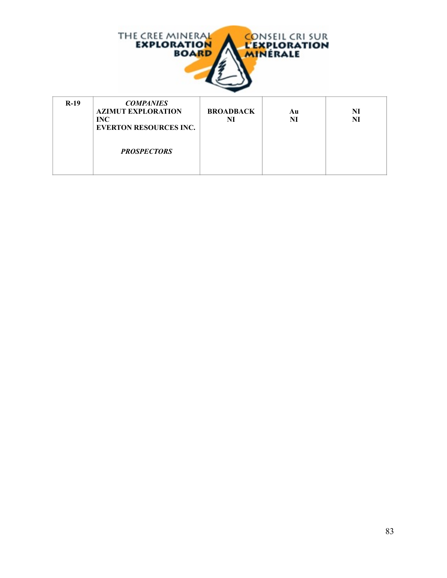

| $R-19$ | <b>COMPANIES</b><br><b>AZIMUT EXPLORATION</b><br><b>INC</b><br><b>EVERTON RESOURCES INC.</b> | <b>BROADBACK</b><br>NI | Au<br>NI | NI<br>NI |
|--------|----------------------------------------------------------------------------------------------|------------------------|----------|----------|
|        | <b>PROSPECTORS</b>                                                                           |                        |          |          |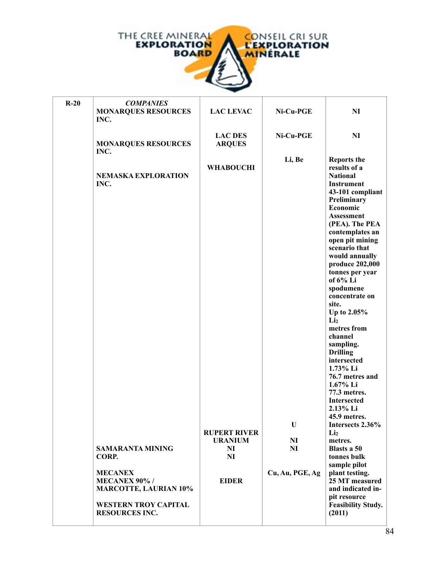

| $R-20$ | <b>COMPANIES</b><br><b>MONARQUES RESOURCES</b><br>INC.                                                                        | <b>LAC LEVAC</b>                        | Ni-Cu-PGE       | <b>NI</b>                                                                                                                                                                                                                                                                                                                                                                                                                                                                                                                                                                            |
|--------|-------------------------------------------------------------------------------------------------------------------------------|-----------------------------------------|-----------------|--------------------------------------------------------------------------------------------------------------------------------------------------------------------------------------------------------------------------------------------------------------------------------------------------------------------------------------------------------------------------------------------------------------------------------------------------------------------------------------------------------------------------------------------------------------------------------------|
|        | <b>MONARQUES RESOURCES</b><br>INC.                                                                                            | <b>LAC DES</b><br><b>ARQUES</b>         | Ni-Cu-PGE       | NI                                                                                                                                                                                                                                                                                                                                                                                                                                                                                                                                                                                   |
|        | <b>NEMASKA EXPLORATION</b><br>INC.                                                                                            | <b>WHABOUCHI</b><br><b>RUPERT RIVER</b> | Li, Be<br>U     | <b>Reports the</b><br>results of a<br><b>National</b><br>Instrument<br>43-101 compliant<br>Preliminary<br>Economic<br>Assessment<br>(PEA). The PEA<br>contemplates an<br>open pit mining<br>scenario that<br>would annually<br>produce 202,000<br>tonnes per year<br>of 6% Li<br>spodumene<br>concentrate on<br>site.<br>Up to 2.05%<br>Li <sub>2</sub><br>metres from<br>channel<br>sampling.<br><b>Drilling</b><br>intersected<br>1.73% Li<br>76.7 metres and<br>1.67% Li<br>77.3 metres.<br><b>Intersected</b><br>2.13% Li<br>45.9 metres.<br>Intersects 2.36%<br>Li <sub>2</sub> |
|        |                                                                                                                               | <b>URANIUM</b>                          | N <sub>I</sub>  | metres.                                                                                                                                                                                                                                                                                                                                                                                                                                                                                                                                                                              |
|        | <b>SAMARANTA MINING</b><br>CORP.                                                                                              | NI<br>N <sub>I</sub>                    | N <sub>I</sub>  | Blasts a 50<br>tonnes bulk                                                                                                                                                                                                                                                                                                                                                                                                                                                                                                                                                           |
|        | <b>MECANEX</b><br><b>MECANEX 90%/</b><br><b>MARCOTTE, LAURIAN 10%</b><br><b>WESTERN TROY CAPITAL</b><br><b>RESOURCES INC.</b> | <b>EIDER</b>                            | Cu, Au, PGE, Ag | sample pilot<br>plant testing.<br>25 MT measured<br>and indicated in-<br>pit resource<br><b>Feasibility Study.</b><br>(2011)                                                                                                                                                                                                                                                                                                                                                                                                                                                         |

*PROSPECTORS*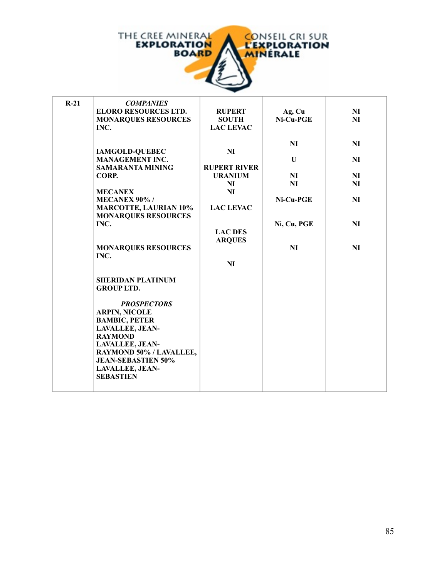

| $R-21$ | <b>COMPANIES</b>             |                     |             |                |
|--------|------------------------------|---------------------|-------------|----------------|
|        | <b>ELORO RESOURCES LTD.</b>  | <b>RUPERT</b>       | Ag, Cu      | <b>NI</b>      |
|        | <b>MONARQUES RESOURCES</b>   | <b>SOUTH</b>        | Ni-Cu-PGE   | <b>NI</b>      |
|        | INC.                         | <b>LAC LEVAC</b>    |             |                |
|        |                              |                     |             |                |
|        |                              |                     | <b>NI</b>   | NI             |
|        | <b>IAMGOLD-QUEBEC</b>        | N <sub>I</sub>      |             |                |
|        | <b>MANAGEMENT INC.</b>       |                     | U           | <b>NI</b>      |
|        | <b>SAMARANTA MINING</b>      | <b>RUPERT RIVER</b> |             |                |
|        | CORP.                        | <b>URANIUM</b>      | NI          | <b>NI</b>      |
|        |                              | <b>NI</b>           | NI          | N <sub>I</sub> |
|        | <b>MECANEX</b>               | <b>NI</b>           |             |                |
|        | <b>MECANEX 90%/</b>          |                     | Ni-Cu-PGE   | <b>NI</b>      |
|        | <b>MARCOTTE, LAURIAN 10%</b> | <b>LAC LEVAC</b>    |             |                |
|        | <b>MONARQUES RESOURCES</b>   |                     |             |                |
|        | INC.                         |                     | Ni, Cu, PGE | N <sub>I</sub> |
|        |                              | <b>LAC DES</b>      |             |                |
|        |                              | <b>ARQUES</b>       |             |                |
|        | <b>MONARQUES RESOURCES</b>   |                     | <b>NI</b>   | <b>NI</b>      |
|        | INC.                         |                     |             |                |
|        |                              | <b>NI</b>           |             |                |
|        |                              |                     |             |                |
|        | <b>SHERIDAN PLATINUM</b>     |                     |             |                |
|        | <b>GROUP LTD.</b>            |                     |             |                |
|        |                              |                     |             |                |
|        | <b>PROSPECTORS</b>           |                     |             |                |
|        | <b>ARPIN, NICOLE</b>         |                     |             |                |
|        | <b>BAMBIC, PETER</b>         |                     |             |                |
|        | LAVALLEE, JEAN-              |                     |             |                |
|        | <b>RAYMOND</b>               |                     |             |                |
|        | <b>LAVALLEE, JEAN-</b>       |                     |             |                |
|        | RAYMOND 50% / LAVALLEE,      |                     |             |                |
|        | <b>JEAN-SEBASTIEN 50%</b>    |                     |             |                |
|        | <b>LAVALLEE, JEAN-</b>       |                     |             |                |
|        | <b>SEBASTIEN</b>             |                     |             |                |
|        |                              |                     |             |                |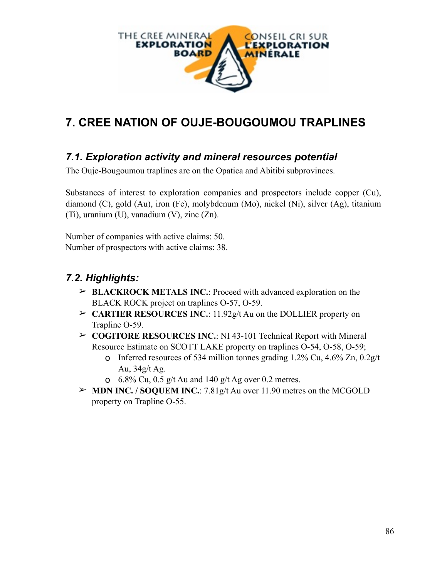

# **7. CREE NATION OF OUJE-BOUGOUMOU TRAPLINES**

#### *7.1. Exploration activity and mineral resources potential*

The Ouje-Bougoumou traplines are on the Opatica and Abitibi subprovinces.

Substances of interest to exploration companies and prospectors include copper (Cu), diamond (C), gold (Au), iron (Fe), molybdenum (Mo), nickel (Ni), silver (Ag), titanium (Ti), uranium (U), vanadium (V), zinc (Zn).

Number of companies with active claims: 50. Number of prospectors with active claims: 38.

### *7.2. Highlights:*

- ➢ **BLACKROCK METALS INC.**: Proceed with advanced exploration on the BLACK ROCK project on traplines O-57, O-59.
- ➢ **CARTIER RESOURCES INC.**: 11.92g/t Au on the DOLLIER property on Trapline O-59.
- ➢ **COGITORE RESOURCES INC.**: NI 43-101 Technical Report with Mineral Resource Estimate on SCOTT LAKE property on traplines O-54, O-58, O-59;
	- o Inferred resources of 534 million tonnes grading 1.2% Cu, 4.6% Zn, 0.2g/t Au, 34g/t Ag.
	- **o** 6.8% Cu, 0.5 g/t Au and 140 g/t Ag over 0.2 metres.
- ➢ **MDN INC. / SOQUEM INC.**: 7.81g/t Au over 11.90 metres on the MCGOLD property on Trapline O-55.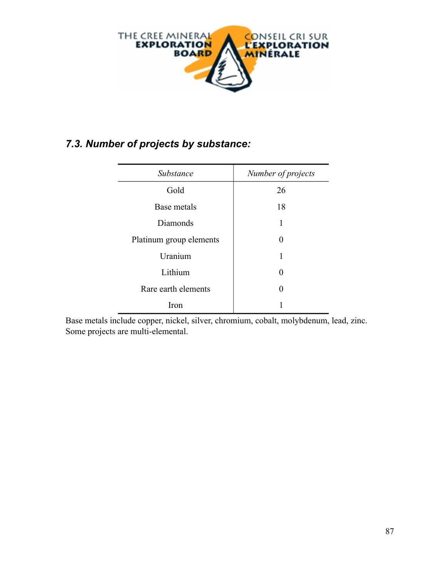

## *7.3. Number of projects by substance:*

| Substance               | Number of projects |
|-------------------------|--------------------|
| Gold                    | 26                 |
| Base metals             | 18                 |
| Diamonds                | 1                  |
| Platinum group elements | $\Omega$           |
| Uranium                 | 1                  |
| Lithium                 | 0                  |
| Rare earth elements     | 0                  |
| Iron                    |                    |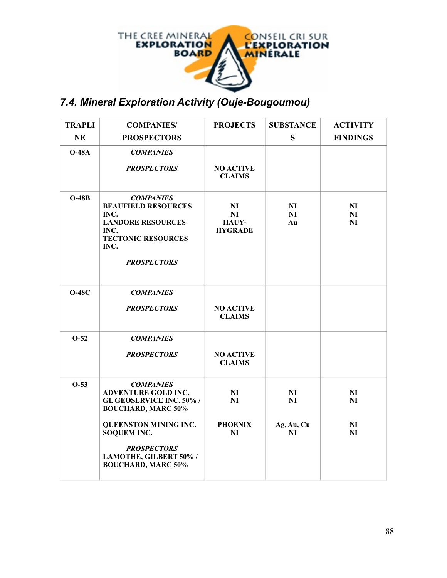

## *7.4. Mineral Exploration Activity (Ouje-Bougoumou)*

| <b>TRAPLI</b> | <b>COMPANIES/</b>                                                                                                                                                                                                                                | <b>PROJECTS</b>                                        | <b>SUBSTANCE</b>                         | <b>ACTIVITY</b>                  |
|---------------|--------------------------------------------------------------------------------------------------------------------------------------------------------------------------------------------------------------------------------------------------|--------------------------------------------------------|------------------------------------------|----------------------------------|
| <b>NE</b>     | <b>PROSPECTORS</b>                                                                                                                                                                                                                               |                                                        | S                                        | <b>FINDINGS</b>                  |
| $O-48A$       | <b>COMPANIES</b><br><b>PROSPECTORS</b>                                                                                                                                                                                                           | <b>NO ACTIVE</b><br><b>CLAIMS</b>                      |                                          |                                  |
| $O-48B$       | <b>COMPANIES</b><br><b>BEAUFIELD RESOURCES</b><br>INC.<br><b>LANDORE RESOURCES</b><br>INC.<br><b>TECTONIC RESOURCES</b><br>INC.<br><b>PROSPECTORS</b>                                                                                            | N <sub>I</sub><br>NI<br><b>HAUY-</b><br><b>HYGRADE</b> | N <sub>I</sub><br>NI<br>Au               | N <sub>I</sub><br>NI<br>NI       |
| $O-48C$       | <b>COMPANIES</b><br><b>PROSPECTORS</b>                                                                                                                                                                                                           | <b>NO ACTIVE</b><br><b>CLAIMS</b>                      |                                          |                                  |
| $O-52$        | <b>COMPANIES</b><br><b>PROSPECTORS</b>                                                                                                                                                                                                           | <b>NO ACTIVE</b><br><b>CLAIMS</b>                      |                                          |                                  |
| $O-53$        | <b>COMPANIES</b><br><b>ADVENTURE GOLD INC.</b><br><b>GL GEOSERVICE INC. 50%/</b><br><b>BOUCHARD, MARC 50%</b><br><b>QUEENSTON MINING INC.</b><br><b>SOQUEM INC.</b><br><b>PROSPECTORS</b><br>LAMOTHE, GILBERT 50% /<br><b>BOUCHARD, MARC 50%</b> | NI<br>NI<br><b>PHOENIX</b><br>NI                       | N <sub>I</sub><br>NI<br>Ag, Au, Cu<br>NI | N <sub>I</sub><br>NI<br>NI<br>NI |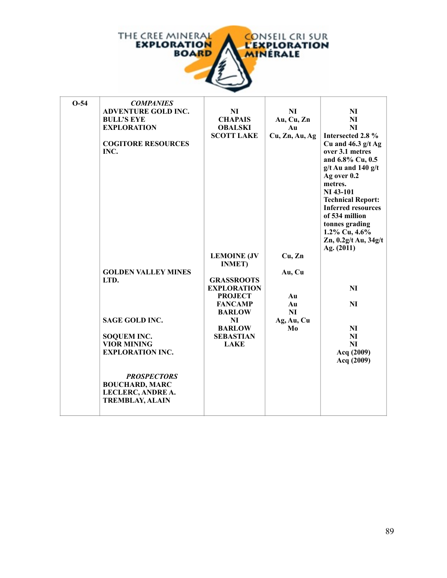

| $O-54$ | <b>COMPANIES</b>           |                                     |                |                           |
|--------|----------------------------|-------------------------------------|----------------|---------------------------|
|        | <b>ADVENTURE GOLD INC.</b> | NI                                  | NI             | N <sub>I</sub>            |
|        | <b>BULL'S EYE</b>          | <b>CHAPAIS</b>                      | Au, Cu, Zn     | N <sub>I</sub>            |
|        | <b>EXPLORATION</b>         | <b>OBALSKI</b>                      | Au             | NI                        |
|        |                            | <b>SCOTT LAKE</b>                   | Cu, Zn, Au, Ag | Intersected 2.8 %         |
|        | <b>COGITORE RESOURCES</b>  |                                     |                | Cu and $46.3$ g/t Ag      |
|        | INC.                       |                                     |                | over 3.1 metres           |
|        |                            |                                     |                | and 6.8% Cu, 0.5          |
|        |                            |                                     |                | $g/t$ Au and 140 $g/t$    |
|        |                            |                                     |                | Ag over 0.2               |
|        |                            |                                     |                | metres.                   |
|        |                            |                                     |                | NI 43-101                 |
|        |                            |                                     |                | <b>Technical Report:</b>  |
|        |                            |                                     |                | <b>Inferred resources</b> |
|        |                            |                                     |                | of 534 million            |
|        |                            |                                     |                | tonnes grading            |
|        |                            |                                     |                | 1.2% Cu, 4.6%             |
|        |                            |                                     |                | Zn, 0.2g/t Au, 34g/t      |
|        |                            |                                     | Cu, Zn         | Ag. (2011)                |
|        |                            | <b>LEMOINE (JV</b><br><b>INMET)</b> |                |                           |
|        | <b>GOLDEN VALLEY MINES</b> |                                     | Au, Cu         |                           |
|        | LTD.                       | <b>GRASSROOTS</b>                   |                |                           |
|        |                            | <b>EXPLORATION</b>                  |                | NI                        |
|        |                            | <b>PROJECT</b>                      | Au             |                           |
|        |                            | <b>FANCAMP</b>                      | Au             | <b>NI</b>                 |
|        |                            | <b>BARLOW</b>                       | <b>NI</b>      |                           |
|        | <b>SAGE GOLD INC.</b>      | NI                                  | Ag, Au, Cu     |                           |
|        |                            | <b>BARLOW</b>                       | Mo             | NI                        |
|        | <b>SOQUEM INC.</b>         | <b>SEBASTIAN</b>                    |                | NI                        |
|        | <b>VIOR MINING</b>         | <b>LAKE</b>                         |                | NI                        |
|        | <b>EXPLORATION INC.</b>    |                                     |                | Acq (2009)                |
|        |                            |                                     |                | Acq (2009)                |
|        |                            |                                     |                |                           |
|        | <b>PROSPECTORS</b>         |                                     |                |                           |
|        | <b>BOUCHARD, MARC</b>      |                                     |                |                           |
|        | LECLERC, ANDRE A.          |                                     |                |                           |
|        | <b>TREMBLAY, ALAIN</b>     |                                     |                |                           |
|        |                            |                                     |                |                           |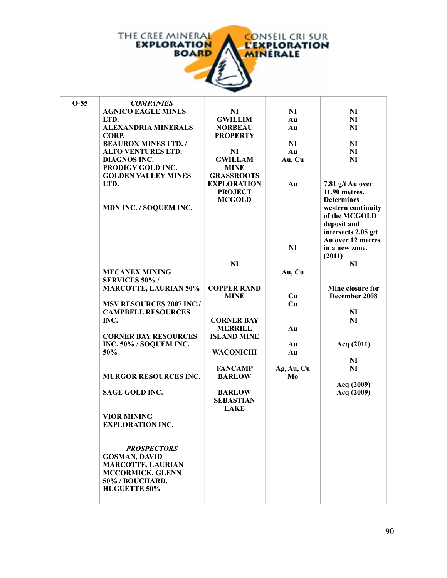

| $O-55$ | <b>COMPANIES</b>                              |                    |                |                          |
|--------|-----------------------------------------------|--------------------|----------------|--------------------------|
|        | <b>AGNICO EAGLE MINES</b>                     | NI                 | N <sub>I</sub> | N <sub>I</sub>           |
|        | LTD.                                          | <b>GWILLIM</b>     | Au             | N <sub>I</sub>           |
|        | <b>ALEXANDRIA MINERALS</b>                    | <b>NORBEAU</b>     | Au             | NI                       |
|        | CORP.                                         | <b>PROPERTY</b>    |                |                          |
|        | <b>BEAUROX MINES LTD./</b>                    |                    | N <sub>I</sub> | N <sub>I</sub>           |
|        | <b>ALTO VENTURES LTD.</b>                     | NI                 | Au             | N <sub>I</sub>           |
|        | DIAGNOS INC.                                  | <b>GWILLAM</b>     | Au, Cu         | NI                       |
|        | PRODIGY GOLD INC.                             | <b>MINE</b>        |                |                          |
|        | <b>GOLDEN VALLEY MINES</b>                    | <b>GRASSROOTS</b>  |                |                          |
|        | LTD.                                          | <b>EXPLORATION</b> | Au             | 7.81 g/t Au over         |
|        |                                               | <b>PROJECT</b>     |                | 11.90 metres.            |
|        |                                               | <b>MCGOLD</b>      |                | <b>Determines</b>        |
|        | MDN INC. / SOQUEM INC.                        |                    |                | western continuity       |
|        |                                               |                    |                | of the MCGOLD            |
|        |                                               |                    |                | deposit and              |
|        |                                               |                    |                | intersects 2.05 g/t      |
|        |                                               |                    |                | Au over 12 metres        |
|        |                                               |                    | NI             | in a new zone.           |
|        |                                               | N <sub>I</sub>     |                | (2011)<br>N <sub>I</sub> |
|        | <b>MECANEX MINING</b>                         |                    | Au, Cu         |                          |
|        | <b>SERVICES 50%/</b>                          |                    |                |                          |
|        | <b>MARCOTTE, LAURIAN 50%</b>                  | <b>COPPER RAND</b> |                | Mine closure for         |
|        |                                               | <b>MINE</b>        | Cu             | December 2008            |
|        | <b>MSV RESOURCES 2007 INC./</b>               |                    | Cu             |                          |
|        | <b>CAMPBELL RESOURCES</b>                     |                    |                | NI                       |
|        | INC.                                          | <b>CORNER BAY</b>  |                | N <sub>I</sub>           |
|        |                                               | <b>MERRILL</b>     | Au             |                          |
|        | <b>CORNER BAY RESOURCES</b>                   | <b>ISLAND MINE</b> |                |                          |
|        | INC. 50% / SOQUEM INC.                        |                    | Au             | Acq (2011)               |
|        | 50%                                           | <b>WACONICHI</b>   | Au             |                          |
|        |                                               |                    |                | NI                       |
|        |                                               | <b>FANCAMP</b>     | Ag, Au, Cu     | NI                       |
|        | <b>MURGOR RESOURCES INC.</b>                  | <b>BARLOW</b>      | Mo             |                          |
|        |                                               |                    |                | Acq (2009)               |
|        | <b>SAGE GOLD INC.</b>                         | <b>BARLOW</b>      |                | Acq (2009)               |
|        |                                               | <b>SEBASTIAN</b>   |                |                          |
|        |                                               | <b>LAKE</b>        |                |                          |
|        | <b>VIOR MINING</b><br><b>EXPLORATION INC.</b> |                    |                |                          |
|        |                                               |                    |                |                          |
|        |                                               |                    |                |                          |
|        | <b>PROSPECTORS</b>                            |                    |                |                          |
|        | <b>GOSMAN, DAVID</b>                          |                    |                |                          |
|        | <b>MARCOTTE, LAURIAN</b>                      |                    |                |                          |
|        | <b>MCCORMICK, GLENN</b>                       |                    |                |                          |
|        | 50% / BOUCHARD,                               |                    |                |                          |
|        | <b>HUGUETTE 50%</b>                           |                    |                |                          |
|        |                                               |                    |                |                          |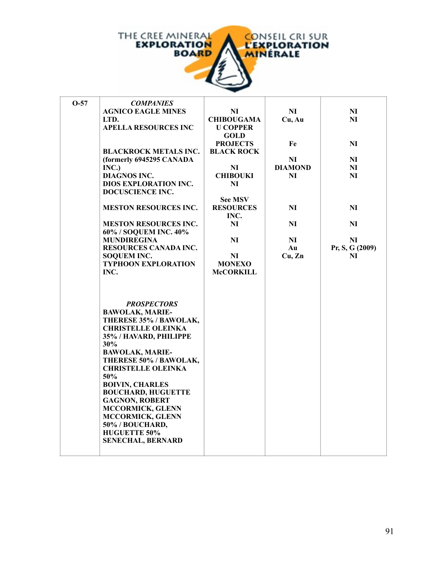

| $O-57$ | <b>COMPANIES</b>             |                   |                |                 |
|--------|------------------------------|-------------------|----------------|-----------------|
|        | <b>AGNICO EAGLE MINES</b>    | NI                | NI             | N <sub>I</sub>  |
|        | LTD.                         | <b>CHIBOUGAMA</b> | Cu, Au         | NI              |
|        | <b>APELLA RESOURCES INC</b>  | <b>U COPPER</b>   |                |                 |
|        |                              | <b>GOLD</b>       |                |                 |
|        |                              | <b>PROJECTS</b>   | Fe             | NI              |
|        | <b>BLACKROCK METALS INC.</b> | <b>BLACK ROCK</b> |                |                 |
|        | (formerly 6945295 CANADA     |                   | NI             | NI              |
|        | INC.)                        | N <sub>I</sub>    | <b>DIAMOND</b> | N <sub>I</sub>  |
|        | <b>DIAGNOS INC.</b>          | <b>CHIBOUKI</b>   | NI             | N <sub>I</sub>  |
|        | <b>DIOS EXPLORATION INC.</b> | NI                |                |                 |
|        | <b>DOCUSCIENCE INC.</b>      |                   |                |                 |
|        |                              | <b>See MSV</b>    |                |                 |
|        | <b>MESTON RESOURCES INC.</b> | <b>RESOURCES</b>  | NI             | NI              |
|        |                              | INC.              |                |                 |
|        | <b>MESTON RESOURCES INC.</b> | NI                | N <sub>I</sub> | N <sub>I</sub>  |
|        | 60% / SOQUEM INC. 40%        |                   |                |                 |
|        | <b>MUNDIREGINA</b>           | NI                | NI             | NI              |
|        | RESOURCES CANADA INC.        |                   | Au             |                 |
|        |                              |                   | Cu, Zn         | Pr, S, G (2009) |
|        | <b>SOQUEM INC.</b>           | NI                |                | NI              |
|        | <b>TYPHOON EXPLORATION</b>   | <b>MONEXO</b>     |                |                 |
|        | INC.                         | <b>McCORKILL</b>  |                |                 |
|        |                              |                   |                |                 |
|        |                              |                   |                |                 |
|        |                              |                   |                |                 |
|        | <b>PROSPECTORS</b>           |                   |                |                 |
|        | <b>BAWOLAK, MARIE-</b>       |                   |                |                 |
|        | THERESE 35% / BAWOLAK,       |                   |                |                 |
|        | <b>CHRISTELLE OLEINKA</b>    |                   |                |                 |
|        | 35% / HAVARD, PHILIPPE       |                   |                |                 |
|        | 30%                          |                   |                |                 |
|        | <b>BAWOLAK, MARIE-</b>       |                   |                |                 |
|        | THERESE 50% / BAWOLAK,       |                   |                |                 |
|        | <b>CHRISTELLE OLEINKA</b>    |                   |                |                 |
|        | 50%                          |                   |                |                 |
|        | <b>BOIVIN, CHARLES</b>       |                   |                |                 |
|        | <b>BOUCHARD, HUGUETTE</b>    |                   |                |                 |
|        | <b>GAGNON, ROBERT</b>        |                   |                |                 |
|        | <b>MCCORMICK, GLENN</b>      |                   |                |                 |
|        | MCCORMICK, GLENN             |                   |                |                 |
|        | 50% / BOUCHARD,              |                   |                |                 |
|        | <b>HUGUETTE 50%</b>          |                   |                |                 |
|        | <b>SENECHAL, BERNARD</b>     |                   |                |                 |
|        |                              |                   |                |                 |
|        |                              |                   |                |                 |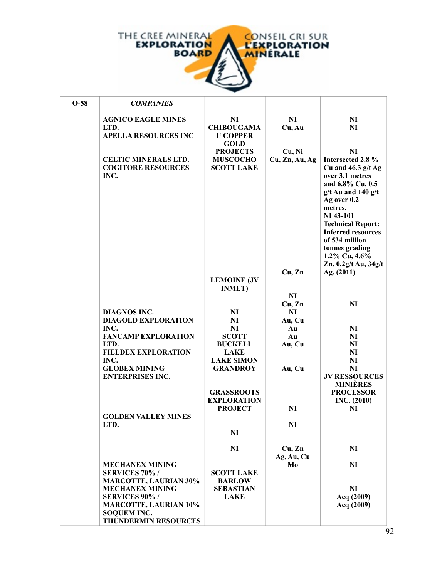

| $O-58$ | <b>COMPANIES</b>                                                                                          |                                                                        |                              |                                                                                                                                                                                                                                                                                               |
|--------|-----------------------------------------------------------------------------------------------------------|------------------------------------------------------------------------|------------------------------|-----------------------------------------------------------------------------------------------------------------------------------------------------------------------------------------------------------------------------------------------------------------------------------------------|
|        | <b>AGNICO EAGLE MINES</b><br>LTD.<br><b>APELLA RESOURCES INC</b>                                          | NI<br><b>CHIBOUGAMA</b><br><b>U COPPER</b>                             | NI<br>Cu, Au                 | N <sub>I</sub><br>NI                                                                                                                                                                                                                                                                          |
|        | <b>CELTIC MINERALS LTD.</b><br><b>COGITORE RESOURCES</b><br>INC.                                          | <b>GOLD</b><br><b>PROJECTS</b><br><b>MUSCOCHO</b><br><b>SCOTT LAKE</b> | Cu, Ni<br>Cu, Zn, Au, Ag     | NI<br>Intersected 2.8 %<br>Cu and $46.3$ g/t Ag<br>over 3.1 metres<br>and 6.8% Cu, 0.5<br>$g/t$ Au and 140 $g/t$<br>Ag over 0.2<br>metres.<br>NI 43-101<br><b>Technical Report:</b><br><b>Inferred resources</b><br>of 534 million<br>tonnes grading<br>1.2% Cu, 4.6%<br>Zn, 0.2g/t Au, 34g/t |
|        |                                                                                                           | <b>LEMOINE (JV</b><br><b>INMET</b> )                                   | Cu, Zn                       | Ag. (2011)                                                                                                                                                                                                                                                                                    |
|        | <b>DIAGNOS INC.</b><br><b>DIAGOLD EXPLORATION</b>                                                         | NI<br>NI                                                               | NI<br>Cu, Zn<br>NI<br>Au, Cu | NI                                                                                                                                                                                                                                                                                            |
|        | INC.<br><b>FANCAMP EXPLORATION</b>                                                                        | NI<br><b>SCOTT</b>                                                     | Au<br>Au                     | NI<br>N <sub>I</sub>                                                                                                                                                                                                                                                                          |
|        | LTD.<br><b>FIELDEX EXPLORATION</b><br>INC.<br><b>GLOBEX MINING</b>                                        | <b>BUCKELL</b><br><b>LAKE</b><br><b>LAKE SIMON</b><br><b>GRANDROY</b>  | Au, Cu<br>Au, Cu             | NI<br>NI<br>NI<br>NI                                                                                                                                                                                                                                                                          |
|        | <b>ENTERPRISES INC.</b>                                                                                   | <b>GRASSROOTS</b>                                                      |                              | <b>JV RESSOURCES</b><br><b>MINIÈRES</b><br><b>PROCESSOR</b>                                                                                                                                                                                                                                   |
|        | <b>GOLDEN VALLEY MINES</b>                                                                                | <b>EXPLORATION</b><br><b>PROJECT</b>                                   | NI                           | INC. (2010)<br>NI                                                                                                                                                                                                                                                                             |
|        | LTD.                                                                                                      | N <sub>I</sub>                                                         | N <sub>I</sub>               |                                                                                                                                                                                                                                                                                               |
|        |                                                                                                           | N <sub>I</sub>                                                         | Cu, Zn<br>Ag, Au, Cu         | N <sub>I</sub>                                                                                                                                                                                                                                                                                |
|        | <b>MECHANEX MINING</b><br><b>SERVICES 70%/</b><br><b>MARCOTTE, LAURIAN 30%</b><br><b>MECHANEX MINING</b>  | <b>SCOTT LAKE</b><br><b>BARLOW</b><br><b>SEBASTIAN</b>                 | Mo                           | N <sub>I</sub><br>NI                                                                                                                                                                                                                                                                          |
|        | <b>SERVICES 90%/</b><br><b>MARCOTTE, LAURIAN 10%</b><br><b>SOQUEM INC.</b><br><b>THUNDERMIN RESOURCES</b> | <b>LAKE</b>                                                            |                              | Acq (2009)<br>Acq (2009)                                                                                                                                                                                                                                                                      |

**INC.**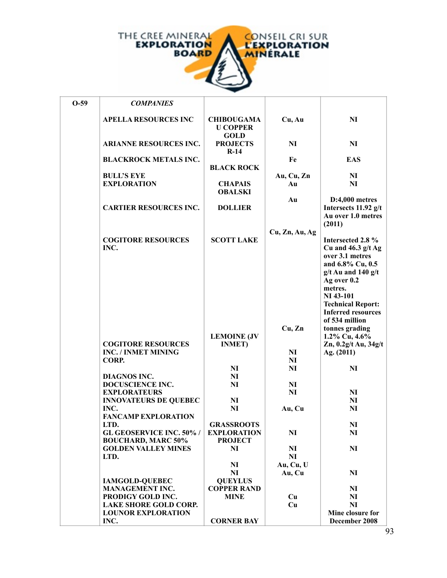

| $O-59$ | <b>COMPANIES</b>                                        |                                                     |                  |                                                                                                                                                                                 |
|--------|---------------------------------------------------------|-----------------------------------------------------|------------------|---------------------------------------------------------------------------------------------------------------------------------------------------------------------------------|
|        | <b>APELLA RESOURCES INC</b>                             | <b>CHIBOUGAMA</b><br><b>U COPPER</b><br><b>GOLD</b> | Cu, Au           | <b>NI</b>                                                                                                                                                                       |
|        | <b>ARIANNE RESOURCES INC.</b>                           | <b>PROJECTS</b><br>$R-14$                           | <b>NI</b>        | NI                                                                                                                                                                              |
|        | <b>BLACKROCK METALS INC.</b>                            | <b>BLACK ROCK</b>                                   | Fe               | <b>EAS</b>                                                                                                                                                                      |
|        | <b>BULL'S EYE</b><br><b>EXPLORATION</b>                 | <b>CHAPAIS</b><br><b>OBALSKI</b>                    | Au, Cu, Zn<br>Au | NI<br>NI                                                                                                                                                                        |
|        | <b>CARTIER RESOURCES INC.</b>                           | <b>DOLLIER</b>                                      | Au               | $D:4,000$ metres<br>Intersects 11.92 g/t<br>Au over 1.0 metres                                                                                                                  |
|        | <b>COGITORE RESOURCES</b><br>INC.                       | <b>SCOTT LAKE</b>                                   | Cu, Zn, Au, Ag   | (2011)<br>Intersected 2.8 %<br>Cu and $46.3$ g/t Ag                                                                                                                             |
|        |                                                         |                                                     |                  | over 3.1 metres<br>and 6.8% Cu, 0.5<br>$g/t$ Au and 140 $g/t$<br>Ag over 0.2<br>metres.<br>NI 43-101<br><b>Technical Report:</b><br><b>Inferred resources</b><br>of 534 million |
|        | <b>COGITORE RESOURCES</b><br><b>INC. / INMET MINING</b> | <b>LEMOINE (JV</b><br><b>INMET)</b>                 | Cu, Zn<br>NI     | tonnes grading<br>1.2% Cu, 4.6%<br>$Zn$ , 0.2g/t Au, 34g/t<br>Ag. (2011)                                                                                                        |
|        | CORP.                                                   |                                                     | NI               |                                                                                                                                                                                 |
|        |                                                         | NI                                                  | NI               | NI                                                                                                                                                                              |
|        | <b>DIAGNOS INC.</b>                                     | $\mathbf{N}$                                        |                  |                                                                                                                                                                                 |
|        | <b>DOCUSCIENCE INC.</b>                                 | <b>NI</b>                                           | NI               |                                                                                                                                                                                 |
|        | <b>EXPLORATEURS</b>                                     |                                                     | N <sub>I</sub>   | NI                                                                                                                                                                              |
|        | <b>INNOVATEURS DE QUEBEC</b>                            | $\mathbf{N}$                                        |                  | NI                                                                                                                                                                              |
|        | INC.<br><b>FANCAMP EXPLORATION</b>                      | <b>NI</b>                                           | Au, Cu           | NI                                                                                                                                                                              |
|        | LTD.                                                    | <b>GRASSROOTS</b>                                   |                  | N <sub>I</sub>                                                                                                                                                                  |
|        | <b>GL GEOSERVICE INC. 50%/</b>                          | <b>EXPLORATION</b>                                  | N <sub>I</sub>   | NI                                                                                                                                                                              |
|        | <b>BOUCHARD, MARC 50%</b>                               | <b>PROJECT</b>                                      |                  |                                                                                                                                                                                 |
|        | <b>GOLDEN VALLEY MINES</b>                              | NI                                                  | N <sub>I</sub>   | N <sub>I</sub>                                                                                                                                                                  |
|        | LTD.                                                    |                                                     | NI               |                                                                                                                                                                                 |
|        |                                                         | NI                                                  | Au, Cu, U        |                                                                                                                                                                                 |
|        |                                                         | N <sub>I</sub>                                      | Au, Cu           | N <sub>I</sub>                                                                                                                                                                  |
|        | <b>IAMGOLD-QUEBEC</b>                                   | <b>QUEYLUS</b>                                      |                  |                                                                                                                                                                                 |
|        | <b>MANAGEMENT INC.</b><br>PRODIGY GOLD INC.             | <b>COPPER RAND</b>                                  |                  | N <sub>I</sub><br>N <sub>I</sub>                                                                                                                                                |
|        | <b>LAKE SHORE GOLD CORP.</b>                            | <b>MINE</b>                                         | Cu<br>Cu         | NI                                                                                                                                                                              |
|        | <b>LOUNOR EXPLORATION</b>                               |                                                     |                  | Mine closure for                                                                                                                                                                |
|        | INC.                                                    | <b>CORNER BAY</b>                                   |                  | December 2008                                                                                                                                                                   |

**MERRILL** 

**Cu, Au**

**MSV RESOURCES 2007 INC./**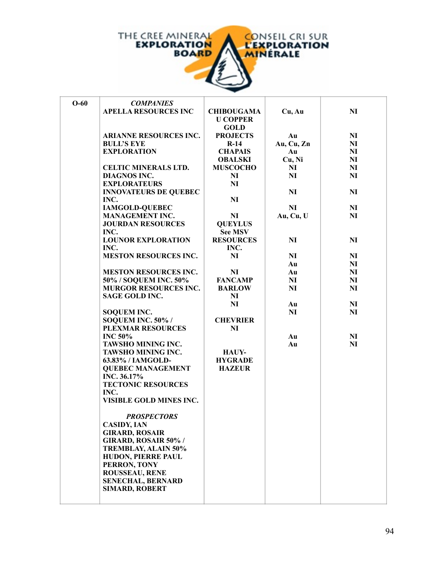

| $O-60$ | <b>COMPANIES</b>                                         |                   |                |                |
|--------|----------------------------------------------------------|-------------------|----------------|----------------|
|        | <b>APELLA RESOURCES INC</b>                              | <b>CHIBOUGAMA</b> | Cu, Au         | <b>NI</b>      |
|        |                                                          | <b>U COPPER</b>   |                |                |
|        |                                                          | <b>GOLD</b>       |                |                |
|        | ARIANNE RESOURCES INC.                                   | <b>PROJECTS</b>   | Au             | $\mathbf{N}$   |
|        | <b>BULL'S EYE</b>                                        | $R-14$            | Au, Cu, Zn     | N <sub>I</sub> |
|        | <b>EXPLORATION</b>                                       | <b>CHAPAIS</b>    | Au             | N <sub>I</sub> |
|        |                                                          | <b>OBALSKI</b>    | Cu, Ni         | N <sub>I</sub> |
|        | CELTIC MINERALS LTD.                                     | <b>MUSCOCHO</b>   | NI             | N <sub>I</sub> |
|        | <b>DIAGNOS INC.</b>                                      | NI                | NI             | N <sub>I</sub> |
|        | <b>EXPLORATEURS</b>                                      | NI                |                |                |
|        | <b>INNOVATEURS DE QUEBEC</b>                             |                   | NI             | N <sub>I</sub> |
|        | INC.                                                     | <b>NI</b>         |                |                |
|        | <b>IAMGOLD-QUEBEC</b>                                    |                   | N <sub>I</sub> | NI             |
|        | <b>MANAGEMENT INC.</b>                                   | N <sub>I</sub>    | Au, Cu, U      | N <sub>I</sub> |
|        | <b>JOURDAN RESOURCES</b>                                 | <b>QUEYLUS</b>    |                |                |
|        | INC.                                                     | <b>See MSV</b>    |                |                |
|        | <b>LOUNOR EXPLORATION</b>                                | <b>RESOURCES</b>  | N <sub>I</sub> | NI             |
|        | INC.                                                     | INC.              |                |                |
|        | <b>MESTON RESOURCES INC.</b>                             | NI                | NI             | NI             |
|        |                                                          |                   | Au             | NI             |
|        | <b>MESTON RESOURCES INC.</b>                             | NI                | Au             | N <sub>I</sub> |
|        | 50% / SOQUEM INC. 50%                                    | <b>FANCAMP</b>    | NI             | NI             |
|        | MURGOR RESOURCES INC.                                    | <b>BARLOW</b>     | NI             | N <sub>I</sub> |
|        | <b>SAGE GOLD INC.</b>                                    | N <sub>I</sub>    |                |                |
|        |                                                          | NI                | Au             | NI             |
|        | <b>SOQUEM INC.</b>                                       |                   | NI             | N <sub>I</sub> |
|        | SOQUEM INC. 50% /                                        | <b>CHEVRIER</b>   |                |                |
|        | <b>PLEXMAR RESOURCES</b>                                 | NI                |                |                |
|        | <b>INC 50%</b>                                           |                   | Au             | NI             |
|        | TAWSHO MINING INC.                                       |                   | Au             | <b>NI</b>      |
|        | TAWSHO MINING INC.                                       | <b>HAUY-</b>      |                |                |
|        | 63.83% / IAMGOLD-                                        | <b>HYGRADE</b>    |                |                |
|        | <b>QUEBEC MANAGEMENT</b>                                 | <b>HAZEUR</b>     |                |                |
|        | INC. 36.17%                                              |                   |                |                |
|        | <b>TECTONIC RESOURCES</b>                                |                   |                |                |
|        | INC.                                                     |                   |                |                |
|        | VISIBLE GOLD MINES INC.                                  |                   |                |                |
|        |                                                          |                   |                |                |
|        | <b>PROSPECTORS</b>                                       |                   |                |                |
|        | <b>CASIDY, IAN</b>                                       |                   |                |                |
|        | <b>GIRARD, ROSAIR</b>                                    |                   |                |                |
|        | <b>GIRARD, ROSAIR 50%/</b><br><b>TREMBLAY, ALAIN 50%</b> |                   |                |                |
|        | HUDON, PIERRE PAUL                                       |                   |                |                |
|        | PERRON, TONY                                             |                   |                |                |
|        | <b>ROUSSEAU, RENE</b>                                    |                   |                |                |
|        | <b>SENECHAL, BERNARD</b>                                 |                   |                |                |
|        | <b>SIMARD, ROBERT</b>                                    |                   |                |                |
|        |                                                          |                   |                |                |
|        |                                                          |                   |                |                |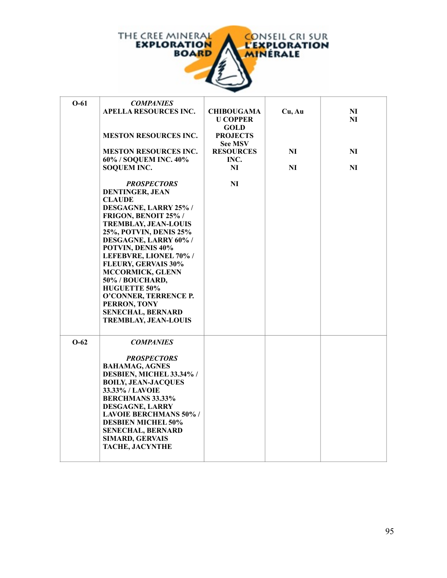

| $O-61$ | <b>COMPANIES</b><br><b>APELLA RESOURCES INC.</b><br><b>MESTON RESOURCES INC.</b><br><b>MESTON RESOURCES INC.</b><br>60% / SOQUEM INC. 40%<br><b>SOQUEM INC.</b><br><b>PROSPECTORS</b><br><b>DENTINGER, JEAN</b><br><b>CLAUDE</b><br>DESGAGNE, LARRY 25% /<br>FRIGON, BENOIT 25% /<br><b>TREMBLAY, JEAN-LOUIS</b><br>25%, POTVIN, DENIS 25%<br>DESGAGNE, LARRY 60% /<br>POTVIN, DENIS 40%<br>LEFEBVRE, LIONEL 70% /<br><b>FLEURY, GERVAIS 30%</b><br>MCCORMICK, GLENN<br>50% / BOUCHARD,<br><b>HUGUETTE 50%</b><br>O'CONNER, TERRENCE P.<br>PERRON, TONY<br><b>SENECHAL, BERNARD</b><br><b>TREMBLAY, JEAN-LOUIS</b> | <b>CHIBOUGAMA</b><br><b>U COPPER</b><br><b>GOLD</b><br><b>PROJECTS</b><br><b>See MSV</b><br><b>RESOURCES</b><br>INC.<br>N <sub>I</sub><br>NI | Cu, Au<br>N <sub>I</sub><br>N <sub>I</sub> | N <sub>I</sub><br>NI<br>N <sub>I</sub><br>N <sub>I</sub> |
|--------|--------------------------------------------------------------------------------------------------------------------------------------------------------------------------------------------------------------------------------------------------------------------------------------------------------------------------------------------------------------------------------------------------------------------------------------------------------------------------------------------------------------------------------------------------------------------------------------------------------------------|----------------------------------------------------------------------------------------------------------------------------------------------|--------------------------------------------|----------------------------------------------------------|
| $O-62$ | <b>COMPANIES</b><br><b>PROSPECTORS</b><br><b>BAHAMAG, AGNES</b><br>DESBIEN, MICHEL 33.34% /<br><b>BOILY, JEAN-JACQUES</b><br>33.33% / LAVOIE<br><b>BERCHMANS 33.33%</b><br>DESGAGNE, LARRY<br><b>LAVOIE BERCHMANS 50% /</b><br><b>DESBIEN MICHEL 50%</b><br><b>SENECHAL, BERNARD</b><br><b>SIMARD, GERVAIS</b><br><b>TACHE, JACYNTHE</b>                                                                                                                                                                                                                                                                           |                                                                                                                                              |                                            |                                                          |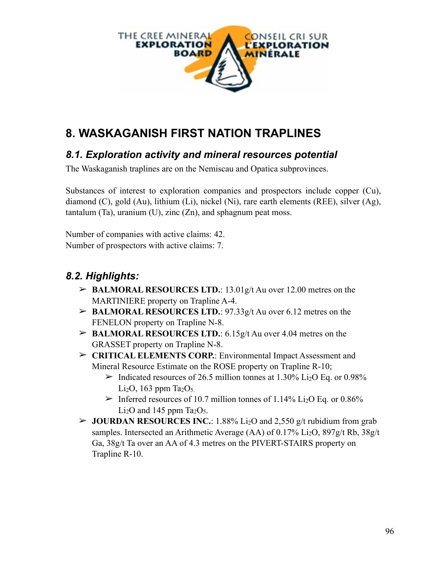

# **8. WASKAGANISH FIRST NATION TRAPLINES**

#### *8.1. Exploration activity and mineral resources potential*

The Waskaganish traplines are on the Nemiscau and Opatica subprovinces.

Substances of interest to exploration companies and prospectors include copper (Cu), diamond (C), gold (Au), lithium (Li), nickel (Ni), rare earth elements (REE), silver (Ag), tantalum (Ta), uranium (U), zinc  $(Zn)$ , and sphagnum peat moss.

Number of companies with active claims: 42. Number of prospectors with active claims: 7.

### *8.2. Highlights:*

- ➢ **BALMORAL RESOURCES LTD.**: 13.01g/t Au over 12.00 metres on the MARTINIERE property on Trapline A-4.
- ➢ **BALMORAL RESOURCES LTD.**: 97.33g/t Au over 6.12 metres on the FENELON property on Trapline N-8.
- ➢ **BALMORAL RESOURCES LTD.**: 6.15g/t Au over 4.04 metres on the GRASSET property on Trapline N-8.
- ➢ **CRITICAL ELEMENTS CORP.**: Environmental Impact Assessment and Mineral Resource Estimate on the ROSE property on Trapline R-10;
	- $\triangleright$  Indicated resources of 26.5 million tonnes at 1.30% Li<sub>2</sub>O Eq. or 0.98% Li<sub>2</sub>O, 163 ppm Ta<sub>2</sub>O<sub>5.</sub>
	- $\geq$  Inferred resources of 10.7 million tonnes of 1.14% Li<sub>2</sub>O Eq. or 0.86% Li<sub>2</sub>O and 145 ppm Ta<sub>2</sub>O<sub>5</sub>.
- ➢ **JOURDAN RESOURCES INC.**: 1.88% Li2O and 2,550 g/t rubidium from grab samples. Intersected an Arithmetic Average (AA) of  $0.17\%$  Li<sub>2</sub>O, 897g/t Rb, 38g/t Ga, 38g/t Ta over an AA of 4.3 metres on the PIVERT-STAIRS property on Trapline R-10.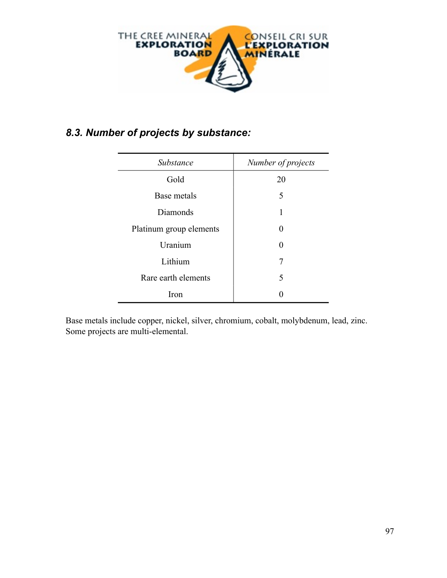

### *8.3. Number of projects by substance:*

| Substance               | Number of projects |
|-------------------------|--------------------|
| Gold                    | 20                 |
| Base metals             | 5                  |
| Diamonds                | 1                  |
| Platinum group elements | $\mathbf{\Omega}$  |
| Uranium                 | 0                  |
| Lithium                 | 7                  |
| Rare earth elements     | 5                  |
| Iron                    |                    |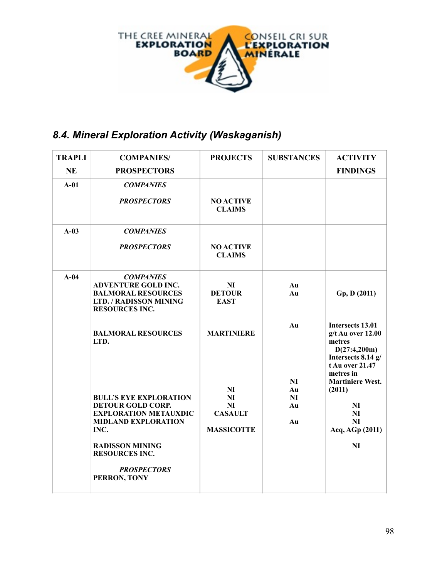

## *8.4. Mineral Exploration Activity (Waskaganish)*

| <b>TRAPLI</b> | <b>COMPANIES/</b>                                                                                                                                                                                                        | <b>PROJECTS</b>                                              | <b>SUBSTANCES</b>          | <b>ACTIVITY</b>                                                                                                         |
|---------------|--------------------------------------------------------------------------------------------------------------------------------------------------------------------------------------------------------------------------|--------------------------------------------------------------|----------------------------|-------------------------------------------------------------------------------------------------------------------------|
| <b>NE</b>     | <b>PROSPECTORS</b>                                                                                                                                                                                                       |                                                              |                            | <b>FINDINGS</b>                                                                                                         |
| $A-01$        | <b>COMPANIES</b>                                                                                                                                                                                                         |                                                              |                            |                                                                                                                         |
|               | <b>PROSPECTORS</b>                                                                                                                                                                                                       | <b>NO ACTIVE</b><br><b>CLAIMS</b>                            |                            |                                                                                                                         |
| $A-03$        | <b>COMPANIES</b>                                                                                                                                                                                                         |                                                              |                            |                                                                                                                         |
|               | <b>PROSPECTORS</b>                                                                                                                                                                                                       | <b>NO ACTIVE</b><br><b>CLAIMS</b>                            |                            |                                                                                                                         |
| $A-04$        | <b>COMPANIES</b><br><b>ADVENTURE GOLD INC.</b><br><b>BALMORAL RESOURCES</b><br>LTD. / RADISSON MINING<br><b>RESOURCES INC.</b>                                                                                           | NI<br><b>DETOUR</b><br><b>EAST</b>                           | Au<br>Au                   | Gp, D (2011)                                                                                                            |
|               | <b>BALMORAL RESOURCES</b><br>LTD.                                                                                                                                                                                        | <b>MARTINIERE</b>                                            | Au                         | Intersects 13.01<br>$g/t$ Au over 12.00<br>metres<br>D(27:4,200m)<br>Intersects 8.14 g/<br>t Au over 21.47<br>metres in |
|               | <b>BULL'S EYE EXPLORATION</b><br><b>DETOUR GOLD CORP.</b><br><b>EXPLORATION METAUXDIC</b><br><b>MIDLAND EXPLORATION</b><br>INC.<br><b>RADISSON MINING</b><br><b>RESOURCES INC.</b><br><b>PROSPECTORS</b><br>PERRON, TONY | NI<br><b>NI</b><br>NI<br><b>CASAULT</b><br><b>MASSICOTTE</b> | NI<br>Au<br>NI<br>Au<br>Au | <b>Martiniere West.</b><br>(2011)<br>N <sub>I</sub><br><b>NI</b><br>NI<br>Acq, AGp (2011)<br>N <sub>I</sub>             |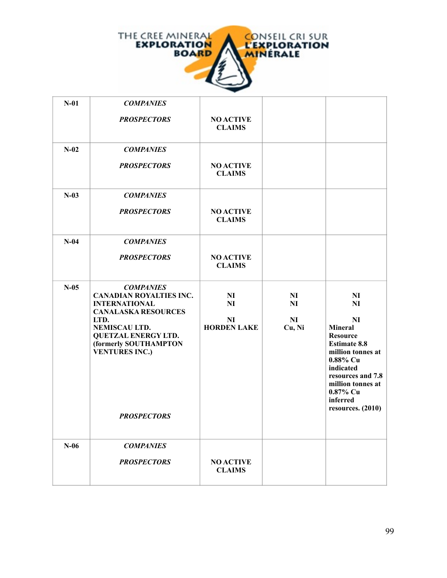

| $N-01$  | <b>COMPANIES</b>                                                                                                                                                                                                                        |                                                         |                                      |                                                                                                                                                                                                                                      |
|---------|-----------------------------------------------------------------------------------------------------------------------------------------------------------------------------------------------------------------------------------------|---------------------------------------------------------|--------------------------------------|--------------------------------------------------------------------------------------------------------------------------------------------------------------------------------------------------------------------------------------|
|         | <b>PROSPECTORS</b>                                                                                                                                                                                                                      | <b>NO ACTIVE</b><br><b>CLAIMS</b>                       |                                      |                                                                                                                                                                                                                                      |
| $N-02$  | <b>COMPANIES</b>                                                                                                                                                                                                                        |                                                         |                                      |                                                                                                                                                                                                                                      |
|         | <b>PROSPECTORS</b>                                                                                                                                                                                                                      | <b>NO ACTIVE</b><br><b>CLAIMS</b>                       |                                      |                                                                                                                                                                                                                                      |
| $N-03$  | <b>COMPANIES</b>                                                                                                                                                                                                                        |                                                         |                                      |                                                                                                                                                                                                                                      |
|         | <b>PROSPECTORS</b>                                                                                                                                                                                                                      | <b>NO ACTIVE</b><br><b>CLAIMS</b>                       |                                      |                                                                                                                                                                                                                                      |
| $N-04$  | <b>COMPANIES</b>                                                                                                                                                                                                                        |                                                         |                                      |                                                                                                                                                                                                                                      |
|         | <b>PROSPECTORS</b>                                                                                                                                                                                                                      | <b>NO ACTIVE</b><br><b>CLAIMS</b>                       |                                      |                                                                                                                                                                                                                                      |
| $N-0.5$ | <b>COMPANIES</b><br><b>CANADIAN ROYALTIES INC.</b><br><b>INTERNATIONAL</b><br><b>CANALASKA RESOURCES</b><br>LTD.<br>NEMISCAU LTD.<br><b>QUETZAL ENERGY LTD.</b><br>(formerly SOUTHAMPTON<br><b>VENTURES INC.)</b><br><b>PROSPECTORS</b> | N <sub>I</sub><br>NI<br><b>NI</b><br><b>HORDEN LAKE</b> | N <sub>I</sub><br>NI<br>NI<br>Cu, Ni | NI<br><b>NI</b><br>N <sub>I</sub><br><b>Mineral</b><br><b>Resource</b><br><b>Estimate 8.8</b><br>million tonnes at<br>0.88% Cu<br>indicated<br>resources and 7.8<br>million tonnes at<br>0.87% Cu<br>inferred<br>resources. $(2010)$ |
|         |                                                                                                                                                                                                                                         |                                                         |                                      |                                                                                                                                                                                                                                      |
| $N-06$  | <b>COMPANIES</b><br><b>PROSPECTORS</b>                                                                                                                                                                                                  | <b>NO ACTIVE</b><br><b>CLAIMS</b>                       |                                      |                                                                                                                                                                                                                                      |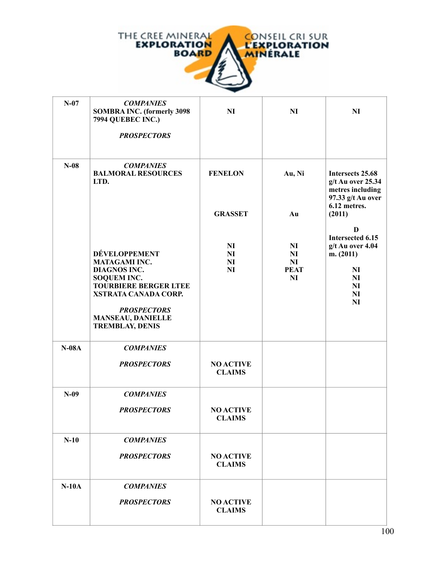

| $N-07$  | <b>COMPANIES</b><br><b>SOMBRA INC. (formerly 3098</b><br>7994 QUEBEC INC.)<br><b>PROSPECTORS</b>                                                                                                                                     | <b>NI</b>                                           | <b>NI</b>                                              | NI                                                                                                        |
|---------|--------------------------------------------------------------------------------------------------------------------------------------------------------------------------------------------------------------------------------------|-----------------------------------------------------|--------------------------------------------------------|-----------------------------------------------------------------------------------------------------------|
| $N-08$  | <b>COMPANIES</b><br><b>BALMORAL RESOURCES</b><br>LTD.                                                                                                                                                                                | <b>FENELON</b><br><b>GRASSET</b>                    | Au, Ni<br>Au                                           | Intersects 25.68<br>g/t Au over 25.34<br>metres including<br>97.33 g/t Au over<br>6.12 metres.<br>(2011)  |
|         | <b>DÉVELOPPEMENT</b><br><b>MATAGAMI INC.</b><br><b>DIAGNOS INC.</b><br><b>SOQUEM INC.</b><br><b>TOURBIERE BERGER LTEE</b><br><b>XSTRATA CANADA CORP.</b><br><b>PROSPECTORS</b><br><b>MANSEAU, DANIELLE</b><br><b>TREMBLAY, DENIS</b> | N <sub>I</sub><br>NI<br>N <sub>I</sub><br><b>NI</b> | N <sub>I</sub><br><b>NI</b><br>NI<br><b>PEAT</b><br>NI | D<br>Intersected 6.15<br>g/t Au over 4.04<br>m. (2011)<br><b>NI</b><br>NI<br><b>NI</b><br>NI<br><b>NI</b> |
| $N-08A$ | <b>COMPANIES</b><br><b>PROSPECTORS</b>                                                                                                                                                                                               | <b>NO ACTIVE</b><br><b>CLAIMS</b>                   |                                                        |                                                                                                           |
| $N-09$  | <b>COMPANIES</b><br><b>PROSPECTORS</b>                                                                                                                                                                                               | <b>NO ACTIVE</b><br><b>CLAIMS</b>                   |                                                        |                                                                                                           |
| $N-10$  | <b>COMPANIES</b><br><b>PROSPECTORS</b>                                                                                                                                                                                               | <b>NO ACTIVE</b><br><b>CLAIMS</b>                   |                                                        |                                                                                                           |
| $N-10A$ | <b>COMPANIES</b><br><b>PROSPECTORS</b>                                                                                                                                                                                               | <b>NO ACTIVE</b><br><b>CLAIMS</b>                   |                                                        |                                                                                                           |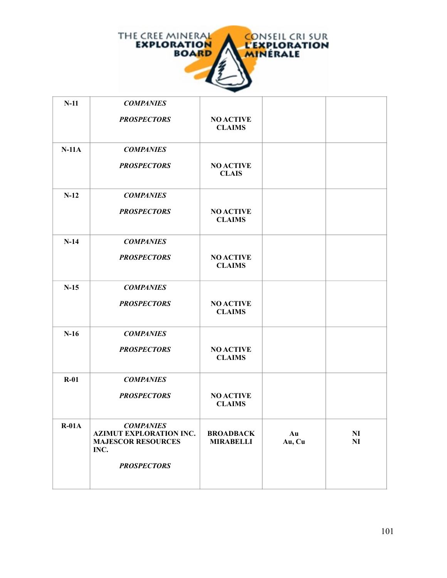

| $N-11$  | <b>COMPANIES</b>                                                                        |                                      |              |                                  |
|---------|-----------------------------------------------------------------------------------------|--------------------------------------|--------------|----------------------------------|
|         | <b>PROSPECTORS</b>                                                                      | <b>NO ACTIVE</b><br><b>CLAIMS</b>    |              |                                  |
| $N-11A$ | <b>COMPANIES</b>                                                                        |                                      |              |                                  |
|         | <b>PROSPECTORS</b>                                                                      | <b>NO ACTIVE</b><br><b>CLAIS</b>     |              |                                  |
| $N-12$  | <b>COMPANIES</b>                                                                        |                                      |              |                                  |
|         | <b>PROSPECTORS</b>                                                                      | <b>NO ACTIVE</b><br><b>CLAIMS</b>    |              |                                  |
| $N-14$  | <b>COMPANIES</b>                                                                        |                                      |              |                                  |
|         | <b>PROSPECTORS</b>                                                                      | <b>NO ACTIVE</b><br><b>CLAIMS</b>    |              |                                  |
| $N-15$  | <b>COMPANIES</b>                                                                        |                                      |              |                                  |
|         | <b>PROSPECTORS</b>                                                                      | <b>NO ACTIVE</b><br><b>CLAIMS</b>    |              |                                  |
| $N-16$  | <b>COMPANIES</b>                                                                        |                                      |              |                                  |
|         | <b>PROSPECTORS</b>                                                                      | <b>NO ACTIVE</b><br><b>CLAIMS</b>    |              |                                  |
| $R-01$  | <b>COMPANIES</b>                                                                        |                                      |              |                                  |
|         | <b>PROSPECTORS</b>                                                                      | <b>NO ACTIVE</b><br><b>CLAIMS</b>    |              |                                  |
| $R-01A$ | <b>COMPANIES</b><br><b>AZIMUT EXPLORATION INC.</b><br><b>MAJESCOR RESOURCES</b><br>INC. | <b>BROADBACK</b><br><b>MIRABELLI</b> | Au<br>Au, Cu | N <sub>I</sub><br>N <sub>I</sub> |
|         | <b>PROSPECTORS</b>                                                                      |                                      |              |                                  |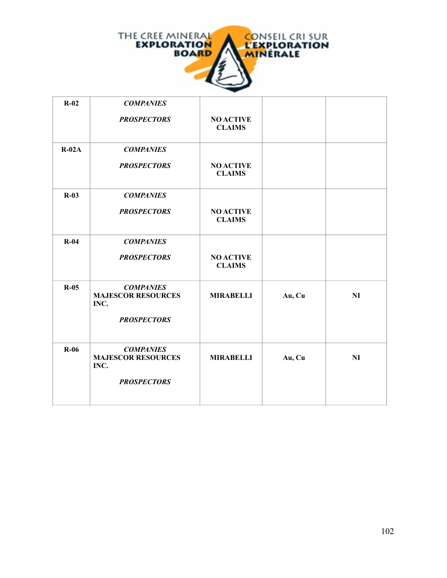

| $R-02$  | <b>COMPANIES</b>                                                            |                                   |        |    |
|---------|-----------------------------------------------------------------------------|-----------------------------------|--------|----|
|         | <b>PROSPECTORS</b>                                                          | <b>NO ACTIVE</b><br><b>CLAIMS</b> |        |    |
| $R-02A$ | <b>COMPANIES</b>                                                            |                                   |        |    |
|         | <b>PROSPECTORS</b>                                                          | <b>NO ACTIVE</b><br><b>CLAIMS</b> |        |    |
| $R-03$  | <b>COMPANIES</b>                                                            |                                   |        |    |
|         | <b>PROSPECTORS</b>                                                          | <b>NO ACTIVE</b><br><b>CLAIMS</b> |        |    |
| $R-04$  | <b>COMPANIES</b>                                                            |                                   |        |    |
|         | <b>PROSPECTORS</b>                                                          | <b>NO ACTIVE</b><br><b>CLAIMS</b> |        |    |
| $R-05$  | <b>COMPANIES</b><br><b>MAJESCOR RESOURCES</b><br>INC.<br><b>PROSPECTORS</b> | <b>MIRABELLI</b>                  | Au, Cu | NI |
|         |                                                                             |                                   |        |    |
| $R-06$  | <b>COMPANIES</b><br><b>MAJESCOR RESOURCES</b><br>INC.                       | <b>MIRABELLI</b>                  | Au, Cu | NI |
|         | <b>PROSPECTORS</b>                                                          |                                   |        |    |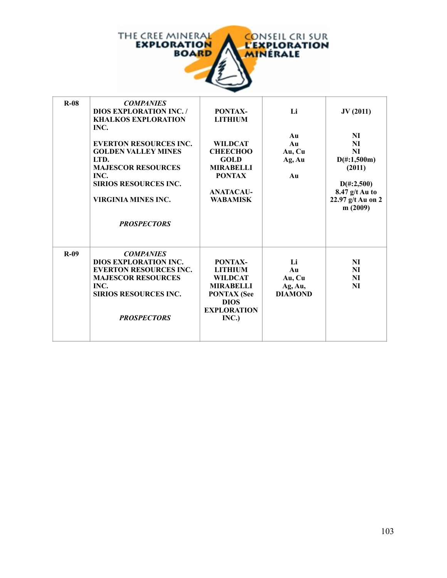

| $R-08$ | <b>COMPANIES</b><br><b>DIOS EXPLORATION INC. /</b><br><b>KHALKOS EXPLORATION</b><br>INC.<br><b>EVERTON RESOURCES INC.</b><br><b>GOLDEN VALLEY MINES</b><br>LTD.<br><b>MAJESCOR RESOURCES</b><br>INC.<br><b>SIRIOS RESOURCES INC.</b><br>VIRGINIA MINES INC.<br><b>PROSPECTORS</b> | PONTAX-<br><b>LITHIUM</b><br><b>WILDCAT</b><br><b>CHEECHOO</b><br><b>GOLD</b><br><b>MIRABELLI</b><br><b>PONTAX</b><br><b>ANATACAU-</b><br><b>WABAMISK</b> | Li<br>Au<br>Au<br>Au, Cu<br>Ag, Au<br>Au        | JV(2011)<br>NI<br><b>NI</b><br><b>NI</b><br>$D(\text{\#}:1,500m)$<br>(2011)<br>$D(\text{\#}:2,500)$<br>$8.47$ g/t Au to<br>22.97 g/t Au on 2<br>m (2009) |
|--------|-----------------------------------------------------------------------------------------------------------------------------------------------------------------------------------------------------------------------------------------------------------------------------------|-----------------------------------------------------------------------------------------------------------------------------------------------------------|-------------------------------------------------|----------------------------------------------------------------------------------------------------------------------------------------------------------|
| $R-09$ | <b>COMPANIES</b><br><b>DIOS EXPLORATION INC.</b><br><b>EVERTON RESOURCES INC.</b><br><b>MAJESCOR RESOURCES</b><br>INC.<br><b>SIRIOS RESOURCES INC.</b><br><b>PROSPECTORS</b>                                                                                                      | PONTAX-<br><b>LITHIUM</b><br><b>WILDCAT</b><br><b>MIRABELLI</b><br><b>PONTAX</b> (See<br><b>DIOS</b><br><b>EXPLORATION</b><br>INC.)                       | Li<br>Au<br>Au, Cu<br>Ag, Au,<br><b>DIAMOND</b> | NI<br>NI<br><b>NI</b><br>NI                                                                                                                              |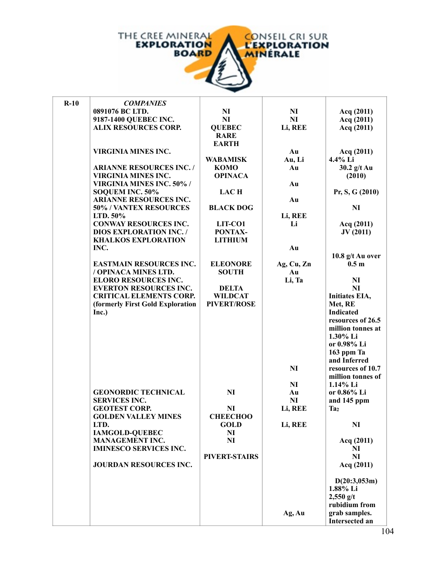

| $R-10$ | <b>COMPANIES</b>                 |                    |                |                                        |
|--------|----------------------------------|--------------------|----------------|----------------------------------------|
|        | 0891076 BC LTD.                  | N <sub>I</sub>     | N <sub>I</sub> | Acq (2011)                             |
|        | 9187-1400 QUEBEC INC.            | NI                 | N <sub>I</sub> | Acq (2011)                             |
|        | <b>ALIX RESOURCES CORP.</b>      | <b>QUEBEC</b>      | Li, REE        | Acq (2011)                             |
|        |                                  | <b>RARE</b>        |                |                                        |
|        |                                  | <b>EARTH</b>       |                |                                        |
|        | <b>VIRGINIA MINES INC.</b>       |                    | Au             | Acq (2011)                             |
|        |                                  | <b>WABAMISK</b>    | Au, Li         | 4.4% Li                                |
|        | <b>ARIANNE RESOURCES INC. /</b>  | <b>KOMO</b>        | Au             | $30.2$ g/t Au                          |
|        | <b>VIRGINIA MINES INC.</b>       | <b>OPINACA</b>     |                | (2010)                                 |
|        | VIRGINIA MINES INC. 50% /        |                    | Au             |                                        |
|        | SOQUEM INC. 50%                  | <b>LAC H</b>       |                | Pr, S, G (2010)                        |
|        | <b>ARIANNE RESOURCES INC.</b>    |                    | Au             |                                        |
|        | 50% / VANTEX RESOURCES           | <b>BLACK DOG</b>   |                | NI                                     |
|        |                                  |                    |                |                                        |
|        | LTD. 50%                         |                    | Li, REE        |                                        |
|        | <b>CONWAY RESOURCES INC.</b>     | LIT-CO1            | Li             | Acq (2011)                             |
|        | <b>DIOS EXPLORATION INC. /</b>   | PONTAX-            |                | JV(2011)                               |
|        | <b>KHALKOS EXPLORATION</b>       | <b>LITHIUM</b>     |                |                                        |
|        | INC.                             |                    | Au             |                                        |
|        |                                  |                    |                | 10.8 g/t Au over                       |
|        | <b>EASTMAIN RESOURCES INC.</b>   | <b>ELEONORE</b>    | Ag, Cu, Zn     | 0.5 <sub>m</sub>                       |
|        | / OPINACA MINES LTD.             | <b>SOUTH</b>       | Au             |                                        |
|        | <b>ELORO RESOURCES INC.</b>      |                    | Li, Ta         | N <sub>I</sub>                         |
|        | <b>EVERTON RESOURCES INC.</b>    | <b>DELTA</b>       |                | NI                                     |
|        | <b>CRITICAL ELEMENTS CORP.</b>   | <b>WILDCAT</b>     |                | Initiates EIA,                         |
|        | (formerly First Gold Exploration | <b>PIVERT/ROSE</b> |                | Met, RE                                |
|        | Inc.)                            |                    |                | <b>Indicated</b>                       |
|        |                                  |                    |                | resources of 26.5                      |
|        |                                  |                    |                | million tonnes at                      |
|        |                                  |                    |                | 1.30% Li                               |
|        |                                  |                    |                | or 0.98% Li                            |
|        |                                  |                    |                | 163 ppm Ta                             |
|        |                                  |                    |                | and Inferred                           |
|        |                                  |                    | N <sub>I</sub> | resources of 10.7                      |
|        |                                  |                    |                | million tonnes of                      |
|        |                                  |                    | <b>NI</b>      | 1.14% Li                               |
|        | <b>GEONORDIC TECHNICAL</b>       | N <sub>I</sub>     | Au             | or 0.86% Li                            |
|        | <b>SERVICES INC.</b>             |                    | N <sub>I</sub> | and 145 ppm                            |
|        | <b>GEOTEST CORP.</b>             | NI                 | Li, REE        | Ta <sub>2</sub>                        |
|        | <b>GOLDEN VALLEY MINES</b>       | <b>CHEECHOO</b>    |                |                                        |
|        | LTD.                             | GOLD               | Li, REE        | NI                                     |
|        | <b>IAMGOLD-QUEBEC</b>            | N <sub>I</sub>     |                |                                        |
|        | <b>MANAGEMENT INC.</b>           | <b>NI</b>          |                | Acq (2011)                             |
|        | <b>IMINESCO SERVICES INC.</b>    |                    |                | NI                                     |
|        |                                  | PIVERT-STAIRS      |                | NI                                     |
|        | JOURDAN RESOURCES INC.           |                    |                | Acq (2011)                             |
|        |                                  |                    |                |                                        |
|        |                                  |                    |                | D(20:3,053m)                           |
|        |                                  |                    |                | 1.88% Li                               |
|        |                                  |                    |                | $2,550$ g/t                            |
|        |                                  |                    |                | rubidium from                          |
|        |                                  |                    |                |                                        |
|        |                                  |                    | Ag, Au         | grab samples.<br><b>Intersected an</b> |
|        |                                  |                    |                |                                        |
|        |                                  |                    |                | 1 <sub>1</sub>                         |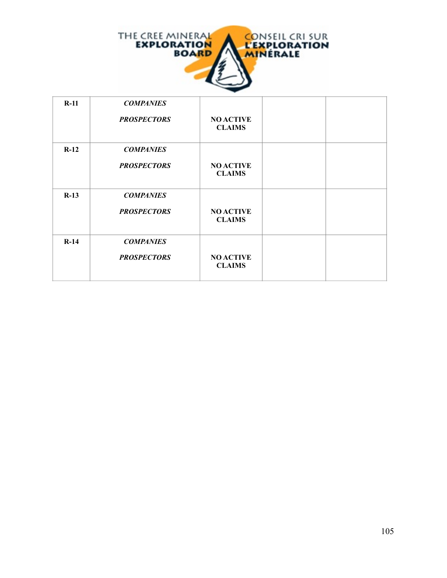

| $R-11$ | <b>COMPANIES</b><br><b>PROSPECTORS</b> | <b>NO ACTIVE</b><br><b>CLAIMS</b> |  |
|--------|----------------------------------------|-----------------------------------|--|
| $R-12$ | <b>COMPANIES</b><br><b>PROSPECTORS</b> | <b>NO ACTIVE</b><br><b>CLAIMS</b> |  |
| $R-13$ | <b>COMPANIES</b><br><b>PROSPECTORS</b> | <b>NO ACTIVE</b><br><b>CLAIMS</b> |  |
| $R-14$ | <b>COMPANIES</b><br><b>PROSPECTORS</b> | <b>NO ACTIVE</b><br><b>CLAIMS</b> |  |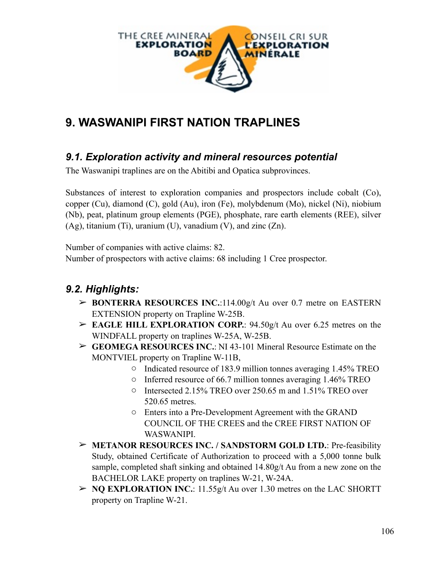

# **9. WASWANIPI FIRST NATION TRAPLINES**

#### *9.1. Exploration activity and mineral resources potential*

The Waswanipi traplines are on the Abitibi and Opatica subprovinces.

Substances of interest to exploration companies and prospectors include cobalt (Co), copper (Cu), diamond (C), gold (Au), iron (Fe), molybdenum (Mo), nickel (Ni), niobium (Nb), peat, platinum group elements (PGE), phosphate, rare earth elements (REE), silver (Ag), titanium (Ti), uranium (U), vanadium (V), and zinc (Zn).

Number of companies with active claims: 82.

Number of prospectors with active claims: 68 including 1 Cree prospector.

### *9.2. Highlights:*

- ➢ **BONTERRA RESOURCES INC.**:114.00g/t Au over 0.7 metre on EASTERN EXTENSION property on Trapline W-25B.
- ➢ **EAGLE HILL EXPLORATION CORP.**: 94.50g/t Au over 6.25 metres on the WINDFALL property on traplines W-25A, W-25B.
- ➢ **GEOMEGA RESOURCES INC.**: NI 43-101 Mineral Resource Estimate on the MONTVIEL property on Trapline W-11B,
	- o Indicated resource of 183.9 million tonnes averaging 1.45% TREO
	- o Inferred resource of 66.7 million tonnes averaging 1.46% TREO
	- o Intersected 2.15% TREO over 250.65 m and 1.51% TREO over 520.65 metres.
	- o Enters into a Pre-Development Agreement with the GRAND COUNCIL OF THE CREES and the CREE FIRST NATION OF WASWANIPI.
- ➢ **METANOR RESOURCES INC. / SANDSTORM GOLD LTD.**: Pre-feasibility Study, obtained Certificate of Authorization to proceed with a 5,000 tonne bulk sample, completed shaft sinking and obtained 14.80g/t Au from a new zone on the BACHELOR LAKE property on traplines W-21, W-24A.
- ➢ **NQ EXPLORATION INC.**: 11.55g/t Au over 1.30 metres on the LAC SHORTT property on Trapline W-21.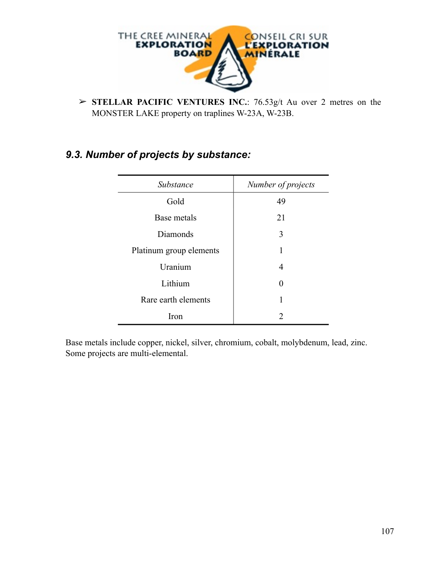

➢ **STELLAR PACIFIC VENTURES INC.**: 76.53g/t Au over 2 metres on the MONSTER LAKE property on traplines W-23A, W-23B.

### *9.3. Number of projects by substance:*

| Substance               | Number of projects |  |  |
|-------------------------|--------------------|--|--|
| Gold                    | 49                 |  |  |
| Base metals             | 21                 |  |  |
| Diamonds                | 3                  |  |  |
| Platinum group elements | 1                  |  |  |
| Uranium                 | 4                  |  |  |
| Lithium                 | ∩                  |  |  |
| Rare earth elements     |                    |  |  |
| Iron                    | っ                  |  |  |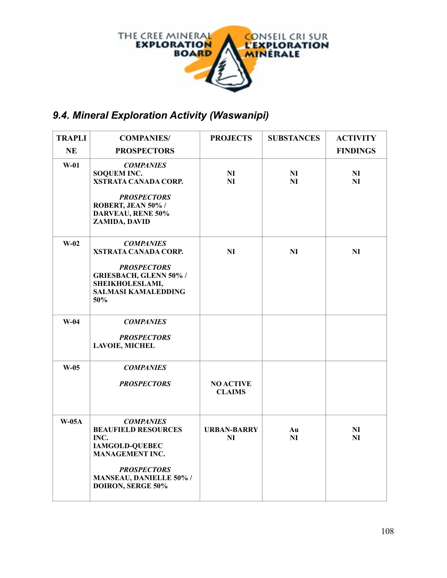

## *9.4. Mineral Exploration Activity (Waswanipi)*

| <b>TRAPLI</b> | <b>COMPANIES/</b>                                                                                                                                                                             | <b>PROJECTS</b>                   | <b>SUBSTANCES</b>    | <b>ACTIVITY</b>                  |
|---------------|-----------------------------------------------------------------------------------------------------------------------------------------------------------------------------------------------|-----------------------------------|----------------------|----------------------------------|
| <b>NE</b>     | <b>PROSPECTORS</b>                                                                                                                                                                            |                                   |                      | <b>FINDINGS</b>                  |
| $W-01$        | <b>COMPANIES</b><br><b>SOQUEM INC.</b><br><b>XSTRATA CANADA CORP.</b><br><b>PROSPECTORS</b><br>ROBERT, JEAN 50% /<br><b>DARVEAU, RENE 50%</b><br>ZAMIDA, DAVID                                | N <sub>I</sub><br>NI              | N <sub>I</sub><br>NI | N <sub>I</sub><br>NI             |
| $W-02$        | <b>COMPANIES</b><br>XSTRATA CANADA CORP.<br><b>PROSPECTORS</b><br><b>GRIESBACH, GLENN 50% /</b><br>SHEIKHOLESLAMI,<br><b>SALMASI KAMALEDDING</b><br>50%                                       | N <sub>I</sub>                    | N <sub>I</sub>       | N <sub>I</sub>                   |
| $W-04$        | <b>COMPANIES</b><br><b>PROSPECTORS</b><br><b>LAVOIE, MICHEL</b>                                                                                                                               |                                   |                      |                                  |
| $W-05$        | <b>COMPANIES</b><br><b>PROSPECTORS</b>                                                                                                                                                        | <b>NO ACTIVE</b><br><b>CLAIMS</b> |                      |                                  |
| $W-05A$       | <b>COMPANIES</b><br><b>BEAUFIELD RESOURCES</b><br>INC.<br><b>IAMGOLD-QUEBEC</b><br><b>MANAGEMENT INC.</b><br><b>PROSPECTORS</b><br><b>MANSEAU, DANIELLE 50% /</b><br><b>DOIRON, SERGE 50%</b> | <b>URBAN-BARRY</b><br>NI          | Au<br>NI             | N <sub>I</sub><br>N <sub>I</sub> |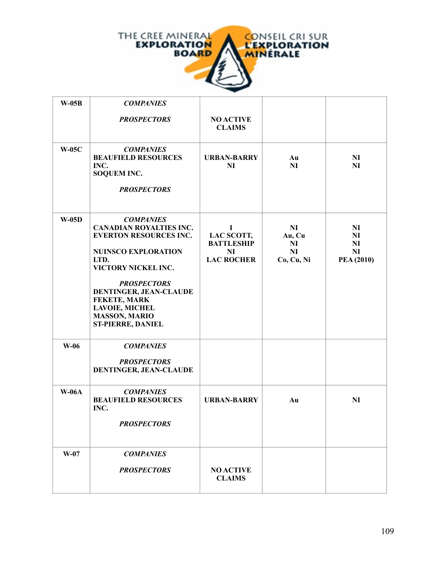

| $W-05B$      | <b>COMPANIES</b>                                                                                                                                                                                                                                                                              |                                                                               |                                                                  |                                                                          |
|--------------|-----------------------------------------------------------------------------------------------------------------------------------------------------------------------------------------------------------------------------------------------------------------------------------------------|-------------------------------------------------------------------------------|------------------------------------------------------------------|--------------------------------------------------------------------------|
|              | <b>PROSPECTORS</b>                                                                                                                                                                                                                                                                            | <b>NO ACTIVE</b><br><b>CLAIMS</b>                                             |                                                                  |                                                                          |
| <b>W-05C</b> | <b>COMPANIES</b><br><b>BEAUFIELD RESOURCES</b><br>INC.<br><b>SOQUEM INC.</b><br><b>PROSPECTORS</b>                                                                                                                                                                                            | <b>URBAN-BARRY</b><br>N <sub>I</sub>                                          | Au<br><b>NI</b>                                                  | N <sub>I</sub><br>NI                                                     |
| $W-05D$      | <b>COMPANIES</b><br><b>CANADIAN ROYALTIES INC.</b><br><b>EVERTON RESOURCES INC.</b><br><b>NUINSCO EXPLORATION</b><br>LTD.<br>VICTORY NICKEL INC.<br><b>PROSPECTORS</b><br>DENTINGER, JEAN-CLAUDE<br>FEKETE, MARK<br><b>LAVOIE, MICHEL</b><br><b>MASSON, MARIO</b><br><b>ST-PIERRE, DANIEL</b> | $\bf{I}$<br>LAC SCOTT,<br><b>BATTLESHIP</b><br><b>NI</b><br><b>LAC ROCHER</b> | N <sub>I</sub><br>Au, Cu<br><b>NI</b><br><b>NI</b><br>Co, Cu, Ni | N <sub>I</sub><br>N <sub>I</sub><br><b>NI</b><br><b>NI</b><br>PEA (2010) |
| W-06         | <b>COMPANIES</b><br><b>PROSPECTORS</b><br>DENTINGER, JEAN-CLAUDE                                                                                                                                                                                                                              |                                                                               |                                                                  |                                                                          |
| <b>W-06A</b> | <b>COMPANIES</b><br><b>BEAUFIELD RESOURCES</b><br>INC.<br><b>PROSPECTORS</b>                                                                                                                                                                                                                  | <b>URBAN-BARRY</b>                                                            | Au                                                               | NI                                                                       |
| $W-07$       | <b>COMPANIES</b><br><b>PROSPECTORS</b>                                                                                                                                                                                                                                                        | <b>NO ACTIVE</b><br><b>CLAIMS</b>                                             |                                                                  |                                                                          |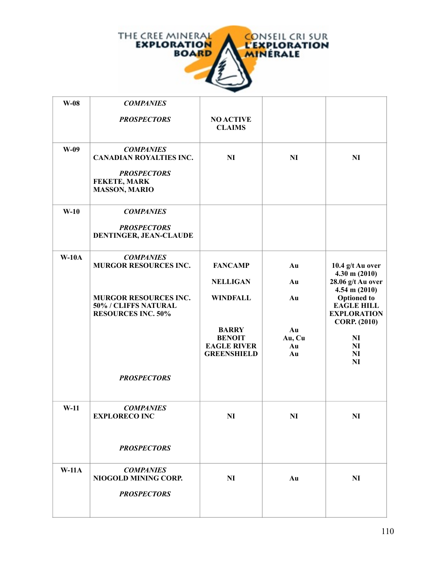

| $W-08$  | <b>COMPANIES</b>                                                                  |                                     |              |                                                                                                           |
|---------|-----------------------------------------------------------------------------------|-------------------------------------|--------------|-----------------------------------------------------------------------------------------------------------|
|         | <b>PROSPECTORS</b>                                                                | <b>NO ACTIVE</b><br><b>CLAIMS</b>   |              |                                                                                                           |
| $W-09$  | <b>COMPANIES</b><br><b>CANADIAN ROYALTIES INC.</b>                                | <b>NI</b>                           | <b>NI</b>    | NI                                                                                                        |
|         | <b>PROSPECTORS</b><br><b>FEKETE, MARK</b><br><b>MASSON, MARIO</b>                 |                                     |              |                                                                                                           |
| $W-10$  | <b>COMPANIES</b>                                                                  |                                     |              |                                                                                                           |
|         | <b>PROSPECTORS</b><br>DENTINGER, JEAN-CLAUDE                                      |                                     |              |                                                                                                           |
| $W-10A$ | <b>COMPANIES</b><br><b>MURGOR RESOURCES INC.</b>                                  | <b>FANCAMP</b>                      | Au           | 10.4 g/t Au over                                                                                          |
|         |                                                                                   | <b>NELLIGAN</b>                     | Au           | $4.30 \text{ m} (2010)$<br>28.06 g/t Au over                                                              |
|         | <b>MURGOR RESOURCES INC.</b><br>50% / CLIFFS NATURAL<br><b>RESOURCES INC. 50%</b> | <b>WINDFALL</b>                     | Au           | $4.54$ m $(2010)$<br><b>Optioned</b> to<br><b>EAGLE HILL</b><br><b>EXPLORATION</b><br><b>CORP.</b> (2010) |
|         |                                                                                   | <b>BARRY</b>                        | Au           |                                                                                                           |
|         |                                                                                   | <b>BENOIT</b><br><b>EAGLE RIVER</b> | Au, Cu<br>Au | $\mathbf{N}$<br>NI                                                                                        |
|         |                                                                                   | <b>GREENSHIELD</b>                  | Au           | N <sub>I</sub><br>N <sub>I</sub>                                                                          |
|         | <b>PROSPECTORS</b>                                                                |                                     |              |                                                                                                           |
| $W-11$  | <b>COMPANIES</b><br><b>EXPLORECO INC</b>                                          | <b>NI</b>                           | <b>NI</b>    | NI                                                                                                        |
|         | <b>PROSPECTORS</b>                                                                |                                     |              |                                                                                                           |
| $W-11A$ | <b>COMPANIES</b><br>NIOGOLD MINING CORP.                                          | <b>NI</b>                           | Au           | NI                                                                                                        |
|         | <b>PROSPECTORS</b>                                                                |                                     |              |                                                                                                           |
|         |                                                                                   |                                     |              |                                                                                                           |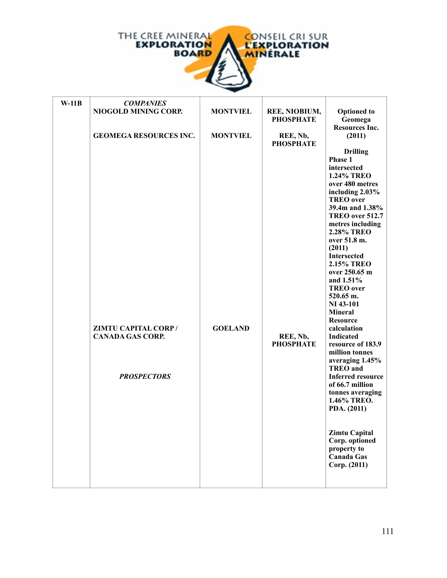

| $W-11B$ | <b>COMPANIES</b>                                                     |                 |                                   |                                                                                                                                                                                                                                                                                                                                                                                                                                                                                                                                                                                                                                                                                                              |
|---------|----------------------------------------------------------------------|-----------------|-----------------------------------|--------------------------------------------------------------------------------------------------------------------------------------------------------------------------------------------------------------------------------------------------------------------------------------------------------------------------------------------------------------------------------------------------------------------------------------------------------------------------------------------------------------------------------------------------------------------------------------------------------------------------------------------------------------------------------------------------------------|
|         | NIOGOLD MINING CORP.                                                 | <b>MONTVIEL</b> | REE, NIOBIUM,<br><b>PHOSPHATE</b> | <b>Optioned</b> to<br>Geomega<br><b>Resources Inc.</b>                                                                                                                                                                                                                                                                                                                                                                                                                                                                                                                                                                                                                                                       |
|         | <b>GEOMEGA RESOURCES INC.</b>                                        | <b>MONTVIEL</b> | REE, Nb,<br><b>PHOSPHATE</b>      | (2011)                                                                                                                                                                                                                                                                                                                                                                                                                                                                                                                                                                                                                                                                                                       |
|         | ZIMTU CAPITAL CORP/<br><b>CANADA GAS CORP.</b><br><b>PROSPECTORS</b> | <b>GOELAND</b>  | REE, Nb,<br><b>PHOSPHATE</b>      | <b>Drilling</b><br>Phase 1<br>intersected<br><b>1.24% TREO</b><br>over 480 metres<br>including 2.03%<br><b>TREO</b> over<br>39.4m and 1.38%<br>TREO over 512.7<br>metres including<br><b>2.28% TREO</b><br>over 51.8 m.<br>(2011)<br><b>Intersected</b><br><b>2.15% TREO</b><br>over 250.65 m<br>and 1.51%<br><b>TREO</b> over<br>520.65 m.<br>NI 43-101<br><b>Mineral</b><br><b>Resource</b><br>calculation<br><b>Indicated</b><br>resource of 183.9<br>million tonnes<br>averaging 1.45%<br><b>TREO</b> and<br><b>Inferred resource</b><br>of 66.7 million<br>tonnes averaging<br>1.46% TREO.<br>PDA. (2011)<br><b>Zimtu Capital</b><br>Corp. optioned<br>property to<br><b>Canada Gas</b><br>Corp. (2011) |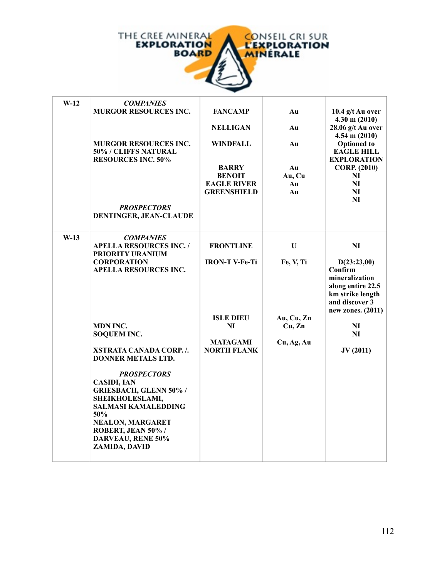

| $W-12$ | <b>COMPANIES</b>                                                                  |                                       |            |                                                                                                                          |
|--------|-----------------------------------------------------------------------------------|---------------------------------------|------------|--------------------------------------------------------------------------------------------------------------------------|
|        | <b>MURGOR RESOURCES INC.</b>                                                      | <b>FANCAMP</b>                        | Au         | 10.4 g/t Au over<br>$4.30 \text{ m} (2010)$                                                                              |
|        |                                                                                   | <b>NELLIGAN</b>                       | Au         | 28.06 g/t Au over<br>$4.54$ m $(2010)$                                                                                   |
|        | <b>MURGOR RESOURCES INC.</b><br>50% / CLIFFS NATURAL<br><b>RESOURCES INC. 50%</b> | WINDFALL                              | Au         | <b>Optioned</b> to<br><b>EAGLE HILL</b><br><b>EXPLORATION</b>                                                            |
|        |                                                                                   | <b>BARRY</b>                          | Au         | <b>CORP.</b> (2010)                                                                                                      |
|        |                                                                                   | <b>BENOIT</b>                         | Au, Cu     | NI                                                                                                                       |
|        |                                                                                   | <b>EAGLE RIVER</b>                    | Au         | NI                                                                                                                       |
|        |                                                                                   | <b>GREENSHIELD</b>                    | Au         | NI                                                                                                                       |
|        |                                                                                   |                                       |            | NI                                                                                                                       |
|        | <b>PROSPECTORS</b><br>DENTINGER, JEAN-CLAUDE                                      |                                       |            |                                                                                                                          |
| $W-13$ | <b>COMPANIES</b><br><b>APELLA RESOURCES INC. /</b>                                | <b>FRONTLINE</b>                      | U          | NI                                                                                                                       |
|        | PRIORITY URANIUM                                                                  |                                       |            |                                                                                                                          |
|        | <b>CORPORATION</b><br><b>APELLA RESOURCES INC.</b>                                | <b>IRON-T V-Fe-Ti</b>                 | Fe, V, Ti  | D(23:23,00)<br>Confirm<br>mineralization<br>along entire 22.5<br>km strike length<br>and discover 3<br>new zones. (2011) |
|        |                                                                                   | <b>ISLE DIEU</b>                      | Au, Cu, Zn |                                                                                                                          |
|        | MDN INC.                                                                          | NI                                    | Cu, Zn     | NI                                                                                                                       |
|        | <b>SOQUEM INC.</b>                                                                |                                       |            | NI                                                                                                                       |
|        | XSTRATA CANADA CORP./.<br><b>DONNER METALS LTD.</b>                               | <b>MATAGAMI</b><br><b>NORTH FLANK</b> | Cu, Ag, Au | JV(2011)                                                                                                                 |
|        | <b>PROSPECTORS</b>                                                                |                                       |            |                                                                                                                          |
|        | <b>CASIDI, IAN</b><br><b>GRIESBACH, GLENN 50% /</b>                               |                                       |            |                                                                                                                          |
|        | SHEIKHOLESLAMI,                                                                   |                                       |            |                                                                                                                          |
|        | <b>SALMASI KAMALEDDING</b><br>50%                                                 |                                       |            |                                                                                                                          |
|        | <b>NEALON, MARGARET</b>                                                           |                                       |            |                                                                                                                          |
|        | ROBERT, JEAN 50% /                                                                |                                       |            |                                                                                                                          |
|        | <b>DARVEAU, RENE 50%</b><br>ZAMIDA, DAVID                                         |                                       |            |                                                                                                                          |
|        |                                                                                   |                                       |            |                                                                                                                          |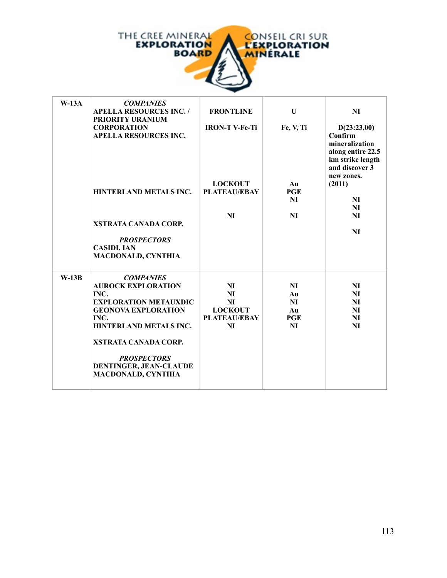

| $W-13A$ | <b>COMPANIES</b><br><b>APELLA RESOURCES INC. /</b><br>PRIORITY URANIUM                                                                                                                                                                                     | <b>FRONTLINE</b>                                                                   | U                                        | NI                                                                                                                |
|---------|------------------------------------------------------------------------------------------------------------------------------------------------------------------------------------------------------------------------------------------------------------|------------------------------------------------------------------------------------|------------------------------------------|-------------------------------------------------------------------------------------------------------------------|
|         | <b>CORPORATION</b><br><b>APELLA RESOURCES INC.</b>                                                                                                                                                                                                         | <b>IRON-T V-Fe-Ti</b>                                                              | Fe, V, Ti                                | D(23:23,00)<br>Confirm<br>mineralization<br>along entire 22.5<br>km strike length<br>and discover 3<br>new zones. |
|         | <b>HINTERLAND METALS INC.</b>                                                                                                                                                                                                                              | <b>LOCKOUT</b><br><b>PLATEAU/EBAY</b>                                              | Au<br><b>PGE</b><br><b>NI</b>            | (2011)<br>NI<br>NI                                                                                                |
|         | <b>XSTRATA CANADA CORP.</b><br><b>PROSPECTORS</b><br><b>CASIDI, IAN</b><br><b>MACDONALD, CYNTHIA</b>                                                                                                                                                       | N <sub>I</sub>                                                                     | <b>NI</b>                                | <b>NI</b><br>N <sub>I</sub>                                                                                       |
| $W-13B$ | <b>COMPANIES</b><br><b>AUROCK EXPLORATION</b><br>INC.<br><b>EXPLORATION METAUXDIC</b><br><b>GEONOVA EXPLORATION</b><br>INC.<br>HINTERLAND METALS INC.<br>XSTRATA CANADA CORP.<br><b>PROSPECTORS</b><br>DENTINGER, JEAN-CLAUDE<br><b>MACDONALD, CYNTHIA</b> | <b>NI</b><br><b>NI</b><br><b>NI</b><br><b>LOCKOUT</b><br><b>PLATEAU/EBAY</b><br>NI | <b>NI</b><br>Au<br>NI<br>Au<br>PGE<br>NI | NI<br>NI<br><b>NI</b><br><b>NI</b><br>NI<br>NI                                                                    |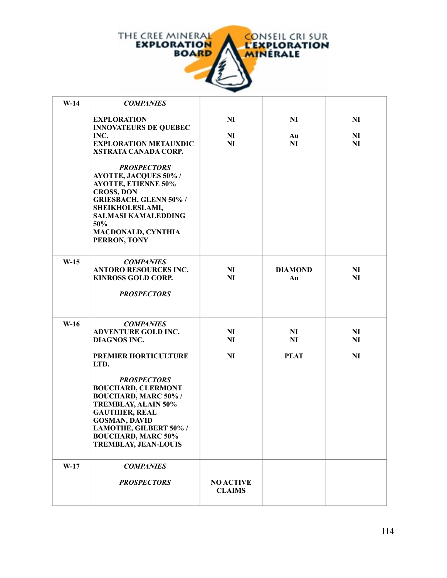

| $W-14$ | <b>COMPANIES</b>                                                                                                                                                                                                                                                                                                                                             |                                          |                                            |                                          |
|--------|--------------------------------------------------------------------------------------------------------------------------------------------------------------------------------------------------------------------------------------------------------------------------------------------------------------------------------------------------------------|------------------------------------------|--------------------------------------------|------------------------------------------|
|        | <b>EXPLORATION</b><br><b>INNOVATEURS DE QUEBEC</b><br>INC.<br><b>EXPLORATION METAUXDIC</b><br>XSTRATA CANADA CORP.                                                                                                                                                                                                                                           | <b>NI</b><br>N <sub>I</sub><br><b>NI</b> | <b>NI</b><br>Au<br>NI                      | <b>NI</b><br>NI<br><b>NI</b>             |
|        | <b>PROSPECTORS</b><br><b>AYOTTE, JACQUES 50%/</b><br><b>AYOTTE, ETIENNE 50%</b><br><b>CROSS, DON</b><br>GRIESBACH, GLENN 50% /<br>SHEIKHOLESLAMI,<br><b>SALMASI KAMALEDDING</b><br>50%<br><b>MACDONALD, CYNTHIA</b><br>PERRON, TONY                                                                                                                          |                                          |                                            |                                          |
| $W-15$ | <b>COMPANIES</b><br><b>ANTORO RESOURCES INC.</b><br><b>KINROSS GOLD CORP.</b><br><b>PROSPECTORS</b>                                                                                                                                                                                                                                                          | N <sub>I</sub><br><b>NI</b>              | <b>DIAMOND</b><br>Au                       | N <sub>I</sub><br>NI                     |
| $W-16$ | <b>COMPANIES</b><br><b>ADVENTURE GOLD INC.</b><br><b>DIAGNOS INC.</b><br>PREMIER HORTICULTURE<br>LTD.<br><b>PROSPECTORS</b><br><b>BOUCHARD, CLERMONT</b><br><b>BOUCHARD, MARC 50% /</b><br><b>TREMBLAY, ALAIN 50%</b><br><b>GAUTHIER, REAL</b><br><b>GOSMAN, DAVID</b><br>LAMOTHE, GILBERT 50% /<br><b>BOUCHARD, MARC 50%</b><br><b>TREMBLAY, JEAN-LOUIS</b> | N <sub>I</sub><br><b>NI</b><br><b>NI</b> | N <sub>I</sub><br><b>NI</b><br><b>PEAT</b> | N <sub>I</sub><br><b>NI</b><br><b>NI</b> |
|        |                                                                                                                                                                                                                                                                                                                                                              |                                          |                                            |                                          |
| $W-17$ | <b>COMPANIES</b><br><b>PROSPECTORS</b>                                                                                                                                                                                                                                                                                                                       | <b>NO ACTIVE</b><br><b>CLAIMS</b>        |                                            |                                          |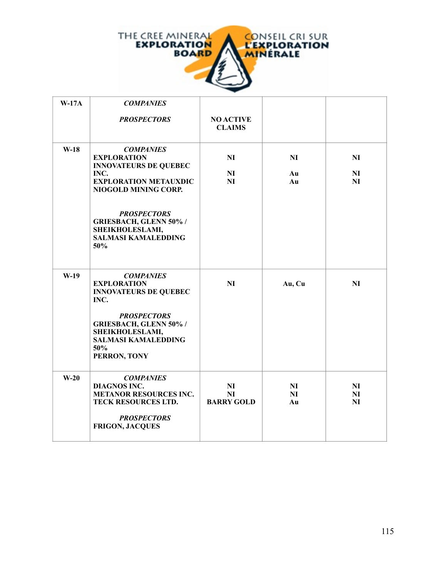

| $W-17A$ | <b>COMPANIES</b>                                                                                                                                                                                                                                      |                                      |                            |                            |
|---------|-------------------------------------------------------------------------------------------------------------------------------------------------------------------------------------------------------------------------------------------------------|--------------------------------------|----------------------------|----------------------------|
|         | <b>PROSPECTORS</b>                                                                                                                                                                                                                                    | <b>NO ACTIVE</b><br><b>CLAIMS</b>    |                            |                            |
| $W-18$  | <b>COMPANIES</b><br><b>EXPLORATION</b><br><b>INNOVATEURS DE QUEBEC</b><br>INC.<br><b>EXPLORATION METAUXDIC</b><br>NIOGOLD MINING CORP.<br><b>PROSPECTORS</b><br><b>GRIESBACH, GLENN 50% /</b><br>SHEIKHOLESLAMI,<br><b>SALMASI KAMALEDDING</b><br>50% | NI<br>N <sub>I</sub><br>NI           | NI<br>Au<br>Au             | NI<br>N <sub>I</sub><br>NI |
| $W-19$  | <b>COMPANIES</b><br><b>EXPLORATION</b><br><b>INNOVATEURS DE QUEBEC</b><br>INC.<br><b>PROSPECTORS</b><br><b>GRIESBACH, GLENN 50% /</b><br>SHEIKHOLESLAMI,<br><b>SALMASI KAMALEDDING</b><br>50%<br>PERRON, TONY                                         | NI                                   | Au, Cu                     | NI                         |
| $W-20$  | <b>COMPANIES</b><br><b>DIAGNOS INC.</b><br><b>METANOR RESOURCES INC.</b><br>TECK RESOURCES LTD.<br><b>PROSPECTORS</b><br><b>FRIGON, JACQUES</b>                                                                                                       | NI<br><b>NI</b><br><b>BARRY GOLD</b> | NI<br>N <sub>I</sub><br>Au | NI<br>NI<br><b>NI</b>      |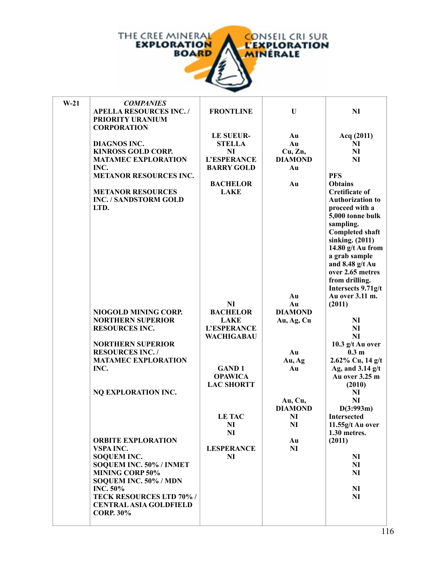

| $W-21$ | <b>COMPANIES</b>                |                    |                |                         |
|--------|---------------------------------|--------------------|----------------|-------------------------|
|        | <b>APELLA RESOURCES INC. /</b>  | <b>FRONTLINE</b>   | U              | NI                      |
|        | PRIORITY URANIUM                |                    |                |                         |
|        | <b>CORPORATION</b>              |                    |                |                         |
|        |                                 | LE SUEUR-          | Au             | Acq (2011)              |
|        | <b>DIAGNOS INC.</b>             | <b>STELLA</b>      | Au             | NI                      |
|        | <b>KINROSS GOLD CORP.</b>       | NI                 | Cu, Zn,        | NI                      |
|        | <b>MATAMEC EXPLORATION</b>      | <b>L'ESPERANCE</b> | <b>DIAMOND</b> | <b>NI</b>               |
|        | INC.                            | <b>BARRY GOLD</b>  | Au             |                         |
|        | <b>METANOR RESOURCES INC.</b>   |                    |                | <b>PFS</b>              |
|        |                                 | <b>BACHELOR</b>    | Au             | <b>Obtains</b>          |
|        | <b>METANOR RESOURCES</b>        | <b>LAKE</b>        |                | <b>Cretificate of</b>   |
|        | <b>INC. / SANDSTORM GOLD</b>    |                    |                | <b>Authorization to</b> |
|        | LTD.                            |                    |                | proceed with a          |
|        |                                 |                    |                | 5,000 tonne bulk        |
|        |                                 |                    |                | sampling.               |
|        |                                 |                    |                | <b>Completed shaft</b>  |
|        |                                 |                    |                | sinking. (2011)         |
|        |                                 |                    |                | 14.80 g/t Au from       |
|        |                                 |                    |                | a grab sample           |
|        |                                 |                    |                | and 8.48 g/t Au         |
|        |                                 |                    |                | over 2.65 metres        |
|        |                                 |                    |                | from drilling.          |
|        |                                 |                    |                | Intersects 9.71g/t      |
|        |                                 |                    | Au             | Au over 3.11 m.         |
|        |                                 | N <sub>I</sub>     | Au             | (2011)                  |
|        | NIOGOLD MINING CORP.            | <b>BACHELOR</b>    | <b>DIAMOND</b> |                         |
|        | <b>NORTHERN SUPERIOR</b>        | <b>LAKE</b>        | Au, Ag, Cu     | NI                      |
|        | <b>RESOURCES INC.</b>           | <b>L'ESPERANCE</b> |                | <b>NI</b>               |
|        |                                 | <b>WACHIGABAU</b>  |                | NI                      |
|        | <b>NORTHERN SUPERIOR</b>        |                    |                | 10.3 g/t Au over        |
|        | <b>RESOURCES INC. /</b>         |                    | Au             | 0.3 <sub>m</sub>        |
|        | <b>MATAMEC EXPLORATION</b>      |                    | Au, Ag         | 2.62% Cu, 14 g/t        |
|        | INC.                            | <b>GAND1</b>       | Au             | Ag, and $3.14$ g/t      |
|        |                                 | <b>OPAWICA</b>     |                | Au over 3.25 m          |
|        |                                 | <b>LAC SHORTT</b>  |                | (2010)                  |
|        | NQ EXPLORATION INC.             |                    |                | NI                      |
|        |                                 |                    | Au, Cu,        | <b>NI</b>               |
|        |                                 |                    | <b>DIAMOND</b> | D(3:993m)               |
|        |                                 | <b>LE TAC</b>      | NI             | <b>Intersected</b>      |
|        |                                 | NI                 | NI             | 11.55g/t Au over        |
|        |                                 | N <sub>I</sub>     |                | 1.30 metres.            |
|        | <b>ORBITE EXPLORATION</b>       |                    | Au             | (2011)                  |
|        | VSPA INC.                       | <b>LESPERANCE</b>  | <b>NI</b>      |                         |
|        | <b>SOQUEM INC.</b>              | NI                 |                | N <sub>I</sub>          |
|        | SOQUEM INC. 50% / INMET         |                    |                | N <sub>I</sub>          |
|        | <b>MINING CORP 50%</b>          |                    |                | NI                      |
|        | SOQUEM INC. 50% / MDN           |                    |                |                         |
|        | <b>INC. 50%</b>                 |                    |                | N <sub>I</sub>          |
|        | <b>TECK RESOURCES LTD 70% /</b> |                    |                | N <sub>I</sub>          |
|        | <b>CENTRAL ASIA GOLDFIELD</b>   |                    |                |                         |
|        | <b>CORP. 30%</b>                |                    |                |                         |
|        |                                 |                    |                |                         |

*PROSPECTORS*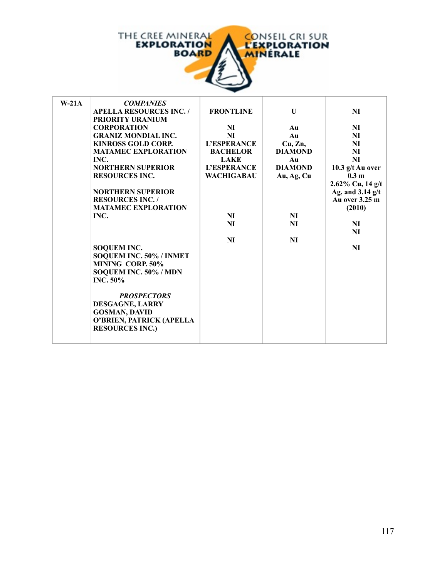

| $W-21A$ | <b>COMPANIES</b>               |                    |                |                     |
|---------|--------------------------------|--------------------|----------------|---------------------|
|         | <b>APELLA RESOURCES INC. /</b> | <b>FRONTLINE</b>   | U              | <b>NI</b>           |
|         | PRIORITY URANIUM               |                    |                |                     |
|         | <b>CORPORATION</b>             | NI                 | Au             | N <sub>I</sub>      |
|         | <b>GRANIZ MONDIAL INC.</b>     | NI                 | Au             | NI                  |
|         | <b>KINROSS GOLD CORP.</b>      | <b>L'ESPERANCE</b> | Cu, Zn,        | <b>NI</b>           |
|         | <b>MATAMEC EXPLORATION</b>     | <b>BACHELOR</b>    | <b>DIAMOND</b> | <b>NI</b>           |
|         | INC.                           | <b>LAKE</b>        | Au             | <b>NI</b>           |
|         | <b>NORTHERN SUPERIOR</b>       | <b>L'ESPERANCE</b> | <b>DIAMOND</b> | 10.3 g/t Au over    |
|         | <b>RESOURCES INC.</b>          | <b>WACHIGABAU</b>  | Au, Ag, Cu     | 0.3 <sub>m</sub>    |
|         |                                |                    |                | $2.62\%$ Cu, 14 g/t |
|         | <b>NORTHERN SUPERIOR</b>       |                    |                | Ag, and $3.14$ g/t  |
|         | <b>RESOURCES INC. /</b>        |                    |                | Au over 3.25 m      |
|         | <b>MATAMEC EXPLORATION</b>     |                    |                | (2010)              |
|         | INC.                           | NI                 | NI             |                     |
|         |                                | NI                 | NI             | NI                  |
|         |                                |                    |                | NI                  |
|         |                                | <b>NI</b>          | <b>NI</b>      |                     |
|         | <b>SOQUEM INC.</b>             |                    |                | <b>NI</b>           |
|         | SOQUEM INC. 50% / INMET        |                    |                |                     |
|         | MINING CORP. 50%               |                    |                |                     |
|         | SOQUEM INC. 50% / MDN          |                    |                |                     |
|         | INC. $50\%$                    |                    |                |                     |
|         |                                |                    |                |                     |
|         | <b>PROSPECTORS</b>             |                    |                |                     |
|         | DESGAGNE, LARRY                |                    |                |                     |
|         | <b>GOSMAN, DAVID</b>           |                    |                |                     |
|         | O'BRIEN, PATRICK (APELLA       |                    |                |                     |
|         | <b>RESOURCES INC.)</b>         |                    |                |                     |
|         |                                |                    |                |                     |
|         |                                |                    |                |                     |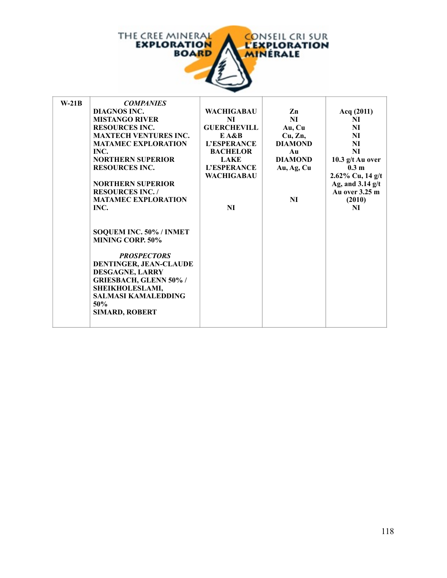

f.

| $W-21B$ | <b>COMPANIES</b>              |                    |                |                     |
|---------|-------------------------------|--------------------|----------------|---------------------|
|         | <b>DIAGNOS INC.</b>           | <b>WACHIGABAU</b>  | Zn             | Acq (2011)          |
|         | <b>MISTANGO RIVER</b>         | NI                 | NI             | NI                  |
|         | <b>RESOURCES INC.</b>         | <b>GUERCHEVILL</b> | Au, Cu         | NI                  |
|         | <b>MAXTECH VENTURES INC.</b>  | E A&B              | Cu, Zn,        | NI                  |
|         | <b>MATAMEC EXPLORATION</b>    | L'ESPERANCE        | <b>DIAMOND</b> | NI                  |
|         | INC.                          | <b>BACHELOR</b>    | Au             | NI                  |
|         | <b>NORTHERN SUPERIOR</b>      | <b>LAKE</b>        | <b>DIAMOND</b> | 10.3 $g/t$ Au over  |
|         | <b>RESOURCES INC.</b>         | <b>L'ESPERANCE</b> | Au, Ag, Cu     | 0.3 <sub>m</sub>    |
|         |                               | <b>WACHIGABAU</b>  |                | $2.62\%$ Cu, 14 g/t |
|         | <b>NORTHERN SUPERIOR</b>      |                    |                | Ag, and $3.14$ g/t  |
|         | <b>RESOURCES INC. /</b>       |                    |                | Au over 3.25 m      |
|         | <b>MATAMEC EXPLORATION</b>    |                    | NI             | (2010)              |
|         | INC.                          | NI                 |                | NI                  |
|         |                               |                    |                |                     |
|         |                               |                    |                |                     |
|         | SOQUEM INC. 50% / INMET       |                    |                |                     |
|         | <b>MINING CORP. 50%</b>       |                    |                |                     |
|         |                               |                    |                |                     |
|         | <b>PROSPECTORS</b>            |                    |                |                     |
|         | DENTINGER, JEAN-CLAUDE        |                    |                |                     |
|         | DESGAGNE, LARRY               |                    |                |                     |
|         | <b>GRIESBACH, GLENN 50% /</b> |                    |                |                     |
|         | SHEIKHOLESLAMI,               |                    |                |                     |
|         | <b>SALMASI KAMALEDDING</b>    |                    |                |                     |
|         | 50%                           |                    |                |                     |
|         | <b>SIMARD, ROBERT</b>         |                    |                |                     |
|         |                               |                    |                |                     |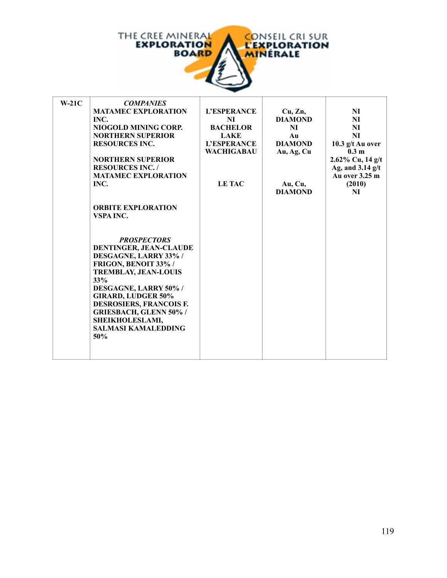

| $W-21C$ | <b>COMPANIES</b>               |                    |                |                     |
|---------|--------------------------------|--------------------|----------------|---------------------|
|         | <b>MATAMEC EXPLORATION</b>     | <b>L'ESPERANCE</b> | Cu, Zn,        | NI                  |
|         | INC.                           | NI                 | <b>DIAMOND</b> | N <sub>I</sub>      |
|         | NIOGOLD MINING CORP.           | <b>BACHELOR</b>    | NI             | NI                  |
|         | <b>NORTHERN SUPERIOR</b>       | <b>LAKE</b>        | Au             | <b>NI</b>           |
|         | <b>RESOURCES INC.</b>          | L'ESPERANCE        | <b>DIAMOND</b> | 10.3 $g/t$ Au over  |
|         |                                | <b>WACHIGABAU</b>  | Au, Ag, Cu     | 0.3 <sub>m</sub>    |
|         | <b>NORTHERN SUPERIOR</b>       |                    |                | $2.62\%$ Cu, 14 g/t |
|         | <b>RESOURCES INC. /</b>        |                    |                | Ag, and $3.14$ g/t  |
|         | <b>MATAMEC EXPLORATION</b>     |                    |                | Au over 3.25 m      |
|         | INC.                           | LE TAC             | Au, Cu,        | (2010)              |
|         |                                |                    | <b>DIAMOND</b> | NI                  |
|         |                                |                    |                |                     |
|         | <b>ORBITE EXPLORATION</b>      |                    |                |                     |
|         | VSPA INC.                      |                    |                |                     |
|         |                                |                    |                |                     |
|         |                                |                    |                |                     |
|         | <b>PROSPECTORS</b>             |                    |                |                     |
|         | <b>DENTINGER, JEAN-CLAUDE</b>  |                    |                |                     |
|         | DESGAGNE, LARRY 33%/           |                    |                |                     |
|         | FRIGON, BENOIT 33% /           |                    |                |                     |
|         | <b>TREMBLAY, JEAN-LOUIS</b>    |                    |                |                     |
|         | 33%                            |                    |                |                     |
|         | DESGAGNE, LARRY 50% /          |                    |                |                     |
|         | <b>GIRARD, LUDGER 50%</b>      |                    |                |                     |
|         | <b>DESROSIERS, FRANCOIS F.</b> |                    |                |                     |
|         | <b>GRIESBACH, GLENN 50% /</b>  |                    |                |                     |
|         | SHEIKHOLESLAMI,                |                    |                |                     |
|         | <b>SALMASI KAMALEDDING</b>     |                    |                |                     |
|         | 50%                            |                    |                |                     |
|         |                                |                    |                |                     |
|         |                                |                    |                |                     |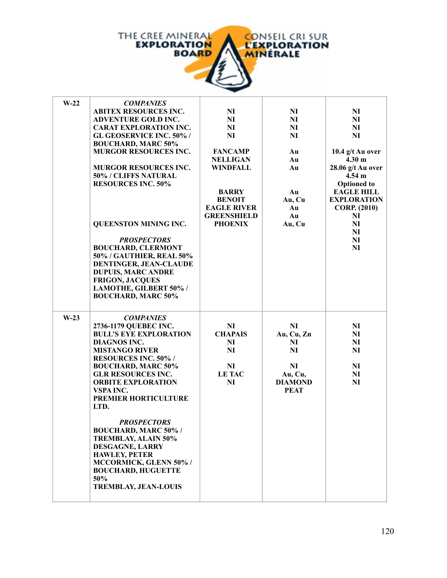

| $W-22$ | <b>COMPANIES</b>                       |                    |                               |                     |
|--------|----------------------------------------|--------------------|-------------------------------|---------------------|
|        | <b>ABITEX RESOURCES INC.</b>           | N <sub>I</sub>     | N <sub>I</sub>                | N <sub>I</sub>      |
|        | <b>ADVENTURE GOLD INC.</b>             | NI                 | <b>NI</b>                     | NI                  |
|        | <b>CARAT EXPLORATION INC.</b>          | NI                 | NI                            | <b>NI</b>           |
|        | <b>GL GEOSERVICE INC. 50% /</b>        | <b>NI</b>          | <b>NI</b>                     | <b>NI</b>           |
|        | <b>BOUCHARD, MARC 50%</b>              |                    |                               |                     |
|        | <b>MURGOR RESOURCES INC.</b>           | <b>FANCAMP</b>     | Au                            | 10.4 g/t Au over    |
|        |                                        | <b>NELLIGAN</b>    | Au                            | 4.30 <sub>m</sub>   |
|        | <b>MURGOR RESOURCES INC.</b>           | <b>WINDFALL</b>    | Au                            | 28.06 g/t Au over   |
|        | 50% / CLIFFS NATURAL                   |                    |                               | $4.54 \text{ m}$    |
|        | <b>RESOURCES INC. 50%</b>              |                    |                               | <b>Optioned</b> to  |
|        |                                        | <b>BARRY</b>       | Au                            | <b>EAGLE HILL</b>   |
|        |                                        | <b>BENOIT</b>      | Au, Cu                        | <b>EXPLORATION</b>  |
|        |                                        | <b>EAGLE RIVER</b> | Au                            | <b>CORP.</b> (2010) |
|        |                                        | <b>GREENSHIELD</b> | Au                            | NI                  |
|        | QUEENSTON MINING INC.                  | <b>PHOENIX</b>     | Au, Cu                        | <b>NI</b>           |
|        |                                        |                    |                               | N <sub>I</sub>      |
|        | <b>PROSPECTORS</b>                     |                    |                               | N <sub>I</sub>      |
|        | <b>BOUCHARD, CLERMONT</b>              |                    |                               | <b>NI</b>           |
|        | 50% / GAUTHIER, REAL 50%               |                    |                               |                     |
|        | DENTINGER, JEAN-CLAUDE                 |                    |                               |                     |
|        | <b>DUPUIS, MARC ANDRE</b>              |                    |                               |                     |
|        | <b>FRIGON, JACQUES</b>                 |                    |                               |                     |
|        | LAMOTHE, GILBERT 50% /                 |                    |                               |                     |
|        | <b>BOUCHARD, MARC 50%</b>              |                    |                               |                     |
|        |                                        |                    |                               |                     |
|        |                                        |                    |                               |                     |
| $W-23$ | <b>COMPANIES</b>                       |                    |                               |                     |
|        | 2736-1179 QUEBEC INC.                  | N <sub>I</sub>     | <b>NI</b>                     | N <sub>I</sub>      |
|        | <b>BULL'S EYE EXPLORATION</b>          | <b>CHAPAIS</b>     | Au, Cu, Zn                    | NI                  |
|        | DIAGNOS INC.                           | NI                 | NI                            | <b>NI</b>           |
|        | <b>MISTANGO RIVER</b>                  | <b>NI</b>          | <b>NI</b>                     | <b>NI</b>           |
|        | <b>RESOURCES INC. 50%/</b>             |                    |                               |                     |
|        | <b>BOUCHARD, MARC 50%</b>              | NI                 | <b>NI</b>                     | <b>NI</b>           |
|        | <b>GLR RESOURCES INC.</b>              | <b>LE TAC</b>      | Au, Cu,                       | N <sub>I</sub>      |
|        | <b>ORBITE EXPLORATION</b><br>VSPA INC. | NI                 | <b>DIAMOND</b><br><b>PEAT</b> | <b>NI</b>           |
|        | PREMIER HORTICULTURE                   |                    |                               |                     |
|        | LTD.                                   |                    |                               |                     |
|        |                                        |                    |                               |                     |
|        | <b>PROSPECTORS</b>                     |                    |                               |                     |
|        | <b>BOUCHARD, MARC 50% /</b>            |                    |                               |                     |
|        | <b>TREMBLAY, ALAIN 50%</b>             |                    |                               |                     |
|        | DESGAGNE, LARRY                        |                    |                               |                     |
|        | <b>HAWLEY, PETER</b>                   |                    |                               |                     |
|        | MCCORMICK, GLENN 50% /                 |                    |                               |                     |
|        | <b>BOUCHARD, HUGUETTE</b>              |                    |                               |                     |
|        | 50%                                    |                    |                               |                     |
|        | <b>TREMBLAY, JEAN-LOUIS</b>            |                    |                               |                     |
|        |                                        |                    |                               |                     |
|        |                                        |                    |                               |                     |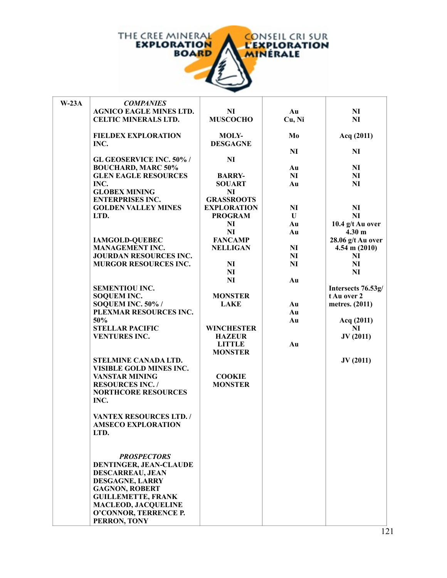

| $W-23A$ | <b>COMPANIES</b>                                 |                    |                |                         |
|---------|--------------------------------------------------|--------------------|----------------|-------------------------|
|         | <b>AGNICO EAGLE MINES LTD.</b>                   | NI                 | Au             | N <sub>I</sub>          |
|         | <b>CELTIC MINERALS LTD.</b>                      | <b>MUSCOCHO</b>    | Cu, Ni         | NI                      |
|         |                                                  |                    |                |                         |
|         | <b>FIELDEX EXPLORATION</b>                       | <b>MOLY-</b>       | Mo             | Acq (2011)              |
|         | INC.                                             | <b>DESGAGNE</b>    |                |                         |
|         |                                                  |                    | <b>NI</b>      | NI                      |
|         | <b>GL GEOSERVICE INC. 50%/</b>                   | <b>NI</b>          |                |                         |
|         | <b>BOUCHARD, MARC 50%</b>                        |                    | Au             | NI                      |
|         | <b>GLEN EAGLE RESOURCES</b>                      | <b>BARRY-</b>      | NI             | N <sub>I</sub>          |
|         | INC.                                             | <b>SOUART</b>      | Au             | NI                      |
|         | <b>GLOBEX MINING</b>                             | NI                 |                |                         |
|         | <b>ENTERPRISES INC.</b>                          | <b>GRASSROOTS</b>  |                |                         |
|         | <b>GOLDEN VALLEY MINES</b>                       | <b>EXPLORATION</b> | N <sub>I</sub> | N <sub>I</sub>          |
|         | LTD.                                             | <b>PROGRAM</b>     | $\mathbf{U}$   | NI                      |
|         |                                                  | N <sub>I</sub>     | Au             | 10.4 $g/t$ Au over      |
|         |                                                  | <b>NI</b>          | Au             | 4.30 <sub>m</sub>       |
|         | <b>IAMGOLD-QUEBEC</b>                            | <b>FANCAMP</b>     |                | 28.06 g/t Au over       |
|         | <b>MANAGEMENT INC.</b>                           | <b>NELLIGAN</b>    | NI             | $4.54 \text{ m} (2010)$ |
|         | <b>JOURDAN RESOURCES INC.</b>                    |                    | NI             | NI                      |
|         | <b>MURGOR RESOURCES INC.</b>                     | <b>NI</b>          | <b>NI</b>      | NI                      |
|         |                                                  | NI                 |                | NI                      |
|         |                                                  | <b>NI</b>          | Au             |                         |
|         | <b>SEMENTIOU INC.</b>                            |                    |                | Intersects 76.53g/      |
|         | <b>SOQUEM INC.</b>                               | <b>MONSTER</b>     |                | t Au over 2             |
|         | SOQUEM INC. 50% /                                | <b>LAKE</b>        | Au             | metres. (2011)          |
|         | PLEXMAR RESOURCES INC.                           |                    | Au             |                         |
|         | 50%                                              |                    | Au             | Acq (2011)              |
|         | <b>STELLAR PACIFIC</b>                           | <b>WINCHESTER</b>  |                | NI                      |
|         | <b>VENTURES INC.</b>                             | <b>HAZEUR</b>      |                | JV(2011)                |
|         |                                                  | <b>LITTLE</b>      | Au             |                         |
|         |                                                  | <b>MONSTER</b>     |                |                         |
|         | STELMINE CANADA LTD.                             |                    |                | JV(2011)                |
|         | VISIBLE GOLD MINES INC.                          | <b>COOKIE</b>      |                |                         |
|         | <b>VANSTAR MINING</b><br><b>RESOURCES INC. /</b> | <b>MONSTER</b>     |                |                         |
|         | <b>NORTHCORE RESOURCES</b>                       |                    |                |                         |
|         | INC.                                             |                    |                |                         |
|         |                                                  |                    |                |                         |
|         | <b>VANTEX RESOURCES LTD. /</b>                   |                    |                |                         |
|         | <b>AMSECO EXPLORATION</b>                        |                    |                |                         |
|         | LTD.                                             |                    |                |                         |
|         |                                                  |                    |                |                         |
|         |                                                  |                    |                |                         |
|         | <b>PROSPECTORS</b>                               |                    |                |                         |
|         | DENTINGER, JEAN-CLAUDE                           |                    |                |                         |
|         | <b>DESCARREAU, JEAN</b>                          |                    |                |                         |
|         | DESGAGNE, LARRY                                  |                    |                |                         |
|         | <b>GAGNON, ROBERT</b>                            |                    |                |                         |
|         | <b>GUILLEMETTE, FRANK</b>                        |                    |                |                         |
|         | <b>MACLEOD, JACQUELINE</b>                       |                    |                |                         |
|         | O'CONNOR, TERRENCE P.                            |                    |                |                         |
|         | PERRON, TONY                                     |                    |                |                         |

**ROUSSEAU, RENE**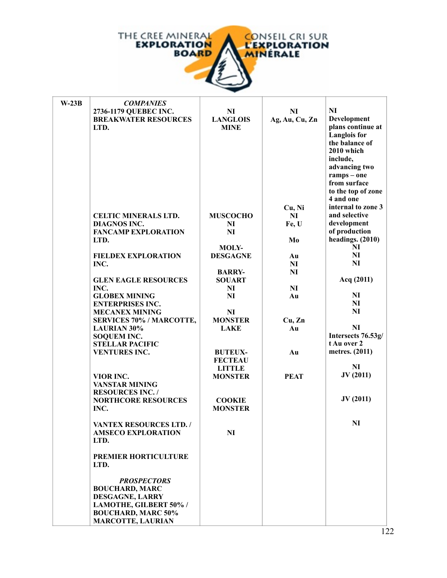

| $W-23B$ | <b>COMPANIES</b>                          |                                 |                |                     |
|---------|-------------------------------------------|---------------------------------|----------------|---------------------|
|         | 2736-1179 QUEBEC INC.                     | N <sub>I</sub>                  | NI             | <b>NI</b>           |
|         | <b>BREAKWATER RESOURCES</b>               | <b>LANGLOIS</b>                 | Ag, Au, Cu, Zn | Development         |
|         | LTD.                                      | <b>MINE</b>                     |                | plans continue at   |
|         |                                           |                                 |                | <b>Langlois</b> for |
|         |                                           |                                 |                | the balance of      |
|         |                                           |                                 |                | 2010 which          |
|         |                                           |                                 |                | include,            |
|         |                                           |                                 |                | advancing two       |
|         |                                           |                                 |                | ramps - one         |
|         |                                           |                                 |                | from surface        |
|         |                                           |                                 |                | to the top of zone  |
|         |                                           |                                 |                | 4 and one           |
|         |                                           |                                 |                | internal to zone 3  |
|         |                                           |                                 | Cu, Ni<br>NI   | and selective       |
|         | <b>CELTIC MINERALS LTD.</b>               | <b>MUSCOCHO</b>                 |                | development         |
|         | <b>DIAGNOS INC.</b>                       | NI                              | Fe, U          | of production       |
|         | <b>FANCAMP EXPLORATION</b>                | <b>NI</b>                       |                | headings. (2010)    |
|         | LTD.                                      |                                 | Mo             | $\mathbf{N}$        |
|         | <b>FIELDEX EXPLORATION</b>                | <b>MOLY-</b><br><b>DESGAGNE</b> |                | NI                  |
|         |                                           |                                 | Au             | NI                  |
|         | INC.                                      | <b>BARRY-</b>                   | NI<br>NI       |                     |
|         | <b>GLEN EAGLE RESOURCES</b>               | <b>SOUART</b>                   |                | Acq (2011)          |
|         | INC.                                      | NI                              | NI             |                     |
|         | <b>GLOBEX MINING</b>                      | <b>NI</b>                       | Au             | $\mathbf{N}$        |
|         | <b>ENTERPRISES INC.</b>                   |                                 |                | N <sub>I</sub>      |
|         | <b>MECANEX MINING</b>                     | NI                              |                | NI                  |
|         | <b>SERVICES 70% / MARCOTTE,</b>           | <b>MONSTER</b>                  | Cu, Zn         |                     |
|         | <b>LAURIAN 30%</b>                        | <b>LAKE</b>                     | Au             | <b>NI</b>           |
|         | <b>SOQUEM INC.</b>                        |                                 |                | Intersects 76.53g/  |
|         | <b>STELLAR PACIFIC</b>                    |                                 |                | t Au over 2         |
|         | <b>VENTURES INC.</b>                      | <b>BUTEUX-</b>                  | Au             | metres. (2011)      |
|         |                                           | <b>FECTEAU</b>                  |                |                     |
|         |                                           | <b>LITTLE</b>                   |                | NI                  |
|         | VIOR INC.                                 | <b>MONSTER</b>                  | <b>PEAT</b>    | JV(2011)            |
|         | <b>VANSTAR MINING</b>                     |                                 |                |                     |
|         | <b>RESOURCES INC. /</b>                   |                                 |                |                     |
|         | <b>NORTHCORE RESOURCES</b>                | <b>COOKIE</b>                   |                | JV(2011)            |
|         | INC.                                      | <b>MONSTER</b>                  |                |                     |
|         |                                           |                                 |                |                     |
|         | <b>VANTEX RESOURCES LTD. /</b>            |                                 |                | NI                  |
|         | <b>AMSECO EXPLORATION</b>                 | <b>NI</b>                       |                |                     |
|         | LTD.                                      |                                 |                |                     |
|         |                                           |                                 |                |                     |
|         | PREMIER HORTICULTURE                      |                                 |                |                     |
|         | LTD.                                      |                                 |                |                     |
|         |                                           |                                 |                |                     |
|         | <b>PROSPECTORS</b>                        |                                 |                |                     |
|         | <b>BOUCHARD, MARC</b>                     |                                 |                |                     |
|         | DESGAGNE, LARRY<br>LAMOTHE, GILBERT 50% / |                                 |                |                     |
|         | <b>BOUCHARD, MARC 50%</b>                 |                                 |                |                     |
|         | <b>MARCOTTE, LAURIAN</b>                  |                                 |                |                     |
|         |                                           |                                 |                |                     |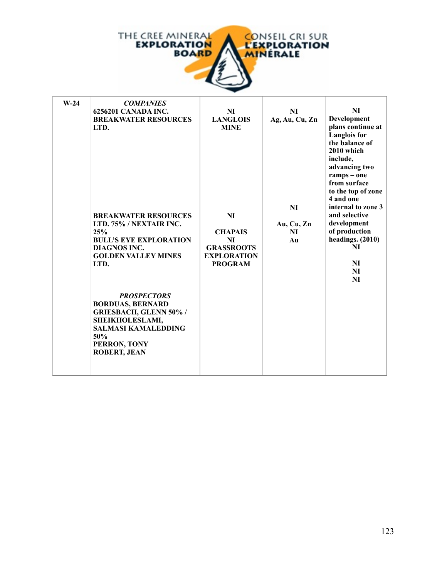

| $W-24$ | <b>COMPANIES</b>                                  |                                         |                |                        |
|--------|---------------------------------------------------|-----------------------------------------|----------------|------------------------|
|        | 6256201 CANADA INC.                               | N <sub>I</sub>                          | NI             | NI                     |
|        | <b>BREAKWATER RESOURCES</b>                       | <b>LANGLOIS</b>                         | Ag, Au, Cu, Zn | Development            |
|        | LTD.                                              | <b>MINE</b>                             |                | plans continue at      |
|        |                                                   |                                         |                | <b>Langlois</b> for    |
|        |                                                   |                                         |                | the balance of         |
|        |                                                   |                                         |                | 2010 which             |
|        |                                                   |                                         |                | include,               |
|        |                                                   |                                         |                | advancing two          |
|        |                                                   |                                         |                | ramps - one            |
|        |                                                   |                                         |                | from surface           |
|        |                                                   |                                         |                | to the top of zone     |
|        |                                                   |                                         |                | 4 and one              |
|        |                                                   |                                         | NI             | internal to zone 3     |
|        | <b>BREAKWATER RESOURCES</b>                       | NI                                      |                | and selective          |
|        | LTD. 75% / NEXTAIR INC.                           |                                         | Au, Cu, Zn     | development            |
|        | 25%                                               | <b>CHAPAIS</b>                          | NI             | of production          |
|        | <b>BULL'S EYE EXPLORATION</b>                     | NI                                      | Au             | headings. (2010)<br>NI |
|        | <b>DIAGNOS INC.</b><br><b>GOLDEN VALLEY MINES</b> | <b>GRASSROOTS</b><br><b>EXPLORATION</b> |                |                        |
|        | LTD.                                              | <b>PROGRAM</b>                          |                | N <sub>I</sub>         |
|        |                                                   |                                         |                | NI                     |
|        |                                                   |                                         |                | NI                     |
|        |                                                   |                                         |                |                        |
|        | <b>PROSPECTORS</b>                                |                                         |                |                        |
|        | <b>BORDUAS, BERNARD</b>                           |                                         |                |                        |
|        | <b>GRIESBACH, GLENN 50% /</b>                     |                                         |                |                        |
|        | SHEIKHOLESLAMI,                                   |                                         |                |                        |
|        | <b>SALMASI KAMALEDDING</b>                        |                                         |                |                        |
|        | 50%                                               |                                         |                |                        |
|        | PERRON, TONY                                      |                                         |                |                        |
|        | <b>ROBERT, JEAN</b>                               |                                         |                |                        |
|        |                                                   |                                         |                |                        |
|        |                                                   |                                         |                |                        |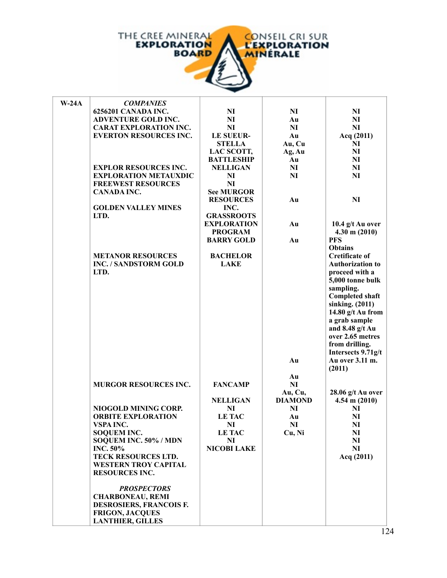

| $W-24A$ | <b>COMPANIES</b>              |                    |                |                         |
|---------|-------------------------------|--------------------|----------------|-------------------------|
|         | 6256201 CANADA INC.           | N <sub>I</sub>     | NI             | N <sub>I</sub>          |
|         | <b>ADVENTURE GOLD INC.</b>    | <b>NI</b>          | Au             | <b>NI</b>               |
|         | <b>CARAT EXPLORATION INC.</b> | <b>NI</b>          | <b>NI</b>      | <b>NI</b>               |
|         | <b>EVERTON RESOURCES INC.</b> | <b>LE SUEUR-</b>   | Au             | Acq (2011)              |
|         |                               | <b>STELLA</b>      | Au, Cu         | N <sub>I</sub>          |
|         |                               | LAC SCOTT,         | Ag, Au         | NI                      |
|         |                               | <b>BATTLESHIP</b>  | Au             | <b>NI</b>               |
|         |                               |                    |                |                         |
|         | <b>EXPLOR RESOURCES INC.</b>  | <b>NELLIGAN</b>    | <b>NI</b>      | <b>NI</b>               |
|         | <b>EXPLORATION METAUXDIC</b>  | NI                 | <b>NI</b>      | <b>NI</b>               |
|         | <b>FREEWEST RESOURCES</b>     | <b>NI</b>          |                |                         |
|         | <b>CANADA INC.</b>            | <b>See MURGOR</b>  |                |                         |
|         |                               | <b>RESOURCES</b>   | Au             | <b>NI</b>               |
|         | <b>GOLDEN VALLEY MINES</b>    | INC.               |                |                         |
|         | LTD.                          | <b>GRASSROOTS</b>  |                |                         |
|         |                               | <b>EXPLORATION</b> | Au             | 10.4 g/t Au over        |
|         |                               | <b>PROGRAM</b>     |                | $4.30 \text{ m} (2010)$ |
|         |                               | <b>BARRY GOLD</b>  | Au             | <b>PFS</b>              |
|         |                               |                    |                | <b>Obtains</b>          |
|         | <b>METANOR RESOURCES</b>      | <b>BACHELOR</b>    |                | <b>Cretificate of</b>   |
|         | <b>INC. / SANDSTORM GOLD</b>  | <b>LAKE</b>        |                | <b>Authorization to</b> |
|         | LTD.                          |                    |                | proceed with a          |
|         |                               |                    |                | 5,000 tonne bulk        |
|         |                               |                    |                | sampling.               |
|         |                               |                    |                | <b>Completed shaft</b>  |
|         |                               |                    |                | sinking. (2011)         |
|         |                               |                    |                | 14.80 g/t Au from       |
|         |                               |                    |                |                         |
|         |                               |                    |                | a grab sample           |
|         |                               |                    |                | and $8.48$ g/t Au       |
|         |                               |                    |                | over 2.65 metres        |
|         |                               |                    |                | from drilling.          |
|         |                               |                    |                | Intersects 9.71g/t      |
|         |                               |                    | Au             | Au over 3.11 m.         |
|         |                               |                    |                | (2011)                  |
|         |                               |                    | Au             |                         |
|         | <b>MURGOR RESOURCES INC.</b>  | <b>FANCAMP</b>     | <b>NI</b>      |                         |
|         |                               |                    | Au, Cu,        | $28.06$ g/t Au over     |
|         |                               | <b>NELLIGAN</b>    | <b>DIAMOND</b> | $4.54 \text{ m} (2010)$ |
|         | NIOGOLD MINING CORP.          | <b>NI</b>          | NI             | NI                      |
|         | <b>ORBITE EXPLORATION</b>     | <b>LE TAC</b>      | Au             | NI                      |
|         | VSPA INC.                     | NI                 | NI             | NI                      |
|         | <b>SOQUEM INC.</b>            | <b>LE TAC</b>      | Cu, Ni         | NI                      |
|         | SOQUEM INC. 50% / MDN         | N <sub>I</sub>     |                | NI                      |
|         | <b>INC. 50%</b>               | <b>NICOBI LAKE</b> |                | N <sub>I</sub>          |
|         | TECK RESOURCES LTD.           |                    |                | Acq (2011)              |
|         | <b>WESTERN TROY CAPITAL</b>   |                    |                |                         |
|         | <b>RESOURCES INC.</b>         |                    |                |                         |
|         |                               |                    |                |                         |
|         | <b>PROSPECTORS</b>            |                    |                |                         |
|         | <b>CHARBONEAU, REMI</b>       |                    |                |                         |
|         |                               |                    |                |                         |
|         | DESROSIERS, FRANCOIS F.       |                    |                |                         |
|         | <b>FRIGON, JACQUES</b>        |                    |                |                         |
|         | <b>LANTHIER, GILLES</b>       |                    |                |                         |

**LAVOIE, MICHEL**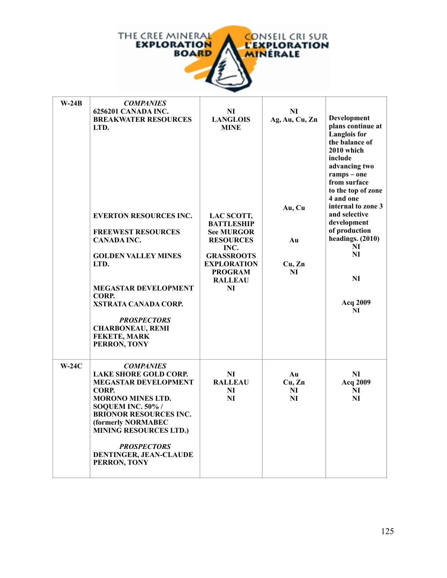

| $W-24B$ | <b>COMPANIES</b><br>6256201 CANADA INC.<br><b>BREAKWATER RESOURCES</b><br>LTD.<br><b>EVERTON RESOURCES INC.</b><br><b>FREEWEST RESOURCES</b><br><b>CANADA INC.</b><br><b>GOLDEN VALLEY MINES</b><br>LTD.<br><b>MEGASTAR DEVELOPMENT</b><br>CORP.<br>XSTRATA CANADA CORP.<br><b>PROSPECTORS</b><br><b>CHARBONEAU, REMI</b><br>FEKETE, MARK<br>PERRON, TONY | NI<br><b>LANGLOIS</b><br><b>MINE</b><br>LAC SCOTT,<br><b>BATTLESHIP</b><br><b>See MURGOR</b><br><b>RESOURCES</b><br>INC.<br><b>GRASSROOTS</b><br><b>EXPLORATION</b><br><b>PROGRAM</b><br><b>RALLEAU</b><br>NI | N <sub>I</sub><br>Ag, Au, Cu, Zn<br>Au, Cu<br>Au<br>Cu, Zn<br>NI | Development<br>plans continue at<br><b>Langlois</b> for<br>the balance of<br>2010 which<br>include<br>advancing two<br>$ramps - one$<br>from surface<br>to the top of zone<br>4 and one<br>internal to zone 3<br>and selective<br>development<br>of production<br>headings. $(2010)$<br>NI<br>NI<br>NI<br>Acq 2009<br>NI |
|---------|-----------------------------------------------------------------------------------------------------------------------------------------------------------------------------------------------------------------------------------------------------------------------------------------------------------------------------------------------------------|---------------------------------------------------------------------------------------------------------------------------------------------------------------------------------------------------------------|------------------------------------------------------------------|--------------------------------------------------------------------------------------------------------------------------------------------------------------------------------------------------------------------------------------------------------------------------------------------------------------------------|
| $W-24C$ | <b>COMPANIES</b><br><b>LAKE SHORE GOLD CORP.</b><br><b>MEGASTAR DEVELOPMENT</b><br>CORP.<br><b>MORONO MINES LTD.</b><br>SOQUEM INC. 50% /<br><b>BRIONOR RESOURCES INC.</b><br>(formerly NORMABEC<br><b>MINING RESOURCES LTD.)</b><br><b>PROSPECTORS</b><br>DENTINGER, JEAN-CLAUDE<br>PERRON, TONY                                                         | NI<br><b>RALLEAU</b><br>NI<br>NI                                                                                                                                                                              | Au<br>Cu, Zn<br>NI<br>NI                                         | NI<br>Acq 2009<br>NI<br>NI                                                                                                                                                                                                                                                                                               |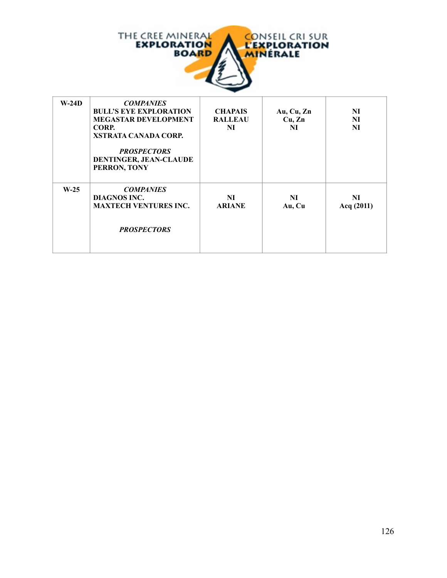

| $W-24D$ | <b>COMPANIES</b><br><b>BULL'S EYE EXPLORATION</b><br><b>MEGASTAR DEVELOPMENT</b><br>CORP.<br><b>XSTRATA CANADA CORP.</b><br><b>PROSPECTORS</b><br><b>DENTINGER, JEAN-CLAUDE</b><br>PERRON, TONY | <b>CHAPAIS</b><br><b>RALLEAU</b><br>NI | Au, $Cu, Zn$<br>Cu, Zn<br>NI | NI<br>N <sub>I</sub><br>N <sub>I</sub> |
|---------|-------------------------------------------------------------------------------------------------------------------------------------------------------------------------------------------------|----------------------------------------|------------------------------|----------------------------------------|
| $W-25$  | <b>COMPANIES</b><br><b>DIAGNOS INC.</b><br><b>MAXTECH VENTURES INC.</b><br><b>PROSPECTORS</b>                                                                                                   | NI<br><b>ARIANE</b>                    | NI<br>Au, Cu                 | NI<br>Acq $(2011)$                     |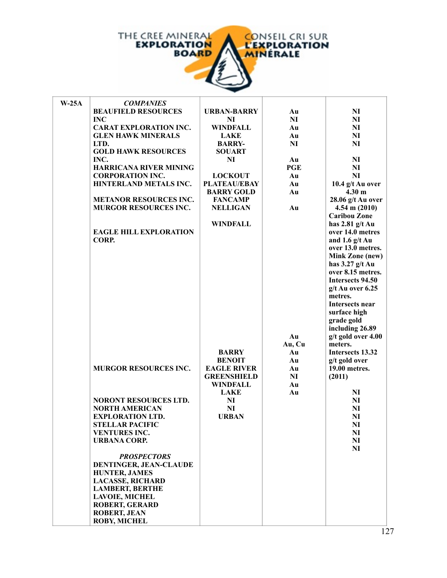

| $W-25A$ | <b>COMPANIES</b>              |                     |            |                                |
|---------|-------------------------------|---------------------|------------|--------------------------------|
|         | <b>BEAUFIELD RESOURCES</b>    | <b>URBAN-BARRY</b>  | Au         | N <sub>I</sub>                 |
|         | <b>INC</b>                    | NI                  | NI         | N <sub>I</sub>                 |
|         | <b>CARAT EXPLORATION INC.</b> | <b>WINDFALL</b>     | Au         | NI                             |
|         | <b>GLEN HAWK MINERALS</b>     | <b>LAKE</b>         | Au         | N <sub>I</sub>                 |
|         | LTD.                          | <b>BARRY-</b>       | NI         | NI                             |
|         | <b>GOLD HAWK RESOURCES</b>    | <b>SOUART</b>       |            |                                |
|         | INC.                          | NI                  | Au         | N <sub>I</sub>                 |
|         | <b>HARRICANA RIVER MINING</b> |                     | <b>PGE</b> | NI                             |
|         | <b>CORPORATION INC.</b>       | <b>LOCKOUT</b>      | Au         | NI                             |
|         | HINTERLAND METALS INC.        | <b>PLATEAU/EBAY</b> | Au         | 10.4 g/t Au over               |
|         |                               | <b>BARRY GOLD</b>   | Au         | 4.30 <sub>m</sub>              |
|         | <b>METANOR RESOURCES INC.</b> | <b>FANCAMP</b>      |            | 28.06 g/t Au over              |
|         | <b>MURGOR RESOURCES INC.</b>  | <b>NELLIGAN</b>     | Au         | $4.54 \text{ m} (2010)$        |
|         |                               |                     |            | <b>Caribou Zone</b>            |
|         |                               | <b>WINDFALL</b>     |            | has $2.81$ g/t Au              |
|         | <b>EAGLE HILL EXPLORATION</b> |                     |            | over 14.0 metres               |
|         | CORP.                         |                     |            | and 1.6 $g/t$ Au               |
|         |                               |                     |            | over 13.0 metres.              |
|         |                               |                     |            | <b>Mink Zone (new)</b>         |
|         |                               |                     |            | has $3.27$ g/t Au              |
|         |                               |                     |            | over 8.15 metres.              |
|         |                               |                     |            | Intersects 94.50               |
|         |                               |                     |            | $g/t$ Au over 6.25             |
|         |                               |                     |            | metres.                        |
|         |                               |                     |            | Intersects near                |
|         |                               |                     |            | surface high                   |
|         |                               |                     |            | grade gold                     |
|         |                               |                     |            | including 26.89                |
|         |                               |                     | Au         | g/t gold over 4.00             |
|         |                               |                     | Au, Cu     | meters.                        |
|         |                               | <b>BARRY</b>        | Au         | Intersects 13.32               |
|         |                               | <b>BENOIT</b>       | Au         | g/t gold over<br>19.00 metres. |
|         | <b>MURGOR RESOURCES INC.</b>  | <b>EAGLE RIVER</b>  | Au<br>NI   |                                |
|         |                               | <b>GREENSHIELD</b>  | Au         | (2011)                         |
|         |                               | <b>WINDFALL</b>     |            |                                |
|         | <b>NORONT RESOURCES LTD.</b>  | <b>LAKE</b><br>NI   | Au         | N <sub>I</sub><br>NI           |
|         | <b>NORTH AMERICAN</b>         | NI                  |            | N <sub>I</sub>                 |
|         | <b>EXPLORATION LTD.</b>       | <b>URBAN</b>        |            | N <sub>I</sub>                 |
|         | <b>STELLAR PACIFIC</b>        |                     |            | $\mathbf{N}$                   |
|         | <b>VENTURES INC.</b>          |                     |            | N <sub>I</sub>                 |
|         | <b>URBANA CORP.</b>           |                     |            | N <sub>I</sub>                 |
|         |                               |                     |            | NI                             |
|         | <b>PROSPECTORS</b>            |                     |            |                                |
|         | DENTINGER, JEAN-CLAUDE        |                     |            |                                |
|         | <b>HUNTER, JAMES</b>          |                     |            |                                |
|         | <b>LACASSE, RICHARD</b>       |                     |            |                                |
|         | <b>LAMBERT, BERTHE</b>        |                     |            |                                |
|         | <b>LAVOIE, MICHEL</b>         |                     |            |                                |
|         | <b>ROBERT, GERARD</b>         |                     |            |                                |
|         | <b>ROBERT, JEAN</b>           |                     |            |                                |
|         | <b>ROBY, MICHEL</b>           |                     |            |                                |

**ZEFRANI, MASHE**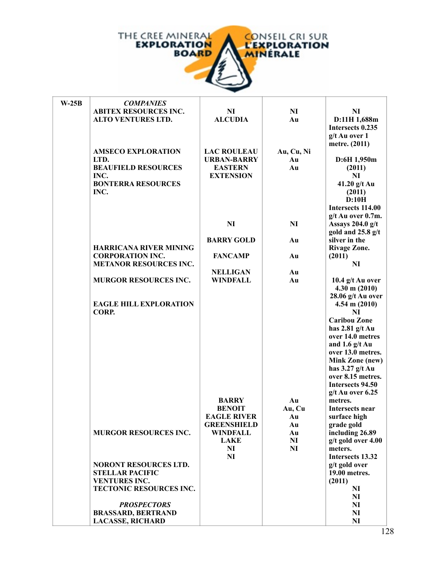

| $W-25B$ | <b>COMPANIES</b>                                     |                    |                |                                        |
|---------|------------------------------------------------------|--------------------|----------------|----------------------------------------|
|         | <b>ABITEX RESOURCES INC.</b>                         | N <sub>I</sub>     | NI             | NI                                     |
|         | <b>ALTO VENTURES LTD.</b>                            | <b>ALCUDIA</b>     | Au             | D:11H 1,688m                           |
|         |                                                      |                    |                | Intersects 0.235                       |
|         |                                                      |                    |                | g/t Au over 1                          |
|         |                                                      |                    |                | metre. (2011)                          |
|         | <b>AMSECO EXPLORATION</b>                            | <b>LAC ROULEAU</b> | Au, Cu, Ni     |                                        |
|         | LTD.                                                 | <b>URBAN-BARRY</b> | Au             | D:6H1,950m                             |
|         | <b>BEAUFIELD RESOURCES</b>                           | <b>EASTERN</b>     | Au             | (2011)                                 |
|         | INC.                                                 | <b>EXTENSION</b>   |                | NI                                     |
|         | <b>BONTERRA RESOURCES</b>                            |                    |                | 41.20 $g/t$ Au                         |
|         | INC.                                                 |                    |                | (2011)                                 |
|         |                                                      |                    |                | D:10H                                  |
|         |                                                      |                    |                | Intersects 114.00                      |
|         |                                                      | NI                 | <b>NI</b>      | g/t Au over 0.7m.<br>Assays 204.0 g/t  |
|         |                                                      |                    |                | gold and $25.8$ g/t                    |
|         |                                                      | <b>BARRY GOLD</b>  | Au             | silver in the                          |
|         | <b>HARRICANA RIVER MINING</b>                        |                    |                | <b>Rivage Zone.</b>                    |
|         | <b>CORPORATION INC.</b>                              | <b>FANCAMP</b>     | Au             | (2011)                                 |
|         | <b>METANOR RESOURCES INC.</b>                        |                    |                | NI                                     |
|         |                                                      | <b>NELLIGAN</b>    | Au             |                                        |
|         | <b>MURGOR RESOURCES INC.</b>                         | <b>WINDFALL</b>    | Au             | 10.4 $g/t$ Au over                     |
|         |                                                      |                    |                | $4.30 \text{ m} (2010)$                |
|         |                                                      |                    |                | 28.06 g/t Au over                      |
|         | <b>EAGLE HILL EXPLORATION</b>                        |                    |                | $4.54 \text{ m} (2010)$                |
|         | CORP.                                                |                    |                | NI                                     |
|         |                                                      |                    |                | <b>Caribou Zone</b>                    |
|         |                                                      |                    |                | has $2.81$ g/t Au                      |
|         |                                                      |                    |                | over 14.0 metres                       |
|         |                                                      |                    |                | and 1.6 $g/t$ Au                       |
|         |                                                      |                    |                | over 13.0 metres.                      |
|         |                                                      |                    |                | <b>Mink Zone (new)</b>                 |
|         |                                                      |                    |                | has $3.27$ g/t Au<br>over 8.15 metres. |
|         |                                                      |                    |                | Intersects 94.50                       |
|         |                                                      |                    |                | g/t Au over 6.25                       |
|         |                                                      | <b>BARRY</b>       | Au             | metres.                                |
|         |                                                      | <b>BENOIT</b>      | Au, Cu         | Intersects near                        |
|         |                                                      | <b>EAGLE RIVER</b> | Au             | surface high                           |
|         |                                                      | <b>GREENSHIELD</b> | Au             | grade gold                             |
|         | <b>MURGOR RESOURCES INC.</b>                         | <b>WINDFALL</b>    | Au             | including 26.89                        |
|         |                                                      | <b>LAKE</b>        | N <sub>I</sub> | g/t gold over 4.00                     |
|         |                                                      | NI                 | N <sub>I</sub> | meters.                                |
|         |                                                      | <b>NI</b>          |                | Intersects 13.32                       |
|         | <b>NORONT RESOURCES LTD.</b>                         |                    |                | g/t gold over                          |
|         | <b>STELLAR PACIFIC</b>                               |                    |                | 19.00 metres.                          |
|         | <b>VENTURES INC.</b>                                 |                    |                | (2011)                                 |
|         | TECTONIC RESOURCES INC.                              |                    |                | N <sub>I</sub>                         |
|         |                                                      |                    |                | NI                                     |
|         | <b>PROSPECTORS</b>                                   |                    |                | N <sub>I</sub>                         |
|         | <b>BRASSARD, BERTRAND</b><br><b>LACASSE, RICHARD</b> |                    |                | N <sub>I</sub><br>NI                   |
|         |                                                      |                    |                | $1^{\prime}$                           |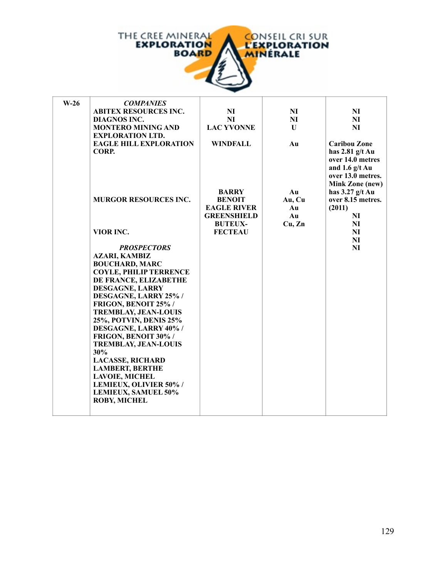

| $W-26$ | <b>COMPANIES</b>                                |                                  |              |                     |
|--------|-------------------------------------------------|----------------------------------|--------------|---------------------|
|        | <b>ABITEX RESOURCES INC.</b>                    | <b>NI</b>                        | <b>NI</b>    | NI                  |
|        | <b>DIAGNOS INC.</b>                             | N <sub>I</sub>                   | <b>NI</b>    | NI                  |
|        | <b>MONTERO MINING AND</b>                       | <b>LAC YVONNE</b>                | $\mathbf{U}$ | N <sub>I</sub>      |
|        | <b>EXPLORATION LTD.</b>                         |                                  |              |                     |
|        | <b>EAGLE HILL EXPLORATION</b>                   | <b>WINDFALL</b>                  | Au           | <b>Caribou Zone</b> |
|        | CORP.                                           |                                  |              | has $2.81$ g/t Au   |
|        |                                                 |                                  |              | over 14.0 metres    |
|        |                                                 |                                  |              | and 1.6 $g/t$ Au    |
|        |                                                 |                                  |              | over 13.0 metres.   |
|        |                                                 |                                  |              | Mink Zone (new)     |
|        |                                                 | <b>BARRY</b>                     | Au           | has $3.27$ g/t Au   |
|        | <b>MURGOR RESOURCES INC.</b>                    | <b>BENOIT</b>                    | Au, Cu       | over 8.15 metres.   |
|        |                                                 | <b>EAGLE RIVER</b>               | Au           | (2011)              |
|        |                                                 | <b>GREENSHIELD</b>               | Au           | NI                  |
|        | VIOR INC.                                       | <b>BUTEUX-</b><br><b>FECTEAU</b> | Cu, Zn       | NI<br>NI            |
|        |                                                 |                                  |              | NI                  |
|        | <b>PROSPECTORS</b>                              |                                  |              | NI                  |
|        | <b>AZARI, KAMBIZ</b>                            |                                  |              |                     |
|        | <b>BOUCHARD, MARC</b>                           |                                  |              |                     |
|        | <b>COYLE, PHILIP TERRENCE</b>                   |                                  |              |                     |
|        | DE FRANCE, ELIZABETHE                           |                                  |              |                     |
|        | <b>DESGAGNE, LARRY</b>                          |                                  |              |                     |
|        | DESGAGNE, LARRY 25% /                           |                                  |              |                     |
|        | FRIGON, BENOIT 25% /                            |                                  |              |                     |
|        | <b>TREMBLAY, JEAN-LOUIS</b>                     |                                  |              |                     |
|        | 25%, POTVIN, DENIS 25%                          |                                  |              |                     |
|        | <b>DESGAGNE, LARRY 40%/</b>                     |                                  |              |                     |
|        | FRIGON, BENOIT 30% /                            |                                  |              |                     |
|        | <b>TREMBLAY, JEAN-LOUIS</b>                     |                                  |              |                     |
|        | 30%                                             |                                  |              |                     |
|        | <b>LACASSE, RICHARD</b>                         |                                  |              |                     |
|        | <b>LAMBERT, BERTHE</b><br><b>LAVOIE, MICHEL</b> |                                  |              |                     |
|        | LEMIEUX, OLIVIER 50% /                          |                                  |              |                     |
|        | LEMIEUX, SAMUEL 50%                             |                                  |              |                     |
|        | <b>ROBY, MICHEL</b>                             |                                  |              |                     |
|        |                                                 |                                  |              |                     |
|        |                                                 |                                  |              |                     |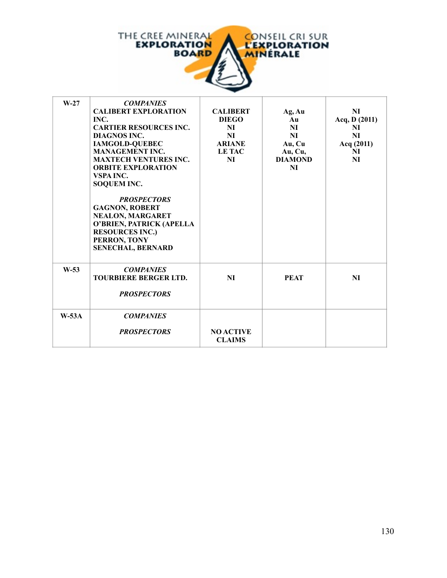

| $W-27$  | <b>COMPANIES</b><br><b>CALIBERT EXPLORATION</b><br>INC.<br><b>CARTIER RESOURCES INC.</b><br>DIAGNOS INC.<br><b>IAMGOLD-QUEBEC</b><br><b>MANAGEMENT INC.</b><br><b>MAXTECH VENTURES INC.</b><br><b>ORBITE EXPLORATION</b><br>VSPA INC.<br><b>SOQUEM INC.</b><br><b>PROSPECTORS</b><br><b>GAGNON, ROBERT</b><br><b>NEALON, MARGARET</b><br>O'BRIEN, PATRICK (APELLA<br><b>RESOURCES INC.)</b><br>PERRON, TONY<br><b>SENECHAL, BERNARD</b> | <b>CALIBERT</b><br><b>DIEGO</b><br>NI<br><b>NI</b><br><b>ARIANE</b><br><b>LE TAC</b><br><b>NI</b> | Ag, Au<br>Au<br>NI<br>NI<br>Au, Cu<br>Au, Cu,<br><b>DIAMOND</b><br>NI | NI<br>Acq, $D(2011)$<br>NI<br><b>NI</b><br>Acq (2011)<br>NI<br>NI |
|---------|-----------------------------------------------------------------------------------------------------------------------------------------------------------------------------------------------------------------------------------------------------------------------------------------------------------------------------------------------------------------------------------------------------------------------------------------|---------------------------------------------------------------------------------------------------|-----------------------------------------------------------------------|-------------------------------------------------------------------|
| $W-53$  | <b>COMPANIES</b><br>TOURBIERE BERGER LTD.<br><b>PROSPECTORS</b>                                                                                                                                                                                                                                                                                                                                                                         | <b>NI</b>                                                                                         | <b>PEAT</b>                                                           | <b>NI</b>                                                         |
| $W-53A$ | <b>COMPANIES</b><br><b>PROSPECTORS</b>                                                                                                                                                                                                                                                                                                                                                                                                  | <b>NO ACTIVE</b><br><b>CLAIMS</b>                                                                 |                                                                       |                                                                   |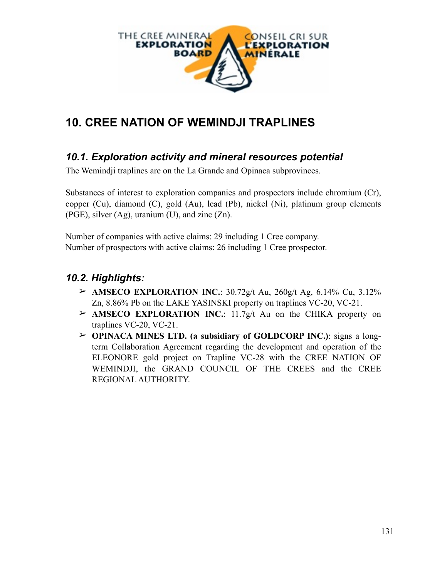

# **10. CREE NATION OF WEMINDJI TRAPLINES**

### *10.1. Exploration activity and mineral resources potential*

The Wemindji traplines are on the La Grande and Opinaca subprovinces.

Substances of interest to exploration companies and prospectors include chromium (Cr), copper (Cu), diamond (C), gold (Au), lead (Pb), nickel (Ni), platinum group elements (PGE), silver (Ag), uranium (U), and zinc (Zn).

Number of companies with active claims: 29 including 1 Cree company. Number of prospectors with active claims: 26 including 1 Cree prospector.

### *10.2. Highlights:*

- $\geq$  **AMSECO EXPLORATION INC.**: 30.72g/t Au, 260g/t Ag, 6.14% Cu, 3.12% Zn, 8.86% Pb on the LAKE YASINSKI property on traplines VC-20, VC-21.
- ➢ **AMSECO EXPLORATION INC.**: 11.7g/t Au on the CHIKA property on traplines VC-20, VC-21.
- ➢ **OPINACA MINES LTD. (a subsidiary of GOLDCORP INC.)**: signs a longterm Collaboration Agreement regarding the development and operation of the ELEONORE gold project on Trapline VC-28 with the CREE NATION OF WEMINDJI, the GRAND COUNCIL OF THE CREES and the CREE REGIONAL AUTHORITY.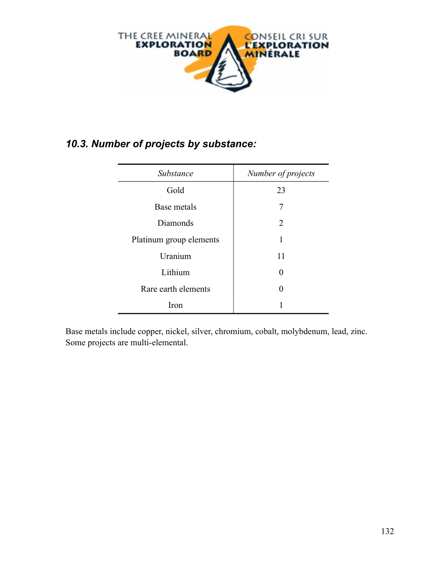

### *10.3. Number of projects by substance:*

| Substance               | Number of projects |
|-------------------------|--------------------|
| Gold                    | 23                 |
| Base metals             | 7                  |
| Diamonds                | 2                  |
| Platinum group elements | 1                  |
| Uranium                 | 11                 |
| Lithium                 | $\Omega$           |
| Rare earth elements     | $\Omega$           |
| Iron                    |                    |

Base metals include copper, nickel, silver, chromium, cobalt, molybdenum, lead, zinc. Some projects are multi-elemental.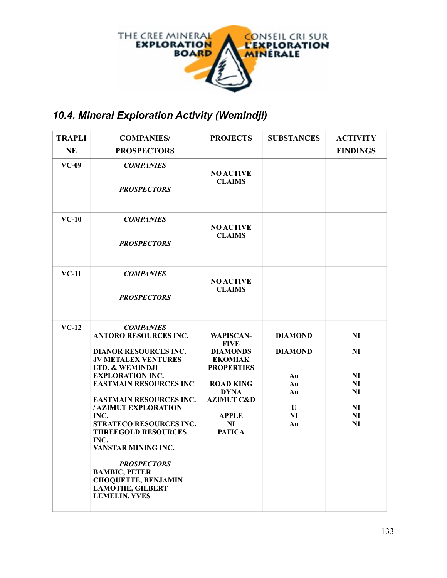

## *10.4. Mineral Exploration Activity (Wemindji)*

| <b>TRAPLI</b> | <b>COMPANIES/</b>                                                                                                                                                                                                                                                                                                                                                                                                                                                                            | <b>PROJECTS</b>                                                                                                                                                                              | <b>SUBSTANCES</b>                                                              | <b>ACTIVITY</b>                                          |
|---------------|----------------------------------------------------------------------------------------------------------------------------------------------------------------------------------------------------------------------------------------------------------------------------------------------------------------------------------------------------------------------------------------------------------------------------------------------------------------------------------------------|----------------------------------------------------------------------------------------------------------------------------------------------------------------------------------------------|--------------------------------------------------------------------------------|----------------------------------------------------------|
| <b>NE</b>     | <b>PROSPECTORS</b>                                                                                                                                                                                                                                                                                                                                                                                                                                                                           |                                                                                                                                                                                              |                                                                                | <b>FINDINGS</b>                                          |
| $VC-09$       | <b>COMPANIES</b><br><b>PROSPECTORS</b>                                                                                                                                                                                                                                                                                                                                                                                                                                                       | <b>NO ACTIVE</b><br><b>CLAIMS</b>                                                                                                                                                            |                                                                                |                                                          |
| $VC-10$       | <b>COMPANIES</b><br><b>PROSPECTORS</b>                                                                                                                                                                                                                                                                                                                                                                                                                                                       | <b>NO ACTIVE</b><br><b>CLAIMS</b>                                                                                                                                                            |                                                                                |                                                          |
| $VC-11$       | <b>COMPANIES</b><br><b>PROSPECTORS</b>                                                                                                                                                                                                                                                                                                                                                                                                                                                       | <b>NO ACTIVE</b><br><b>CLAIMS</b>                                                                                                                                                            |                                                                                |                                                          |
| $VC-12$       | <b>COMPANIES</b><br><b>ANTORO RESOURCES INC.</b><br><b>DIANOR RESOURCES INC.</b><br><b>JV METALEX VENTURES</b><br>LTD. & WEMINDJI<br><b>EXPLORATION INC.</b><br><b>EASTMAIN RESOURCES INC</b><br><b>EASTMAIN RESOURCES INC.</b><br><b>/AZIMUT EXPLORATION</b><br>INC.<br>STRATECO RESOURCES INC.<br><b>THREEGOLD RESOURCES</b><br>INC.<br>VANSTAR MINING INC.<br><b>PROSPECTORS</b><br><b>BAMBIC, PETER</b><br><b>CHOQUETTE, BENJAMIN</b><br><b>LAMOTHE, GILBERT</b><br><b>LEMELIN, YVES</b> | <b>WAPISCAN-</b><br><b>FIVE</b><br><b>DIAMONDS</b><br><b>EKOMIAK</b><br><b>PROPERTIES</b><br><b>ROAD KING</b><br><b>DYNA</b><br><b>AZIMUT C&amp;D</b><br><b>APPLE</b><br>NI<br><b>PATICA</b> | <b>DIAMOND</b><br><b>DIAMOND</b><br>Au<br>Au<br>Au<br>$\mathbf{U}$<br>NI<br>Au | NI<br>N <sub>I</sub><br>NI<br>NI<br>NI<br>NI<br>NI<br>NI |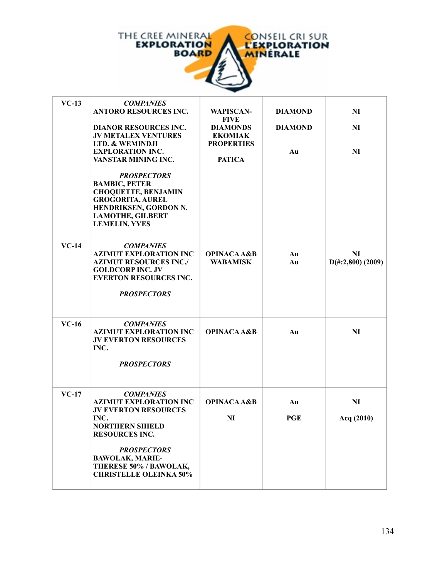

| $VC-13$ | <b>COMPANIES</b><br><b>ANTORO RESOURCES INC.</b><br><b>DIANOR RESOURCES INC.</b><br><b>JV METALEX VENTURES</b><br>LTD. & WEMINDJI<br><b>EXPLORATION INC.</b><br>VANSTAR MINING INC.<br><b>PROSPECTORS</b><br><b>BAMBIC, PETER</b><br><b>CHOQUETTE, BENJAMIN</b><br><b>GROGORITA, AUREL</b><br>HENDRIKSEN, GORDON N.<br><b>LAMOTHE, GILBERT</b> | <b>WAPISCAN-</b><br><b>FIVE</b><br><b>DIAMONDS</b><br><b>EKOMIAK</b><br><b>PROPERTIES</b><br><b>PATICA</b> | <b>DIAMOND</b><br><b>DIAMOND</b><br>Au | NI<br>NI<br>NI                    |
|---------|------------------------------------------------------------------------------------------------------------------------------------------------------------------------------------------------------------------------------------------------------------------------------------------------------------------------------------------------|------------------------------------------------------------------------------------------------------------|----------------------------------------|-----------------------------------|
|         | <b>LEMELIN, YVES</b>                                                                                                                                                                                                                                                                                                                           |                                                                                                            |                                        |                                   |
| $VC-14$ | <b>COMPANIES</b><br><b>AZIMUT EXPLORATION INC</b><br><b>AZIMUT RESOURCES INC./</b><br><b>GOLDCORP INC. JV</b><br><b>EVERTON RESOURCES INC.</b><br><b>PROSPECTORS</b>                                                                                                                                                                           | <b>OPINACA A&amp;B</b><br><b>WABAMISK</b>                                                                  | Au<br>Au                               | NI<br>$D(\text{\#}:2,800)$ (2009) |
| $VC-16$ | <b>COMPANIES</b><br><b>AZIMUT EXPLORATION INC</b><br><b>JV EVERTON RESOURCES</b><br>INC.<br><b>PROSPECTORS</b>                                                                                                                                                                                                                                 | <b>OPINACA A&amp;B</b>                                                                                     | Au                                     | N <sub>I</sub>                    |
| $VC-17$ | <b>COMPANIES</b><br><b>AZIMUT EXPLORATION INC</b><br><b>JV EVERTON RESOURCES</b><br>INC.<br><b>NORTHERN SHIELD</b><br><b>RESOURCES INC.</b><br><b>PROSPECTORS</b><br><b>BAWOLAK, MARIE-</b><br>THERESE 50% / BAWOLAK,<br><b>CHRISTELLE OLEINKA 50%</b>                                                                                         | <b>OPINACA A&amp;B</b><br><b>NI</b>                                                                        | Au<br><b>PGE</b>                       | N <sub>I</sub><br>Acq (2010)      |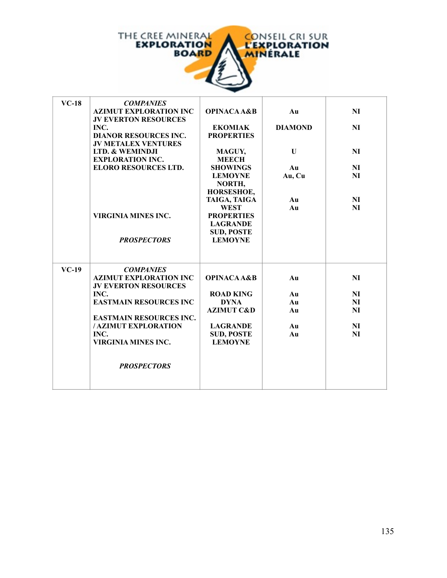

| $VC-18$ | <b>COMPANIES</b><br><b>AZIMUT EXPLORATION INC</b><br><b>JV EVERTON RESOURCES</b><br>INC.<br><b>DIANOR RESOURCES INC.</b><br><b>JV METALEX VENTURES</b><br>LTD. & WEMINDJI<br><b>EXPLORATION INC.</b><br><b>ELORO RESOURCES LTD.</b>      | <b>OPINACA A&amp;B</b><br><b>EKOMIAK</b><br><b>PROPERTIES</b><br>MAGUY,<br><b>MEECH</b><br><b>SHOWINGS</b>                                           | Au<br><b>DIAMOND</b><br>U<br>Au  | NI<br>NI<br>NI<br>NI                         |
|---------|------------------------------------------------------------------------------------------------------------------------------------------------------------------------------------------------------------------------------------------|------------------------------------------------------------------------------------------------------------------------------------------------------|----------------------------------|----------------------------------------------|
|         | VIRGINIA MINES INC.<br><b>PROSPECTORS</b>                                                                                                                                                                                                | <b>LEMOYNE</b><br>NORTH,<br>HORSESHOE,<br>TAIGA, TAIGA<br><b>WEST</b><br><b>PROPERTIES</b><br><b>LAGRANDE</b><br><b>SUD, POSTE</b><br><b>LEMOYNE</b> | Au, Cu<br>Au<br>Au               | <b>NI</b><br>NI<br>NI                        |
| $VC-19$ | <b>COMPANIES</b><br><b>AZIMUT EXPLORATION INC</b><br><b>JV EVERTON RESOURCES</b><br>INC.<br><b>EASTMAIN RESOURCES INC</b><br><b>EASTMAIN RESOURCES INC.</b><br>/ AZIMUT EXPLORATION<br>INC.<br>VIRGINIA MINES INC.<br><b>PROSPECTORS</b> | <b>OPINACA A&amp;B</b><br><b>ROAD KING</b><br><b>DYNA</b><br><b>AZIMUT C&amp;D</b><br><b>LAGRANDE</b><br><b>SUD, POSTE</b><br><b>LEMOYNE</b>         | Au<br>Au<br>Au<br>Au<br>Au<br>Au | NI<br>NI<br>NI<br>N <sub>I</sub><br>NI<br>NI |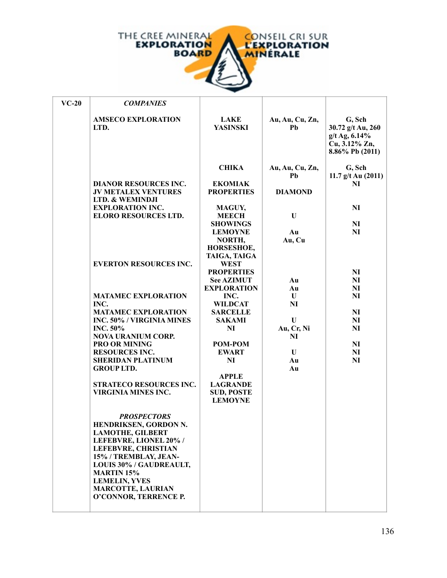

| $VC-20$ | <b>COMPANIES</b>                                           |                                     |                       |                                                                                    |
|---------|------------------------------------------------------------|-------------------------------------|-----------------------|------------------------------------------------------------------------------------|
|         | <b>AMSECO EXPLORATION</b><br>LTD.                          | <b>LAKE</b><br><b>YASINSKI</b>      | Au, Au, Cu, Zn,<br>Pb | G, Sch<br>30.72 g/t Au, 260<br>$g/t$ Ag, 6.14%<br>Cu, 3.12% Zn,<br>8.86% Pb (2011) |
|         |                                                            | <b>CHIKA</b>                        | Au, Au, Cu, Zn,       | G, Sch                                                                             |
|         |                                                            |                                     | Pb                    | 11.7 $g/t$ Au (2011)                                                               |
|         | <b>DIANOR RESOURCES INC.</b><br><b>JV METALEX VENTURES</b> | <b>EKOMIAK</b><br><b>PROPERTIES</b> | <b>DIAMOND</b>        | NI                                                                                 |
|         | LTD. & WEMINDJI                                            |                                     |                       |                                                                                    |
|         | <b>EXPLORATION INC.</b>                                    | <b>MAGUY,</b>                       |                       | <b>NI</b>                                                                          |
|         | <b>ELORO RESOURCES LTD.</b>                                | <b>MEECH</b>                        | U                     |                                                                                    |
|         |                                                            | <b>SHOWINGS</b>                     |                       | NI                                                                                 |
|         |                                                            | <b>LEMOYNE</b>                      | Au                    | N <sub>I</sub>                                                                     |
|         |                                                            | NORTH,                              | Au, Cu                |                                                                                    |
|         |                                                            | HORSESHOE,                          |                       |                                                                                    |
|         |                                                            | TAIGA, TAIGA                        |                       |                                                                                    |
|         | <b>EVERTON RESOURCES INC.</b>                              | <b>WEST</b>                         |                       |                                                                                    |
|         |                                                            | <b>PROPERTIES</b>                   |                       | N <sub>I</sub>                                                                     |
|         |                                                            | <b>See AZIMUT</b>                   | Au                    | N <sub>I</sub>                                                                     |
|         |                                                            | <b>EXPLORATION</b>                  | Au                    | NI                                                                                 |
|         | <b>MATAMEC EXPLORATION</b><br>INC.                         | INC.                                | U                     | N <sub>I</sub>                                                                     |
|         | <b>MATAMEC EXPLORATION</b>                                 | <b>WILDCAT</b><br><b>SARCELLE</b>   | <b>NI</b>             | N <sub>I</sub>                                                                     |
|         | INC. 50% / VIRGINIA MINES                                  | <b>SAKAMI</b>                       | U                     | N <sub>I</sub>                                                                     |
|         | <b>INC. 50%</b>                                            | <b>NI</b>                           | Au, Cr, Ni            | NI                                                                                 |
|         | <b>NOVA URANIUM CORP.</b>                                  |                                     | NI                    |                                                                                    |
|         | <b>PRO OR MINING</b>                                       | POM-POM                             |                       | N <sub>I</sub>                                                                     |
|         | <b>RESOURCES INC.</b>                                      | <b>EWART</b>                        | U                     | N <sub>I</sub>                                                                     |
|         | <b>SHERIDAN PLATINUM</b>                                   | NI                                  | Au                    | N <sub>I</sub>                                                                     |
|         | <b>GROUP LTD.</b>                                          |                                     | Au                    |                                                                                    |
|         |                                                            | <b>APPLE</b>                        |                       |                                                                                    |
|         | <b>STRATECO RESOURCES INC.</b>                             | <b>LAGRANDE</b>                     |                       |                                                                                    |
|         | <b>VIRGINIA MINES INC.</b>                                 | <b>SUD, POSTE</b>                   |                       |                                                                                    |
|         |                                                            | <b>LEMOYNE</b>                      |                       |                                                                                    |
|         |                                                            |                                     |                       |                                                                                    |
|         | <b>PROSPECTORS</b>                                         |                                     |                       |                                                                                    |
|         | HENDRIKSEN, GORDON N.                                      |                                     |                       |                                                                                    |
|         | <b>LAMOTHE, GILBERT</b><br>LEFEBVRE, LIONEL 20% /          |                                     |                       |                                                                                    |
|         | <b>LEFEBVRE, CHRISTIAN</b>                                 |                                     |                       |                                                                                    |
|         | 15% / TREMBLAY, JEAN-                                      |                                     |                       |                                                                                    |
|         | LOUIS 30% / GAUDREAULT,                                    |                                     |                       |                                                                                    |
|         | <b>MARTIN 15%</b>                                          |                                     |                       |                                                                                    |
|         | <b>LEMELIN, YVES</b>                                       |                                     |                       |                                                                                    |
|         | <b>MARCOTTE, LAURIAN</b>                                   |                                     |                       |                                                                                    |
|         | O'CONNOR, TERRENCE P.                                      |                                     |                       |                                                                                    |
|         |                                                            |                                     |                       |                                                                                    |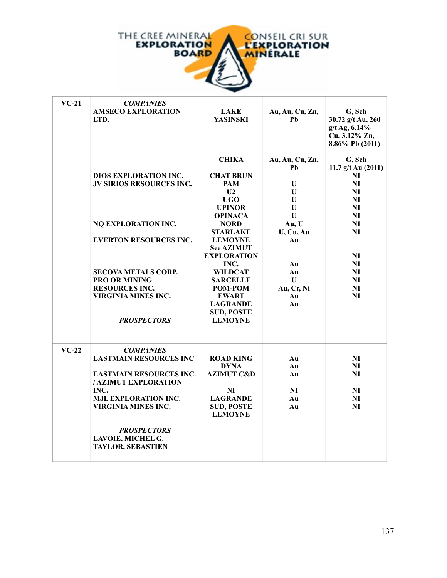

| $VC-21$ | <b>COMPANIES</b><br><b>AMSECO EXPLORATION</b><br>LTD.  | <b>LAKE</b><br><b>YASINSKI</b>      | Au, Au, Cu, Zn,<br>Pb | G, Sch<br>30.72 g/t Au, 260                       |
|---------|--------------------------------------------------------|-------------------------------------|-----------------------|---------------------------------------------------|
|         |                                                        |                                     |                       | g/t Ag, 6.14%<br>Cu, 3.12% Zn,<br>8.86% Pb (2011) |
|         |                                                        | <b>CHIKA</b>                        | Au, Au, Cu, Zn,       | G, Sch                                            |
|         |                                                        |                                     | Ph                    | 11.7 $g/t$ Au (2011)                              |
|         | <b>DIOS EXPLORATION INC.</b>                           | <b>CHAT BRUN</b>                    |                       | NI                                                |
|         | JV SIRIOS RESOURCES INC.                               | PAM                                 | U                     | NI                                                |
|         |                                                        | U <sub>2</sub>                      | U                     | NI                                                |
|         |                                                        | UGO<br><b>UPINOR</b>                | U<br>U                | NI<br>NI                                          |
|         |                                                        |                                     | U                     |                                                   |
|         | NQ EXPLORATION INC.                                    | <b>OPINACA</b><br><b>NORD</b>       | Au, U                 | NI<br>NI                                          |
|         |                                                        | <b>STARLAKE</b>                     | U, Cu, Au             | NI                                                |
|         | <b>EVERTON RESOURCES INC.</b>                          | <b>LEMOYNE</b>                      | Au                    |                                                   |
|         |                                                        | <b>See AZIMUT</b>                   |                       |                                                   |
|         |                                                        | <b>EXPLORATION</b>                  |                       | NI                                                |
|         |                                                        | INC.                                | Au                    | NI                                                |
|         | <b>SECOVA METALS CORP.</b>                             | <b>WILDCAT</b>                      | Au                    | NI                                                |
|         | <b>PRO OR MINING</b>                                   | <b>SARCELLE</b>                     | $\mathbf{U}$          | NI                                                |
|         | <b>RESOURCES INC.</b>                                  | POM-POM                             | Au, Cr, Ni            | NI                                                |
|         | <b>VIRGINIA MINES INC.</b>                             | <b>EWART</b>                        | Au                    | NI                                                |
|         |                                                        | <b>LAGRANDE</b>                     | Au                    |                                                   |
|         |                                                        | <b>SUD, POSTE</b>                   |                       |                                                   |
|         | <b>PROSPECTORS</b>                                     | <b>LEMOYNE</b>                      |                       |                                                   |
|         |                                                        |                                     |                       |                                                   |
| $VC-22$ | <b>COMPANIES</b>                                       |                                     |                       |                                                   |
|         | <b>EASTMAIN RESOURCES INC</b>                          | <b>ROAD KING</b>                    | Au                    | N <sub>I</sub>                                    |
|         |                                                        | <b>DYNA</b>                         | Au                    | NI                                                |
|         | <b>EASTMAIN RESOURCES INC.</b><br>/ AZIMUT EXPLORATION | <b>AZIMUT C&amp;D</b>               | Au                    | NI                                                |
|         | INC.                                                   | N <sub>I</sub>                      | NI                    | NI                                                |
|         | <b>MJL EXPLORATION INC.</b>                            | <b>LAGRANDE</b>                     | Au                    | NI                                                |
|         | <b>VIRGINIA MINES INC.</b>                             | <b>SUD, POSTE</b><br><b>LEMOYNE</b> | Au                    | NI                                                |
|         | <b>PROSPECTORS</b>                                     |                                     |                       |                                                   |
|         | LAVOIE, MICHEL G.                                      |                                     |                       |                                                   |
|         | <b>TAYLOR, SEBASTIEN</b>                               |                                     |                       |                                                   |
|         |                                                        |                                     |                       |                                                   |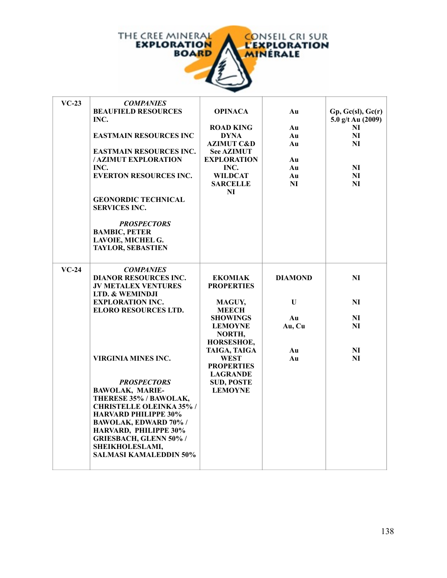

| $VC-23$ | <b>COMPANIES</b><br><b>BEAUFIELD RESOURCES</b><br>INC.<br><b>EASTMAIN RESOURCES INC</b><br><b>EASTMAIN RESOURCES INC.</b><br>/ AZIMUT EXPLORATION<br>INC.                                                                                                                                                    | <b>OPINACA</b><br><b>ROAD KING</b><br><b>DYNA</b><br><b>AZIMUT C&amp;D</b><br><b>See AZIMUT</b><br><b>EXPLORATION</b><br>INC.              | Au<br>Au<br>Au<br>Au<br>Au<br>Au          | Gp, Gc(sl), Gc(r)<br>5.0 $g/t$ Au (2009)<br>N <sub>I</sub><br>NI<br>N <sub>I</sub><br>NI |
|---------|--------------------------------------------------------------------------------------------------------------------------------------------------------------------------------------------------------------------------------------------------------------------------------------------------------------|--------------------------------------------------------------------------------------------------------------------------------------------|-------------------------------------------|------------------------------------------------------------------------------------------|
|         | <b>EVERTON RESOURCES INC.</b><br><b>GEONORDIC TECHNICAL</b><br><b>SERVICES INC.</b><br><b>PROSPECTORS</b><br><b>BAMBIC, PETER</b><br>LAVOIE, MICHEL G.<br><b>TAYLOR, SEBASTIEN</b>                                                                                                                           | <b>WILDCAT</b><br><b>SARCELLE</b><br>NI                                                                                                    | Au<br>NI                                  | NI<br>NI                                                                                 |
| $VC-24$ | <b>COMPANIES</b><br><b>DIANOR RESOURCES INC.</b><br><b>JV METALEX VENTURES</b><br>LTD. & WEMINDJI<br><b>EXPLORATION INC.</b><br><b>ELORO RESOURCES LTD.</b>                                                                                                                                                  | <b>EKOMIAK</b><br><b>PROPERTIES</b><br>MAGUY,<br><b>MEECH</b><br><b>SHOWINGS</b><br><b>LEMOYNE</b><br>NORTH,<br>HORSESHOE,<br>TAIGA, TAIGA | <b>DIAMOND</b><br>U<br>Au<br>Au, Cu<br>Au | NI<br>NI<br>NI<br>NI<br>NI                                                               |
|         | <b>VIRGINIA MINES INC.</b><br><b>PROSPECTORS</b><br><b>BAWOLAK, MARIE-</b><br>THERESE 35% / BAWOLAK,<br><b>CHRISTELLE OLEINKA 35%/</b><br><b>HARVARD PHILIPPE 30%</b><br>BAWOLAK, EDWARD 70% /<br>HARVARD, PHILIPPE 30%<br><b>GRIESBACH, GLENN 50% /</b><br>SHEIKHOLESLAMI,<br><b>SALMASI KAMALEDDIN 50%</b> | <b>WEST</b><br><b>PROPERTIES</b><br><b>LAGRANDE</b><br><b>SUD, POSTE</b><br><b>LEMOYNE</b>                                                 | Au                                        | NI                                                                                       |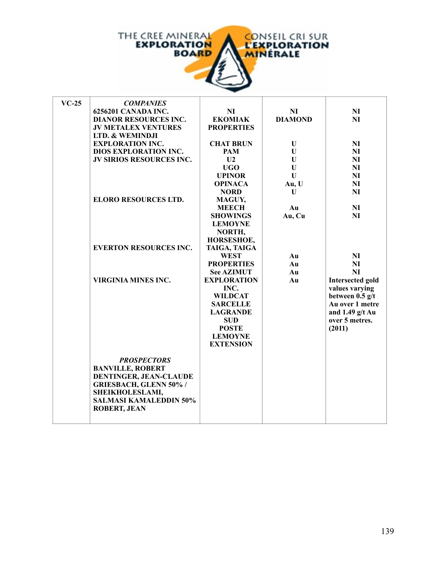

| $VC-25$ | <b>COMPANIES</b>                |                    |                |                         |
|---------|---------------------------------|--------------------|----------------|-------------------------|
|         | 6256201 CANADA INC.             | NI                 | <b>NI</b>      | <b>NI</b>               |
|         | <b>DIANOR RESOURCES INC.</b>    | <b>EKOMIAK</b>     | <b>DIAMOND</b> | N <sub>I</sub>          |
|         | <b>JV METALEX VENTURES</b>      | <b>PROPERTIES</b>  |                |                         |
|         | LTD. & WEMINDJI                 |                    |                |                         |
|         | <b>EXPLORATION INC.</b>         | <b>CHAT BRUN</b>   | U              | <b>NI</b>               |
|         | <b>DIOS EXPLORATION INC.</b>    | <b>PAM</b>         | U              | <b>NI</b>               |
|         | <b>JV SIRIOS RESOURCES INC.</b> | U <sub>2</sub>     | $\mathbf U$    | <b>NI</b>               |
|         |                                 | <b>UGO</b>         | $\mathbf U$    | <b>NI</b>               |
|         |                                 | <b>UPINOR</b>      | $\mathbf{U}$   | NI                      |
|         |                                 | <b>OPINACA</b>     | Au, U          | NI                      |
|         |                                 | <b>NORD</b>        | U              | <b>NI</b>               |
|         | <b>ELORO RESOURCES LTD.</b>     | MAGUY,             |                |                         |
|         |                                 | <b>MEECH</b>       | Au             | <b>NI</b>               |
|         |                                 | <b>SHOWINGS</b>    | Au, Cu         | N <sub>I</sub>          |
|         |                                 | <b>LEMOYNE</b>     |                |                         |
|         |                                 | NORTH,             |                |                         |
|         |                                 | HORSESHOE,         |                |                         |
|         | <b>EVERTON RESOURCES INC.</b>   | TAIGA, TAIGA       |                |                         |
|         |                                 | <b>WEST</b>        | Au             | <b>NI</b>               |
|         |                                 | <b>PROPERTIES</b>  | Au             | <b>NI</b>               |
|         |                                 | <b>See AZIMUT</b>  | Au             | <b>NI</b>               |
|         | <b>VIRGINIA MINES INC.</b>      | <b>EXPLORATION</b> | Au             | <b>Intersected gold</b> |
|         |                                 | INC.               |                | values varying          |
|         |                                 | <b>WILDCAT</b>     |                | between $0.5$ g/t       |
|         |                                 | <b>SARCELLE</b>    |                | Au over 1 metre         |
|         |                                 | <b>LAGRANDE</b>    |                | and $1.49$ g/t Au       |
|         |                                 | <b>SUD</b>         |                | over 5 metres.          |
|         |                                 | <b>POSTE</b>       |                | (2011)                  |
|         |                                 | <b>LEMOYNE</b>     |                |                         |
|         |                                 | <b>EXTENSION</b>   |                |                         |
|         | <b>PROSPECTORS</b>              |                    |                |                         |
|         | <b>BANVILLE, ROBERT</b>         |                    |                |                         |
|         | DENTINGER, JEAN-CLAUDE          |                    |                |                         |
|         | <b>GRIESBACH, GLENN 50% /</b>   |                    |                |                         |
|         | SHEIKHOLESLAMI,                 |                    |                |                         |
|         | <b>SALMASI KAMALEDDIN 50%</b>   |                    |                |                         |
|         | <b>ROBERT, JEAN</b>             |                    |                |                         |
|         |                                 |                    |                |                         |
|         |                                 |                    |                |                         |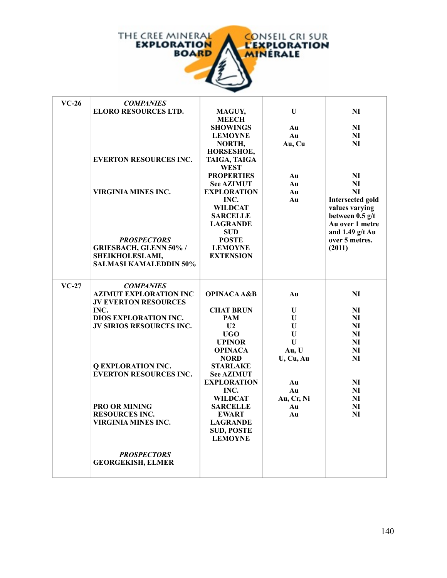

| $VC-26$ | <b>COMPANIES</b>                                 |                                    |                 |                         |
|---------|--------------------------------------------------|------------------------------------|-----------------|-------------------------|
|         | <b>ELORO RESOURCES LTD.</b>                      | MAGUY,                             | U               | NI                      |
|         |                                                  | <b>MEECH</b>                       |                 |                         |
|         |                                                  | <b>SHOWINGS</b>                    | Au              | NI                      |
|         |                                                  | <b>LEMOYNE</b>                     | Au              | N <sub>I</sub>          |
|         |                                                  | NORTH,                             | Au, Cu          | NI                      |
|         |                                                  | HORSESHOE,                         |                 |                         |
|         | <b>EVERTON RESOURCES INC.</b>                    | TAIGA, TAIGA                       |                 |                         |
|         |                                                  | <b>WEST</b>                        |                 |                         |
|         |                                                  | <b>PROPERTIES</b>                  | Au              | NI                      |
|         |                                                  | <b>See AZIMUT</b>                  | Au              | NI                      |
|         | VIRGINIA MINES INC.                              | <b>EXPLORATION</b>                 | Au              | NI                      |
|         |                                                  | INC.                               | Au              | <b>Intersected gold</b> |
|         |                                                  | <b>WILDCAT</b>                     |                 | values varying          |
|         |                                                  | <b>SARCELLE</b>                    |                 | between $0.5$ g/t       |
|         |                                                  | <b>LAGRANDE</b>                    |                 | Au over 1 metre         |
|         |                                                  | <b>SUD</b>                         |                 | and $1.49$ g/t Au       |
|         | <b>PROSPECTORS</b>                               | <b>POSTE</b>                       |                 | over 5 metres.          |
|         | <b>GRIESBACH, GLENN 50% /</b><br>SHEIKHOLESLAMI, | <b>LEMOYNE</b><br><b>EXTENSION</b> |                 | (2011)                  |
|         | <b>SALMASI KAMALEDDIN 50%</b>                    |                                    |                 |                         |
|         |                                                  |                                    |                 |                         |
| $VC-27$ | <b>COMPANIES</b>                                 |                                    |                 |                         |
|         | <b>AZIMUT EXPLORATION INC</b>                    | <b>OPINACA A&amp;B</b>             | Au              | NI                      |
|         | <b>JV EVERTON RESOURCES</b>                      |                                    |                 |                         |
|         | INC.                                             | <b>CHAT BRUN</b>                   | U               | N <sub>I</sub>          |
|         | <b>DIOS EXPLORATION INC.</b>                     | PAM                                | $\mathbf{U}$    | NI                      |
|         | JV SIRIOS RESOURCES INC.                         | U <sub>2</sub>                     | U               | NI                      |
|         |                                                  | UGO                                | $\mathbf{U}$    | NI                      |
|         |                                                  | <b>UPINOR</b>                      | $\mathbf U$     | NI                      |
|         |                                                  | <b>OPINACA</b>                     | Au, U           | NI                      |
|         |                                                  | <b>NORD</b>                        | U, Cu, Au       | NI                      |
|         | <b>Q EXPLORATION INC.</b>                        | <b>STARLAKE</b>                    |                 |                         |
|         | <b>EVERTON RESOURCES INC.</b>                    | <b>See AZIMUT</b>                  |                 |                         |
|         |                                                  | <b>EXPLORATION</b>                 | Au              | NI                      |
|         |                                                  | INC.                               | A <sub>II</sub> | NI                      |
|         |                                                  | WILDCAT                            | Au, Cr, Ni      | NI                      |
|         | PRO OR MINING                                    | <b>SARCELLE</b>                    | Au              | NI                      |
|         | <b>RESOURCES INC.</b>                            | <b>EWART</b>                       | A <sub>II</sub> | NI                      |
|         | VIRGINIA MINES INC.                              | <b>LAGRANDE</b>                    |                 |                         |
|         |                                                  | <b>SUD, POSTE</b>                  |                 |                         |
|         |                                                  | <b>LEMOYNE</b>                     |                 |                         |
|         | <b>PROSPECTORS</b>                               |                                    |                 |                         |
|         | <b>GEORGEKISH, ELMER</b>                         |                                    |                 |                         |
|         |                                                  |                                    |                 |                         |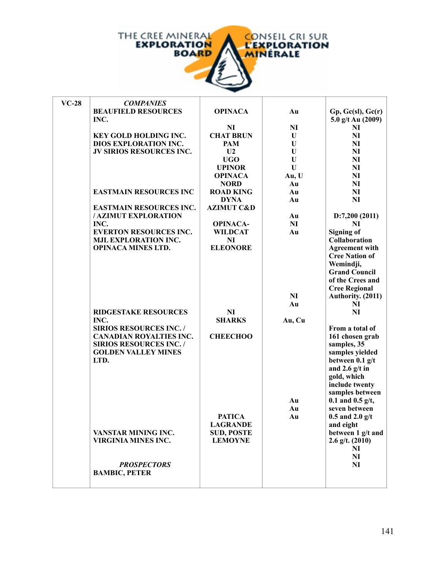

| $VC-28$ | <b>COMPANIES</b>                |                       |                |                       |
|---------|---------------------------------|-----------------------|----------------|-----------------------|
|         | <b>BEAUFIELD RESOURCES</b>      | <b>OPINACA</b>        | Au             | Gp, Gc(sl), Gc(r)     |
|         | INC.                            |                       |                | 5.0 g/t Au (2009)     |
|         |                                 | NI                    | N <sub>I</sub> | NI                    |
|         | KEY GOLD HOLDING INC.           | <b>CHAT BRUN</b>      | U              | NI                    |
|         | DIOS EXPLORATION INC.           | <b>PAM</b>            | U              | N <sub>I</sub>        |
|         | <b>JV SIRIOS RESOURCES INC.</b> | U <sub>2</sub>        | U              | NI                    |
|         |                                 | <b>UGO</b>            | U              | N <sub>I</sub>        |
|         |                                 | <b>UPINOR</b>         | U              | N <sub>I</sub>        |
|         |                                 | <b>OPINACA</b>        | Au, U          | NI                    |
|         |                                 | <b>NORD</b>           | Au             | NI                    |
|         | <b>EASTMAIN RESOURCES INC</b>   | <b>ROAD KING</b>      | Au             | NI                    |
|         |                                 | <b>DYNA</b>           | Au             | NI                    |
|         | <b>EASTMAIN RESOURCES INC.</b>  | <b>AZIMUT C&amp;D</b> |                |                       |
|         | / AZIMUT EXPLORATION            |                       | Au             | D:7,200(2011)         |
|         | INC.                            | <b>OPINACA-</b>       | N <sub>I</sub> | NI                    |
|         | <b>EVERTON RESOURCES INC.</b>   | <b>WILDCAT</b>        | Au             | <b>Signing of</b>     |
|         | MJL EXPLORATION INC.            | <b>NI</b>             |                | Collaboration         |
|         | <b>OPINACA MINES LTD.</b>       | <b>ELEONORE</b>       |                | <b>Agreement with</b> |
|         |                                 |                       |                | <b>Cree Nation of</b> |
|         |                                 |                       |                | Wemindji,             |
|         |                                 |                       |                | <b>Grand Council</b>  |
|         |                                 |                       |                | of the Crees and      |
|         |                                 |                       |                | <b>Cree Regional</b>  |
|         |                                 |                       | NI             | Authority. (2011)     |
|         |                                 |                       | Au             | NI                    |
|         | <b>RIDGESTAKE RESOURCES</b>     | <b>NI</b>             |                | NI                    |
|         | INC.                            | <b>SHARKS</b>         | Au, Cu         |                       |
|         | <b>SIRIOS RESOURCES INC./</b>   |                       |                | From a total of       |
|         | <b>CANADIAN ROYALTIES INC.</b>  | <b>CHEECHOO</b>       |                | 161 chosen grab       |
|         | <b>SIRIOS RESOURCES INC. /</b>  |                       |                | samples, 35           |
|         | <b>GOLDEN VALLEY MINES</b>      |                       |                | samples yielded       |
|         | LTD.                            |                       |                | between $0.1$ g/t     |
|         |                                 |                       |                | and 2.6 $g/t$ in      |
|         |                                 |                       |                | gold, which           |
|         |                                 |                       |                | include twenty        |
|         |                                 |                       |                | samples between       |
|         |                                 |                       | Au             | $0.1$ and $0.5$ g/t,  |
|         |                                 |                       | Au             | seven between         |
|         |                                 | <b>PATICA</b>         | Au             | $0.5$ and $2.0$ g/t   |
|         |                                 | <b>LAGRANDE</b>       |                | and eight             |
|         | VANSTAR MINING INC.             | <b>SUD, POSTE</b>     |                | between 1 g/t and     |
|         | <b>VIRGINIA MINES INC.</b>      | <b>LEMOYNE</b>        |                | $2.6$ g/t. $(2010)$   |
|         |                                 |                       |                | N <sub>I</sub>        |
|         |                                 |                       |                | N <sub>I</sub>        |
|         | <b>PROSPECTORS</b>              |                       |                | N <sub>I</sub>        |
|         | <b>BAMBIC, PETER</b>            |                       |                |                       |
|         |                                 |                       |                |                       |
|         |                                 |                       |                |                       |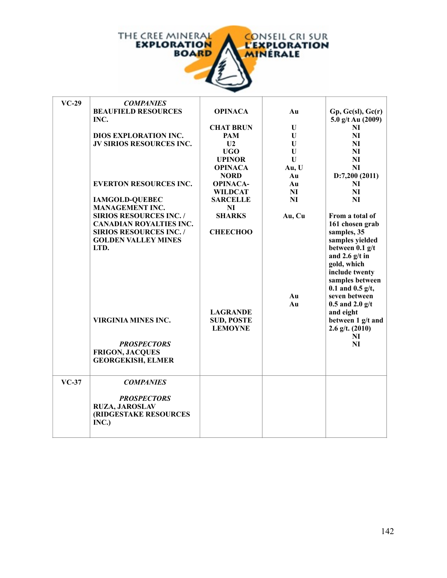

f.

| $VC-29$ | <b>COMPANIES</b>                |                   |             |                      |
|---------|---------------------------------|-------------------|-------------|----------------------|
|         | <b>BEAUFIELD RESOURCES</b>      | <b>OPINACA</b>    | Au          | Gp, Gc(sl), Gc(r)    |
|         | INC.                            |                   |             | 5.0 g/t Au (2009)    |
|         |                                 | <b>CHAT BRUN</b>  | U           | NI                   |
|         | <b>DIOS EXPLORATION INC.</b>    | <b>PAM</b>        | U           | N <sub>I</sub>       |
|         | <b>JV SIRIOS RESOURCES INC.</b> | U <sub>2</sub>    | U           | N <sub>I</sub>       |
|         |                                 | <b>UGO</b>        | $\mathbf U$ | N <sub>I</sub>       |
|         |                                 | <b>UPINOR</b>     | U           | NI                   |
|         |                                 | <b>OPINACA</b>    | Au, U       | N <sub>I</sub>       |
|         |                                 | <b>NORD</b>       | Au          | D:7,200(2011)        |
|         | <b>EVERTON RESOURCES INC.</b>   | <b>OPINACA-</b>   | Au          | NI                   |
|         |                                 | <b>WILDCAT</b>    | NI          | NI                   |
|         | <b>IAMGOLD-QUEBEC</b>           | <b>SARCELLE</b>   | <b>NI</b>   | NI                   |
|         | <b>MANAGEMENT INC.</b>          | <b>NI</b>         |             |                      |
|         | <b>SIRIOS RESOURCES INC. /</b>  | <b>SHARKS</b>     | Au, Cu      | From a total of      |
|         | <b>CANADIAN ROYALTIES INC.</b>  |                   |             | 161 chosen grab      |
|         | <b>SIRIOS RESOURCES INC. /</b>  | <b>CHEECHOO</b>   |             | samples, 35          |
|         | <b>GOLDEN VALLEY MINES</b>      |                   |             | samples yielded      |
|         | LTD.                            |                   |             | between 0.1 g/t      |
|         |                                 |                   |             | and 2.6 $g/t$ in     |
|         |                                 |                   |             | gold, which          |
|         |                                 |                   |             | include twenty       |
|         |                                 |                   |             | samples between      |
|         |                                 |                   |             | $0.1$ and $0.5$ g/t, |
|         |                                 |                   | Au          | seven between        |
|         |                                 |                   | Au          | $0.5$ and $2.0$ g/t  |
|         |                                 | <b>LAGRANDE</b>   |             | and eight            |
|         | <b>VIRGINIA MINES INC.</b>      | <b>SUD, POSTE</b> |             | between 1 g/t and    |
|         |                                 | <b>LEMOYNE</b>    |             | $2.6$ g/t. $(2010)$  |
|         |                                 |                   |             | N <sub>I</sub>       |
|         | <b>PROSPECTORS</b>              |                   |             | NI                   |
|         | <b>FRIGON, JACQUES</b>          |                   |             |                      |
|         | <b>GEORGEKISH, ELMER</b>        |                   |             |                      |
|         |                                 |                   |             |                      |
|         |                                 |                   |             |                      |
| $VC-37$ | <b>COMPANIES</b>                |                   |             |                      |
|         |                                 |                   |             |                      |
|         | <b>PROSPECTORS</b>              |                   |             |                      |
|         | <b>RUZA, JAROSLAV</b>           |                   |             |                      |
|         | (RIDGESTAKE RESOURCES           |                   |             |                      |
|         | INC.)                           |                   |             |                      |
|         |                                 |                   |             |                      |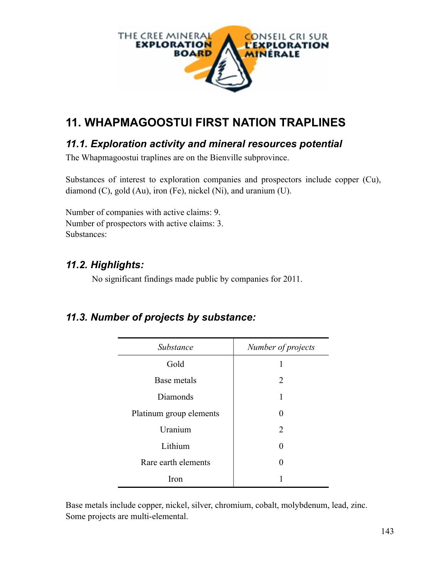

# **11. WHAPMAGOOSTUI FIRST NATION TRAPLINES**

### *11.1. Exploration activity and mineral resources potential*

The Whapmagoostui traplines are on the Bienville subprovince.

Substances of interest to exploration companies and prospectors include copper (Cu), diamond (C), gold (Au), iron (Fe), nickel (Ni), and uranium (U).

Number of companies with active claims: 9. Number of prospectors with active claims: 3. Substances:

### *11.2. Highlights:*

No significant findings made public by companies for 2011.

#### *11.3. Number of projects by substance:*

| Substance               | Number of projects |
|-------------------------|--------------------|
| Gold                    |                    |
| Base metals             | $\overline{2}$     |
| Diamonds                | 1                  |
| Platinum group elements | 0                  |
| Uranium                 | 2                  |
| Lithium                 | 0                  |
| Rare earth elements     | 0                  |
| Iron                    |                    |

Base metals include copper, nickel, silver, chromium, cobalt, molybdenum, lead, zinc. Some projects are multi-elemental.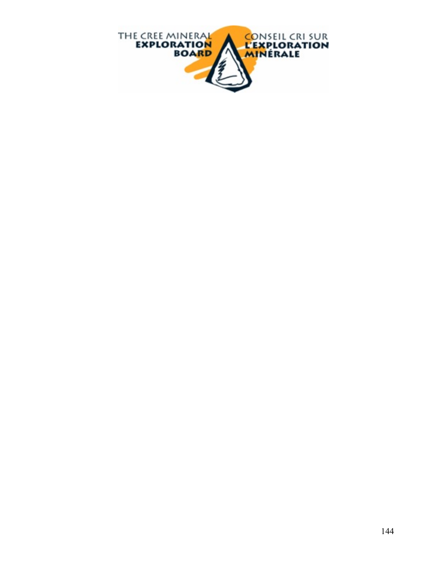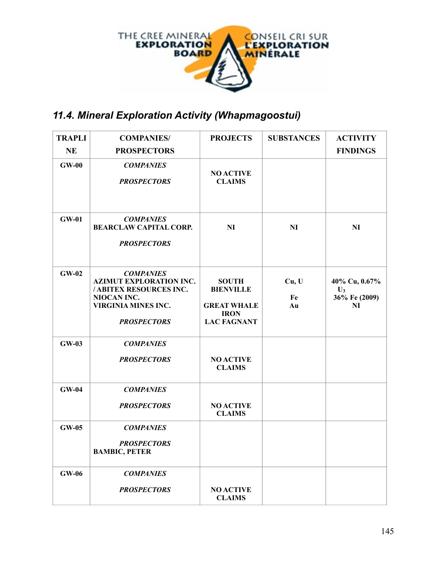

# *11.4. Mineral Exploration Activity (Whapmagoostui)*

| <b>TRAPLI</b> | <b>COMPANIES/</b>                                                                                                                                | <b>PROJECTS</b>                                                                             | <b>SUBSTANCES</b> | <b>ACTIVITY</b>                                        |
|---------------|--------------------------------------------------------------------------------------------------------------------------------------------------|---------------------------------------------------------------------------------------------|-------------------|--------------------------------------------------------|
| <b>NE</b>     | <b>PROSPECTORS</b>                                                                                                                               |                                                                                             |                   | <b>FINDINGS</b>                                        |
| $GW-00$       | <b>COMPANIES</b><br><b>PROSPECTORS</b>                                                                                                           | <b>NO ACTIVE</b><br><b>CLAIMS</b>                                                           |                   |                                                        |
| $GW-01$       | <b>COMPANIES</b><br><b>BEARCLAW CAPITAL CORP.</b><br><b>PROSPECTORS</b>                                                                          | NI                                                                                          | <b>NI</b>         | N <sub>I</sub>                                         |
| $GW-02$       | <b>COMPANIES</b><br><b>AZIMUT EXPLORATION INC.</b><br>/ ABITEX RESOURCES INC.<br>NIOCAN INC.<br><b>VIRGINIA MINES INC.</b><br><b>PROSPECTORS</b> | <b>SOUTH</b><br><b>BIENVILLE</b><br><b>GREAT WHALE</b><br><b>IRON</b><br><b>LAC FAGNANT</b> | Cu, U<br>Fe<br>Au | 40% Cu, 0.67%<br>$\mathbf{U}_3$<br>36% Fe (2009)<br>NI |
| $GW-03$       | <b>COMPANIES</b><br><b>PROSPECTORS</b>                                                                                                           | <b>NO ACTIVE</b><br><b>CLAIMS</b>                                                           |                   |                                                        |
| $GW-04$       | <b>COMPANIES</b><br><b>PROSPECTORS</b>                                                                                                           | <b>NO ACTIVE</b><br><b>CLAIMS</b>                                                           |                   |                                                        |
| <b>GW-05</b>  | <b>COMPANIES</b><br><b>PROSPECTORS</b><br><b>BAMBIC, PETER</b>                                                                                   |                                                                                             |                   |                                                        |
| $GW-06$       | <b>COMPANIES</b><br><b>PROSPECTORS</b>                                                                                                           | <b>NO ACTIVE</b><br><b>CLAIMS</b>                                                           |                   |                                                        |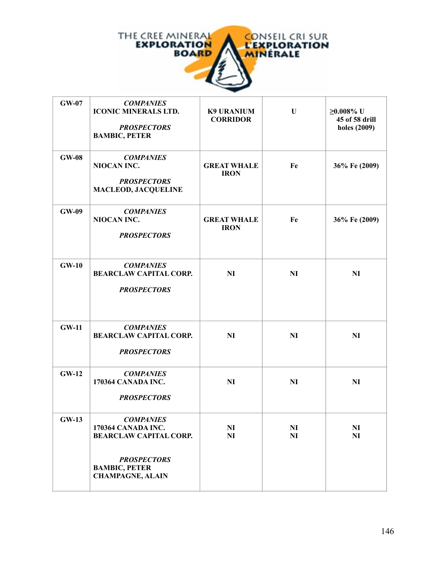

| <b>GW-07</b> | <b>COMPANIES</b><br><b>ICONIC MINERALS LTD.</b><br><b>PROSPECTORS</b><br><b>BAMBIC, PETER</b>                                                    | <b>K9 URANIUM</b><br><b>CORRIDOR</b> | $\mathbf U$          | $≥0.008%$ U<br>45 of 58 drill<br>holes (2009) |
|--------------|--------------------------------------------------------------------------------------------------------------------------------------------------|--------------------------------------|----------------------|-----------------------------------------------|
| <b>GW-08</b> | <b>COMPANIES</b><br>NIOCAN INC.<br><b>PROSPECTORS</b><br><b>MACLEOD, JACQUELINE</b>                                                              | <b>GREAT WHALE</b><br><b>IRON</b>    | Fe                   | 36% Fe (2009)                                 |
| <b>GW-09</b> | <b>COMPANIES</b><br>NIOCAN INC.<br><b>PROSPECTORS</b>                                                                                            | <b>GREAT WHALE</b><br><b>IRON</b>    | Fe                   | 36% Fe (2009)                                 |
| $GW-10$      | <b>COMPANIES</b><br><b>BEARCLAW CAPITAL CORP.</b><br><b>PROSPECTORS</b>                                                                          | <b>NI</b>                            | <b>NI</b>            | NI                                            |
| <b>GW-11</b> | <b>COMPANIES</b><br><b>BEARCLAW CAPITAL CORP.</b><br><b>PROSPECTORS</b>                                                                          | <b>NI</b>                            | <b>NI</b>            | N <sub>I</sub>                                |
| <b>GW-12</b> | <b>COMPANIES</b><br>170364 CANADA INC.<br><b>PROSPECTORS</b>                                                                                     | NI                                   | <b>NI</b>            | N <sub>I</sub>                                |
| <b>GW-13</b> | <b>COMPANIES</b><br>170364 CANADA INC.<br><b>BEARCLAW CAPITAL CORP.</b><br><b>PROSPECTORS</b><br><b>BAMBIC, PETER</b><br><b>CHAMPAGNE, ALAIN</b> | NI<br>N <sub>I</sub>                 | NI<br>N <sub>I</sub> | NI<br>N <sub>I</sub>                          |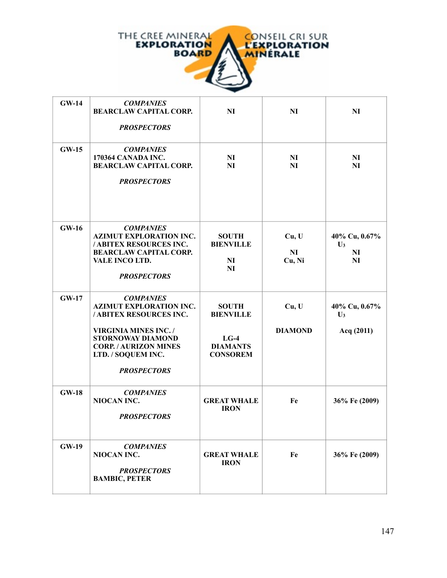

| <b>GW-14</b> | <b>COMPANIES</b><br><b>BEARCLAW CAPITAL CORP.</b><br><b>PROSPECTORS</b>                                                                                                                                              | NI                                                                               | <b>NI</b>                         | <b>NI</b>                                               |
|--------------|----------------------------------------------------------------------------------------------------------------------------------------------------------------------------------------------------------------------|----------------------------------------------------------------------------------|-----------------------------------|---------------------------------------------------------|
| $GW-15$      | <b>COMPANIES</b><br>170364 CANADA INC.<br><b>BEARCLAW CAPITAL CORP.</b><br><b>PROSPECTORS</b>                                                                                                                        | N <sub>I</sub><br>NI                                                             | NI<br><b>NI</b>                   | NI<br><b>NI</b>                                         |
| $GW-16$      | <b>COMPANIES</b><br><b>AZIMUT EXPLORATION INC.</b><br>/ ABITEX RESOURCES INC.<br><b>BEARCLAW CAPITAL CORP.</b><br>VALE INCO LTD.<br><b>PROSPECTORS</b>                                                               | <b>SOUTH</b><br><b>BIENVILLE</b><br>NI<br>NI                                     | Cu, U<br>N <sub>I</sub><br>Cu, Ni | 40% Cu, 0.67%<br>$\mathbf{U}_3$<br>N <sub>I</sub><br>NI |
| <b>GW-17</b> | <b>COMPANIES</b><br><b>AZIMUT EXPLORATION INC.</b><br>/ ABITEX RESOURCES INC.<br><b>VIRGINIA MINES INC./</b><br><b>STORNOWAY DIAMOND</b><br><b>CORP. / AURIZON MINES</b><br>LTD. / SOQUEM INC.<br><b>PROSPECTORS</b> | <b>SOUTH</b><br><b>BIENVILLE</b><br>$LG-4$<br><b>DIAMANTS</b><br><b>CONSOREM</b> | Cu, U<br><b>DIAMOND</b>           | 40% Cu, 0.67%<br>$U_3$<br>Acq (2011)                    |
| <b>GW-18</b> | <b>COMPANIES</b><br>NIOCAN INC.<br><b>PROSPECTORS</b>                                                                                                                                                                | <b>GREAT WHALE</b><br><b>IRON</b>                                                | Fe                                | 36% Fe (2009)                                           |
| <b>GW-19</b> | <b>COMPANIES</b><br>NIOCAN INC.<br><b>PROSPECTORS</b><br><b>BAMBIC, PETER</b>                                                                                                                                        | <b>GREAT WHALE</b><br><b>IRON</b>                                                | Fe                                | 36% Fe (2009)                                           |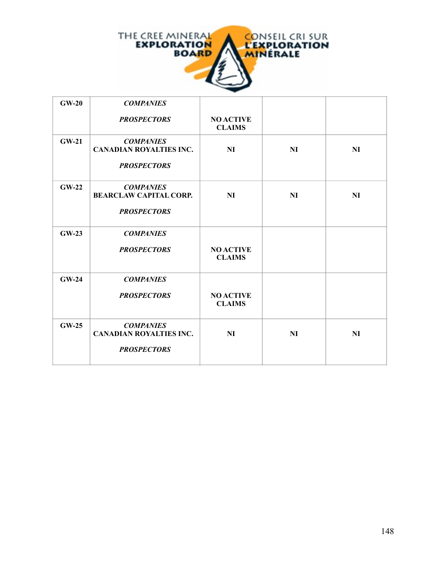

| $GW-20$      | <b>COMPANIES</b>                                                         |                                   |           |           |
|--------------|--------------------------------------------------------------------------|-----------------------------------|-----------|-----------|
|              | <b>PROSPECTORS</b>                                                       | <b>NO ACTIVE</b><br><b>CLAIMS</b> |           |           |
| <b>GW-21</b> | <b>COMPANIES</b><br><b>CANADIAN ROYALTIES INC.</b><br><b>PROSPECTORS</b> | <b>NI</b>                         | NI        | NI        |
| $GW-22$      | <b>COMPANIES</b><br><b>BEARCLAW CAPITAL CORP.</b><br><b>PROSPECTORS</b>  | <b>NI</b>                         | NI        | NI        |
| $GW-23$      | <b>COMPANIES</b><br><b>PROSPECTORS</b>                                   | <b>NO ACTIVE</b><br><b>CLAIMS</b> |           |           |
| $GW-24$      | <b>COMPANIES</b><br><b>PROSPECTORS</b>                                   | <b>NO ACTIVE</b><br><b>CLAIMS</b> |           |           |
| $GW-25$      | <b>COMPANIES</b><br><b>CANADIAN ROYALTIES INC.</b><br><b>PROSPECTORS</b> | <b>NI</b>                         | <b>NI</b> | <b>NI</b> |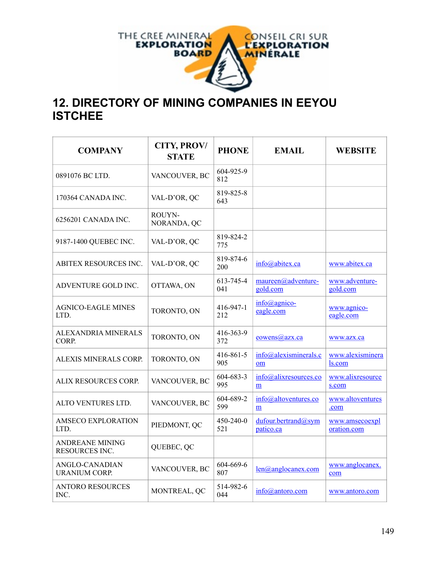

## **12. DIRECTORY OF MINING COMPANIES IN EEYOU ISTCHEE**

| <b>COMPANY</b>                           | <b>CITY, PROV/</b><br><b>STATE</b> | <b>PHONE</b>           | <b>EMAIL</b>                        | <b>WEBSITE</b>                |
|------------------------------------------|------------------------------------|------------------------|-------------------------------------|-------------------------------|
| 0891076 BC LTD.                          | VANCOUVER, BC                      | 604-925-9<br>812       |                                     |                               |
| 170364 CANADA INC.                       | VAL-D'OR, QC                       | 819-825-8<br>643       |                                     |                               |
| 6256201 CANADA INC.                      | ROUYN-<br>NORANDA, QC              |                        |                                     |                               |
| 9187-1400 QUEBEC INC.                    | VAL-D'OR, QC                       | 819-824-2<br>775       |                                     |                               |
| <b>ABITEX RESOURCES INC.</b>             | VAL-D'OR, QC                       | 819-874-6<br>200       | info@abitex.ca                      | www.abitex.ca                 |
| ADVENTURE GOLD INC.                      | OTTAWA, ON                         | 613-745-4<br>041       | maureen@adventure-<br>gold.com      | www.adventure-<br>gold.com    |
| <b>AGNICO-EAGLE MINES</b><br>LTD.        | TORONTO, ON                        | 416-947-1<br>212       | $info(\omega)$ agnico-<br>eagle.com | www.agnico-<br>eagle.com      |
| ALEXANDRIA MINERALS<br>CORP.             | TORONTO, ON                        | 416-363-9<br>372       | eowens@azx.ca                       | www.azx.ca                    |
| ALEXIS MINERALS CORP.                    | TORONTO, ON                        | 416-861-5<br>905       | info@alexisminerals.c<br>om         | www.alexisminera<br>ls.com    |
| ALIX RESOURCES CORP.                     | VANCOUVER, BC                      | 604-683-3<br>995       | info@alixresources.co<br>m          | www.alixresource<br>s.com     |
| ALTO VENTURES LTD.                       | VANCOUVER, BC                      | 604-689-2<br>599       | info@altoventures.co<br>m           | www.altoventures<br>.com      |
| <b>AMSECO EXPLORATION</b><br>LTD.        | PIEDMONT, QC                       | $450 - 240 - 0$<br>521 | dufour.bertrand@sym<br>patico.ca    | www.amsecoexpl<br>oration.com |
| <b>ANDREANE MINING</b><br>RESOURCES INC. | QUEBEC, QC                         |                        |                                     |                               |
| ANGLO-CANADIAN<br><b>URANIUM CORP.</b>   | VANCOUVER, BC                      | 604-669-6<br>807       | $len(\hat{a})$ anglocanex.com       | www.anglocanex.<br>com        |
| <b>ANTORO RESOURCES</b><br>INC.          | MONTREAL, QC                       | 514-982-6<br>044       | info@antoro.com                     | www.antoro.com                |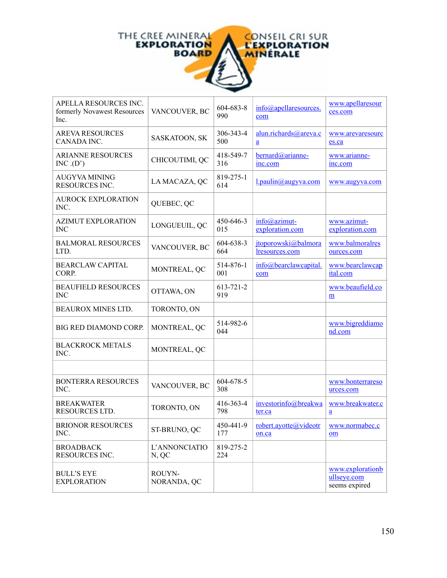

| APELLA RESOURCES INC.<br>formerly Novawest Resources<br>Inc. | VANCOUVER, BC          | 604-683-8<br>990 | info@apellaresources.<br>com             | www.apellaresour<br>ces.com                      |
|--------------------------------------------------------------|------------------------|------------------|------------------------------------------|--------------------------------------------------|
| <b>AREVA RESOURCES</b><br>CANADA INC.                        | SASKATOON, SK          | 306-343-4<br>500 | alun.richards@areva.c<br>$\underline{a}$ | www.arevaresourc<br>es.ca                        |
| <b>ARIANNE RESOURCES</b><br>INC.(D')                         | CHICOUTIMI, QC         | 418-549-7<br>316 | bernard@arianne-<br>inc.com              | www.arianne-<br>inc.com                          |
| <b>AUGYVA MINING</b><br>RESOURCES INC.                       | LA MACAZA, QC          | 819-275-1<br>614 | $1$ .paulin@augyva.com                   | www.augyva.com                                   |
| <b>AUROCK EXPLORATION</b><br>INC.                            | QUEBEC, QC             |                  |                                          |                                                  |
| <b>AZIMUT EXPLORATION</b><br><b>INC</b>                      | LONGUEUIL, QC          | 450-646-3<br>015 | $info@aximut-$<br>exploration.com        | www.azimut-<br>exploration.com                   |
| <b>BALMORAL RESOURCES</b><br>LTD.                            | VANCOUVER, BC          | 604-638-3<br>664 | jtoporowski@balmora<br>lresources.com    | www.balmoralres<br>ources.com                    |
| <b>BEARCLAW CAPITAL</b><br>CORP.                             | MONTREAL, QC           | 514-876-1<br>001 | info@bearclawcapital.<br>com             | www.bearclawcap<br>ital.com                      |
| <b>BEAUFIELD RESOURCES</b><br><b>INC</b>                     | OTTAWA, ON             | 613-721-2<br>919 |                                          | www.beaufield.co<br>m                            |
| <b>BEAUROX MINES LTD.</b>                                    | TORONTO, ON            |                  |                                          |                                                  |
| BIG RED DIAMOND CORP.                                        | MONTREAL, QC           | 514-982-6<br>044 |                                          | www.bigreddiamo<br>nd.com                        |
| <b>BLACKROCK METALS</b><br>INC.                              | MONTREAL, QC           |                  |                                          |                                                  |
|                                                              |                        |                  |                                          |                                                  |
| <b>BONTERRA RESOURCES</b><br>INC.                            | VANCOUVER, BC          | 604-678-5<br>308 |                                          | www.bonterrareso<br>urces.com                    |
| <b>BREAKWATER</b><br><b>RESOURCES LTD.</b>                   | TORONTO, ON            | 416-363-4<br>798 | investorinfo@breakwa<br>ter.ca           | www.breakwater.c<br>$\underline{a}$              |
| <b>BRIONOR RESOURCES</b><br>INC.                             | ST-BRUNO, QC           | 450-441-9<br>177 | robert.ayotte@videotr<br>on.ca           | www.normabec.c<br>om                             |
| <b>BROADBACK</b><br>RESOURCES INC.                           | L'ANNONCIATIO<br>N, QC | 819-275-2<br>224 |                                          |                                                  |
| <b>BULL'S EYE</b><br><b>EXPLORATION</b>                      | ROUYN-<br>NORANDA, QC  |                  |                                          | www.explorationb<br>ullseye.com<br>seems expired |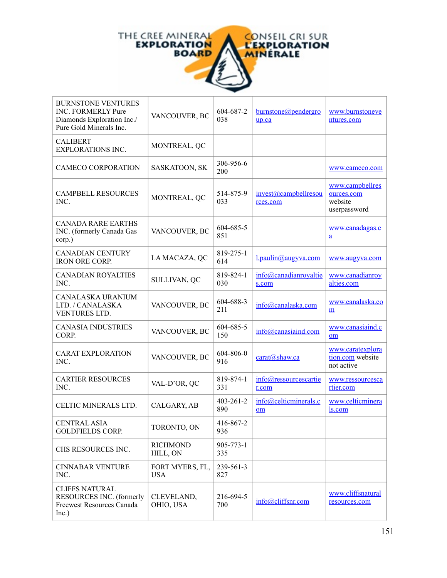

| <b>BURNSTONE VENTURES</b><br><b>INC. FORMERLY Pure</b><br>Diamonds Exploration Inc./<br>Pure Gold Minerals Inc. | VANCOUVER, BC                 | 604-687-2<br>038       | burnstone@pendergro<br>up.ca      | www.burnstoneve<br>ntures.com                            |
|-----------------------------------------------------------------------------------------------------------------|-------------------------------|------------------------|-----------------------------------|----------------------------------------------------------|
| <b>CALIBERT</b><br><b>EXPLORATIONS INC.</b>                                                                     | MONTREAL, QC                  |                        |                                   |                                                          |
| <b>CAMECO CORPORATION</b>                                                                                       | SASKATOON, SK                 | 306-956-6<br>200       |                                   | www.cameco.com                                           |
| <b>CAMPBELL RESOURCES</b><br>INC.                                                                               | MONTREAL, QC                  | 514-875-9<br>033       | invest@examplellresou<br>rces.com | www.campbellres<br>ources.com<br>website<br>userpassword |
| <b>CANADA RARE EARTHS</b><br>INC. (formerly Canada Gas<br>corp.)                                                | VANCOUVER, BC                 | 604-685-5<br>851       |                                   | www.canadagas.c<br>$\underline{a}$                       |
| <b>CANADIAN CENTURY</b><br><b>IRON ORE CORP.</b>                                                                | LA MACAZA, QC                 | 819-275-1<br>614       | l.paulin@augyva.com               | www.augyva.com                                           |
| <b>CANADIAN ROYALTIES</b><br>INC.                                                                               | SULLIVAN, QC                  | 819-824-1<br>030       | info@canadianroyaltie<br>s.com    | www.canadianroy<br>alties.com                            |
| CANALASKA URANIUM<br>LTD. / CANALASKA<br>VENTURES LTD.                                                          | VANCOUVER, BC                 | 604-688-3<br>211       | info@canalaska.com                | www.canalaska.co<br>m                                    |
| <b>CANASIA INDUSTRIES</b><br>CORP.                                                                              | VANCOUVER, BC                 | 604-685-5<br>150       | $info@$ canasiaind.com            | www.canasiaind.c<br>om                                   |
| <b>CARAT EXPLORATION</b><br>INC.                                                                                | VANCOUVER, BC                 | 604-806-0<br>916       | carat@shaw.ca                     | www.caratexplora<br>tion.com website<br>not active       |
| <b>CARTIER RESOURCES</b><br>INC.                                                                                | VAL-D'OR, QC                  | 819-874-1<br>331       | info@ressourcescartie<br>r.com    | www.ressourcesca<br>rtier.com                            |
| CELTIC MINERALS LTD.                                                                                            | CALGARY, AB                   | $403 - 261 - 2$<br>890 | info@celticminerals.c<br>om       | www.celticminera<br>ls.com                               |
| <b>CENTRAL ASIA</b><br><b>GOLDFIELDS CORP.</b>                                                                  | TORONTO, ON                   | 416-867-2<br>936       |                                   |                                                          |
| CHS RESOURCES INC.                                                                                              | <b>RICHMOND</b><br>HILL, ON   | 905-773-1<br>335       |                                   |                                                          |
| <b>CINNABAR VENTURE</b><br>INC.                                                                                 | FORT MYERS, FL,<br><b>USA</b> | 239-561-3<br>827       |                                   |                                                          |
| <b>CLIFFS NATURAL</b><br>RESOURCES INC. (formerly<br><b>Freewest Resources Canada</b><br>Inc.)                  | CLEVELAND,<br>OHIO, USA       | 216-694-5<br>700       | info@cliffsnr.com                 | www.cliffsnatural<br>resources.com                       |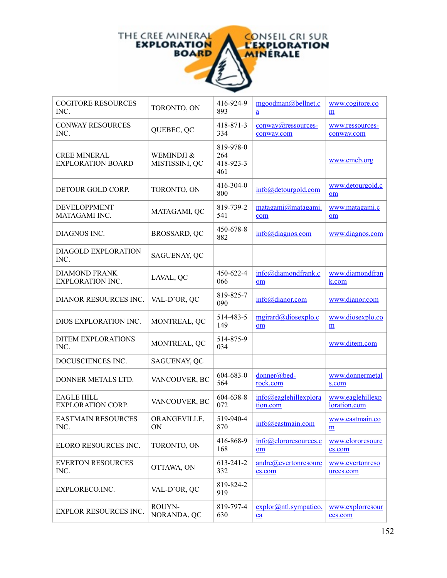

| <b>COGITORE RESOURCES</b><br>INC.               | TORONTO, ON                  | 416-924-9<br>893                     | mgoodman@bellnet.c<br>a           | www.cogitore.co<br>m             |
|-------------------------------------------------|------------------------------|--------------------------------------|-----------------------------------|----------------------------------|
| <b>CONWAY RESOURCES</b><br>INC.                 | QUEBEC, QC                   | 418-871-3<br>334                     | conway@ressources-<br>conway.com  | www.ressources-<br>conway.com    |
| <b>CREE MINERAL</b><br><b>EXPLORATION BOARD</b> | WEMINDJI &<br>MISTISSINI, QC | 819-978-0<br>264<br>418-923-3<br>461 |                                   | www.cmeb.org                     |
| DETOUR GOLD CORP.                               | TORONTO, ON                  | 416-304-0<br>800                     | $info@$ detourgold.com            | www.detourgold.c<br>$om$         |
| <b>DEVELOPPMENT</b><br>MATAGAMI INC.            | MATAGAMI, QC                 | 819-739-2<br>541                     | matagami@matagami.<br>com         | www.matagami.c<br>om             |
| DIAGNOS INC.                                    | BROSSARD, QC                 | 450-678-8<br>882                     | $info$ @diagnos.com               | www.diagnos.com                  |
| DIAGOLD EXPLORATION<br>INC.                     | SAGUENAY, QC                 |                                      |                                   |                                  |
| <b>DIAMOND FRANK</b><br><b>EXPLORATION INC.</b> | LAVAL, QC                    | 450-622-4<br>066                     | info@diamondfrank.c<br>om         | www.diamondfran<br>k.com         |
| DIANOR RESOURCES INC.                           | VAL-D'OR, QC                 | 819-825-7<br>090                     | info@dianor.com                   | www.dianor.com                   |
| DIOS EXPLORATION INC.                           | MONTREAL, QC                 | 514-483-5<br>149                     | mgirard@diosexplo.c<br>om         | www.diosexplo.co<br>m            |
| <b>DITEM EXPLORATIONS</b><br>INC.               | MONTREAL, QC                 | 514-875-9<br>034                     |                                   | www.ditem.com                    |
| DOCUSCIENCES INC.                               | SAGUENAY, QC                 |                                      |                                   |                                  |
| DONNER METALS LTD.                              | VANCOUVER, BC                | 604-683-0<br>564                     | donner@bed-<br>rock.com           | www.donnermetal<br>s.com         |
| <b>EAGLE HILL</b><br><b>EXPLORATION CORP.</b>   | VANCOUVER, BC                | 604-638-8<br>072                     | info@eaglehillexplora<br>tion.com | www.eaglehillexp<br>loration.com |
| <b>EASTMAIN RESOURCES</b><br>INC.               | ORANGEVILLE,<br>ON           | 519-940-4<br>870                     | $info@e$ eastmain.com             | www.eastmain.co<br>m             |
| ELORO RESOURCES INC.                            | TORONTO, ON                  | 416-868-9<br>168                     | info@elororesources.c<br>om       | www.elororesourc<br>es.com       |
| <b>EVERTON RESOURCES</b><br>INC.                | OTTAWA, ON                   | 613-241-2<br>332                     | andre@evertonresourc<br>es.com    | www.evertonreso<br>urces.com     |
| EXPLORECO.INC.                                  | VAL-D'OR, QC                 | 819-824-2<br>919                     |                                   |                                  |
| <b>EXPLOR RESOURCES INC.</b>                    | ROUYN-<br>NORANDA, QC        | 819-797-4<br>630                     | explor@ntl.sympatico.<br>ca       | www.explorresour<br>ces.com      |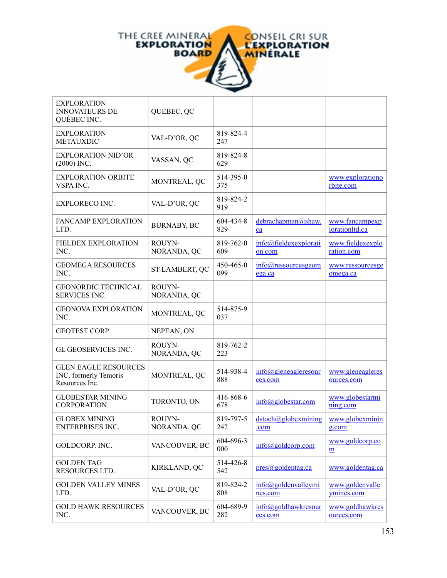

| <b>EXPLORATION</b><br><b>INNOVATEURS DE</b><br>QUÉBEC INC.             | QUEBEC, QC            |                  |                                             |                                  |
|------------------------------------------------------------------------|-----------------------|------------------|---------------------------------------------|----------------------------------|
| <b>EXPLORATION</b><br><b>METAUXDIC</b>                                 | VAL-D'OR, QC          | 819-824-4<br>247 |                                             |                                  |
| <b>EXPLORATION NID'OR</b><br>$(2000)$ INC.                             | VASSAN, QC            | 819-824-8<br>629 |                                             |                                  |
| <b>EXPLORATION ORBITE</b><br>VSPA INC.                                 | MONTREAL, QC          | 514-395-0<br>375 |                                             | www.explorationo<br>rbite.com    |
| <b>EXPLORECO INC.</b>                                                  | VAL-D'OR, QC          | 819-824-2<br>919 |                                             |                                  |
| <b>FANCAMP EXPLORATION</b><br>LTD.                                     | <b>BURNABY, BC</b>    | 604-434-8<br>829 | debrachapman@shaw.<br>ca                    | www.fancampexp<br>lorationltd.ca |
| <b>FIELDEX EXPLORATION</b><br>INC.                                     | ROUYN-<br>NORANDA, QC | 819-762-0<br>609 | info@fieldexexplorati<br>on.com             | www.fieldexexplo<br>ration.com   |
| <b>GEOMEGA RESOURCES</b><br>INC.                                       | ST-LAMBERT, QC        | 450-465-0<br>099 | $info@ressources$ geom<br>ega.ca            | www.ressourcesge<br>omega.ca     |
| <b>GEONORDIC TECHNICAL</b><br><b>SERVICES INC.</b>                     | ROUYN-<br>NORANDA, QC |                  |                                             |                                  |
| <b>GEONOVA EXPLORATION</b><br>INC.                                     | MONTREAL, QC          | 514-875-9<br>037 |                                             |                                  |
| <b>GEOTEST CORP.</b>                                                   | NEPEAN, ON            |                  |                                             |                                  |
| <b>GL GEOSERVICES INC.</b>                                             | ROUYN-<br>NORANDA, QC | 819-762-2<br>223 |                                             |                                  |
| <b>GLEN EAGLE RESOURCES</b><br>INC. formerly Temoris<br>Resources Inc. | MONTREAL, QC          | 514-938-4<br>888 | $info@g$ leneagleresour<br>ces.com          | www.gleneagleres<br>ources.com   |
| <b>GLOBESTAR MINING</b><br><b>CORPORATION</b>                          | TORONTO, ON           | 416-868-6<br>678 | info@globestar.com                          | www.globestarmi<br>ning.com      |
| <b>GLOBEX MINING</b><br><b>ENTERPRISES INC.</b>                        | ROUYN-<br>NORANDA, QC | 819-797-5<br>242 | dstoch@globexmining<br>.com                 | www.globexminin<br>g.com         |
| GOLDCORP. INC.                                                         | VANCOUVER, BC         | 604-696-3<br>000 | $info(\partial goldcorp.com)$               | www.goldcorp.co<br>m             |
| <b>GOLDEN TAG</b><br>RESOURCES LTD.                                    | KIRKLAND, QC          | 514-426-8<br>542 | pres@goldentag.ca                           | www.goldentag.ca                 |
| <b>GOLDEN VALLEY MINES</b><br>LTD.                                     | VAL-D'OR, QC          | 819-824-2<br>808 | $info(\partial g$ oldenvalleymi<br>nes.com  | www.goldenvalle<br>ymines.com    |
| <b>GOLD HAWK RESOURCES</b><br>INC.                                     | VANCOUVER, BC         | 604-689-9<br>282 | $info(\partial g)$ oldhawkresour<br>ces.com | www.goldhawkres<br>ources.com    |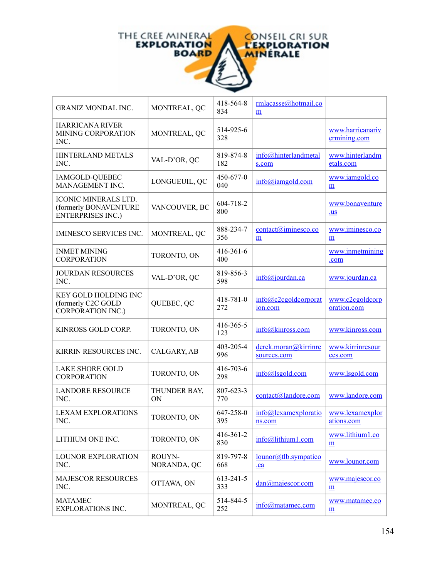

| <b>GRANIZ MONDAL INC.</b>                                                        | MONTREAL, QC              | 418-564-8<br>834 | rmlacasse@hotmail.co<br>m           |                                            |
|----------------------------------------------------------------------------------|---------------------------|------------------|-------------------------------------|--------------------------------------------|
| <b>HARRICANA RIVER</b><br><b>MINING CORPORATION</b><br>INC.                      | MONTREAL, QC              | 514-925-6<br>328 |                                     | www.harricanariv<br>ermining.com           |
| <b>HINTERLAND METALS</b><br>INC.                                                 | VAL-D'OR, QC              | 819-874-8<br>182 | info@hinterlandmetal<br>s.com       | www.hinterlandm<br>etals.com               |
| IAMGOLD-QUEBEC<br>MANAGEMENT INC.                                                | LONGUEUIL, QC             | 450-677-0<br>040 | info@iamgold.com                    | www.iamgold.co<br>$\underline{m}$          |
| <b>ICONIC MINERALS LTD.</b><br>(formerly BONAVENTURE<br><b>ENTERPRISES INC.)</b> | VANCOUVER, BC             | 604-718-2<br>800 |                                     | www.bonaventure<br>$u$                     |
| <b>IMINESCO SERVICES INC.</b>                                                    | MONTREAL, QC              | 888-234-7<br>356 | contact@iminesco.co<br>m            | www.iminesco.co<br>$\underline{m}$         |
| <b>INMET MINING</b><br><b>CORPORATION</b>                                        | TORONTO, ON               | 416-361-6<br>400 |                                     | www.inmetmining<br>.com                    |
| <b>JOURDAN RESOURCES</b><br>INC.                                                 | VAL-D'OR, QC              | 819-856-3<br>598 | info@jourdan.ca                     | www.jourdan.ca                             |
| KEY GOLD HOLDING INC<br>(formerly C2C GOLD<br><b>CORPORATION INC.)</b>           | QUEBEC, QC                | 418-781-0<br>272 | info@c2cgoldcorport<br>ion.com      | www.c2cgoldcorp<br>oration.com             |
| KINROSS GOLD CORP.                                                               | TORONTO, ON               | 416-365-5<br>123 | info@kinross.com                    | www.kinross.com                            |
| KIRRIN RESOURCES INC.                                                            | CALGARY, AB               | 403-205-4<br>996 | derek.moran@kirrinre<br>sources.com | www.kirrinresour<br>ces.com                |
| <b>LAKE SHORE GOLD</b><br><b>CORPORATION</b>                                     | TORONTO, ON               | 416-703-6<br>298 | info@lsgold.com                     | www.lsgold.com                             |
| <b>LANDORE RESOURCE</b><br>INC.                                                  | THUNDER BAY,<br><b>ON</b> | 807-623-3<br>770 | contact@landore.com                 | www.landore.com                            |
| <b>LEXAM EXPLORATIONS</b><br>INC.                                                | TORONTO, ON               | 647-258-0<br>395 | info@lexamexploratio<br>ns.com      | www.lexamexplor<br>ations.com              |
| LITHIUM ONE INC.                                                                 | TORONTO, ON               | 416-361-2<br>830 | $info@$ lithium1.com                | www.lithium1.co<br>$\underline{m}$         |
| LOUNOR EXPLORATION<br>INC.                                                       | ROUYN-<br>NORANDA, QC     | 819-797-8<br>668 | lounor@tlb.sympatico<br>$ca$        | www.lounor.com                             |
| <b>MAJESCOR RESOURCES</b><br>INC.                                                | OTTAWA, ON                | 613-241-5<br>333 | $dan@ma$ jescor.com                 | www.majescor.co<br>$\underline{m}$         |
| <b>MATAMEC</b><br><b>EXPLORATIONS INC.</b>                                       | MONTREAL, QC              | 514-844-5<br>252 | $info(a)$ matamec.com               | www.matamec.co<br>$\underline{\mathbf{m}}$ |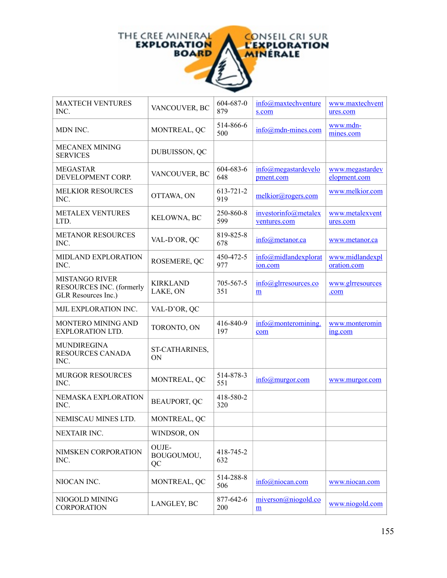

| <b>MAXTECH VENTURES</b><br>INC.                                          | VANCOUVER, BC               | 604-687-0<br>879 | info@maxtechventure<br>s.com         | www.maxtechvent<br>ures.com     |
|--------------------------------------------------------------------------|-----------------------------|------------------|--------------------------------------|---------------------------------|
| MDN INC.                                                                 | MONTREAL, QC                | 514-866-6<br>500 | $info(\partial)$ mdn-mines.com       | www.mdn-<br>mines.com           |
| <b>MECANEX MINING</b><br><b>SERVICES</b>                                 | DUBUISSON, QC               |                  |                                      |                                 |
| <b>MEGASTAR</b><br>DEVELOPMENT CORP.                                     | VANCOUVER, BC               | 604-683-6<br>648 | info@megastardevelo<br>pment.com     | www.megastardev<br>elopment.com |
| <b>MELKIOR RESOURCES</b><br>INC.                                         | OTTAWA, ON                  | 613-721-2<br>919 | melkior@rogers.com                   | www.melkior.com                 |
| <b>METALEX VENTURES</b><br>LTD.                                          | KELOWNA, BC                 | 250-860-8<br>599 | investorinfo@metalex<br>ventures.com | www.metalexvent<br>ures.com     |
| <b>METANOR RESOURCES</b><br>INC.                                         | VAL-D'OR, QC                | 819-825-8<br>678 | info@metanor.ca                      | www.metanor.ca                  |
| MIDLAND EXPLORATION<br>INC.                                              | ROSEMERE, QC                | 450-472-5<br>977 | info@midlandexplorat<br>ion.com      | www.midlandexpl<br>oration.com  |
| <b>MISTANGO RIVER</b><br>RESOURCES INC. (formerly<br>GLR Resources Inc.) | <b>KIRKLAND</b><br>LAKE, ON | 705-567-5<br>351 | $info@g$ rresources.co<br>m          | www.glrresources<br>.com        |
| MJL EXPLORATION INC.                                                     | VAL-D'OR, QC                |                  |                                      |                                 |
| MONTERO MINING AND<br><b>EXPLORATION LTD.</b>                            | TORONTO, ON                 | 416-840-9<br>197 | $info@$ monteromining.<br>com        | www.monteromin<br>ing.com       |
| <b>MUNDIREGINA</b><br><b>RESOURCES CANADA</b><br>INC.                    | ST-CATHARINES,<br>ON        |                  |                                      |                                 |
| <b>MURGOR RESOURCES</b><br>INC.                                          | MONTREAL, QC                | 514-878-3<br>551 | info@murgor.com                      | www.murgor.com                  |
| NEMASKA EXPLORATION<br>INC.                                              | <b>BEAUPORT, QC</b>         | 418-580-2<br>320 |                                      |                                 |
| NEMISCAU MINES LTD.                                                      | MONTREAL, QC                |                  |                                      |                                 |
| NEXTAIR INC.                                                             | WINDSOR, ON                 |                  |                                      |                                 |
| NIMSKEN CORPORATION<br>INC.                                              | OUJE-<br>BOUGOUMOU,<br>QC   | 418-745-2<br>632 |                                      |                                 |
| NIOCAN INC.                                                              | MONTREAL, QC                | 514-288-8<br>506 | info@niocan.com                      | www.niocan.com                  |
| NIOGOLD MINING<br><b>CORPORATION</b>                                     | LANGLEY, BC                 | 877-642-6<br>200 | miverson@niogold.co<br>m             | www.niogold.com                 |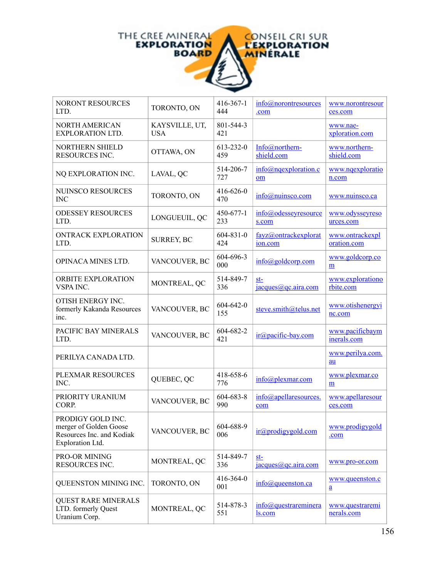

| NORONT RESOURCES<br>LTD.                                                                     | TORONTO, ON                  | $416 - 367 - 1$<br>444 | info@norontresources<br>.com      | www.norontresour<br>ces.com        |
|----------------------------------------------------------------------------------------------|------------------------------|------------------------|-----------------------------------|------------------------------------|
| <b>NORTH AMERICAN</b><br><b>EXPLORATION LTD.</b>                                             | KAYSVILLE, UT,<br><b>USA</b> | 801-544-3<br>421       |                                   | www.nae-<br>xploration.com         |
| NORTHERN SHIELD<br>RESOURCES INC.                                                            | OTTAWA, ON                   | 613-232-0<br>459       | Info@northern-<br>shield.com      | www.northern-<br>shield.com        |
| NQ EXPLORATION INC.                                                                          | LAVAL, QC                    | 514-206-7<br>727       | info@nqexploration.c<br>om        | www.nqexploratio<br>n.com          |
| NUINSCO RESOURCES<br><b>INC</b>                                                              | TORONTO, ON                  | 416-626-0<br>470       | info@nuinsco.com                  | www.nuinsco.ca                     |
| <b>ODESSEY RESOURCES</b><br>LTD.                                                             | LONGUEUIL, QC                | 450-677-1<br>233       | info@odesseyresource<br>s.com     | www.odysseyreso<br>urces.com       |
| <b>ONTRACK EXPLORATION</b><br>LTD.                                                           | <b>SURREY, BC</b>            | $604 - 831 - 0$<br>424 | fayz@ontrackexplorat<br>ion.com   | www.ontrackexpl<br>oration.com     |
| <b>OPINACA MINES LTD.</b>                                                                    | VANCOUVER, BC                | 604-696-3<br>000       | $info(\partial goldcorp.com)$     | www.goldcorp.co<br>m               |
| <b>ORBITE EXPLORATION</b><br>VSPA INC.                                                       | MONTREAL, QC                 | 514-849-7<br>336       | $st-$<br>jacques@qc.aira.com      | www.explorationo<br>rbite.com      |
| OTISH ENERGY INC.<br>formerly Kakanda Resources<br>inc.                                      | VANCOUVER, BC                | $604 - 642 - 0$<br>155 | steve.smith@telus.net             | www.otishenergyi<br>nc.com         |
| PACIFIC BAY MINERALS<br>LTD.                                                                 | VANCOUVER, BC                | 604-682-2<br>421       | ir@pacific-bay.com                | www.pacificbaym<br>inerals.com     |
| PERILYA CANADA LTD.                                                                          |                              |                        |                                   | www.perilya.com.<br>au             |
| PLEXMAR RESOURCES<br>INC.                                                                    | QUEBEC, QC                   | 418-658-6<br>776       | info@plexmar.com                  | www.plexmar.co<br>$\underline{m}$  |
| PRIORITY URANIUM<br>CORP.                                                                    | VANCOUVER, BC                | 604-683-8<br>990       | info@apellaresources.<br>com      | www.apellaresour<br>ces.com        |
| PRODIGY GOLD INC.<br>merger of Golden Goose<br>Resources Inc. and Kodiak<br>Exploration Ltd. | VANCOUVER, BC                | 604-688-9<br>006       | ir@prodigygold.com                | www.prodigygold<br>.com            |
| PRO-OR MINING<br>RESOURCES INC.                                                              | MONTREAL, QC                 | 514-849-7<br>336       | st-<br>jacques@qc.aira.com        | www.pro-or.com                     |
| QUEENSTON MINING INC.                                                                        | TORONTO, ON                  | 416-364-0<br>001       | $info@$ queenston.ca              | www.queenston.c<br>$\underline{a}$ |
| <b>QUEST RARE MINERALS</b><br>LTD. formerly Quest<br>Uranium Corp.                           | MONTREAL, QC                 | 514-878-3<br>551       | $info@$ questrareminera<br>ls.com | www.questraremi<br>nerals.com      |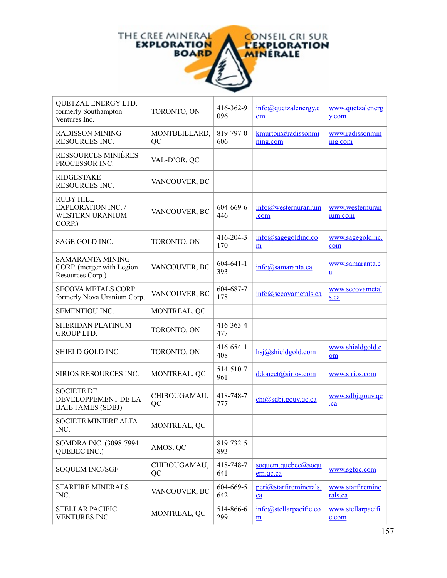

| QUETZAL ENERGY LTD.<br>formerly Southampton<br>Ventures Inc.               | TORONTO, ON         | 416-362-9<br>096       | info@quetzalenergy.c<br>om                | www.quetzalenerg<br>y.com          |
|----------------------------------------------------------------------------|---------------------|------------------------|-------------------------------------------|------------------------------------|
| <b>RADISSON MINING</b><br><b>RESOURCES INC.</b>                            | MONTBEILLARD,<br>QC | 819-797-0<br>606       | kmurton@radissonmi<br>ning.com            | www.radissonmin<br>ing.com         |
| <b>RESSOURCES MINIÈRES</b><br>PROCESSOR INC.                               | VAL-D'OR, QC        |                        |                                           |                                    |
| <b>RIDGESTAKE</b><br><b>RESOURCES INC.</b>                                 | VANCOUVER, BC       |                        |                                           |                                    |
| <b>RUBY HILL</b><br><b>EXPLORATION INC. /</b><br>WESTERN URANIUM<br>CORP.) | VANCOUVER, BC       | 604-669-6<br>446       | $info@$ westernuranium<br>.com            | www.westernuran<br>ium.com         |
| SAGE GOLD INC.                                                             | TORONTO, ON         | 416-204-3<br>170       | info@sagegoldinc.co<br>m                  | www.sagegoldinc.<br>com            |
| <b>SAMARANTA MINING</b><br>CORP. (merger with Legion<br>Resources Corp.)   | VANCOUVER, BC       | $604 - 641 - 1$<br>393 | info@samaranta.ca                         | www.samaranta.c<br>$\underline{a}$ |
| <b>SECOVA METALS CORP.</b><br>formerly Nova Uranium Corp.                  | VANCOUVER, BC       | 604-687-7<br>178       | $info@$ secovametals.ca                   | www.secovametal<br>s.ca            |
| SEMENTIOU INC.                                                             | MONTREAL, QC        |                        |                                           |                                    |
| <b>SHERIDAN PLATINUM</b><br><b>GROUP LTD.</b>                              | TORONTO, ON         | 416-363-4<br>477       |                                           |                                    |
| SHIELD GOLD INC.                                                           | TORONTO, ON         | 416-654-1<br>408       | hsj@shieldgold.com                        | www.shieldgold.c<br>om             |
| <b>SIRIOS RESOURCES INC.</b>                                               | MONTREAL, QC        | 514-510-7<br>961       | ddoucet@sirios.com                        | www.sirios.com                     |
| <b>SOCIETE DE</b><br>DEVELOPPEMENT DE LA<br><b>BAIE-JAMES (SDBJ)</b>       | CHIBOUGAMAU,<br>QC  | 418-748-7<br>777       | $chi(\partial s)$ sdbj.gouv.gc.ca         | www.sdbj.gouv.qc<br>$ca$           |
| <b>SOCIETE MINIERE ALTA</b><br>INC.                                        | MONTREAL, QC        |                        |                                           |                                    |
| SOMDRA INC. (3098-7994<br>QUEBEC INC.)                                     | AMOS, QC            | 819-732-5<br>893       |                                           |                                    |
| <b>SOQUEM INC./SGF</b>                                                     | CHIBOUGAMAU,<br>QC  | 418-748-7<br>641       | soquem.quebec@soqu<br>em.qc.ca            | www.sgfqc.com                      |
| <b>STARFIRE MINERALS</b><br>INC.                                           | VANCOUVER, BC       | 604-669-5<br>642       | peri@starfireminerals.<br>$ca$            | www.starfiremine<br>rals.ca        |
| <b>STELLAR PACIFIC</b><br>VENTURES INC.                                    | MONTREAL, QC        | 514-866-6<br>299       | info@stellarpacific.co<br>$\underline{m}$ | www.stellarpacifi<br>c.com         |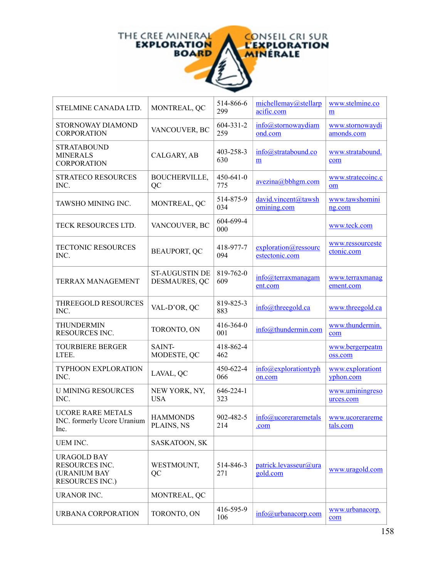

| STELMINE CANADA LTD.                                                           | MONTREAL, QC                           | 514-866-6<br>299       | michellemay@stellarp<br>acific.com     | www.stelmine.co<br>m           |
|--------------------------------------------------------------------------------|----------------------------------------|------------------------|----------------------------------------|--------------------------------|
| STORNOWAY DIAMOND<br><b>CORPORATION</b>                                        | VANCOUVER, BC                          | $604 - 331 - 2$<br>259 | info@stornowaydiam<br>ond.com          | www.stornowaydi<br>amonds.com  |
| <b>STRATABOUND</b><br><b>MINERALS</b><br><b>CORPORATION</b>                    | CALGARY, AB                            | 403-258-3<br>630       | info@stratabound.co<br>m               | www.stratabound.<br>com        |
| <b>STRATECO RESOURCES</b><br>INC.                                              | <b>BOUCHERVILLE,</b><br>QC             | $450 - 641 - 0$<br>775 | $\frac{avezina(a)bbhgm.com}{am}$       | www.stratecoinc.c<br>om        |
| TAWSHO MINING INC.                                                             | MONTREAL, QC                           | 514-875-9<br>034       | david.vincent@tawsh<br>omining.com     | www.tawshomini<br>ng.com       |
| TECK RESOURCES LTD.                                                            | VANCOUVER, BC                          | 604-699-4<br>000       |                                        | www.teck.com                   |
| <b>TECTONIC RESOURCES</b><br>INC.                                              | <b>BEAUPORT, QC</b>                    | 418-977-7<br>094       | exploration@ressourc<br>estectonic.com | www.ressourceste<br>ctonic.com |
| TERRAX MANAGEMENT                                                              | <b>ST-AUGUSTIN DE</b><br>DESMAURES, QC | 819-762-0<br>609       | info@terraxmanagam<br>ent.com          | www.terraxmanag<br>ement.com   |
| THREEGOLD RESOURCES<br>INC.                                                    | VAL-D'OR, QC                           | 819-825-3<br>883       | $info@$ threegold.ca                   | www.threegold.ca               |
| THUNDERMIN<br>RESOURCES INC.                                                   | TORONTO, ON                            | 416-364-0<br>001       | info@thundermin.com                    | www.thundermin.<br>com         |
| <b>TOURBIERE BERGER</b><br>LTEE.                                               | SAINT-<br>MODESTE, QC                  | 418-862-4<br>462       |                                        | www.bergerpeatm<br>oss.com     |
| TYPHOON EXPLORATION<br>INC.                                                    | LAVAL, QC                              | 450-622-4<br>066       | info@explorationtyph<br>on.com         | www.explorationt<br>yphon.com  |
| <b>U MINING RESOURCES</b><br>INC.                                              | NEW YORK, NY,<br><b>USA</b>            | $646 - 224 - 1$<br>323 |                                        | www.uminingreso<br>urces.com   |
| <b>UCORE RARE METALS</b><br>INC. formerly Ucore Uranium<br>Inc.                | <b>HAMMONDS</b><br>PLAINS, NS          | 902-482-5<br>214       | info@ucoreraremetals<br><u>.com</u>    | www.ucorerareme<br>tals.com    |
| <b>UEM INC.</b>                                                                | SASKATOON, SK                          |                        |                                        |                                |
| <b>URAGOLD BAY</b><br>RESOURCES INC.<br>(URANIUM BAY<br><b>RESOURCES INC.)</b> | WESTMOUNT,<br>QC                       | 514-846-3<br>271       | patrick.levasseur@ura<br>gold.com      | www.uragold.com                |
| <b>URANOR INC.</b>                                                             | MONTREAL, QC                           |                        |                                        |                                |
| URBANA CORPORATION                                                             | TORONTO, ON                            | 416-595-9<br>106       | $info@$ urbanacorp.com                 | www.urbanacorp.<br>com         |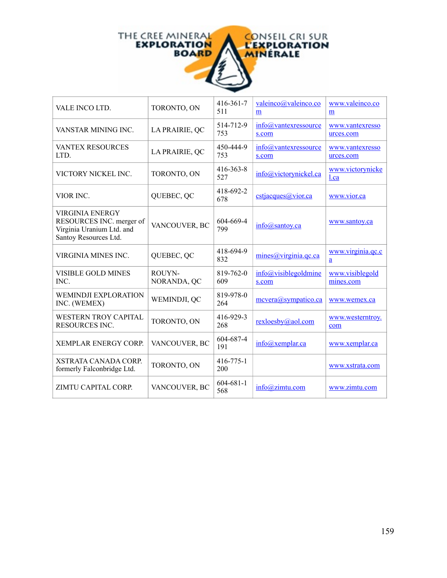

| VALE INCO LTD.                                                                                           | TORONTO, ON           | 416-361-7<br>511       | valeinco@valeinco.co<br>m          | www.valeinco.co<br>m         |
|----------------------------------------------------------------------------------------------------------|-----------------------|------------------------|------------------------------------|------------------------------|
| VANSTAR MINING INC.                                                                                      | LA PRAIRIE, QC        | 514-712-9<br>753       | info@vantexressource<br>s.com      | www.vantexresso<br>urces.com |
| <b>VANTEX RESOURCES</b><br>LTD.                                                                          | LA PRAIRIE, QC        | 450-444-9<br>753       | $info@$ vantexressource<br>s.com   | www.vantexresso<br>urces.com |
| VICTORY NICKEL INC.                                                                                      | TORONTO, ON           | $416 - 363 - 8$<br>527 | info@victorynickel.ca              | www.victorynicke<br>1.ca     |
| VIOR INC.                                                                                                | QUEBEC, QC            | 418-692-2<br>678       | cstjacques@vior.ca                 | www.vior.ca                  |
| <b>VIRGINIA ENERGY</b><br>RESOURCES INC. merger of<br>Virginia Uranium Ltd. and<br>Santoy Resources Ltd. | VANCOUVER, BC         | 604-669-4<br>799       | info@santoy.ca                     | www.santoy.ca                |
| VIRGINIA MINES INC.                                                                                      | QUEBEC, QC            | 418-694-9<br>832       | $mines(\hat{a})$ virginia.qc.ca    | www.virginia.qc.c<br>a       |
| <b>VISIBLE GOLD MINES</b><br>INC.                                                                        | ROUYN-<br>NORANDA, QC | 819-762-0<br>609       | $info(a)$ visiblegoldmine<br>s.com | www.visiblegold<br>mines.com |
| <b>WEMINDJI EXPLORATION</b><br>INC. (WEMEX)                                                              | WEMINDJI, QC          | 819-978-0<br>264       | mcvera@sympatico.ca                | www.wemex.ca                 |
| <b>WESTERN TROY CAPITAL</b><br>RESOURCES INC.                                                            | TORONTO, ON           | 416-929-3<br>268       | rexloesby@aol.com                  | www.westerntroy.<br>com      |
| <b>XEMPLAR ENERGY CORP.</b>                                                                              | VANCOUVER, BC         | 604-687-4<br>191       | info@xemplar.ca                    | www.xemplar.ca               |
| <b>XSTRATA CANADA CORP.</b><br>formerly Falconbridge Ltd.                                                | TORONTO, ON           | $416 - 775 - 1$<br>200 |                                    | www.xstrata.com              |
| ZIMTU CAPITAL CORP.                                                                                      | VANCOUVER, BC         | $604 - 681 - 1$<br>568 | info@zimtu.com                     | www.zimtu.com                |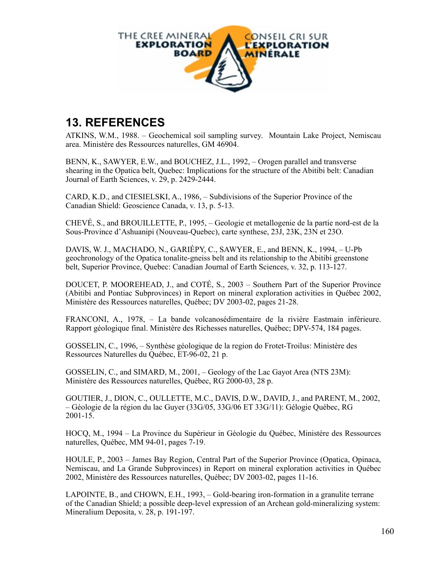

## **13. REFERENCES**

ATKINS, W.M., 1988. – Geochemical soil sampling survey. Mountain Lake Project, Nemiscau area. Ministère des Ressources naturelles, GM 46904.

BENN, K., SAWYER, E.W., and BOUCHEZ, J.L., 1992, – Orogen parallel and transverse shearing in the Opatica belt, Quebec: Implications for the structure of the Abitibi belt: Canadian Journal of Earth Sciences, v. 29, p. 2429-2444.

CARD, K.D., and CIESIELSKI, A., 1986, – Subdivisions of the Superior Province of the Canadian Shield: Geoscience Canada, v. 13, p. 5-13.

CHEVÉ, S., and BROUILLETTE, P., 1995, – Geologie et metallogenie de la partie nord-est de la Sous-Province d'Ashuanipi (Nouveau-Quebec), carte synthese, 23J, 23K, 23N et 23O.

DAVIS, W. J., MACHADO, N., GARIÉPY, C., SAWYER, E., and BENN, K., 1994, – U-Pb geochronology of the Opatica tonalite-gneiss belt and its relationship to the Abitibi greenstone belt, Superior Province, Quebec: Canadian Journal of Earth Sciences, v. 32, p. 113-127.

DOUCET, P. MOOREHEAD, J., and COTÉ, S., 2003 – Southern Part of the Superior Province (Abitibi and Pontiac Subprovinces) in Report on mineral exploration activities in Québec 2002, Ministère des Ressources naturelles, Québec; DV 2003-02, pages 21-28.

FRANCONI, A., 1978, – La bande volcanosédimentaire de la rivière Eastmain inférieure. Rapport géologique final. Ministère des Richesses naturelles, Québec; DPV-574, 184 pages.

GOSSELIN, C., 1996, – Synthèse géologique de la region do Frotet-Troilus: Ministère des Ressources Naturelles du Québec, ET-96-02, 21 p.

GOSSELIN, C., and SIMARD, M., 2001, – Geology of the Lac Gayot Area (NTS 23M): Ministère des Ressources naturelles, Québec, RG 2000-03, 28 p.

GOUTIER, J., DION, C., OULLETTE, M.C., DAVIS, D.W., DAVID, J., and PARENT, M., 2002, – Géologie de la région du lac Guyer (33G/05, 33G/06 ET 33G/11): Gélogie Québec, RG 2001-15.

HOCQ, M., 1994 – La Province du Supérieur in Géologie du Québec, Ministère des Ressources naturelles, Québec, MM 94-01, pages 7-19.

HOULE, P., 2003 – James Bay Region, Central Part of the Superior Province (Opatica, Opinaca, Nemiscau, and La Grande Subprovinces) in Report on mineral exploration activities in Québec 2002, Ministère des Ressources naturelles, Québec; DV 2003-02, pages 11-16.

LAPOINTE, B., and CHOWN, E.H., 1993, – Gold-bearing iron-formation in a granulite terrane of the Canadian Shield; a possible deep-level expression of an Archean gold-mineralizing system: Mineralium Deposita, v. 28, p. 191-197.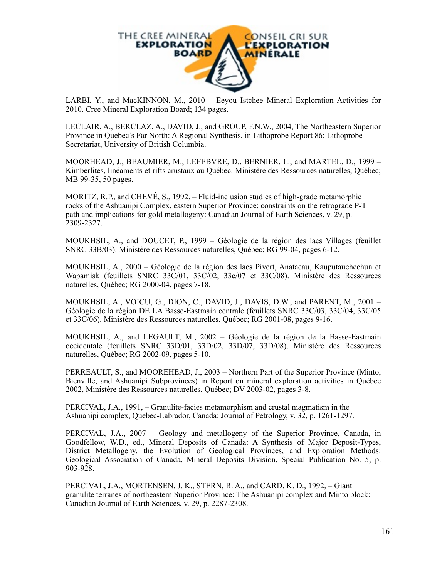

LARBI, Y., and MacKINNON, M., 2010 – Eeyou Istchee Mineral Exploration Activities for 2010. Cree Mineral Exploration Board; 134 pages.

LECLAIR, A., BERCLAZ, A., DAVID, J., and GROUP, F.N.W., 2004, The Northeastern Superior Province in Quebec's Far North: A Regional Synthesis, in Lithoprobe Report 86: Lithoprobe Secretariat, University of British Columbia.

MOORHEAD, J., BEAUMIER, M., LEFEBVRE, D., BERNIER, L., and MARTEL, D., 1999 – Kimberlites, linéaments et rifts crustaux au Québec. Ministère des Ressources naturelles, Québec; MB 99-35, 50 pages.

MORITZ, R.P., and CHEVÉ, S., 1992, – Fluid-inclusion studies of high-grade metamorphic rocks of the Ashuanipi Complex, eastern Superior Province; constraints on the retrograde P-T path and implications for gold metallogeny: Canadian Journal of Earth Sciences, v. 29, p. 2309-2327.

MOUKHSIL, A., and DOUCET, P., 1999 – Géologie de la région des lacs Villages (feuillet SNRC 33B/03). Ministère des Ressources naturelles, Québec; RG 99-04, pages 6-12.

MOUKHSIL, A., 2000 – Géologie de la région des lacs Pivert, Anatacau, Kauputauchechun et Wapamisk (feuillets SNRC 33C/01, 33C/02, 33c/07 et 33C/08). Ministère des Ressources naturelles, Québec; RG 2000-04, pages 7-18.

MOUKHSIL, A., VOICU, G., DION, C., DAVID, J., DAVIS, D.W., and PARENT, M., 2001 – Géologie de la région DE LA Basse-Eastmain centrale (feuillets SNRC 33C/03, 33C/04, 33C/05 et 33C/06). Ministère des Ressources naturelles, Québec; RG 2001-08, pages 9-16.

MOUKHSIL, A., and LEGAULT, M., 2002 – Géologie de la région de la Basse-Eastmain occidentale (feuillets SNRC 33D/01, 33D/02, 33D/07, 33D/08). Ministère des Ressources naturelles, Québec; RG 2002-09, pages 5-10.

PERREAULT, S., and MOOREHEAD, J., 2003 – Northern Part of the Superior Province (Minto, Bienville, and Ashuanipi Subprovinces) in Report on mineral exploration activities in Québec 2002, Ministère des Ressources naturelles, Québec; DV 2003-02, pages 3-8.

PERCIVAL, J.A., 1991, – Granulite-facies metamorphism and crustal magmatism in the Ashuanipi complex, Quebec-Labrador, Canada: Journal of Petrology, v. 32, p. 1261-1297.

PERCIVAL, J.A., 2007 – Geology and metallogeny of the Superior Province, Canada, in Goodfellow, W.D., ed., Mineral Deposits of Canada: A Synthesis of Major Deposit-Types, District Metallogeny, the Evolution of Geological Provinces, and Exploration Methods: Geological Association of Canada, Mineral Deposits Division, Special Publication No. 5, p. 903-928.

PERCIVAL, J.A., MORTENSEN, J. K., STERN, R. A., and CARD, K. D., 1992, – Giant granulite terranes of northeastern Superior Province: The Ashuanipi complex and Minto block: Canadian Journal of Earth Sciences, v. 29, p. 2287-2308.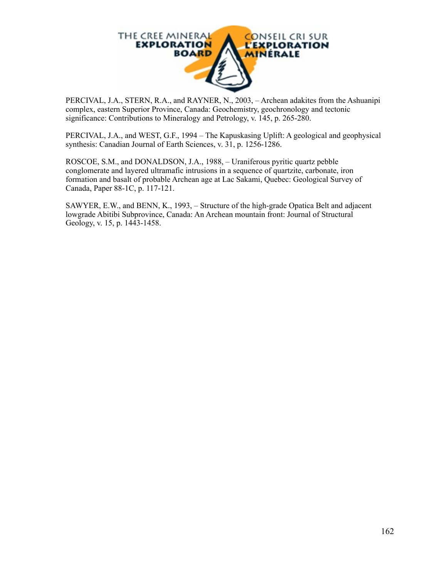

PERCIVAL, J.A., STERN, R.A., and RAYNER, N., 2003, – Archean adakites from the Ashuanipi complex, eastern Superior Province, Canada: Geochemistry, geochronology and tectonic significance: Contributions to Mineralogy and Petrology, v. 145, p. 265-280.

PERCIVAL, J.A., and WEST, G.F., 1994 – The Kapuskasing Uplift: A geological and geophysical synthesis: Canadian Journal of Earth Sciences, v. 31, p. 1256-1286.

ROSCOE, S.M., and DONALDSON, J.A., 1988, – Uraniferous pyritic quartz pebble conglomerate and layered ultramafic intrusions in a sequence of quartzite, carbonate, iron formation and basalt of probable Archean age at Lac Sakami, Quebec: Geological Survey of Canada, Paper 88-1C, p. 117-121.

SAWYER, E.W., and BENN, K., 1993, – Structure of the high-grade Opatica Belt and adjacent lowgrade Abitibi Subprovince, Canada: An Archean mountain front: Journal of Structural Geology, v. 15, p. 1443-1458.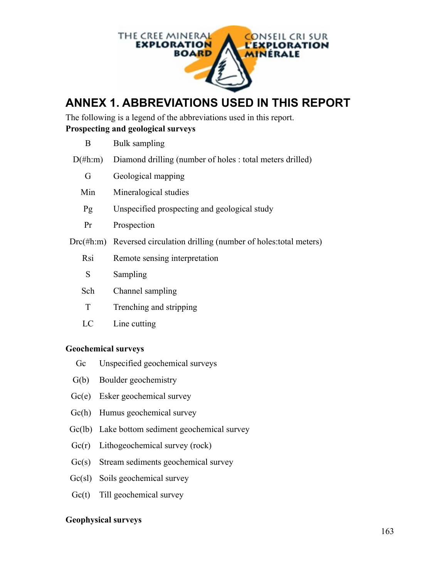

# **ANNEX 1. ABBREVIATIONS USED IN THIS REPORT**

The following is a legend of the abbreviations used in this report. **Prospecting and geological surveys**

| B.         | Bulk sampling                                                              |
|------------|----------------------------------------------------------------------------|
| $D(\#h:m)$ | Diamond drilling (number of holes : total meters drilled)                  |
| G          | Geological mapping                                                         |
| Min        | Mineralogical studies                                                      |
| Pg         | Unspecified prospecting and geological study                               |
| Pr         | Prospection                                                                |
|            | $Drc(\#h:m)$ Reversed circulation drilling (number of holes: total meters) |
| Rsi        | Remote sensing interpretation                                              |
| S          | Sampling                                                                   |
| Sch        | Channel sampling                                                           |
| T          | Trenching and stripping                                                    |
| LC         | Line cutting                                                               |

### **Geochemical surveys**

- Gc Unspecified geochemical surveys
- G(b) Boulder geochemistry
- Gc(e) Esker geochemical survey
- Gc(h) Humus geochemical survey
- Gc(lb) Lake bottom sediment geochemical survey
- Gc(r) Lithogeochemical survey (rock)
- Gc(s) Stream sediments geochemical survey
- Gc(sl) Soils geochemical survey
- Gc(t) Till geochemical survey

## **Geophysical surveys**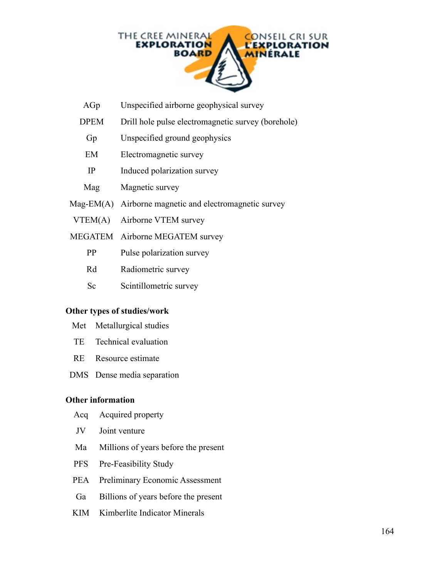

- AGp Unspecified airborne geophysical survey
- DPEM Drill hole pulse electromagnetic survey (borehole)
	- Gp Unspecified ground geophysics
	- EM Electromagnetic survey
	- IP Induced polarization survey
- Magnetic survey
- Mag-EM(A) Airborne magnetic and electromagnetic survey
- VTEM(A) Airborne VTEM survey
- MEGATEM Airborne MEGATEM survey
	- PP Pulse polarization survey
	- Rd Radiometric survey
	- Sc Scintillometric survey

#### **Other types of studies/work**

- Met Metallurgical studies
- TE Technical evaluation
- RE Resource estimate
- DMS Dense media separation

#### **Other information**

- Acq Acquired property
- JV Joint venture
- Ma Millions of years before the present
- PFS Pre-Feasibility Study
- PEA Preliminary Economic Assessment
- Ga Billions of years before the present
- KIM Kimberlite Indicator Minerals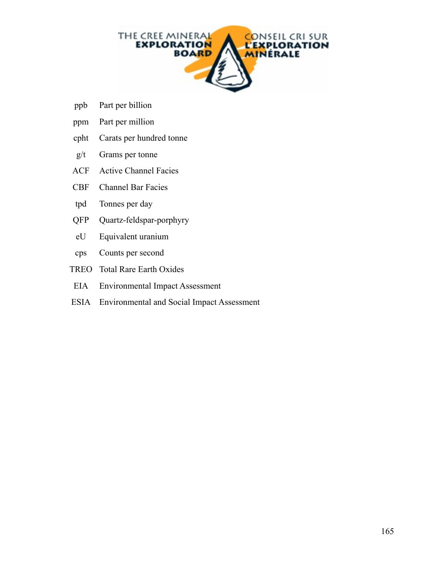

- ppb Part per billion
- ppm Part per million
- cpht Carats per hundred tonne
- $g/t$  Grams per tonne
- ACF Active Channel Facies
- CBF Channel Bar Facies
- tpd Tonnes per day
- QFP Quartz-feldspar-porphyry
- eU Equivalent uranium
- cps Counts per second
- TREO Total Rare Earth Oxides
- EIA Environmental Impact Assessment
- ESIA Environmental and Social Impact Assessment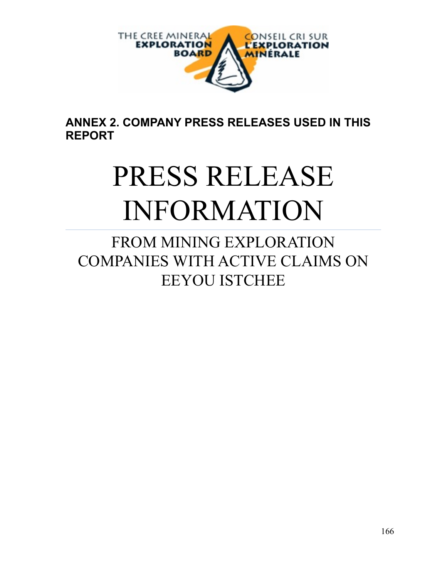

**ANNEX 2. COMPANY PRESS RELEASES USED IN THIS REPORT**

# PRESS RELEASE INFORMATION

FROM MINING EXPLORATION COMPANIES WITH ACTIVE CLAIMS ON EEYOU ISTCHEE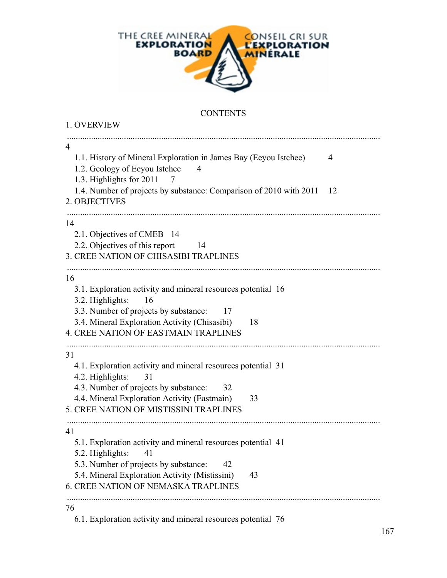

## **CONTENTS**

| 1. OVERVIEW                                                                                                                                |
|--------------------------------------------------------------------------------------------------------------------------------------------|
| $\overline{4}$<br>1.1. History of Mineral Exploration in James Bay (Eeyou Istchee)<br>$\overline{4}$<br>1.2. Geology of Eeyou Istchee<br>4 |
| 1.3. Highlights for 2011<br>$\gamma$<br>1.4. Number of projects by substance: Comparison of 2010 with 2011<br>-12<br>2. OBJECTIVES         |
| 14                                                                                                                                         |
| 2.1. Objectives of CMEB 14                                                                                                                 |
| 2.2. Objectives of this report<br>14                                                                                                       |
| 3. CREE NATION OF CHISASIBI TRAPLINES                                                                                                      |
| 16                                                                                                                                         |
| 3.1. Exploration activity and mineral resources potential 16<br>3.2. Highlights:<br>16                                                     |
| 3.3. Number of projects by substance:<br>- 17                                                                                              |
| 3.4. Mineral Exploration Activity (Chisasibi)<br>18<br><b>4. CREE NATION OF EASTMAIN TRAPLINES</b>                                         |
|                                                                                                                                            |
| 31<br>4.1. Exploration activity and mineral resources potential 31                                                                         |
| 4.2. Highlights:<br>31                                                                                                                     |
| 4.3. Number of projects by substance:<br>32                                                                                                |
| 4.4. Mineral Exploration Activity (Eastmain)<br>33                                                                                         |
| 5. CREE NATION OF MISTISSINI TRAPLINES                                                                                                     |
| 41                                                                                                                                         |
| 5.1. Exploration activity and mineral resources potential 41                                                                               |
| 5.2. Highlights:<br>41                                                                                                                     |
| 5.3. Number of projects by substance:<br>42                                                                                                |
| 5.4. Mineral Exploration Activity (Mistissini)<br>43<br><b>6. CREE NATION OF NEMASKA TRAPLINES</b>                                         |
|                                                                                                                                            |
| 76                                                                                                                                         |

6.1. Exploration activity and mineral resources potential 76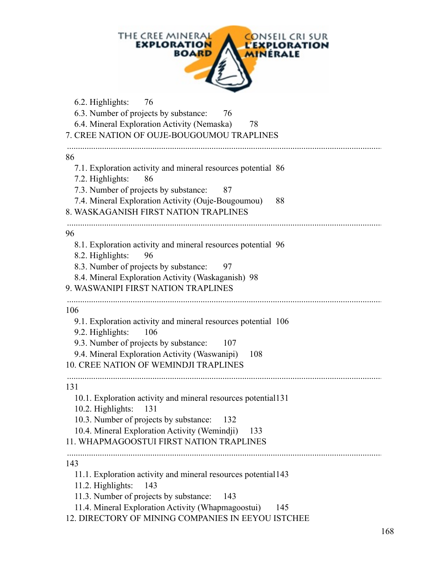|                          | THE CREE MINERAL<br><b>EXPLORATION</b><br><b>BOARD</b>                                                                                                                                                                      |                   | ONSEIL CRI SUR<br><b>EXPLORATION</b><br><b>MINERALE</b> |  |
|--------------------------|-----------------------------------------------------------------------------------------------------------------------------------------------------------------------------------------------------------------------------|-------------------|---------------------------------------------------------|--|
| 6.2. Highlights:         | 76<br>6.3. Number of projects by substance:<br>6.4. Mineral Exploration Activity (Nemaska)<br>7. CREE NATION OF OUJE-BOUGOUMOU TRAPLINES                                                                                    | 76<br>78          |                                                         |  |
| 86<br>7.2. Highlights:   | 7.1. Exploration activity and mineral resources potential 86<br>86<br>7.3. Number of projects by substance:<br>7.4. Mineral Exploration Activity (Ouje-Bougoumou)<br>8. WASKAGANISH FIRST NATION TRAPLINES                  | 87                | 88                                                      |  |
| 96<br>8.2. Highlights:   | 8.1. Exploration activity and mineral resources potential 96<br>96<br>8.3. Number of projects by substance:<br>8.4. Mineral Exploration Activity (Waskaganish) 98<br>9. WASWANIPI FIRST NATION TRAPLINES                    | 97                |                                                         |  |
| 106<br>9.2. Highlights:  | 9.1. Exploration activity and mineral resources potential 106<br>106<br>9.3. Number of projects by substance:<br>9.4. Mineral Exploration Activity (Waswanipi)<br><b>10. CREE NATION OF WEMINDJI TRAPLINES</b>              | 107<br><b>108</b> |                                                         |  |
| 131<br>10.2. Highlights: | 10.1. Exploration activity and mineral resources potential 131<br>131<br>10.3. Number of projects by substance:<br>10.4. Mineral Exploration Activity (Wemindji)<br>11. WHAPMAGOOSTUI FIRST NATION TRAPLINES                | 132<br>133        |                                                         |  |
| 143<br>11.2. Highlights: | 11.1. Exploration activity and mineral resources potential 143<br>143<br>11.3. Number of projects by substance:<br>11.4. Mineral Exploration Activity (Whapmagoostui)<br>12. DIRECTORY OF MINING COMPANIES IN EEYOU ISTCHEE | 143               | 145                                                     |  |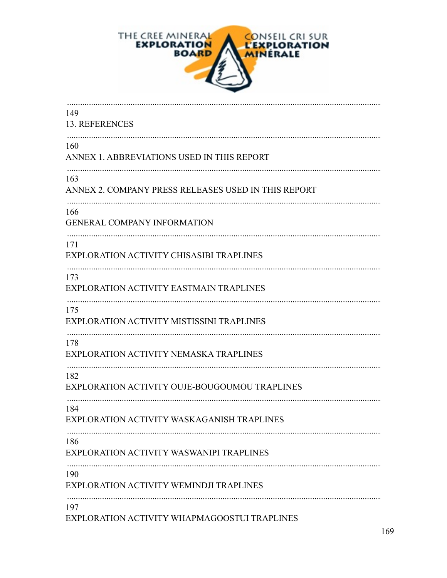

| 149<br>13. REFERENCES                                      |
|------------------------------------------------------------|
| 160<br>ANNEX 1. ABBREVIATIONS USED IN THIS REPORT          |
| 163<br>ANNEX 2. COMPANY PRESS RELEASES USED IN THIS REPORT |
| 166<br><b>GENERAL COMPANY INFORMATION</b>                  |
| 171<br>EXPLORATION ACTIVITY CHISASIBI TRAPLINES            |
| 173<br>EXPLORATION ACTIVITY EASTMAIN TRAPLINES             |
| 175<br>EXPLORATION ACTIVITY MISTISSINI TRAPLINES           |
| 178<br>EXPLORATION ACTIVITY NEMASKA TRAPLINES              |
| 182<br>EXPLORATION ACTIVITY OUJE-BOUGOUMOU TRAPLINES       |
| 184<br>EXPLORATION ACTIVITY WASKAGANISH TRAPLINES          |
| 186<br>EXPLORATION ACTIVITY WASWANIPI TRAPLINES            |
| 190<br>EXPLORATION ACTIVITY WEMINDJI TRAPLINES             |
| 197<br>EXPLORATION ACTIVITY WHAPMAGOOSTUI TRAPLINES        |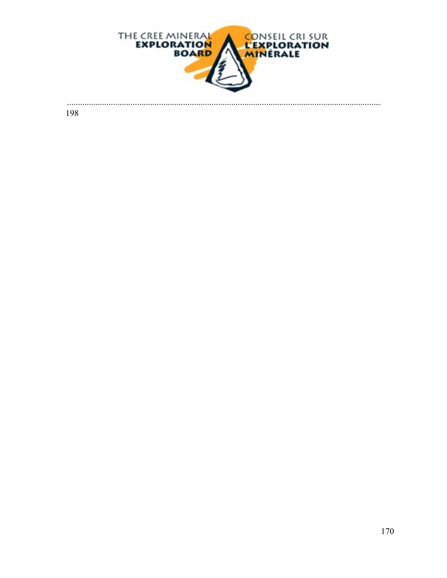

. . . . . . . . . . . .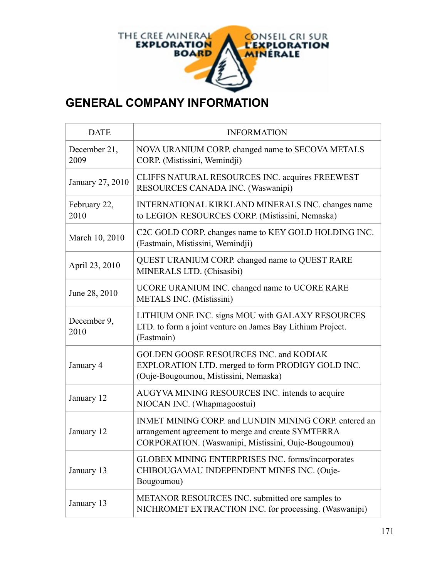

## **GENERAL COMPANY INFORMATION**

| <b>DATE</b>          | <b>INFORMATION</b>                                                                                                                                                  |
|----------------------|---------------------------------------------------------------------------------------------------------------------------------------------------------------------|
| December 21,<br>2009 | NOVA URANIUM CORP. changed name to SECOVA METALS<br>CORP. (Mistissini, Wemindji)                                                                                    |
| January 27, 2010     | CLIFFS NATURAL RESOURCES INC. acquires FREEWEST<br>RESOURCES CANADA INC. (Waswanipi)                                                                                |
| February 22,<br>2010 | INTERNATIONAL KIRKLAND MINERALS INC. changes name<br>to LEGION RESOURCES CORP. (Mistissini, Nemaska)                                                                |
| March 10, 2010       | C2C GOLD CORP. changes name to KEY GOLD HOLDING INC.<br>(Eastmain, Mistissini, Wemindji)                                                                            |
| April 23, 2010       | QUEST URANIUM CORP. changed name to QUEST RARE<br>MINERALS LTD. (Chisasibi)                                                                                         |
| June 28, 2010        | UCORE URANIUM INC. changed name to UCORE RARE<br><b>METALS INC.</b> (Mistissini)                                                                                    |
| December 9,<br>2010  | LITHIUM ONE INC. signs MOU with GALAXY RESOURCES<br>LTD. to form a joint venture on James Bay Lithium Project.<br>(Eastmain)                                        |
| January 4            | <b>GOLDEN GOOSE RESOURCES INC. and KODIAK</b><br>EXPLORATION LTD. merged to form PRODIGY GOLD INC.<br>(Ouje-Bougoumou, Mistissini, Nemaska)                         |
| January 12           | AUGYVA MINING RESOURCES INC. intends to acquire<br>NIOCAN INC. (Whapmagoostui)                                                                                      |
| January 12           | INMET MINING CORP. and LUNDIN MINING CORP. entered an<br>arrangement agreement to merge and create SYMTERRA<br>CORPORATION. (Waswanipi, Mistissini, Ouje-Bougoumou) |
| January 13           | GLOBEX MINING ENTERPRISES INC. forms/incorporates<br>CHIBOUGAMAU INDEPENDENT MINES INC. (Ouje-<br>Bougoumou)                                                        |
| January 13           | METANOR RESOURCES INC. submitted ore samples to<br>NICHROMET EXTRACTION INC. for processing. (Waswanipi)                                                            |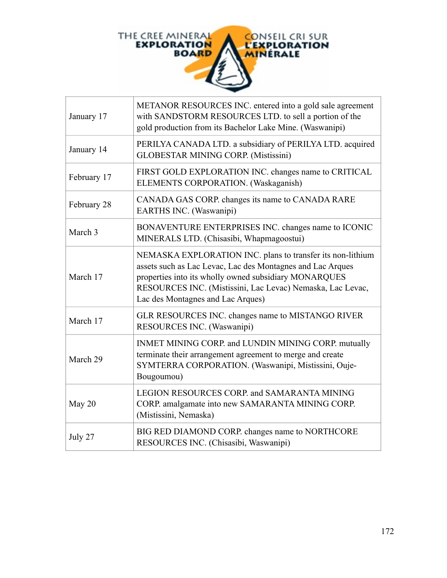

| January 17  | METANOR RESOURCES INC. entered into a gold sale agreement<br>with SANDSTORM RESOURCES LTD. to sell a portion of the<br>gold production from its Bachelor Lake Mine. (Waswanipi)                                                                                                      |
|-------------|--------------------------------------------------------------------------------------------------------------------------------------------------------------------------------------------------------------------------------------------------------------------------------------|
| January 14  | PERILYA CANADA LTD. a subsidiary of PERILYA LTD. acquired<br><b>GLOBESTAR MINING CORP. (Mistissini)</b>                                                                                                                                                                              |
| February 17 | FIRST GOLD EXPLORATION INC. changes name to CRITICAL<br>ELEMENTS CORPORATION. (Waskaganish)                                                                                                                                                                                          |
| February 28 | CANADA GAS CORP. changes its name to CANADA RARE<br>EARTHS INC. (Waswanipi)                                                                                                                                                                                                          |
| March 3     | BONAVENTURE ENTERPRISES INC. changes name to ICONIC<br>MINERALS LTD. (Chisasibi, Whapmagoostui)                                                                                                                                                                                      |
| March 17    | NEMASKA EXPLORATION INC. plans to transfer its non-lithium<br>assets such as Lac Levac, Lac des Montagnes and Lac Arques<br>properties into its wholly owned subsidiary MONARQUES<br>RESOURCES INC. (Mistissini, Lac Levac) Nemaska, Lac Levac,<br>Lac des Montagnes and Lac Arques) |
| March 17    | GLR RESOURCES INC. changes name to MISTANGO RIVER<br>RESOURCES INC. (Waswanipi)                                                                                                                                                                                                      |
| March 29    | INMET MINING CORP. and LUNDIN MINING CORP. mutually<br>terminate their arrangement agreement to merge and create<br>SYMTERRA CORPORATION. (Waswanipi, Mistissini, Ouje-<br>Bougoumou)                                                                                                |
| May 20      | LEGION RESOURCES CORP. and SAMARANTA MINING<br>CORP. amalgamate into new SAMARANTA MINING CORP.<br>(Mistissini, Nemaska)                                                                                                                                                             |
| July 27     | BIG RED DIAMOND CORP. changes name to NORTHCORE<br>RESOURCES INC. (Chisasibi, Waswanipi)                                                                                                                                                                                             |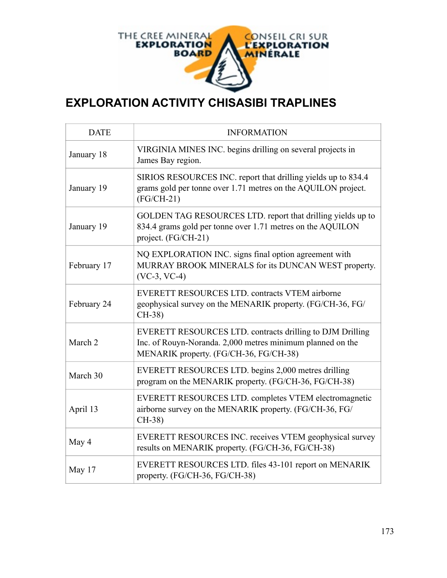

## **EXPLORATION ACTIVITY CHISASIBI TRAPLINES**

| <b>DATE</b> | <b>INFORMATION</b>                                                                                                                                                |
|-------------|-------------------------------------------------------------------------------------------------------------------------------------------------------------------|
| January 18  | VIRGINIA MINES INC. begins drilling on several projects in<br>James Bay region.                                                                                   |
| January 19  | SIRIOS RESOURCES INC. report that drilling yields up to 834.4<br>grams gold per tonne over 1.71 metres on the AQUILON project.<br>$(FG/CH-21)$                    |
| January 19  | GOLDEN TAG RESOURCES LTD. report that drilling yields up to<br>834.4 grams gold per tonne over 1.71 metres on the AQUILON<br>project. (FG/CH-21)                  |
| February 17 | NQ EXPLORATION INC. signs final option agreement with<br>MURRAY BROOK MINERALS for its DUNCAN WEST property.<br>$(VC-3, VC-4)$                                    |
| February 24 | EVERETT RESOURCES LTD. contracts VTEM airborne<br>geophysical survey on the MENARIK property. (FG/CH-36, FG/<br>$CH-38$                                           |
| March 2     | EVERETT RESOURCES LTD. contracts drilling to DJM Drilling<br>Inc. of Rouyn-Noranda. 2,000 metres minimum planned on the<br>MENARIK property. (FG/CH-36, FG/CH-38) |
| March 30    | EVERETT RESOURCES LTD. begins 2,000 metres drilling<br>program on the MENARIK property. (FG/CH-36, FG/CH-38)                                                      |
| April 13    | EVERETT RESOURCES LTD. completes VTEM electromagnetic<br>airborne survey on the MENARIK property. (FG/CH-36, FG/<br>$CH-38$                                       |
| May 4       | EVERETT RESOURCES INC. receives VTEM geophysical survey<br>results on MENARIK property. (FG/CH-36, FG/CH-38)                                                      |
| May 17      | EVERETT RESOURCES LTD. files 43-101 report on MENARIK<br>property. (FG/CH-36, FG/CH-38)                                                                           |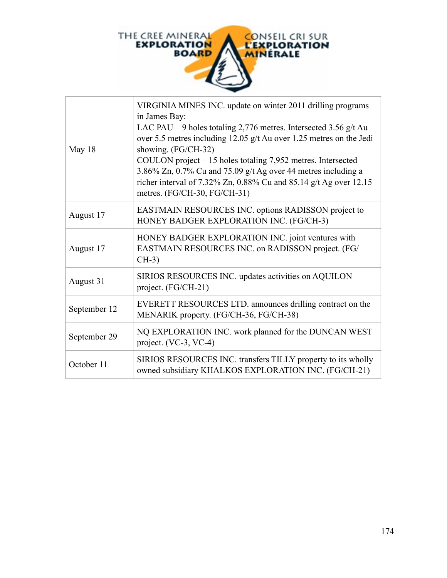

| May 18       | VIRGINIA MINES INC. update on winter 2011 drilling programs<br>in James Bay:<br>LAC PAU – 9 holes totaling 2,776 metres. Intersected 3.56 $g/t$ Au<br>over 5.5 metres including 12.05 g/t Au over 1.25 metres on the Jedi<br>showing. (FG/CH-32)<br>COULON project - 15 holes totaling 7,952 metres. Intersected<br>3.86% Zn, $0.7\%$ Cu and 75.09 g/t Ag over 44 metres including a<br>richer interval of 7.32% Zn, 0.88% Cu and 85.14 g/t Ag over 12.15<br>metres. (FG/CH-30, FG/CH-31) |
|--------------|-------------------------------------------------------------------------------------------------------------------------------------------------------------------------------------------------------------------------------------------------------------------------------------------------------------------------------------------------------------------------------------------------------------------------------------------------------------------------------------------|
| August 17    | EASTMAIN RESOURCES INC. options RADISSON project to<br>HONEY BADGER EXPLORATION INC. (FG/CH-3)                                                                                                                                                                                                                                                                                                                                                                                            |
| August 17    | HONEY BADGER EXPLORATION INC. joint ventures with<br>EASTMAIN RESOURCES INC. on RADISSON project. (FG/<br>$CH-3)$                                                                                                                                                                                                                                                                                                                                                                         |
| August 31    | SIRIOS RESOURCES INC. updates activities on AQUILON<br>project. (FG/CH-21)                                                                                                                                                                                                                                                                                                                                                                                                                |
| September 12 | EVERETT RESOURCES LTD. announces drilling contract on the<br>MENARIK property. (FG/CH-36, FG/CH-38)                                                                                                                                                                                                                                                                                                                                                                                       |
| September 29 | NQ EXPLORATION INC. work planned for the DUNCAN WEST<br>project. (VC-3, VC-4)                                                                                                                                                                                                                                                                                                                                                                                                             |
| October 11   | SIRIOS RESOURCES INC. transfers TILLY property to its wholly<br>owned subsidiary KHALKOS EXPLORATION INC. (FG/CH-21)                                                                                                                                                                                                                                                                                                                                                                      |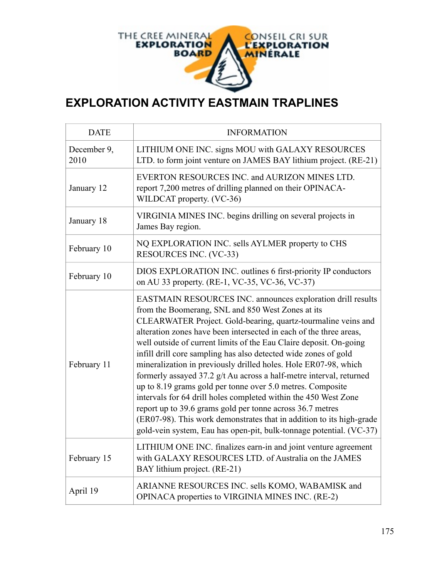

## **EXPLORATION ACTIVITY EASTMAIN TRAPLINES**

| <b>DATE</b>         | <b>INFORMATION</b>                                                                                                                                                                                                                                                                                                                                                                                                                                                                                                                                                                                                                                                                                                                                                                                                                                                                      |
|---------------------|-----------------------------------------------------------------------------------------------------------------------------------------------------------------------------------------------------------------------------------------------------------------------------------------------------------------------------------------------------------------------------------------------------------------------------------------------------------------------------------------------------------------------------------------------------------------------------------------------------------------------------------------------------------------------------------------------------------------------------------------------------------------------------------------------------------------------------------------------------------------------------------------|
| December 9,<br>2010 | LITHIUM ONE INC. signs MOU with GALAXY RESOURCES<br>LTD. to form joint venture on JAMES BAY lithium project. (RE-21)                                                                                                                                                                                                                                                                                                                                                                                                                                                                                                                                                                                                                                                                                                                                                                    |
| January 12          | EVERTON RESOURCES INC. and AURIZON MINES LTD.<br>report 7,200 metres of drilling planned on their OPINACA-<br>WILDCAT property. (VC-36)                                                                                                                                                                                                                                                                                                                                                                                                                                                                                                                                                                                                                                                                                                                                                 |
| January 18          | VIRGINIA MINES INC. begins drilling on several projects in<br>James Bay region.                                                                                                                                                                                                                                                                                                                                                                                                                                                                                                                                                                                                                                                                                                                                                                                                         |
| February 10         | NQ EXPLORATION INC. sells AYLMER property to CHS<br>RESOURCES INC. (VC-33)                                                                                                                                                                                                                                                                                                                                                                                                                                                                                                                                                                                                                                                                                                                                                                                                              |
| February 10         | DIOS EXPLORATION INC. outlines 6 first-priority IP conductors<br>on AU 33 property. (RE-1, VC-35, VC-36, VC-37)                                                                                                                                                                                                                                                                                                                                                                                                                                                                                                                                                                                                                                                                                                                                                                         |
| February 11         | EASTMAIN RESOURCES INC. announces exploration drill results<br>from the Boomerang, SNL and 850 West Zones at its<br>CLEARWATER Project. Gold-bearing, quartz-tourmaline veins and<br>alteration zones have been intersected in each of the three areas,<br>well outside of current limits of the Eau Claire deposit. On-going<br>infill drill core sampling has also detected wide zones of gold<br>mineralization in previously drilled holes. Hole ER07-98, which<br>formerly assayed 37.2 g/t Au across a half-metre interval, returned<br>up to 8.19 grams gold per tonne over 5.0 metres. Composite<br>intervals for 64 drill holes completed within the 450 West Zone<br>report up to 39.6 grams gold per tonne across 36.7 metres<br>(ER07-98). This work demonstrates that in addition to its high-grade<br>gold-vein system, Eau has open-pit, bulk-tonnage potential. (VC-37) |
| February 15         | LITHIUM ONE INC. finalizes earn-in and joint venture agreement<br>with GALAXY RESOURCES LTD. of Australia on the JAMES<br>BAY lithium project. (RE-21)                                                                                                                                                                                                                                                                                                                                                                                                                                                                                                                                                                                                                                                                                                                                  |
| April 19            | ARIANNE RESOURCES INC. sells KOMO, WABAMISK and<br>OPINACA properties to VIRGINIA MINES INC. (RE-2)                                                                                                                                                                                                                                                                                                                                                                                                                                                                                                                                                                                                                                                                                                                                                                                     |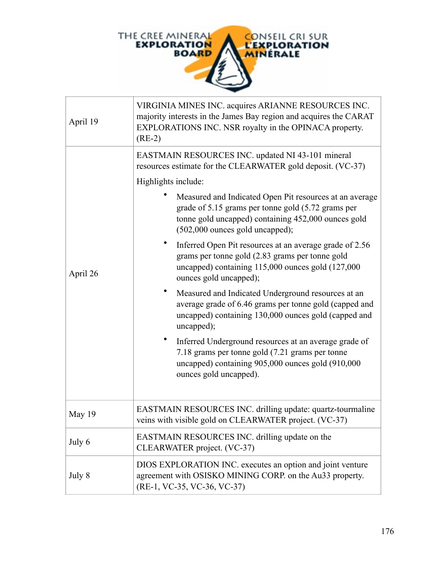

| April 19 | VIRGINIA MINES INC. acquires ARIANNE RESOURCES INC.<br>majority interests in the James Bay region and acquires the CARAT<br>EXPLORATIONS INC. NSR royalty in the OPINACA property.<br>$(RE-2)$            |
|----------|-----------------------------------------------------------------------------------------------------------------------------------------------------------------------------------------------------------|
|          | EASTMAIN RESOURCES INC. updated NI 43-101 mineral<br>resources estimate for the CLEARWATER gold deposit. (VC-37)                                                                                          |
| April 26 | Highlights include:                                                                                                                                                                                       |
|          | Measured and Indicated Open Pit resources at an average<br>grade of 5.15 grams per tonne gold (5.72 grams per<br>tonne gold uncapped) containing 452,000 ounces gold<br>$(502,000$ ounces gold uncapped); |
|          | Inferred Open Pit resources at an average grade of 2.56<br>grams per tonne gold (2.83 grams per tonne gold<br>uncapped) containing 115,000 ounces gold (127,000<br>ounces gold uncapped);                 |
|          | Measured and Indicated Underground resources at an<br>average grade of 6.46 grams per tonne gold (capped and<br>uncapped) containing 130,000 ounces gold (capped and<br>uncapped);                        |
|          | Inferred Underground resources at an average grade of<br>7.18 grams per tonne gold (7.21 grams per tonne<br>uncapped) containing 905,000 ounces gold (910,000<br>ounces gold uncapped).                   |
| May 19   | EASTMAIN RESOURCES INC. drilling update: quartz-tourmaline<br>veins with visible gold on CLEARWATER project. (VC-37)                                                                                      |
| July 6   | EASTMAIN RESOURCES INC. drilling update on the<br>CLEARWATER project. (VC-37)                                                                                                                             |
| July 8   | DIOS EXPLORATION INC. executes an option and joint venture<br>agreement with OSISKO MINING CORP. on the Au33 property.<br>(RE-1, VC-35, VC-36, VC-37)                                                     |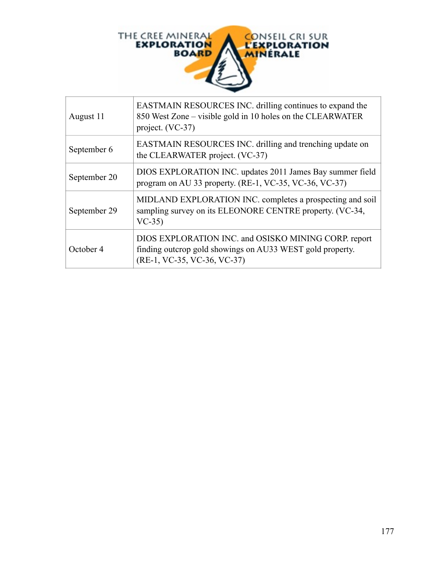

| August 11    | EASTMAIN RESOURCES INC. drilling continues to expand the<br>850 West Zone – visible gold in 10 holes on the CLEARWATER<br>project. (VC-37)       |
|--------------|--------------------------------------------------------------------------------------------------------------------------------------------------|
| September 6  | EASTMAIN RESOURCES INC. drilling and trenching update on<br>the CLEARWATER project. (VC-37)                                                      |
| September 20 | DIOS EXPLORATION INC. updates 2011 James Bay summer field<br>program on AU 33 property. (RE-1, VC-35, VC-36, VC-37)                              |
| September 29 | MIDLAND EXPLORATION INC. completes a prospecting and soil<br>sampling survey on its ELEONORE CENTRE property. (VC-34,<br>$VC-35$                 |
| October 4    | DIOS EXPLORATION INC. and OSISKO MINING CORP. report<br>finding outcrop gold showings on AU33 WEST gold property.<br>(RE-1, VC-35, VC-36, VC-37) |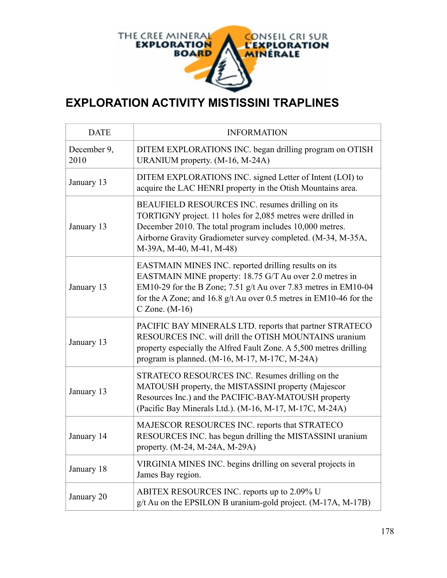

## **EXPLORATION ACTIVITY MISTISSINI TRAPLINES**

| <b>DATE</b>         | <b>INFORMATION</b>                                                                                                                                                                                                                                                               |
|---------------------|----------------------------------------------------------------------------------------------------------------------------------------------------------------------------------------------------------------------------------------------------------------------------------|
| December 9,<br>2010 | DITEM EXPLORATIONS INC. began drilling program on OTISH<br>URANIUM property. (M-16, M-24A)                                                                                                                                                                                       |
| January 13          | DITEM EXPLORATIONS INC. signed Letter of Intent (LOI) to<br>acquire the LAC HENRI property in the Otish Mountains area.                                                                                                                                                          |
| January 13          | BEAUFIELD RESOURCES INC. resumes drilling on its<br>TORTIGNY project. 11 holes for 2,085 metres were drilled in<br>December 2010. The total program includes 10,000 metres.<br>Airborne Gravity Gradiometer survey completed. (M-34, M-35A,<br>M-39A, M-40, M-41, M-48)          |
| January 13          | EASTMAIN MINES INC. reported drilling results on its<br>EASTMAIN MINE property: 18.75 G/T Au over 2.0 metres in<br>EM10-29 for the B Zone; 7.51 g/t Au over 7.83 metres in EM10-04<br>for the A Zone; and 16.8 $g/t$ Au over 0.5 metres in EM10-46 for the<br>$C$ Zone. $(M-16)$ |
| January 13          | PACIFIC BAY MINERALS LTD. reports that partner STRATECO<br>RESOURCES INC. will drill the OTISH MOUNTAINS uranium<br>property especially the Alfred Fault Zone. A 5,500 metres drilling<br>program is planned. (M-16, M-17, M-17C, M-24A)                                         |
| January 13          | STRATECO RESOURCES INC. Resumes drilling on the<br>MATOUSH property, the MISTASSINI property (Majescor<br>Resources Inc.) and the PACIFIC-BAY-MATOUSH property<br>(Pacific Bay Minerals Ltd.). (M-16, M-17, M-17C, M-24A)                                                        |
| January 14          | MAJESCOR RESOURCES INC. reports that STRATECO<br>RESOURCES INC. has begun drilling the MISTASSINI uranium<br>property. (M-24, M-24A, M-29A)                                                                                                                                      |
| January 18          | VIRGINIA MINES INC. begins drilling on several projects in<br>James Bay region.                                                                                                                                                                                                  |
| January 20          | ABITEX RESOURCES INC. reports up to 2.09% U<br>g/t Au on the EPSILON B uranium-gold project. (M-17A, M-17B)                                                                                                                                                                      |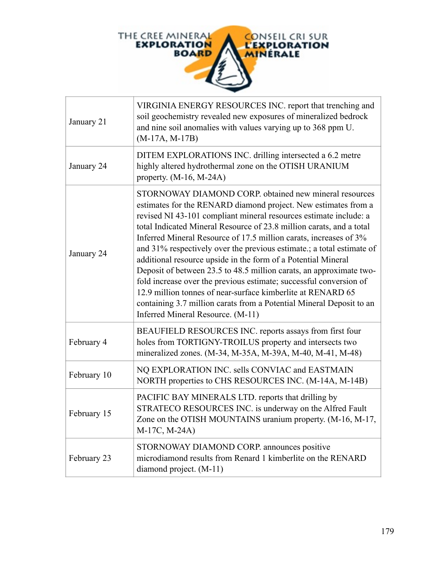

| January 21  | VIRGINIA ENERGY RESOURCES INC. report that trenching and<br>soil geochemistry revealed new exposures of mineralized bedrock<br>and nine soil anomalies with values varying up to 368 ppm U.<br>$(M-17A, M-17B)$                                                                                                                                                                                                                                                                                                                                                                                                                                                                                                                                                                                                |
|-------------|----------------------------------------------------------------------------------------------------------------------------------------------------------------------------------------------------------------------------------------------------------------------------------------------------------------------------------------------------------------------------------------------------------------------------------------------------------------------------------------------------------------------------------------------------------------------------------------------------------------------------------------------------------------------------------------------------------------------------------------------------------------------------------------------------------------|
| January 24  | DITEM EXPLORATIONS INC. drilling intersected a 6.2 metre<br>highly altered hydrothermal zone on the OTISH URANIUM<br>property. $(M-16, M-24A)$                                                                                                                                                                                                                                                                                                                                                                                                                                                                                                                                                                                                                                                                 |
| January 24  | STORNOWAY DIAMOND CORP. obtained new mineral resources<br>estimates for the RENARD diamond project. New estimates from a<br>revised NI 43-101 compliant mineral resources estimate include: a<br>total Indicated Mineral Resource of 23.8 million carats, and a total<br>Inferred Mineral Resource of 17.5 million carats, increases of 3%<br>and 31% respectively over the previous estimate :; a total estimate of<br>additional resource upside in the form of a Potential Mineral<br>Deposit of between 23.5 to 48.5 million carats, an approximate two-<br>fold increase over the previous estimate; successful conversion of<br>12.9 million tonnes of near-surface kimberlite at RENARD 65<br>containing 3.7 million carats from a Potential Mineral Deposit to an<br>Inferred Mineral Resource. (M-11) |
| February 4  | BEAUFIELD RESOURCES INC. reports assays from first four<br>holes from TORTIGNY-TROILUS property and intersects two<br>mineralized zones. (M-34, M-35A, M-39A, M-40, M-41, M-48)                                                                                                                                                                                                                                                                                                                                                                                                                                                                                                                                                                                                                                |
| February 10 | NQ EXPLORATION INC. sells CONVIAC and EASTMAIN<br>NORTH properties to CHS RESOURCES INC. (M-14A, M-14B)                                                                                                                                                                                                                                                                                                                                                                                                                                                                                                                                                                                                                                                                                                        |
| February 15 | PACIFIC BAY MINERALS LTD. reports that drilling by<br>STRATECO RESOURCES INC. is underway on the Alfred Fault<br>Zone on the OTISH MOUNTAINS uranium property. (M-16, M-17,<br>M-17C, M-24A)                                                                                                                                                                                                                                                                                                                                                                                                                                                                                                                                                                                                                   |
| February 23 | STORNOWAY DIAMOND CORP. announces positive<br>microdiamond results from Renard 1 kimberlite on the RENARD<br>diamond project. (M-11)                                                                                                                                                                                                                                                                                                                                                                                                                                                                                                                                                                                                                                                                           |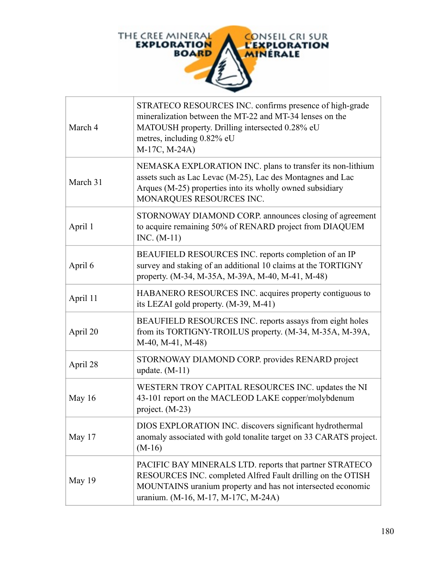

| March 4  | STRATECO RESOURCES INC. confirms presence of high-grade<br>mineralization between the MT-22 and MT-34 lenses on the<br>MATOUSH property. Drilling intersected 0.28% eU<br>metres, including 0.82% eU<br>M-17C, M-24A)        |
|----------|------------------------------------------------------------------------------------------------------------------------------------------------------------------------------------------------------------------------------|
| March 31 | NEMASKA EXPLORATION INC. plans to transfer its non-lithium<br>assets such as Lac Levac (M-25), Lac des Montagnes and Lac<br>Arques (M-25) properties into its wholly owned subsidiary<br>MONARQUES RESOURCES INC.            |
| April 1  | STORNOWAY DIAMOND CORP. announces closing of agreement<br>to acquire remaining 50% of RENARD project from DIAQUEM<br>$INC. (M-11)$                                                                                           |
| April 6  | BEAUFIELD RESOURCES INC. reports completion of an IP<br>survey and staking of an additional 10 claims at the TORTIGNY<br>property. (M-34, M-35A, M-39A, M-40, M-41, M-48)                                                    |
| April 11 | HABANERO RESOURCES INC. acquires property contiguous to<br>its LEZAI gold property. (M-39, M-41)                                                                                                                             |
| April 20 | BEAUFIELD RESOURCES INC. reports assays from eight holes<br>from its TORTIGNY-TROILUS property. (M-34, M-35A, M-39A,<br>M-40, M-41, M-48)                                                                                    |
| April 28 | STORNOWAY DIAMOND CORP. provides RENARD project<br>update. $(M-11)$                                                                                                                                                          |
| May 16   | WESTERN TROY CAPITAL RESOURCES INC. updates the NI<br>43-101 report on the MACLEOD LAKE copper/molybdenum<br>project. (M-23)                                                                                                 |
| May 17   | DIOS EXPLORATION INC. discovers significant hydrothermal<br>anomaly associated with gold tonalite target on 33 CARATS project.<br>$(M-16)$                                                                                   |
| May 19   | PACIFIC BAY MINERALS LTD. reports that partner STRATECO<br>RESOURCES INC. completed Alfred Fault drilling on the OTISH<br>MOUNTAINS uranium property and has not intersected economic<br>uranium. (M-16, M-17, M-17C, M-24A) |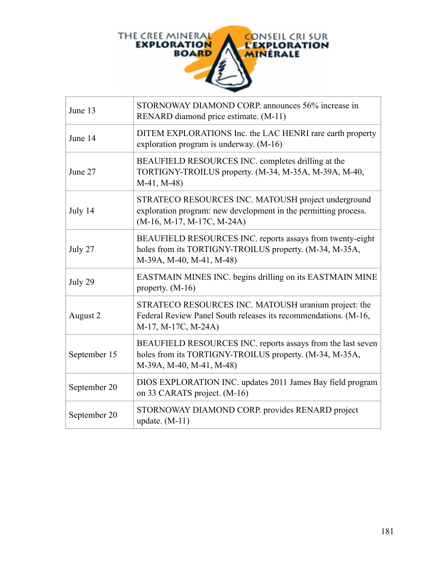

| June 13      | STORNOWAY DIAMOND CORP. announces 56% increase in<br>RENARD diamond price estimate. (M-11)                                                             |
|--------------|--------------------------------------------------------------------------------------------------------------------------------------------------------|
| June 14      | DITEM EXPLORATIONS Inc. the LAC HENRI rare earth property<br>exploration program is underway. (M-16)                                                   |
| June 27      | BEAUFIELD RESOURCES INC. completes drilling at the<br>TORTIGNY-TROILUS property. (M-34, M-35A, M-39A, M-40,<br>$M-41, M-48$                            |
| July 14      | STRATECO RESOURCES INC. MATOUSH project underground<br>exploration program: new development in the permitting process.<br>$(M-16, M-17, M-17C, M-24A)$ |
| July 27      | BEAUFIELD RESOURCES INC. reports assays from twenty-eight<br>holes from its TORTIGNY-TROILUS property. (M-34, M-35A,<br>M-39A, M-40, M-41, M-48)       |
| July 29      | EASTMAIN MINES INC. begins drilling on its EASTMAIN MINE<br>property. $(M-16)$                                                                         |
| August 2     | STRATECO RESOURCES INC. MATOUSH uranium project: the<br>Federal Review Panel South releases its recommendations. (M-16,<br>M-17, M-17C, M-24A)         |
| September 15 | BEAUFIELD RESOURCES INC. reports assays from the last seven<br>holes from its TORTIGNY-TROILUS property. (M-34, M-35A,<br>M-39A, M-40, M-41, M-48)     |
| September 20 | DIOS EXPLORATION INC. updates 2011 James Bay field program<br>on 33 CARATS project. (M-16)                                                             |
| September 20 | STORNOWAY DIAMOND CORP. provides RENARD project<br>update. $(M-11)$                                                                                    |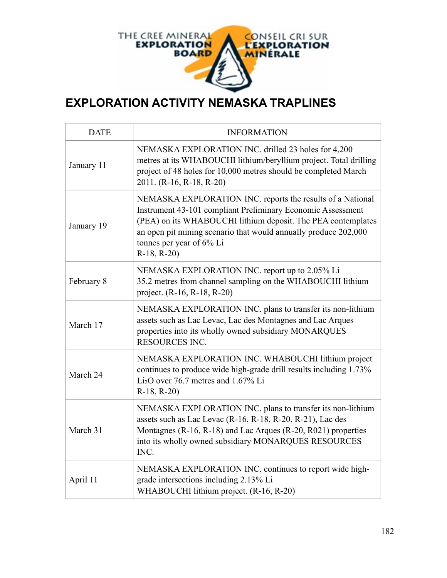

## **EXPLORATION ACTIVITY NEMASKA TRAPLINES**

| <b>DATE</b> | <b>INFORMATION</b>                                                                                                                                                                                                                                                                                       |
|-------------|----------------------------------------------------------------------------------------------------------------------------------------------------------------------------------------------------------------------------------------------------------------------------------------------------------|
| January 11  | NEMASKA EXPLORATION INC. drilled 23 holes for 4,200<br>metres at its WHABOUCHI lithium/beryllium project. Total drilling<br>project of 48 holes for 10,000 metres should be completed March<br>2011. (R-16, R-18, R-20)                                                                                  |
| January 19  | NEMASKA EXPLORATION INC. reports the results of a National<br>Instrument 43-101 compliant Preliminary Economic Assessment<br>(PEA) on its WHABOUCHI lithium deposit. The PEA contemplates<br>an open pit mining scenario that would annually produce 202,000<br>tonnes per year of 6% Li<br>$R-18, R-20$ |
| February 8  | NEMASKA EXPLORATION INC. report up to 2.05% Li<br>35.2 metres from channel sampling on the WHABOUCHI lithium<br>project. (R-16, R-18, R-20)                                                                                                                                                              |
| March 17    | NEMASKA EXPLORATION INC. plans to transfer its non-lithium<br>assets such as Lac Levac, Lac des Montagnes and Lac Arques<br>properties into its wholly owned subsidiary MONARQUES<br><b>RESOURCES INC.</b>                                                                                               |
| March 24    | NEMASKA EXPLORATION INC. WHABOUCHI lithium project<br>continues to produce wide high-grade drill results including 1.73%<br>$Li2O$ over 76.7 metres and 1.67% Li<br>$R-18, R-20$                                                                                                                         |
| March 31    | NEMASKA EXPLORATION INC. plans to transfer its non-lithium<br>assets such as Lac Levac (R-16, R-18, R-20, R-21), Lac des<br>Montagnes (R-16, R-18) and Lac Arques (R-20, R021) properties<br>into its wholly owned subsidiary MONARQUES RESOURCES<br>INC.                                                |
| April 11    | NEMASKA EXPLORATION INC. continues to report wide high-<br>grade intersections including 2.13% Li<br>WHABOUCHI lithium project. (R-16, R-20)                                                                                                                                                             |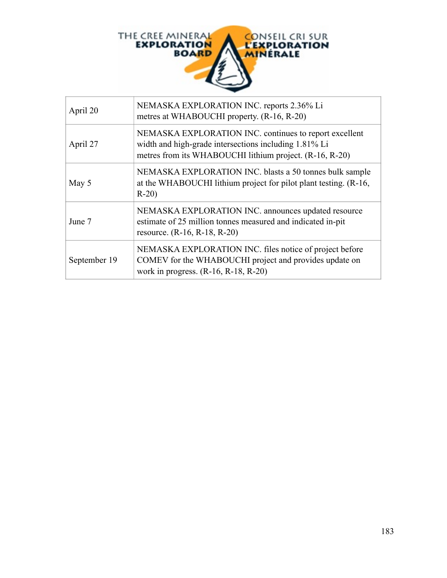

| April 20     | NEMASKA EXPLORATION INC. reports 2.36% Li<br>metres at WHABOUCHI property. (R-16, R-20)                                                                                    |
|--------------|----------------------------------------------------------------------------------------------------------------------------------------------------------------------------|
| April 27     | NEMASKA EXPLORATION INC. continues to report excellent<br>width and high-grade intersections including 1.81% Li<br>metres from its WHABOUCHI lithium project. (R-16, R-20) |
| May 5        | NEMASKA EXPLORATION INC. blasts a 50 tonnes bulk sample<br>at the WHABOUCHI lithium project for pilot plant testing. (R-16,<br>$R-20$                                      |
| June 7       | NEMASKA EXPLORATION INC. announces updated resource<br>estimate of 25 million tonnes measured and indicated in-pit<br>resource. $(R-16, R-18, R-20)$                       |
| September 19 | NEMASKA EXPLORATION INC. files notice of project before<br>COMEV for the WHABOUCHI project and provides update on<br>work in progress. $(R-16, R-18, R-20)$                |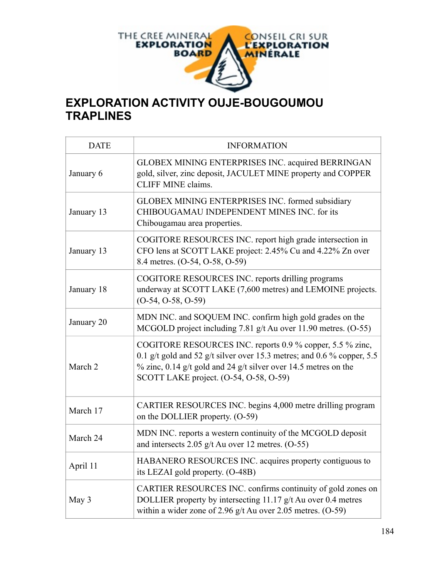

# **EXPLORATION ACTIVITY OUJE-BOUGOUMOU TRAPLINES**

| <b>DATE</b> | <b>INFORMATION</b>                                                                                                                                                                                                                                  |
|-------------|-----------------------------------------------------------------------------------------------------------------------------------------------------------------------------------------------------------------------------------------------------|
| January 6   | GLOBEX MINING ENTERPRISES INC. acquired BERRINGAN<br>gold, silver, zinc deposit, JACULET MINE property and COPPER<br><b>CLIFF MINE claims.</b>                                                                                                      |
| January 13  | GLOBEX MINING ENTERPRISES INC. formed subsidiary<br>CHIBOUGAMAU INDEPENDENT MINES INC. for its<br>Chibougamau area properties.                                                                                                                      |
| January 13  | COGITORE RESOURCES INC. report high grade intersection in<br>CFO lens at SCOTT LAKE project: 2.45% Cu and 4.22% Zn over<br>8.4 metres. (O-54, O-58, O-59)                                                                                           |
| January 18  | COGITORE RESOURCES INC. reports drilling programs<br>underway at SCOTT LAKE (7,600 metres) and LEMOINE projects.<br>$(O-54, O-58, O-59)$                                                                                                            |
| January 20  | MDN INC. and SOQUEM INC. confirm high gold grades on the<br>MCGOLD project including 7.81 g/t Au over 11.90 metres. (O-55)                                                                                                                          |
| March 2     | COGITORE RESOURCES INC. reports 0.9 % copper, 5.5 % zinc,<br>0.1 g/t gold and 52 g/t silver over 15.3 metres; and 0.6 % copper, 5.5<br>$\%$ zinc, 0.14 g/t gold and 24 g/t silver over 14.5 metres on the<br>SCOTT LAKE project. (O-54, O-58, O-59) |
| March 17    | CARTIER RESOURCES INC. begins 4,000 metre drilling program<br>on the DOLLIER property. (O-59)                                                                                                                                                       |
| March 24    | MDN INC. reports a western continuity of the MCGOLD deposit<br>and intersects 2.05 $g/t$ Au over 12 metres. (O-55)                                                                                                                                  |
| April 11    | HABANERO RESOURCES INC. acquires property contiguous to<br>its LEZAI gold property. (O-48B)                                                                                                                                                         |
| May 3       | CARTIER RESOURCES INC. confirms continuity of gold zones on<br>DOLLIER property by intersecting 11.17 g/t Au over 0.4 metres<br>within a wider zone of 2.96 $g/t$ Au over 2.05 metres. (O-59)                                                       |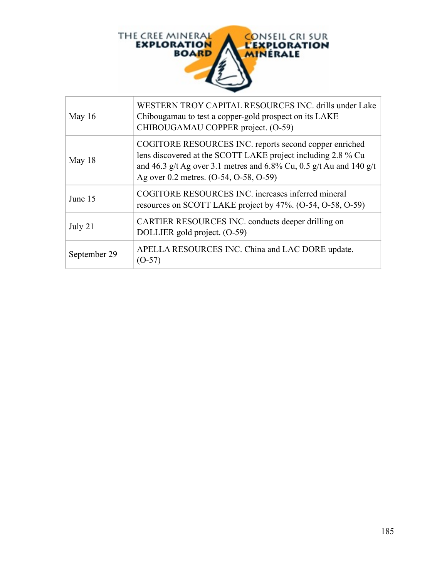

| May $16$     | WESTERN TROY CAPITAL RESOURCES INC. drills under Lake<br>Chibougamau to test a copper-gold prospect on its LAKE<br>CHIBOUGAMAU COPPER project. (O-59)                                                                                   |
|--------------|-----------------------------------------------------------------------------------------------------------------------------------------------------------------------------------------------------------------------------------------|
| May $18$     | COGITORE RESOURCES INC. reports second copper enriched<br>lens discovered at the SCOTT LAKE project including 2.8 % Cu<br>and 46.3 g/t Ag over 3.1 metres and 6.8% Cu, 0.5 g/t Au and 140 g/t<br>Ag over 0.2 metres. (O-54, O-58, O-59) |
| June 15      | COGITORE RESOURCES INC. increases inferred mineral<br>resources on SCOTT LAKE project by 47%. (O-54, O-58, O-59)                                                                                                                        |
| July 21      | CARTIER RESOURCES INC. conducts deeper drilling on<br>DOLLIER gold project. (O-59)                                                                                                                                                      |
| September 29 | APELLA RESOURCES INC. China and LAC DORE update.<br>(O-57)                                                                                                                                                                              |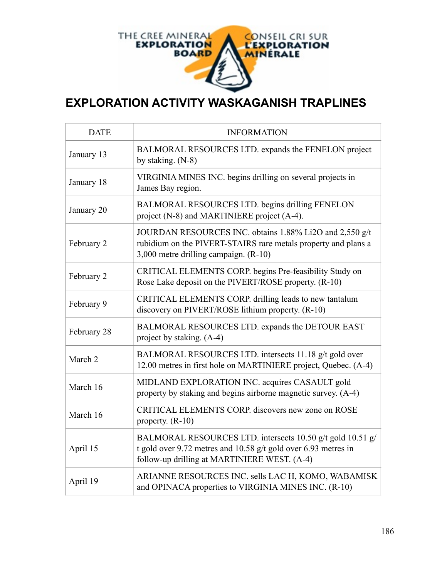

## **EXPLORATION ACTIVITY WASKAGANISH TRAPLINES**

| <b>DATE</b> | <b>INFORMATION</b>                                                                                                                                                           |
|-------------|------------------------------------------------------------------------------------------------------------------------------------------------------------------------------|
| January 13  | BALMORAL RESOURCES LTD. expands the FENELON project<br>by staking. $(N-8)$                                                                                                   |
| January 18  | VIRGINIA MINES INC. begins drilling on several projects in<br>James Bay region.                                                                                              |
| January 20  | BALMORAL RESOURCES LTD. begins drilling FENELON<br>project (N-8) and MARTINIERE project (A-4).                                                                               |
| February 2  | JOURDAN RESOURCES INC. obtains 1.88% Li2O and 2,550 g/t<br>rubidium on the PIVERT-STAIRS rare metals property and plans a<br>3,000 metre drilling campaign. (R-10)           |
| February 2  | CRITICAL ELEMENTS CORP. begins Pre-feasibility Study on<br>Rose Lake deposit on the PIVERT/ROSE property. (R-10)                                                             |
| February 9  | CRITICAL ELEMENTS CORP. drilling leads to new tantalum<br>discovery on PIVERT/ROSE lithium property. (R-10)                                                                  |
| February 28 | BALMORAL RESOURCES LTD. expands the DETOUR EAST<br>project by staking. (A-4)                                                                                                 |
| March 2     | BALMORAL RESOURCES LTD. intersects 11.18 g/t gold over<br>12.00 metres in first hole on MARTINIERE project, Quebec. (A-4)                                                    |
| March 16    | MIDLAND EXPLORATION INC. acquires CASAULT gold<br>property by staking and begins airborne magnetic survey. (A-4)                                                             |
| March 16    | CRITICAL ELEMENTS CORP. discovers new zone on ROSE<br>property. $(R-10)$                                                                                                     |
| April 15    | BALMORAL RESOURCES LTD. intersects 10.50 g/t gold 10.51 g/<br>t gold over 9.72 metres and 10.58 g/t gold over 6.93 metres in<br>follow-up drilling at MARTINIERE WEST. (A-4) |
| April 19    | ARIANNE RESOURCES INC. sells LAC H, KOMO, WABAMISK<br>and OPINACA properties to VIRGINIA MINES INC. (R-10)                                                                   |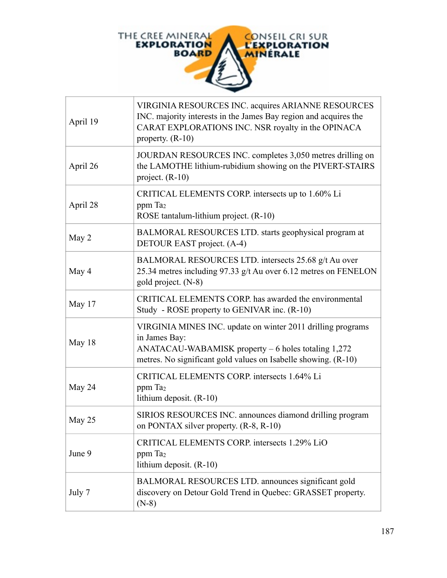

| April 19 | VIRGINIA RESOURCES INC. acquires ARIANNE RESOURCES<br>INC. majority interests in the James Bay region and acquires the<br>CARAT EXPLORATIONS INC. NSR royalty in the OPINACA<br>property. $(R-10)$       |
|----------|----------------------------------------------------------------------------------------------------------------------------------------------------------------------------------------------------------|
| April 26 | JOURDAN RESOURCES INC. completes 3,050 metres drilling on<br>the LAMOTHE lithium-rubidium showing on the PIVERT-STAIRS<br>project. $(R-10)$                                                              |
| April 28 | CRITICAL ELEMENTS CORP. intersects up to 1.60% Li<br>ppm Ta <sub>2</sub><br>ROSE tantalum-lithium project. (R-10)                                                                                        |
| May 2    | BALMORAL RESOURCES LTD. starts geophysical program at<br>DETOUR EAST project. (A-4)                                                                                                                      |
| May 4    | BALMORAL RESOURCES LTD. intersects 25.68 g/t Au over<br>25.34 metres including 97.33 g/t Au over 6.12 metres on FENELON<br>gold project. (N-8)                                                           |
| May 17   | CRITICAL ELEMENTS CORP. has awarded the environmental<br>Study - ROSE property to GENIVAR inc. (R-10)                                                                                                    |
| May 18   | VIRGINIA MINES INC. update on winter 2011 drilling programs<br>in James Bay:<br>$ANATACAU-WABAMISK$ property $-6$ holes totaling 1,272<br>metres. No significant gold values on Isabelle showing. (R-10) |
| May 24   | CRITICAL ELEMENTS CORP. intersects 1.64% Li<br>ppm Ta <sub>2</sub><br>lithium deposit. $(R-10)$                                                                                                          |
| May 25   | SIRIOS RESOURCES INC. announces diamond drilling program<br>on PONTAX silver property. (R-8, R-10)                                                                                                       |
| June 9   | CRITICAL ELEMENTS CORP. intersects 1.29% LiO<br>ppm Ta <sub>2</sub><br>lithium deposit. $(R-10)$                                                                                                         |
| July 7   | BALMORAL RESOURCES LTD. announces significant gold<br>discovery on Detour Gold Trend in Quebec: GRASSET property.<br>$(N-8)$                                                                             |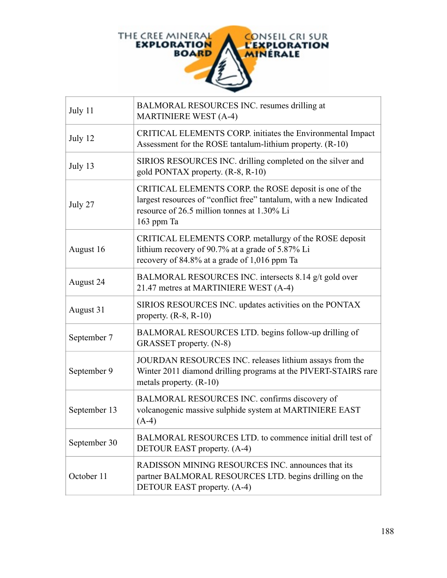

| July 11      | BALMORAL RESOURCES INC. resumes drilling at<br><b>MARTINIERE WEST (A-4)</b>                                                                                                                |
|--------------|--------------------------------------------------------------------------------------------------------------------------------------------------------------------------------------------|
| July 12      | CRITICAL ELEMENTS CORP. initiates the Environmental Impact<br>Assessment for the ROSE tantalum-lithium property. (R-10)                                                                    |
| July 13      | SIRIOS RESOURCES INC. drilling completed on the silver and<br>gold PONTAX property. (R-8, R-10)                                                                                            |
| July 27      | CRITICAL ELEMENTS CORP. the ROSE deposit is one of the<br>largest resources of "conflict free" tantalum, with a new Indicated<br>resource of 26.5 million tonnes at 1.30% Li<br>163 ppm Ta |
| August 16    | CRITICAL ELEMENTS CORP. metallurgy of the ROSE deposit<br>lithium recovery of 90.7% at a grade of 5.87% Li<br>recovery of 84.8% at a grade of 1,016 ppm Ta                                 |
| August 24    | BALMORAL RESOURCES INC. intersects 8.14 g/t gold over<br>21.47 metres at MARTINIERE WEST (A-4)                                                                                             |
| August 31    | SIRIOS RESOURCES INC. updates activities on the PONTAX<br>property. $(R-8, R-10)$                                                                                                          |
| September 7  | BALMORAL RESOURCES LTD. begins follow-up drilling of<br>GRASSET property. (N-8)                                                                                                            |
| September 9  | JOURDAN RESOURCES INC. releases lithium assays from the<br>Winter 2011 diamond drilling programs at the PIVERT-STAIRS rare<br>metals property. (R-10)                                      |
| September 13 | BALMORAL RESOURCES INC. confirms discovery of<br>volcanogenic massive sulphide system at MARTINIERE EAST<br>$(A-4)$                                                                        |
| September 30 | BALMORAL RESOURCES LTD, to commence initial drill test of<br>DETOUR EAST property. (A-4)                                                                                                   |
| October 11   | RADISSON MINING RESOURCES INC. announces that its<br>partner BALMORAL RESOURCES LTD. begins drilling on the<br>DETOUR EAST property. (A-4)                                                 |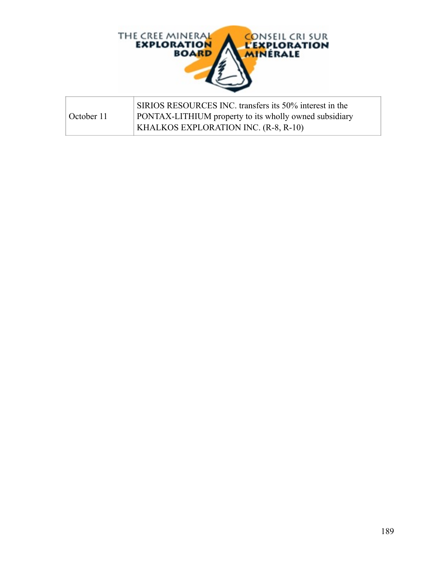

|            | SIRIOS RESOURCES INC. transfers its 50% interest in the       |
|------------|---------------------------------------------------------------|
| October 11 | <b>PONTAX-LITHIUM</b> property to its wholly owned subsidiary |
|            | <b>KHALKOS EXPLORATION INC. <math>(R-8, R-10)</math></b>      |

 $\overline{\Gamma}$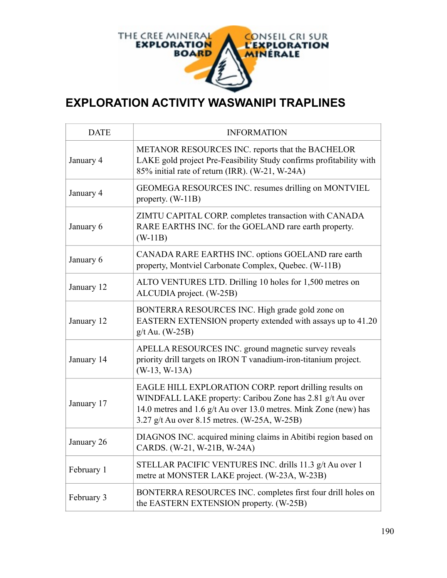

#### **EXPLORATION ACTIVITY WASWANIPI TRAPLINES**

| <b>DATE</b> | <b>INFORMATION</b>                                                                                                                                                                                                                       |
|-------------|------------------------------------------------------------------------------------------------------------------------------------------------------------------------------------------------------------------------------------------|
| January 4   | METANOR RESOURCES INC. reports that the BACHELOR<br>LAKE gold project Pre-Feasibility Study confirms profitability with<br>85% initial rate of return (IRR). (W-21, W-24A)                                                               |
| January 4   | GEOMEGA RESOURCES INC. resumes drilling on MONTVIEL<br>property. $(W-11B)$                                                                                                                                                               |
| January 6   | ZIMTU CAPITAL CORP. completes transaction with CANADA<br>RARE EARTHS INC. for the GOELAND rare earth property.<br>$(W-11B)$                                                                                                              |
| January 6   | CANADA RARE EARTHS INC. options GOELAND rare earth<br>property, Montviel Carbonate Complex, Quebec. (W-11B)                                                                                                                              |
| January 12  | ALTO VENTURES LTD. Drilling 10 holes for 1,500 metres on<br>ALCUDIA project. (W-25B)                                                                                                                                                     |
| January 12  | BONTERRA RESOURCES INC. High grade gold zone on<br>EASTERN EXTENSION property extended with assays up to 41.20<br>$g/t$ Au. (W-25B)                                                                                                      |
| January 14  | APELLA RESOURCES INC. ground magnetic survey reveals<br>priority drill targets on IRON T vanadium-iron-titanium project.<br>$(W-13, W-13A)$                                                                                              |
| January 17  | EAGLE HILL EXPLORATION CORP. report drilling results on<br>WINDFALL LAKE property: Caribou Zone has 2.81 g/t Au over<br>14.0 metres and 1.6 g/t Au over 13.0 metres. Mink Zone (new) has<br>3.27 g/t Au over 8.15 metres. (W-25A, W-25B) |
| January 26  | DIAGNOS INC. acquired mining claims in Abitibi region based on<br>CARDS. (W-21, W-21B, W-24A)                                                                                                                                            |
| February 1  | STELLAR PACIFIC VENTURES INC. drills 11.3 g/t Au over 1<br>metre at MONSTER LAKE project. (W-23A, W-23B)                                                                                                                                 |
| February 3  | BONTERRA RESOURCES INC. completes first four drill holes on<br>the EASTERN EXTENSION property. (W-25B)                                                                                                                                   |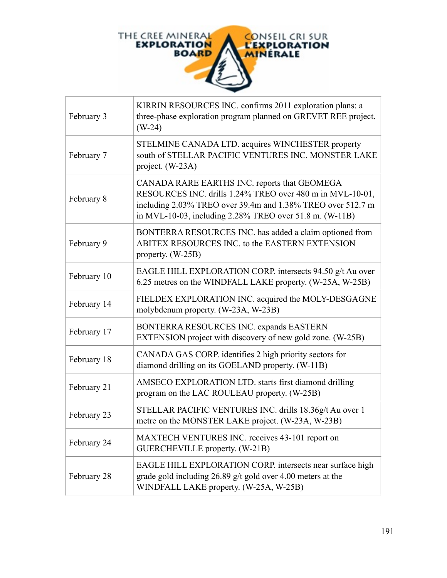

| February 3  | KIRRIN RESOURCES INC. confirms 2011 exploration plans: a<br>three-phase exploration program planned on GREVET REE project.<br>$(W-24)$                                                                                              |
|-------------|-------------------------------------------------------------------------------------------------------------------------------------------------------------------------------------------------------------------------------------|
| February 7  | STELMINE CANADA LTD. acquires WINCHESTER property<br>south of STELLAR PACIFIC VENTURES INC. MONSTER LAKE<br>project. (W-23A)                                                                                                        |
| February 8  | CANADA RARE EARTHS INC. reports that GEOMEGA<br>RESOURCES INC. drills 1.24% TREO over 480 m in MVL-10-01,<br>including 2.03% TREO over 39.4m and 1.38% TREO over 512.7 m<br>in MVL-10-03, including 2.28% TREO over 51.8 m. (W-11B) |
| February 9  | BONTERRA RESOURCES INC. has added a claim optioned from<br>ABITEX RESOURCES INC. to the EASTERN EXTENSION<br>property. $(W-25B)$                                                                                                    |
| February 10 | EAGLE HILL EXPLORATION CORP. intersects 94.50 g/t Au over<br>6.25 metres on the WINDFALL LAKE property. (W-25A, W-25B)                                                                                                              |
| February 14 | FIELDEX EXPLORATION INC. acquired the MOLY-DESGAGNE<br>molybdenum property. (W-23A, W-23B)                                                                                                                                          |
| February 17 | BONTERRA RESOURCES INC. expands EASTERN<br>EXTENSION project with discovery of new gold zone. (W-25B)                                                                                                                               |
| February 18 | CANADA GAS CORP. identifies 2 high priority sectors for<br>diamond drilling on its GOELAND property. (W-11B)                                                                                                                        |
| February 21 | AMSECO EXPLORATION LTD. starts first diamond drilling<br>program on the LAC ROULEAU property. (W-25B)                                                                                                                               |
| February 23 | STELLAR PACIFIC VENTURES INC. drills 18.36g/t Au over 1<br>metre on the MONSTER LAKE project. (W-23A, W-23B)                                                                                                                        |
| February 24 | MAXTECH VENTURES INC. receives 43-101 report on<br>GUERCHEVILLE property. (W-21B)                                                                                                                                                   |
| February 28 | EAGLE HILL EXPLORATION CORP. intersects near surface high<br>grade gold including 26.89 g/t gold over 4.00 meters at the<br>WINDFALL LAKE property. (W-25A, W-25B)                                                                  |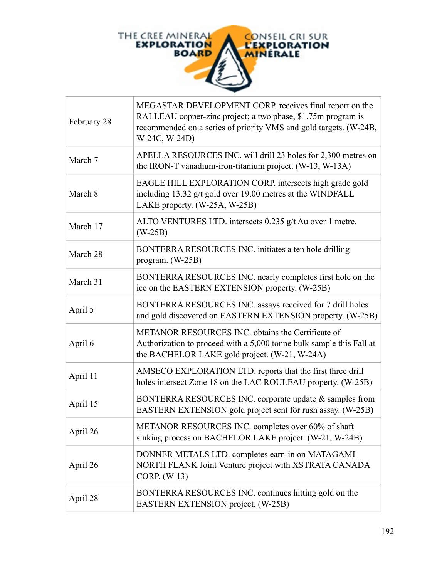

| February 28 | MEGASTAR DEVELOPMENT CORP. receives final report on the<br>RALLEAU copper-zinc project; a two phase, \$1.75m program is<br>recommended on a series of priority VMS and gold targets. (W-24B,<br>W-24C, W-24D) |
|-------------|---------------------------------------------------------------------------------------------------------------------------------------------------------------------------------------------------------------|
| March 7     | APELLA RESOURCES INC. will drill 23 holes for 2,300 metres on<br>the IRON-T vanadium-iron-titanium project. (W-13, W-13A)                                                                                     |
| March 8     | EAGLE HILL EXPLORATION CORP. intersects high grade gold<br>including 13.32 g/t gold over 19.00 metres at the WINDFALL<br>LAKE property. (W-25A, W-25B)                                                        |
| March 17    | ALTO VENTURES LTD. intersects 0.235 g/t Au over 1 metre.<br>$(W-25B)$                                                                                                                                         |
| March 28    | BONTERRA RESOURCES INC. initiates a ten hole drilling<br>program. $(W-25B)$                                                                                                                                   |
| March 31    | BONTERRA RESOURCES INC. nearly completes first hole on the<br>ice on the EASTERN EXTENSION property. (W-25B)                                                                                                  |
| April 5     | BONTERRA RESOURCES INC. assays received for 7 drill holes<br>and gold discovered on EASTERN EXTENSION property. (W-25B)                                                                                       |
| April 6     | METANOR RESOURCES INC. obtains the Certificate of<br>Authorization to proceed with a 5,000 tonne bulk sample this Fall at<br>the BACHELOR LAKE gold project. (W-21, W-24A)                                    |
| April 11    | AMSECO EXPLORATION LTD. reports that the first three drill<br>holes intersect Zone 18 on the LAC ROULEAU property. (W-25B)                                                                                    |
| April 15    | BONTERRA RESOURCES INC. corporate update & samples from<br>EASTERN EXTENSION gold project sent for rush assay. (W-25B)                                                                                        |
| April 26    | METANOR RESOURCES INC. completes over 60% of shaft<br>sinking process on BACHELOR LAKE project. (W-21, W-24B)                                                                                                 |
| April 26    | DONNER METALS LTD. completes earn-in on MATAGAMI<br>NORTH FLANK Joint Venture project with XSTRATA CANADA<br>CORP. (W-13)                                                                                     |
| April 28    | BONTERRA RESOURCES INC. continues hitting gold on the<br>EASTERN EXTENSION project. (W-25B)                                                                                                                   |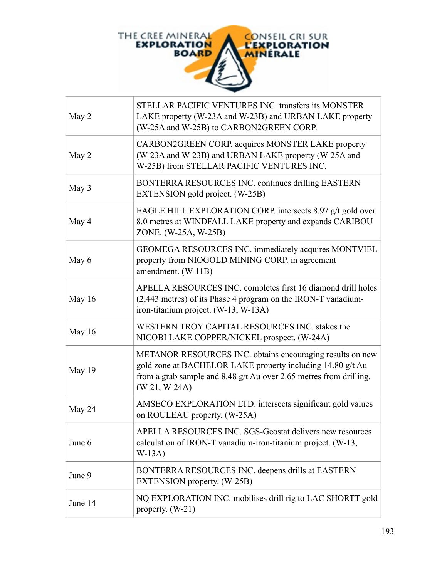

| May 2   | STELLAR PACIFIC VENTURES INC. transfers its MONSTER<br>LAKE property (W-23A and W-23B) and URBAN LAKE property<br>(W-25A and W-25B) to CARBON2GREEN CORP.                                                        |
|---------|------------------------------------------------------------------------------------------------------------------------------------------------------------------------------------------------------------------|
| May 2   | CARBON2GREEN CORP. acquires MONSTER LAKE property<br>(W-23A and W-23B) and URBAN LAKE property (W-25A and<br>W-25B) from STELLAR PACIFIC VENTURES INC.                                                           |
| May 3   | BONTERRA RESOURCES INC. continues drilling EASTERN<br>EXTENSION gold project. (W-25B)                                                                                                                            |
| May 4   | EAGLE HILL EXPLORATION CORP. intersects 8.97 g/t gold over<br>8.0 metres at WINDFALL LAKE property and expands CARIBOU<br>ZONE. (W-25A, W-25B)                                                                   |
| May 6   | GEOMEGA RESOURCES INC. immediately acquires MONTVIEL<br>property from NIOGOLD MINING CORP. in agreement<br>amendment. (W-11B)                                                                                    |
| May 16  | APELLA RESOURCES INC. completes first 16 diamond drill holes<br>(2,443 metres) of its Phase 4 program on the IRON-T vanadium-<br>iron-titanium project. (W-13, W-13A)                                            |
| May 16  | WESTERN TROY CAPITAL RESOURCES INC. stakes the<br>NICOBI LAKE COPPER/NICKEL prospect. (W-24A)                                                                                                                    |
| May 19  | METANOR RESOURCES INC. obtains encouraging results on new<br>gold zone at BACHELOR LAKE property including 14.80 g/t Au<br>from a grab sample and 8.48 g/t Au over 2.65 metres from drilling.<br>$(W-21, W-24A)$ |
| May 24  | AMSECO EXPLORATION LTD. intersects significant gold values<br>on ROULEAU property. (W-25A)                                                                                                                       |
| June 6  | APELLA RESOURCES INC. SGS-Geostat delivers new resources<br>calculation of IRON-T vanadium-iron-titanium project. (W-13,<br>$W-13A)$                                                                             |
| June 9  | BONTERRA RESOURCES INC. deepens drills at EASTERN<br><b>EXTENSION</b> property. (W-25B)                                                                                                                          |
| June 14 | NQ EXPLORATION INC. mobilises drill rig to LAC SHORTT gold<br>property. $(W-21)$                                                                                                                                 |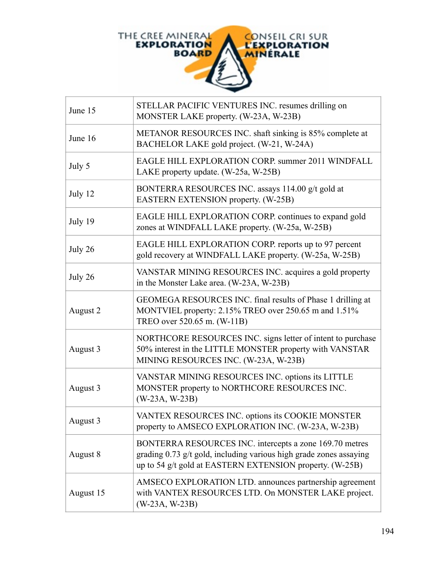

| June 15   | STELLAR PACIFIC VENTURES INC. resumes drilling on<br>MONSTER LAKE property. (W-23A, W-23B)                                                                                                |
|-----------|-------------------------------------------------------------------------------------------------------------------------------------------------------------------------------------------|
| June 16   | METANOR RESOURCES INC. shaft sinking is 85% complete at<br>BACHELOR LAKE gold project. (W-21, W-24A)                                                                                      |
| July 5    | EAGLE HILL EXPLORATION CORP. summer 2011 WINDFALL<br>LAKE property update. (W-25a, W-25B)                                                                                                 |
| July 12   | BONTERRA RESOURCES INC. assays 114.00 g/t gold at<br><b>EASTERN EXTENSION property. (W-25B)</b>                                                                                           |
| July 19   | EAGLE HILL EXPLORATION CORP. continues to expand gold<br>zones at WINDFALL LAKE property. (W-25a, W-25B)                                                                                  |
| July 26   | EAGLE HILL EXPLORATION CORP. reports up to 97 percent<br>gold recovery at WINDFALL LAKE property. (W-25a, W-25B)                                                                          |
| July 26   | VANSTAR MINING RESOURCES INC. acquires a gold property<br>in the Monster Lake area. (W-23A, W-23B)                                                                                        |
| August 2  | GEOMEGA RESOURCES INC. final results of Phase 1 drilling at<br>MONTVIEL property: 2.15% TREO over 250.65 m and 1.51%<br>TREO over 520.65 m. (W-11B)                                       |
| August 3  | NORTHCORE RESOURCES INC. signs letter of intent to purchase<br>50% interest in the LITTLE MONSTER property with VANSTAR<br>MINING RESOURCES INC. (W-23A, W-23B)                           |
| August 3  | VANSTAR MINING RESOURCES INC. options its LITTLE<br>MONSTER property to NORTHCORE RESOURCES INC.<br>$(W-23A, W-23B)$                                                                      |
| August 3  | VANTEX RESOURCES INC. options its COOKIE MONSTER<br>property to AMSECO EXPLORATION INC. (W-23A, W-23B)                                                                                    |
| August 8  | BONTERRA RESOURCES INC. intercepts a zone 169.70 metres<br>grading 0.73 g/t gold, including various high grade zones assaying<br>up to 54 g/t gold at EASTERN EXTENSION property. (W-25B) |
| August 15 | AMSECO EXPLORATION LTD. announces partnership agreement<br>with VANTEX RESOURCES LTD. On MONSTER LAKE project.<br>$(W-23A, W-23B)$                                                        |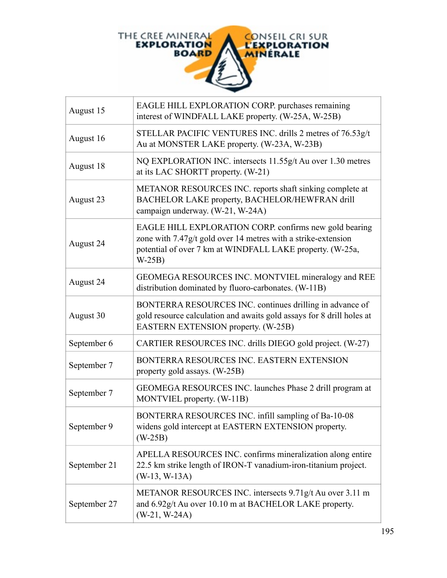

| August 15    | EAGLE HILL EXPLORATION CORP. purchases remaining<br>interest of WINDFALL LAKE property. (W-25A, W-25B)                                                                                          |
|--------------|-------------------------------------------------------------------------------------------------------------------------------------------------------------------------------------------------|
| August 16    | STELLAR PACIFIC VENTURES INC. drills 2 metres of 76.53g/t<br>Au at MONSTER LAKE property. (W-23A, W-23B)                                                                                        |
| August 18    | NQ EXPLORATION INC. intersects 11.55g/t Au over 1.30 metres<br>at its LAC SHORTT property. (W-21)                                                                                               |
| August 23    | METANOR RESOURCES INC. reports shaft sinking complete at<br>BACHELOR LAKE property, BACHELOR/HEWFRAN drill<br>campaign underway. (W-21, W-24A)                                                  |
| August 24    | EAGLE HILL EXPLORATION CORP. confirms new gold bearing<br>zone with 7.47g/t gold over 14 metres with a strike-extension<br>potential of over 7 km at WINDFALL LAKE property. (W-25a,<br>$W-25B$ |
| August 24    | GEOMEGA RESOURCES INC. MONTVIEL mineralogy and REE<br>distribution dominated by fluoro-carbonates. (W-11B)                                                                                      |
| August 30    | BONTERRA RESOURCES INC. continues drilling in advance of<br>gold resource calculation and awaits gold assays for 8 drill holes at<br><b>EASTERN EXTENSION property. (W-25B)</b>                 |
| September 6  | CARTIER RESOURCES INC. drills DIEGO gold project. (W-27)                                                                                                                                        |
| September 7  | BONTERRA RESOURCES INC. EASTERN EXTENSION<br>property gold assays. (W-25B)                                                                                                                      |
| September 7  | GEOMEGA RESOURCES INC. launches Phase 2 drill program at<br>MONTVIEL property. (W-11B)                                                                                                          |
| September 9  | BONTERRA RESOURCES INC. infill sampling of Ba-10-08<br>widens gold intercept at EASTERN EXTENSION property.<br>$(W-25B)$                                                                        |
| September 21 | APELLA RESOURCES INC. confirms mineralization along entire<br>22.5 km strike length of IRON-T vanadium-iron-titanium project.<br>$(W-13, W-13A)$                                                |
| September 27 | METANOR RESOURCES INC. intersects 9.71g/t Au over 3.11 m<br>and 6.92g/t Au over 10.10 m at BACHELOR LAKE property.<br>$(W-21, W-24A)$                                                           |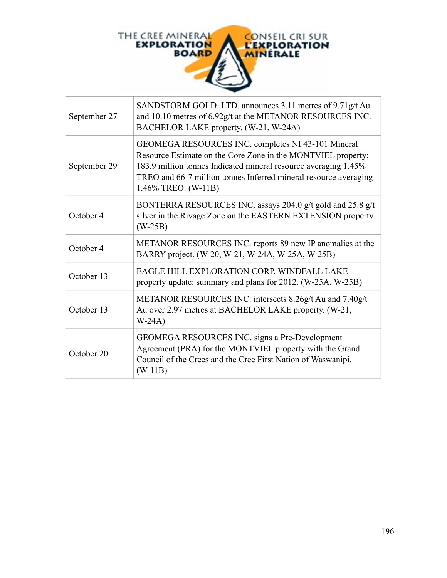

| September 27 | SANDSTORM GOLD. LTD. announces 3.11 metres of 9.71g/t Au<br>and 10.10 metres of 6.92g/t at the METANOR RESOURCES INC.<br>BACHELOR LAKE property. (W-21, W-24A)                                                                                                                   |
|--------------|----------------------------------------------------------------------------------------------------------------------------------------------------------------------------------------------------------------------------------------------------------------------------------|
| September 29 | GEOMEGA RESOURCES INC. completes NI 43-101 Mineral<br>Resource Estimate on the Core Zone in the MONTVIEL property:<br>183.9 million tonnes Indicated mineral resource averaging 1.45%<br>TREO and 66-7 million tonnes Inferred mineral resource averaging<br>1.46% TREO. (W-11B) |
| October 4    | BONTERRA RESOURCES INC. assays 204.0 g/t gold and 25.8 g/t<br>silver in the Rivage Zone on the EASTERN EXTENSION property.<br>$(W-25B)$                                                                                                                                          |
| October 4    | METANOR RESOURCES INC. reports 89 new IP anomalies at the<br>BARRY project. (W-20, W-21, W-24A, W-25A, W-25B)                                                                                                                                                                    |
| October 13   | EAGLE HILL EXPLORATION CORP. WINDFALL LAKE<br>property update: summary and plans for 2012. (W-25A, W-25B)                                                                                                                                                                        |
| October 13   | METANOR RESOURCES INC. intersects 8.26g/t Au and 7.40g/t<br>Au over 2.97 metres at BACHELOR LAKE property. (W-21,<br>$W-24A)$                                                                                                                                                    |
| October 20   | GEOMEGA RESOURCES INC. signs a Pre-Development<br>Agreement (PRA) for the MONTVIEL property with the Grand<br>Council of the Crees and the Cree First Nation of Waswanipi.<br>$(W-11B)$                                                                                          |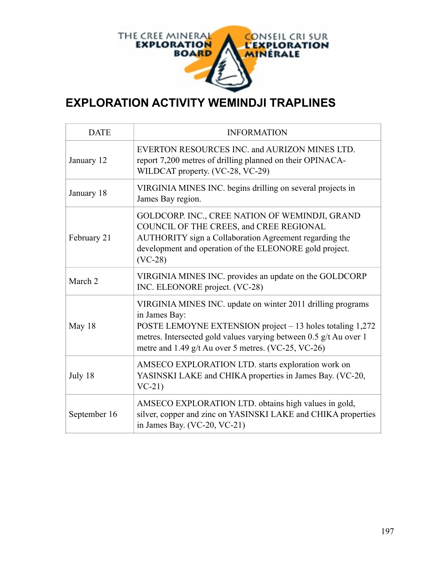

## **EXPLORATION ACTIVITY WEMINDJI TRAPLINES**

| <b>DATE</b>  | <b>INFORMATION</b>                                                                                                                                                                                                                                                    |
|--------------|-----------------------------------------------------------------------------------------------------------------------------------------------------------------------------------------------------------------------------------------------------------------------|
| January 12   | EVERTON RESOURCES INC. and AURIZON MINES LTD.<br>report 7,200 metres of drilling planned on their OPINACA-<br>WILDCAT property. (VC-28, VC-29)                                                                                                                        |
| January 18   | VIRGINIA MINES INC. begins drilling on several projects in<br>James Bay region.                                                                                                                                                                                       |
| February 21  | GOLDCORP. INC., CREE NATION OF WEMINDJI, GRAND<br>COUNCIL OF THE CREES, and CREE REGIONAL<br>AUTHORITY sign a Collaboration Agreement regarding the<br>development and operation of the ELEONORE gold project.<br>$(VC-28)$                                           |
| March 2      | VIRGINIA MINES INC. provides an update on the GOLDCORP<br>INC. ELEONORE project. (VC-28)                                                                                                                                                                              |
| May 18       | VIRGINIA MINES INC. update on winter 2011 drilling programs<br>in James Bay:<br>POSTE LEMOYNE EXTENSION project – 13 holes totaling 1,272<br>metres. Intersected gold values varying between 0.5 g/t Au over 1<br>metre and 1.49 g/t Au over 5 metres. (VC-25, VC-26) |
| July 18      | AMSECO EXPLORATION LTD. starts exploration work on<br>YASINSKI LAKE and CHIKA properties in James Bay. (VC-20,<br>$VC-21$                                                                                                                                             |
| September 16 | AMSECO EXPLORATION LTD. obtains high values in gold,<br>silver, copper and zinc on YASINSKI LAKE and CHIKA properties<br>in James Bay. (VC-20, VC-21)                                                                                                                 |